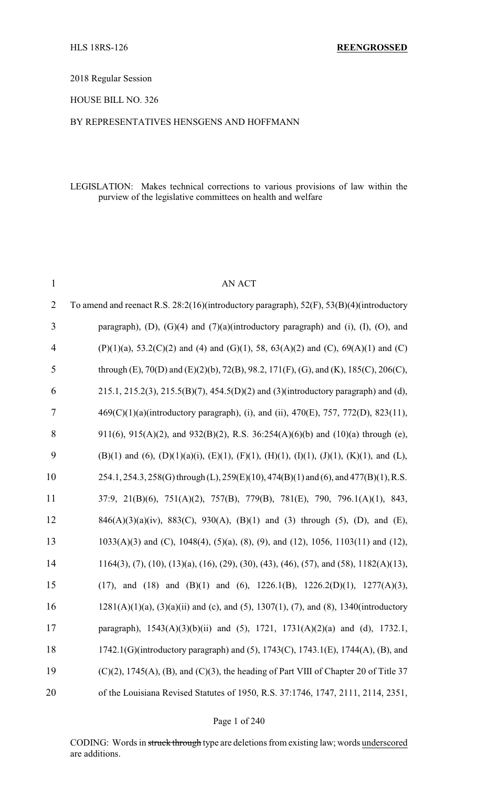2018 Regular Session

HOUSE BILL NO. 326

#### BY REPRESENTATIVES HENSGENS AND HOFFMANN

#### LEGISLATION: Makes technical corrections to various provisions of law within the purview of the legislative committees on health and welfare

| $\mathbf{1}$   | <b>AN ACT</b>                                                                                                       |
|----------------|---------------------------------------------------------------------------------------------------------------------|
| $\overline{2}$ | To amend and reenact R.S. 28:2(16)(introductory paragraph), 52(F), 53(B)(4)(introductory                            |
| 3              | paragraph), (D), (G)(4) and $(7)(a)$ (introductory paragraph) and (i), (I), (O), and                                |
| $\overline{4}$ | $(P)(1)(a)$ , 53.2(C)(2) and (4) and (G)(1), 58, 63(A)(2) and (C), 69(A)(1) and (C)                                 |
| 5              | through (E), 70(D) and (E)(2)(b), 72(B), 98.2, 171(F), (G), and (K), 185(C), 206(C),                                |
| 6              | $215.1, 215.2(3), 215.5(B)(7), 454.5(D)(2)$ and (3)(introductory paragraph) and (d),                                |
| $\tau$         | 469(C)(1)(a)(introductory paragraph), (i), and (ii), 470(E), 757, 772(D), 823(11),                                  |
| 8              | 911(6), 915(A)(2), and 932(B)(2), R.S. 36:254(A)(6)(b) and (10)(a) through (e),                                     |
| 9              | $(B)(1)$ and $(6)$ , $(D)(1)(a)(i)$ , $(E)(1)$ , $(F)(1)$ , $(H)(1)$ , $(I)(1)$ , $(J)(1)$ , $(K)(1)$ , and $(L)$ , |
| 10             | 254.1, 254.3, 258(G) through (L), 259(E)(10), 474(B)(1) and (6), and 477(B)(1), R.S.                                |
| 11             | 37:9, 21(B)(6), 751(A)(2), 757(B), 779(B), 781(E), 790, 796.1(A)(1), 843,                                           |
| 12             | $846(A)(3)(a)(iv)$ , $883(C)$ , $930(A)$ , $(B)(1)$ and $(3)$ through $(5)$ , $(D)$ , and $(E)$ ,                   |
| 13             | $1033(A)(3)$ and (C), $1048(4)$ , $(5)(a)$ , $(8)$ , $(9)$ , and $(12)$ , $1056$ , $1103(11)$ and $(12)$ ,          |
| 14             | $1164(3)$ , (7), (10), (13)(a), (16), (29), (30), (43), (46), (57), and (58), 1182(A)(13),                          |
| 15             | (17), and (18) and (B)(1) and (6), 1226.1(B), 1226.2(D)(1), 1277(A)(3),                                             |
| 16             | $1281(A)(1)(a)$ , $(3)(a)(ii)$ and (c), and (5), 1307(1), (7), and (8), 1340(introductory                           |
| 17             | paragraph), 1543(A)(3)(b)(ii) and (5), 1721, 1731(A)(2)(a) and (d), 1732.1,                                         |
| 18             | 1742.1(G)(introductory paragraph) and (5), 1743(C), 1743.1(E), 1744(A), (B), and                                    |
| 19             | $(C)(2)$ , 1745(A), (B), and (C)(3), the heading of Part VIII of Chapter 20 of Title 37                             |
| 20             | of the Louisiana Revised Statutes of 1950, R.S. 37:1746, 1747, 2111, 2114, 2351,                                    |

Page 1 of 240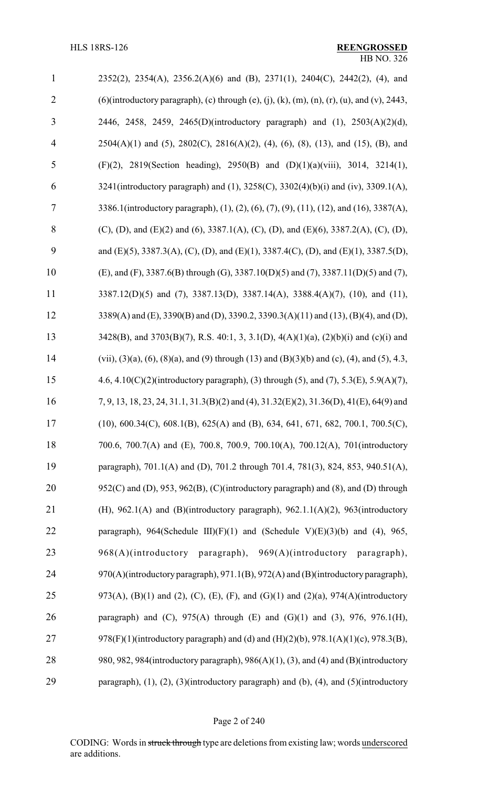| $\mathbf{1}$   | 2352(2), 2354(A), 2356.2(A)(6) and (B), 2371(1), 2404(C), 2442(2), (4), and                            |
|----------------|--------------------------------------------------------------------------------------------------------|
| $\overline{2}$ | $(6)$ (introductory paragraph), (c) through (e), (j), (k), (m), (n), (r), (u), and (v), 2443,          |
| 3              | 2446, 2458, 2459, 2465(D)(introductory paragraph) and (1), 2503(A)(2)(d),                              |
| $\overline{4}$ | $2504(A)(1)$ and (5), $2802(C)$ , $2816(A)(2)$ , (4), (6), (8), (13), and (15), (B), and               |
| 5              | (F)(2), 2819(Section heading), 2950(B) and (D)(1)(a)(viii), 3014, 3214(1),                             |
| 6              | 3241(introductory paragraph) and (1), 3258(C), 3302(4)(b)(i) and (iv), 3309.1(A),                      |
| 7              | 3386.1(introductory paragraph), (1), (2), (6), (7), (9), (11), (12), and (16), 3387(A),                |
| 8              | (C), (D), and (E)(2) and (6), 3387.1(A), (C), (D), and (E)(6), 3387.2(A), (C), (D),                    |
| 9              | and (E)(5), 3387.3(A), (C), (D), and (E)(1), 3387.4(C), (D), and (E)(1), 3387.5(D),                    |
| 10             | (E), and (F), 3387.6(B) through (G), 3387.10(D)(5) and (7), 3387.11(D)(5) and (7),                     |
| 11             | 3387.12(D)(5) and (7), 3387.13(D), 3387.14(A), 3388.4(A)(7), (10), and (11),                           |
| 12             | 3389(A) and (E), 3390(B) and (D), 3390.2, 3390.3(A)(11) and (13), (B)(4), and (D),                     |
| 13             | 3428(B), and 3703(B)(7), R.S. 40:1, 3, 3.1(D), 4(A)(1)(a), (2)(b)(i) and (c)(i) and                    |
| 14             | (vii), (3)(a), (6), (8)(a), and (9) through (13) and (B)(3)(b) and (c), (4), and (5), 4.3,             |
| 15             | 4.6, 4.10(C)(2)(introductory paragraph), (3) through (5), and (7), 5.3(E), 5.9(A)(7),                  |
| 16             | 7, 9, 13, 18, 23, 24, 31.1, 31.3(B)(2) and (4), 31.32(E)(2), 31.36(D), 41(E), 64(9) and                |
| 17             | $(10)$ , 600.34(C), 608.1(B), 625(A) and (B), 634, 641, 671, 682, 700.1, 700.5(C),                     |
| 18             | 700.6, 700.7(A) and (E), 700.8, 700.9, 700.10(A), 700.12(A), 701(introductory                          |
| 19             | paragraph), 701.1(A) and (D), 701.2 through 701.4, 781(3), 824, 853, 940.51(A),                        |
| 20             | 952(C) and (D), 953, 962(B), (C)(introductory paragraph) and (8), and (D) through                      |
| 21             | (H), 962.1(A) and (B)(introductory paragraph), 962.1.1(A)(2), 963(introductory                         |
| 22             | paragraph), 964(Schedule III)(F)(1) and (Schedule V)(E)(3)(b) and (4), 965,                            |
| 23             | 968(A)(introductory paragraph), 969(A)(introductory paragraph),                                        |
| 24             | 970(A)(introductory paragraph), 971.1(B), 972(A) and (B)(introductory paragraph),                      |
| 25             | 973(A), (B)(1) and (2), (C), (E), (F), and (G)(1) and (2)(a), 974(A)(introductory                      |
| 26             | paragraph) and (C), $975(A)$ through (E) and (G)(1) and (3), $976$ , $976.1(H)$ ,                      |
| 27             | 978(F)(1)(introductory paragraph) and (d) and (H)(2)(b), 978.1(A)(1)(c), 978.3(B),                     |
| 28             | 980, 982, 984(introductory paragraph), 986(A)(1), (3), and (4) and (B)(introductory                    |
| 29             | paragraph), $(1)$ , $(2)$ , $(3)$ (introductory paragraph) and $(b)$ , $(4)$ , and $(5)$ (introductory |

Page 2 of 240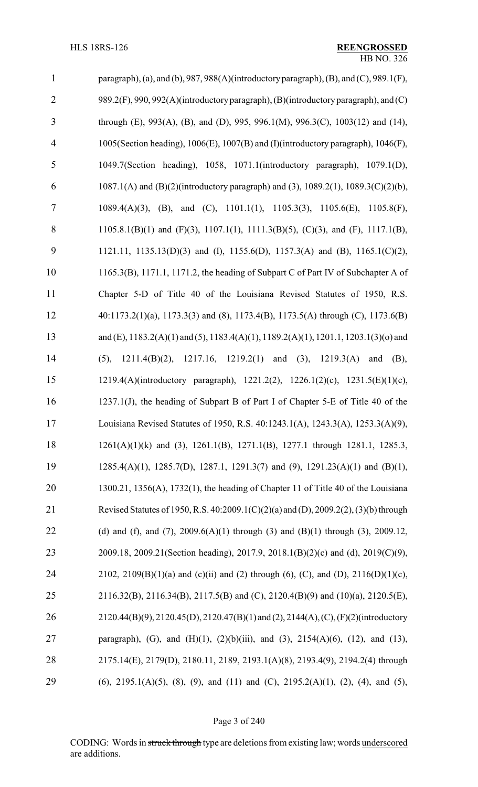| $\mathbf{1}$   | paragraph), (a), and (b), $987$ , $988(A)$ (introductory paragraph), (B), and (C), $989.1(F)$ ,  |
|----------------|--------------------------------------------------------------------------------------------------|
| $\overline{2}$ | 989.2(F), 990, 992(A)(introductory paragraph), (B)(introductory paragraph), and (C)              |
| $\overline{3}$ | through (E), 993(A), (B), and (D), 995, 996.1(M), 996.3(C), 1003(12) and (14),                   |
| $\overline{4}$ | 1005(Section heading), 1006(E), 1007(B) and (I)(introductory paragraph), 1046(F),                |
| 5              | 1049.7(Section heading), 1058, 1071.1(introductory paragraph), 1079.1(D),                        |
| 6              | 1087.1(A) and (B)(2)(introductory paragraph) and (3), 1089.2(1), 1089.3(C)(2)(b),                |
| 7              | 1089.4(A)(3), (B), and (C), 1101.1(1), 1105.3(3), 1105.6(E), 1105.8(F),                          |
| 8              | 1105.8.1(B)(1) and (F)(3), 1107.1(1), 1111.3(B)(5), (C)(3), and (F), 1117.1(B),                  |
| 9              | 1121.11, 1135.13(D)(3) and (I), 1155.6(D), 1157.3(A) and (B), 1165.1(C)(2),                      |
| 10             | 1165.3(B), 1171.1, 1171.2, the heading of Subpart C of Part IV of Subchapter A of                |
| 11             | Chapter 5-D of Title 40 of the Louisiana Revised Statutes of 1950, R.S.                          |
| 12             | 40:1173.2(1)(a), 1173.3(3) and (8), 1173.4(B), 1173.5(A) through (C), 1173.6(B)                  |
| 13             | and (E), $1183.2(A)(1)$ and (5), $1183.4(A)(1)$ , $1189.2(A)(1)$ , $1201.1$ , $1203.1(3)(0)$ and |
| 14             | $1211.4(B)(2)$ , $1217.16$ , $1219.2(1)$ and (3), $1219.3(A)$<br>and $(B)$ ,<br>(5),             |
| 15             | 1219.4(A)(introductory paragraph), 1221.2(2), 1226.1(2)(c), 1231.5(E)(1)(c),                     |
| 16             | 1237.1(J), the heading of Subpart B of Part I of Chapter 5-E of Title 40 of the                  |
| 17             | Louisiana Revised Statutes of 1950, R.S. 40:1243.1(A), 1243.3(A), 1253.3(A)(9),                  |
| 18             | $1261(A)(1)(k)$ and (3), $1261.1(B)$ , $1271.1(B)$ , $1277.1$ through 1281.1, 1285.3,            |
| 19             | $1285.4(A)(1)$ , $1285.7(D)$ , $1287.1$ , $1291.3(7)$ and $(9)$ , $1291.23(A)(1)$ and $(B)(1)$ , |
| 20             | $1300.21$ , $1356(A)$ , $1732(1)$ , the heading of Chapter 11 of Title 40 of the Louisiana       |
| 21             | Revised Statutes of 1950, R.S. 40:2009.1(C)(2)(a) and (D), 2009.2(2), (3)(b) through             |
| 22             | (d) and (f), and (7), $2009.6(A)(1)$ through (3) and (B)(1) through (3), $2009.12$ ,             |
| 23             | 2009.18, 2009.21(Section heading), 2017.9, 2018.1(B)(2)(c) and (d), 2019(C)(9),                  |
| 24             | 2102, 2109(B)(1)(a) and (c)(ii) and (2) through (6), (C), and (D), 2116(D)(1)(c),                |
| 25             | 2116.32(B), 2116.34(B), 2117.5(B) and (C), 2120.4(B)(9) and (10)(a), 2120.5(E),                  |
| 26             | 2120.44(B)(9), 2120.45(D), 2120.47(B)(1) and (2), 2144(A), (C), (F)(2)(introductory              |
| 27             | paragraph), (G), and (H)(1), (2)(b)(iii), and (3), 2154(A)(6), (12), and (13),                   |
| 28             | 2175.14(E), 2179(D), 2180.11, 2189, 2193.1(A)(8), 2193.4(9), 2194.2(4) through                   |
| 29             | $(6)$ , 2195.1(A)(5), (8), (9), and (11) and (C), 2195.2(A)(1), (2), (4), and (5),               |

## Page 3 of 240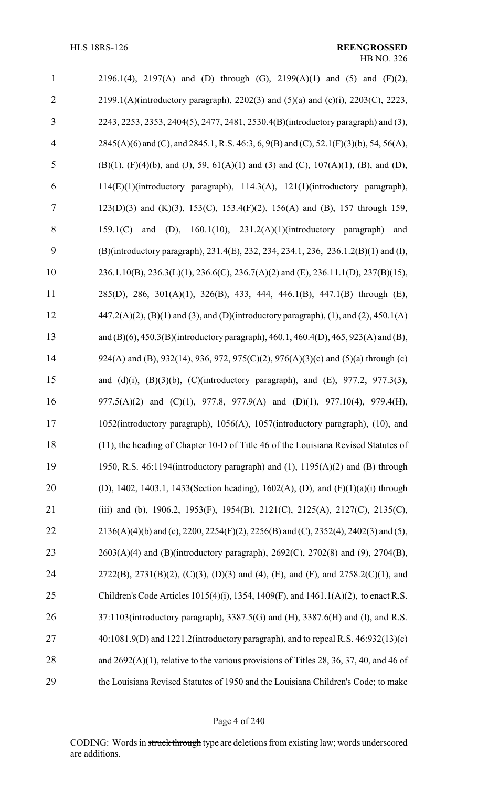| $\mathbf{1}$   | 2196.1(4), 2197(A) and (D) through (G), 2199(A)(1) and (5) and (F)(2),                                        |
|----------------|---------------------------------------------------------------------------------------------------------------|
| $\overline{2}$ | 2199.1(A)(introductory paragraph), 2202(3) and (5)(a) and (e)(i), 2203(C), 2223,                              |
| 3              | 2243, 2253, 2353, 2404(5), 2477, 2481, 2530.4(B)(introductory paragraph) and (3),                             |
| $\overline{4}$ | 2845(A)(6) and (C), and 2845.1, R.S. 46:3, 6, 9(B) and (C), 52.1(F)(3)(b), 54, 56(A),                         |
| 5              | $(B)(1)$ , $(F)(4)(b)$ , and $(J)$ , 59, 61 $(A)(1)$ and $(3)$ and $(C)$ , 107 $(A)(1)$ , $(B)$ , and $(D)$ , |
| 6              | 114(E)(1)(introductory paragraph), 114.3(A), 121(1)(introductory paragraph),                                  |
| 7              | 123(D)(3) and (K)(3), 153(C), 153.4(F)(2), 156(A) and (B), 157 through 159,                                   |
| 8              | and (D), $160.1(10)$ , $231.2(A)(1)(introductory paragraph)$<br>159.1(C)<br>and                               |
| 9              | (B)(introductory paragraph), 231.4(E), 232, 234, 234.1, 236, 236.1.2(B)(1) and (I),                           |
| 10             | 236.1.10(B), 236.3(L)(1), 236.6(C), 236.7(A)(2) and (E), 236.11.1(D), 237(B)(15),                             |
| 11             | 285(D), 286, 301(A)(1), 326(B), 433, 444, 446.1(B), 447.1(B) through (E),                                     |
| 12             | $447.2(A)(2)$ , (B)(1) and (3), and (D)(introductory paragraph), (1), and (2), 450.1(A)                       |
| 13             | and (B)(6), 450.3(B)(introductory paragraph), 460.1, 460.4(D), 465, 923(A) and (B),                           |
| 14             | 924(A) and (B), 932(14), 936, 972, 975(C)(2), 976(A)(3)(c) and (5)(a) through (c)                             |
| 15             | and (d)(i), (B)(3)(b), (C)(introductory paragraph), and (E), 977.2, 977.3(3),                                 |
| 16             | 977.5(A)(2) and (C)(1), 977.8, 977.9(A) and (D)(1), 977.10(4), 979.4(H),                                      |
| 17             | 1052(introductory paragraph), 1056(A), 1057(introductory paragraph), (10), and                                |
| 18             | (11), the heading of Chapter 10-D of Title 46 of the Louisiana Revised Statutes of                            |
| 19             | 1950, R.S. 46:1194(introductory paragraph) and $(1)$ , 1195 $(A)(2)$ and $(B)$ through                        |
| 20             | (D), 1402, 1403.1, 1433(Section heading), 1602(A), (D), and $(F)(1)(a)(i)$ through                            |
| 21             | (iii) and (b), 1906.2, 1953(F), 1954(B), 2121(C), 2125(A), 2127(C), 2135(C),                                  |
| 22             | $2136(A)(4)(b)$ and (c), $2200$ , $2254(F)(2)$ , $2256(B)$ and (C), $2352(4)$ , $2402(3)$ and (5),            |
| 23             | 2603(A)(4) and (B)(introductory paragraph), 2692(C), 2702(8) and (9), 2704(B),                                |
| 24             | $2722(B)$ , $2731(B)(2)$ , $(C)(3)$ , $(D)(3)$ and $(4)$ , $(E)$ , and $(F)$ , and $2758.2(C)(1)$ , and       |
| 25             | Children's Code Articles 1015(4)(i), 1354, 1409(F), and $1461.1(A)(2)$ , to enact R.S.                        |
| 26             | 37:1103(introductory paragraph), 3387.5(G) and (H), 3387.6(H) and (I), and R.S.                               |
| 27             | $40:1081.9(D)$ and $1221.2$ (introductory paragraph), and to repeal R.S. $46:932(13)(c)$                      |
| 28             | and $2692(A)(1)$ , relative to the various provisions of Titles 28, 36, 37, 40, and 46 of                     |
| 29             | the Louisiana Revised Statutes of 1950 and the Louisiana Children's Code; to make                             |

## Page 4 of 240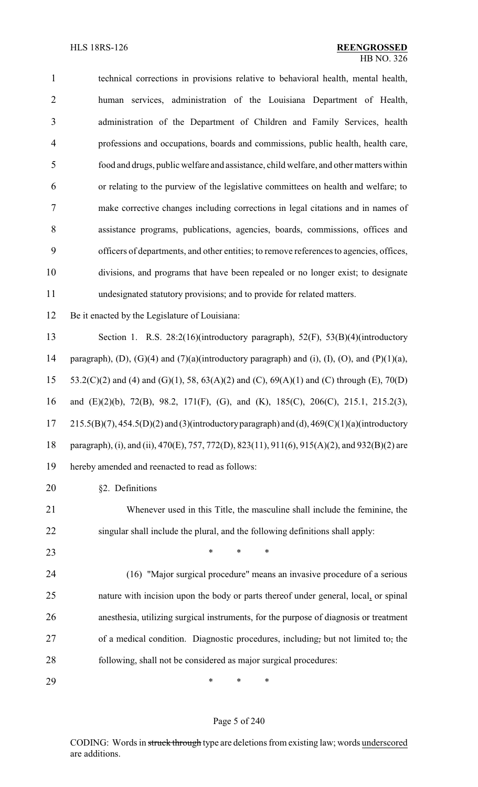technical corrections in provisions relative to behavioral health, mental health, human services, administration of the Louisiana Department of Health, administration of the Department of Children and Family Services, health professions and occupations, boards and commissions, public health, health care, food and drugs, public welfare and assistance, child welfare, and other matters within or relating to the purview of the legislative committees on health and welfare; to make corrective changes including corrections in legal citations and in names of assistance programs, publications, agencies, boards, commissions, offices and officers of departments, and other entities; to remove references to agencies, offices, divisions, and programs that have been repealed or no longer exist; to designate undesignated statutory provisions; and to provide for related matters. Be it enacted by the Legislature of Louisiana: Section 1. R.S. 28:2(16)(introductory paragraph), 52(F), 53(B)(4)(introductory

14 paragraph), (D), (G)(4) and (7)(a)(introductory paragraph) and (i), (I), (O), and (P)(1)(a), 15 53.2(C)(2) and (4) and (G)(1), 58,  $63(A)(2)$  and (C),  $69(A)(1)$  and (C) through (E),  $70(D)$  and (E)(2)(b), 72(B), 98.2, 171(F), (G), and (K), 185(C), 206(C), 215.1, 215.2(3),  $215.5(B)(7)$ ,  $454.5(D)(2)$  and  $(3)$ (introductory paragraph) and  $(d)$ ,  $469(C)(1)(a)$ (introductory paragraph), (i), and (ii), 470(E), 757, 772(D), 823(11), 911(6), 915(A)(2), and 932(B)(2) are hereby amended and reenacted to read as follows:

§2. Definitions

 Whenever used in this Title, the masculine shall include the feminine, the singular shall include the plural, and the following definitions shall apply:

**\*** \* \* \*

 (16) "Major surgical procedure" means an invasive procedure of a serious nature with incision upon the body or parts thereof under general, local, or spinal anesthesia, utilizing surgical instruments, for the purpose of diagnosis or treatment of a medical condition. Diagnostic procedures, including, but not limited to, the following, shall not be considered as major surgical procedures:

\* \* \*

#### Page 5 of 240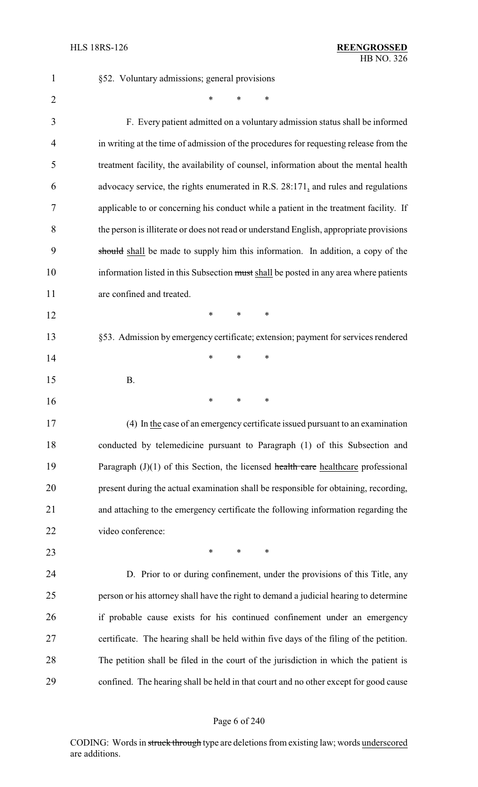| $\mathbf{1}$   | §52. Voluntary admissions; general provisions                                           |
|----------------|-----------------------------------------------------------------------------------------|
| $\overline{2}$ | *<br>*<br>*                                                                             |
| 3              | F. Every patient admitted on a voluntary admission status shall be informed             |
| 4              | in writing at the time of admission of the procedures for requesting release from the   |
| 5              | treatment facility, the availability of counsel, information about the mental health    |
| 6              | advocacy service, the rights enumerated in R.S. 28:171, and rules and regulations       |
| 7              | applicable to or concerning his conduct while a patient in the treatment facility. If   |
| 8              | the person is illiterate or does not read or understand English, appropriate provisions |
| 9              | should shall be made to supply him this information. In addition, a copy of the         |
| 10             | information listed in this Subsection must shall be posted in any area where patients   |
| 11             | are confined and treated.                                                               |
| 12             | *<br>$\ast$<br>$\ast$                                                                   |
| 13             | §53. Admission by emergency certificate; extension; payment for services rendered       |
| 14             | ∗<br>*<br>*                                                                             |
| 15             | <b>B.</b>                                                                               |
| 16             | ∗<br>∗<br>∗                                                                             |
| 17             | (4) In the case of an emergency certificate issued pursuant to an examination           |
| 18             | conducted by telemedicine pursuant to Paragraph (1) of this Subsection and              |
| 19             | Paragraph $(J)(1)$ of this Section, the licensed health care healthcare professional    |
| 20             | present during the actual examination shall be responsible for obtaining, recording,    |
| 21             | and attaching to the emergency certificate the following information regarding the      |
| 22             | video conference:                                                                       |
| 23             | $\ast$<br>*<br>*                                                                        |
| 24             | D. Prior to or during confinement, under the provisions of this Title, any              |
| 25             | person or his attorney shall have the right to demand a judicial hearing to determine   |
| 26             | if probable cause exists for his continued confinement under an emergency               |
| 27             | certificate. The hearing shall be held within five days of the filing of the petition.  |
| 28             | The petition shall be filed in the court of the jurisdiction in which the patient is    |
| 29             | confined. The hearing shall be held in that court and no other except for good cause    |

## Page 6 of 240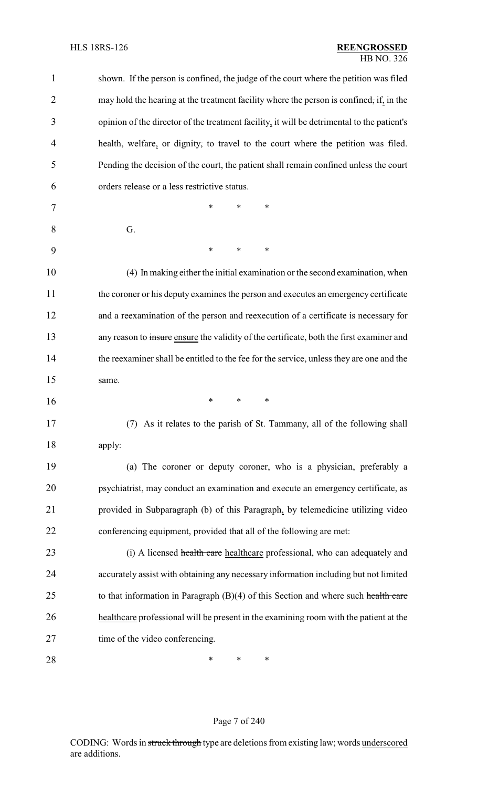| $\mathbf{1}$   | shown. If the person is confined, the judge of the court where the petition was filed      |
|----------------|--------------------------------------------------------------------------------------------|
| 2              | may hold the hearing at the treatment facility where the person is confined, if, in the    |
| 3              | opinion of the director of the treatment facility, it will be detrimental to the patient's |
| $\overline{4}$ | health, welfare, or dignity, to travel to the court where the petition was filed.          |
| 5              | Pending the decision of the court, the patient shall remain confined unless the court      |
| 6              | orders release or a less restrictive status.                                               |
| 7              | *<br>*<br>*                                                                                |
| 8              | G.                                                                                         |
| 9              | *<br>*<br>*                                                                                |
| 10             | (4) In making either the initial examination or the second examination, when               |
| 11             | the coroner or his deputy examines the person and executes an emergency certificate        |
| 12             | and a reexamination of the person and reexecution of a certificate is necessary for        |
| 13             | any reason to insure ensure the validity of the certificate, both the first examiner and   |
| 14             | the reexaminer shall be entitled to the fee for the service, unless they are one and the   |
| 15             | same.                                                                                      |
| 16             | *<br>*<br>∗                                                                                |
| 17             | (7) As it relates to the parish of St. Tammany, all of the following shall                 |
| 18             | apply:                                                                                     |
| 19             | (a) The coroner or deputy coroner, who is a physician, preferably a                        |
| 20             | psychiatrist, may conduct an examination and execute an emergency certificate, as          |
| 21             | provided in Subparagraph (b) of this Paragraph, by telemedicine utilizing video            |
| 22             | conferencing equipment, provided that all of the following are met:                        |
| 23             | (i) A licensed health care healthcare professional, who can adequately and                 |
| 24             | accurately assist with obtaining any necessary information including but not limited       |
| 25             | to that information in Paragraph $(B)(4)$ of this Section and where such health care       |
| 26             | healthcare professional will be present in the examining room with the patient at the      |
| 27             | time of the video conferencing.                                                            |
| 28             | ∗<br>∗<br>∗                                                                                |

## Page 7 of 240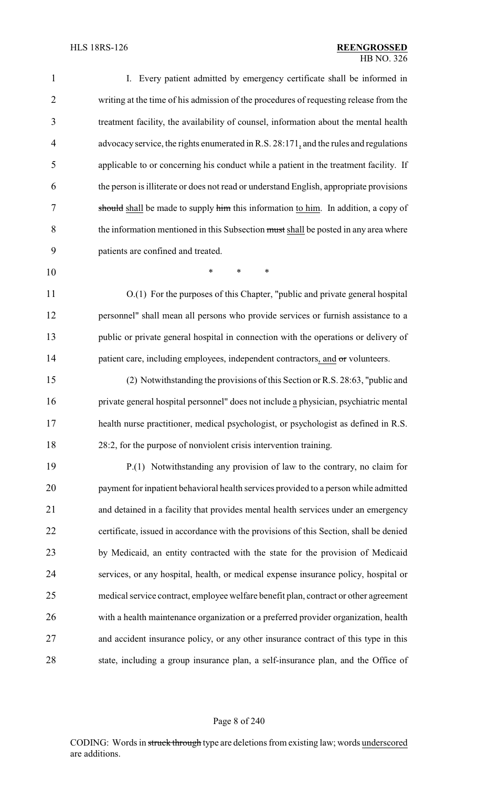| $\mathbf{1}$   | I. Every patient admitted by emergency certificate shall be informed in                 |
|----------------|-----------------------------------------------------------------------------------------|
| $\overline{2}$ | writing at the time of his admission of the procedures of requesting release from the   |
| 3              | treatment facility, the availability of counsel, information about the mental health    |
| $\overline{4}$ | advocacy service, the rights enumerated in R.S. 28:171, and the rules and regulations   |
| 5              | applicable to or concerning his conduct while a patient in the treatment facility. If   |
| 6              | the person is illiterate or does not read or understand English, appropriate provisions |
| 7              | should shall be made to supply him this information to him. In addition, a copy of      |
| 8              | the information mentioned in this Subsection must shall be posted in any area where     |
| 9              | patients are confined and treated.                                                      |
| 10             | *<br>∗<br>∗                                                                             |
| 11             | O.(1) For the purposes of this Chapter, "public and private general hospital            |
| 12             | personnel" shall mean all persons who provide services or furnish assistance to a       |
| 13             | public or private general hospital in connection with the operations or delivery of     |
| 14             | patient care, including employees, independent contractors, and or volunteers.          |
| 15             | (2) Notwithstanding the provisions of this Section or R.S. 28:63, "public and           |
| 16             | private general hospital personnel" does not include a physician, psychiatric mental    |
| 17             | health nurse practitioner, medical psychologist, or psychologist as defined in R.S.     |
| 18             | 28:2, for the purpose of nonviolent crisis intervention training.                       |
| 19             | P.(1) Notwithstanding any provision of law to the contrary, no claim for                |
| 20             | payment for inpatient behavioral health services provided to a person while admitted    |
| 21             | and detained in a facility that provides mental health services under an emergency      |
| 22             | certificate, issued in accordance with the provisions of this Section, shall be denied  |
| 23             | by Medicaid, an entity contracted with the state for the provision of Medicaid          |
| 24             | services, or any hospital, health, or medical expense insurance policy, hospital or     |
| 25             | medical service contract, employee welfare benefit plan, contract or other agreement    |
| 26             | with a health maintenance organization or a preferred provider organization, health     |
| 27             | and accident insurance policy, or any other insurance contract of this type in this     |
| 28             | state, including a group insurance plan, a self-insurance plan, and the Office of       |

Page 8 of 240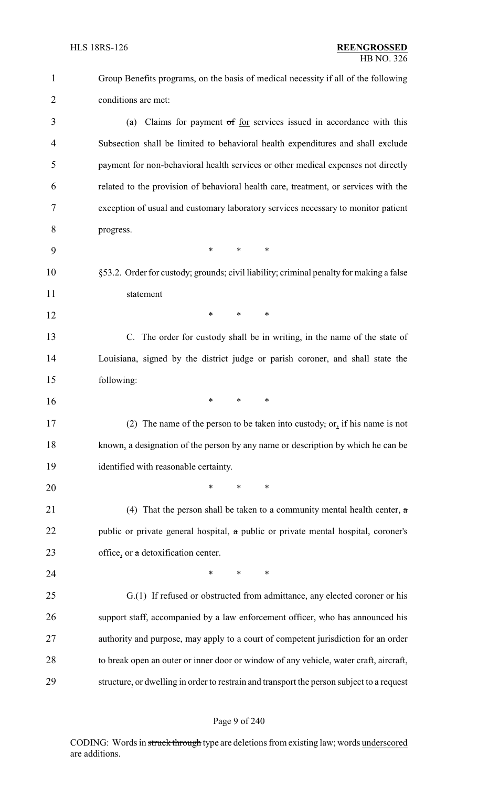| $\mathbf{1}$   | Group Benefits programs, on the basis of medical necessity if all of the following        |
|----------------|-------------------------------------------------------------------------------------------|
| $\overline{2}$ | conditions are met:                                                                       |
| 3              | Claims for payment of for services issued in accordance with this<br>(a)                  |
| 4              | Subsection shall be limited to behavioral health expenditures and shall exclude           |
| 5              | payment for non-behavioral health services or other medical expenses not directly         |
| 6              | related to the provision of behavioral health care, treatment, or services with the       |
| 7              | exception of usual and customary laboratory services necessary to monitor patient         |
| 8              | progress.                                                                                 |
| 9              | $\ast$<br>$\ast$<br>∗                                                                     |
| 10             | §53.2. Order for custody; grounds; civil liability; criminal penalty for making a false   |
| 11             | statement                                                                                 |
| 12             | $\ast$<br>*<br>∗                                                                          |
| 13             | C. The order for custody shall be in writing, in the name of the state of                 |
| 14             | Louisiana, signed by the district judge or parish coroner, and shall state the            |
| 15             | following:                                                                                |
| 16             | $\ast$<br>$\ast$<br>∗                                                                     |
| 17             | (2) The name of the person to be taken into custody, or, if his name is not               |
| 18             | known, a designation of the person by any name or description by which he can be          |
| 19             | identified with reasonable certainty.                                                     |
| 20             | $\ast$<br>$\ast$<br>*                                                                     |
| 21             | (4) That the person shall be taken to a community mental health center, $\alpha$          |
| 22             | public or private general hospital, a public or private mental hospital, coroner's        |
| 23             | office, or a detoxification center.                                                       |
| 24             | $\ast$<br>$\ast$<br>∗                                                                     |
| 25             | G.(1) If refused or obstructed from admittance, any elected coroner or his                |
| 26             | support staff, accompanied by a law enforcement officer, who has announced his            |
| 27             | authority and purpose, may apply to a court of competent jurisdiction for an order        |
| 28             | to break open an outer or inner door or window of any vehicle, water craft, aircraft,     |
| 29             | structure, or dwelling in order to restrain and transport the person subject to a request |

## Page 9 of 240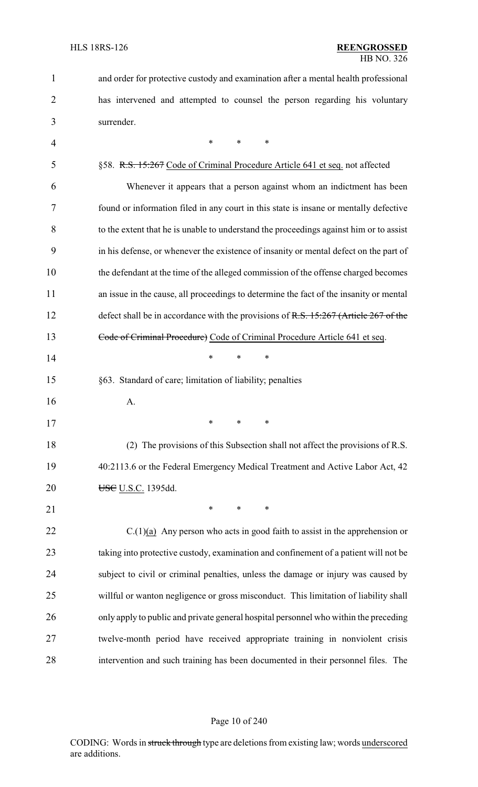| $\mathbf{1}$   | and order for protective custody and examination after a mental health professional    |
|----------------|----------------------------------------------------------------------------------------|
| 2              | has intervened and attempted to counsel the person regarding his voluntary             |
| 3              | surrender.                                                                             |
| $\overline{4}$ | $\ast$<br>*<br>$\ast$                                                                  |
| 5              | §58. R.S. 15:267 Code of Criminal Procedure Article 641 et seq. not affected           |
| 6              | Whenever it appears that a person against whom an indictment has been                  |
| 7              | found or information filed in any court in this state is insane or mentally defective  |
| 8              | to the extent that he is unable to understand the proceedings against him or to assist |
| 9              | in his defense, or whenever the existence of insanity or mental defect on the part of  |
| 10             | the defendant at the time of the alleged commission of the offense charged becomes     |
| 11             | an issue in the cause, all proceedings to determine the fact of the insanity or mental |
| 12             | defect shall be in accordance with the provisions of R.S. 15:267 (Article 267 of the   |
| 13             | Code of Criminal Procedure) Code of Criminal Procedure Article 641 et seq.             |
| 14             | $\ast$<br>*<br>∗                                                                       |
| 15             | §63. Standard of care; limitation of liability; penalties                              |
| 16             | A.                                                                                     |
| 17             |                                                                                        |
| 18             | (2) The provisions of this Subsection shall not affect the provisions of R.S.          |
| 19             | 40:2113.6 or the Federal Emergency Medical Treatment and Active Labor Act, 42          |
| 20             | USC U.S.C. 1395dd.                                                                     |
| 21             | $\ast$<br>*<br>∗                                                                       |
| 22             | $C(1)(a)$ Any person who acts in good faith to assist in the apprehension or           |
| 23             | taking into protective custody, examination and confinement of a patient will not be   |
| 24             | subject to civil or criminal penalties, unless the damage or injury was caused by      |
| 25             | willful or wanton negligence or gross misconduct. This limitation of liability shall   |
| 26             | only apply to public and private general hospital personnel who within the preceding   |
| 27             | twelve-month period have received appropriate training in nonviolent crisis            |
| 28             | intervention and such training has been documented in their personnel files. The       |

## Page 10 of 240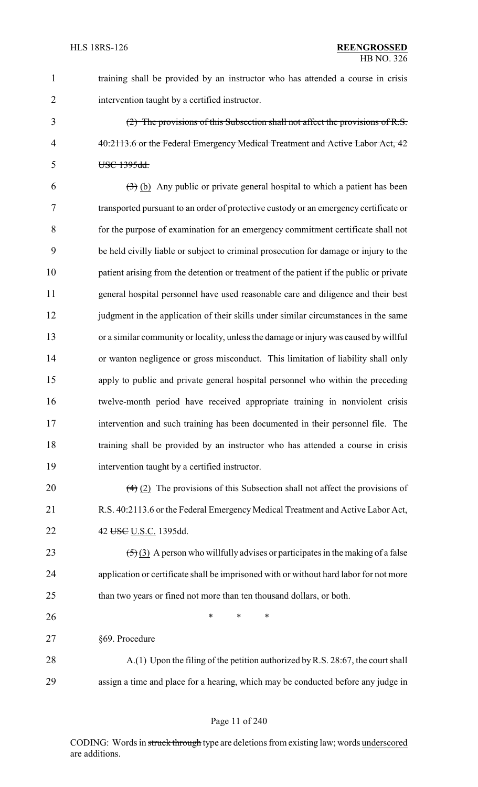1 training shall be provided by an instructor who has attended a course in crisis 2 intervention taught by a certified instructor.

3 (2) The provisions of this Subsection shall not affect the provisions of R.S. 4 40:2113.6 or the Federal Emergency Medical Treatment and Active Labor Act, 42 5 USC 1395dd.

 $(3)$  (b) Any public or private general hospital to which a patient has been transported pursuant to an order of protective custody or an emergency certificate or for the purpose of examination for an emergency commitment certificate shall not be held civilly liable or subject to criminal prosecution for damage or injury to the patient arising from the detention or treatment of the patient if the public or private general hospital personnel have used reasonable care and diligence and their best 12 judgment in the application of their skills under similar circumstances in the same or a similar community or locality, unless the damage or injurywas caused by willful or wanton negligence or gross misconduct. This limitation of liability shall only apply to public and private general hospital personnel who within the preceding twelve-month period have received appropriate training in nonviolent crisis intervention and such training has been documented in their personnel file. The training shall be provided by an instructor who has attended a course in crisis intervention taught by a certified instructor.

20  $(4)$  (2) The provisions of this Subsection shall not affect the provisions of 21 R.S. 40:2113.6 or the Federal Emergency Medical Treatment and Active Labor Act, 22 42 U.S.C. 1395dd.

23  $(5)(3)$  A person who willfully advises or participates in the making of a false 24 application or certificate shall be imprisoned with or without hard labor for not more 25 than two years or fined not more than ten thousand dollars, or both.

26 \* \* \* \* 27 §69. Procedure

28 A.(1) Upon the filing of the petition authorized by R.S. 28:67, the court shall 29 assign a time and place for a hearing, which may be conducted before any judge in

#### Page 11 of 240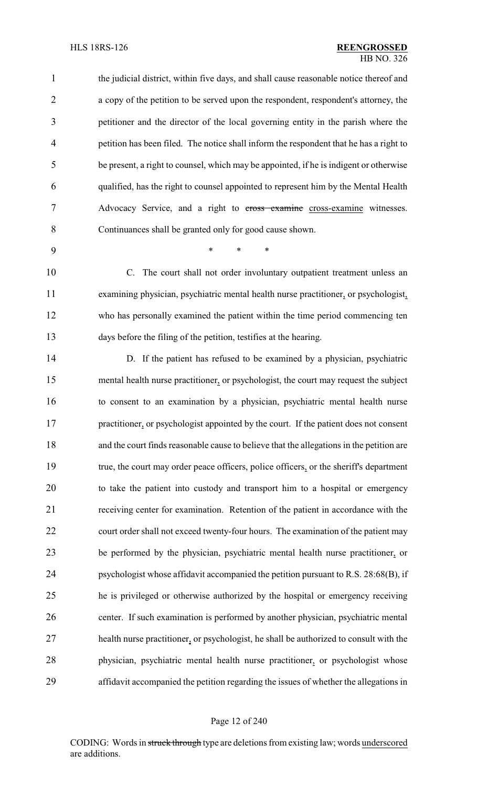the judicial district, within five days, and shall cause reasonable notice thereof and a copy of the petition to be served upon the respondent, respondent's attorney, the petitioner and the director of the local governing entity in the parish where the petition has been filed. The notice shall inform the respondent that he has a right to be present, a right to counsel, which may be appointed, if he is indigent or otherwise qualified, has the right to counsel appointed to represent him by the Mental Health Advocacy Service, and a right to cross examine cross-examine witnesses. Continuances shall be granted only for good cause shown.

\* \* \*

 C. The court shall not order involuntary outpatient treatment unless an examining physician, psychiatric mental health nurse practitioner, or psychologist, who has personally examined the patient within the time period commencing ten days before the filing of the petition, testifies at the hearing.

 D. If the patient has refused to be examined by a physician, psychiatric mental health nurse practitioner, or psychologist, the court may request the subject to consent to an examination by a physician, psychiatric mental health nurse 17 practitioner, or psychologist appointed by the court. If the patient does not consent and the court finds reasonable cause to believe that the allegations in the petition are 19 true, the court may order peace officers, police officers, or the sheriff's department to take the patient into custody and transport him to a hospital or emergency receiving center for examination. Retention of the patient in accordance with the court order shall not exceed twenty-four hours. The examination of the patient may be performed by the physician, psychiatric mental health nurse practitioner, or psychologist whose affidavit accompanied the petition pursuant to R.S. 28:68(B), if he is privileged or otherwise authorized by the hospital or emergency receiving center. If such examination is performed by another physician, psychiatric mental health nurse practitioner, or psychologist, he shall be authorized to consult with the physician, psychiatric mental health nurse practitioner, or psychologist whose affidavit accompanied the petition regarding the issues of whether the allegations in

#### Page 12 of 240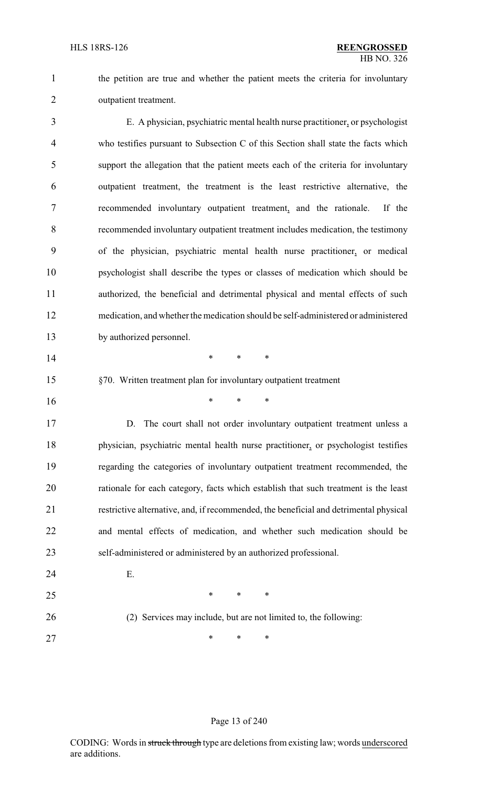the petition are true and whether the patient meets the criteria for involuntary outpatient treatment.

 E. A physician, psychiatric mental health nurse practitioner, or psychologist who testifies pursuant to Subsection C of this Section shall state the facts which support the allegation that the patient meets each of the criteria for involuntary outpatient treatment, the treatment is the least restrictive alternative, the recommended involuntary outpatient treatment, and the rationale. If the recommended involuntary outpatient treatment includes medication, the testimony of the physician, psychiatric mental health nurse practitioner, or medical psychologist shall describe the types or classes of medication which should be authorized, the beneficial and detrimental physical and mental effects of such medication, and whether the medication should be self-administered or administered by authorized personnel.

**\*** \* \* \*

- §70. Written treatment plan for involuntary outpatient treatment
- \* \* \*

17 D. The court shall not order involuntary outpatient treatment unless a physician, psychiatric mental health nurse practitioner, or psychologist testifies regarding the categories of involuntary outpatient treatment recommended, the rationale for each category, facts which establish that such treatment is the least restrictive alternative, and, if recommended, the beneficial and detrimental physical and mental effects of medication, and whether such medication should be self-administered or administered by an authorized professional.

E.

(2) Services may include, but are not limited to, the following:

27 \* \* \* \*

 $*$  \* \* \*

#### Page 13 of 240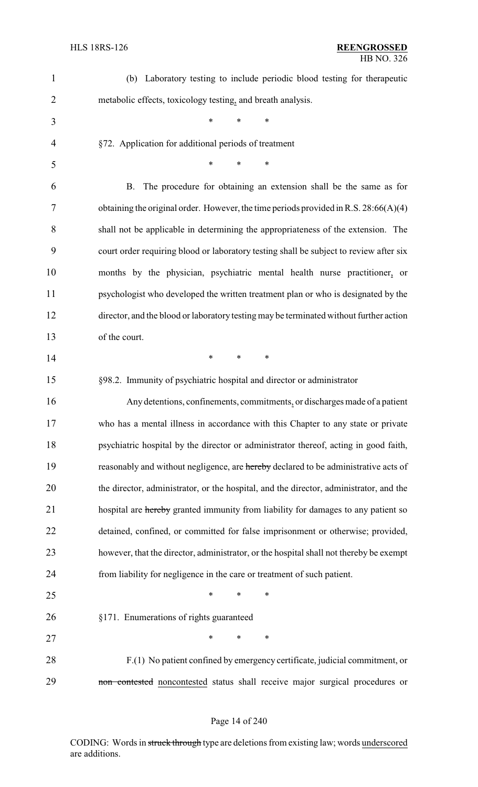| $\mathbf{1}$   | (b) Laboratory testing to include periodic blood testing for therapeutic               |
|----------------|----------------------------------------------------------------------------------------|
| $\overline{2}$ | metabolic effects, toxicology testing, and breath analysis.                            |
| 3              | ∗<br>∗<br>*                                                                            |
| 4              | §72. Application for additional periods of treatment                                   |
| 5              | $\ast$<br>$\ast$<br>$\ast$                                                             |
| 6              | The procedure for obtaining an extension shall be the same as for<br><b>B.</b>         |
| 7              | obtaining the original order. However, the time periods provided in R.S. $28:66(A)(4)$ |
| 8              | shall not be applicable in determining the appropriateness of the extension. The       |
| 9              | court order requiring blood or laboratory testing shall be subject to review after six |
| 10             | months by the physician, psychiatric mental health nurse practitioner, or              |
| 11             | psychologist who developed the written treatment plan or who is designated by the      |
| 12             | director, and the blood or laboratory testing may be terminated without further action |
| 13             | of the court.                                                                          |
| 14             | $\ast$<br>$\ast$<br>∗                                                                  |
| 15             | §98.2. Immunity of psychiatric hospital and director or administrator                  |
| 16             | Any detentions, confinements, commitments, or discharges made of a patient             |
| 17             | who has a mental illness in accordance with this Chapter to any state or private       |
| 18             | psychiatric hospital by the director or administrator thereof, acting in good faith,   |
| 19             | reasonably and without negligence, are hereby declared to be administrative acts of    |
| 20             | the director, administrator, or the hospital, and the director, administrator, and the |
| 21             | hospital are hereby granted immunity from liability for damages to any patient so      |
| 22             | detained, confined, or committed for false imprisonment or otherwise; provided,        |
| 23             | however, that the director, administrator, or the hospital shall not thereby be exempt |
| 24             | from liability for negligence in the care or treatment of such patient.                |
| 25             | $\ast$<br>∗<br>∗                                                                       |
| 26             | §171. Enumerations of rights guaranteed                                                |
| 27             | $\ast$<br>∗<br>∗                                                                       |
| 28             | F.(1) No patient confined by emergency certificate, judicial commitment, or            |
| 29             | non contested noncontested status shall receive major surgical procedures or           |

## Page 14 of 240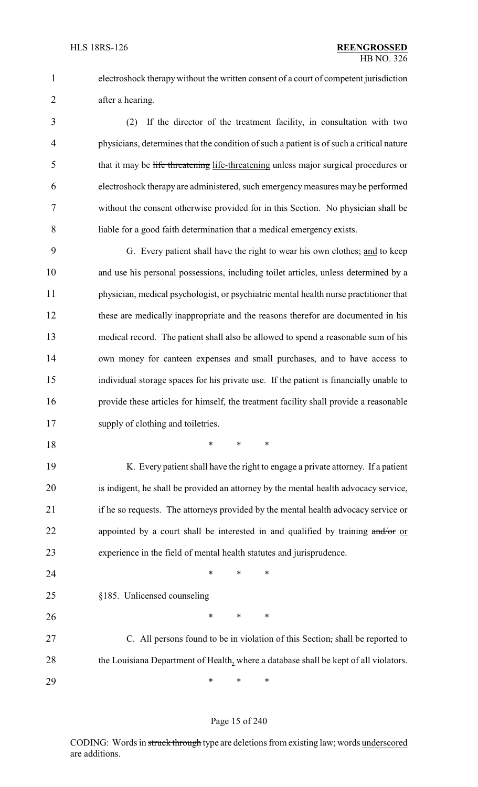electroshock therapywithout the written consent of a court of competent jurisdiction after a hearing.

 (2) If the director of the treatment facility, in consultation with two physicians, determines that the condition of such a patient is of such a critical nature 5 that it may be life threatening life-threatening unless major surgical procedures or electroshock therapy are administered, such emergencymeasures may be performed without the consent otherwise provided for in this Section. No physician shall be liable for a good faith determination that a medical emergency exists.

 G. Every patient shall have the right to wear his own clothes; and to keep and use his personal possessions, including toilet articles, unless determined by a physician, medical psychologist, or psychiatric mental health nurse practitioner that these are medically inappropriate and the reasons therefor are documented in his medical record. The patient shall also be allowed to spend a reasonable sum of his own money for canteen expenses and small purchases, and to have access to individual storage spaces for his private use. If the patient is financially unable to provide these articles for himself, the treatment facility shall provide a reasonable supply of clothing and toiletries.

\* \* \*

 K. Every patient shall have the right to engage a private attorney. If a patient is indigent, he shall be provided an attorney by the mental health advocacy service, if he so requests. The attorneys provided by the mental health advocacy service or 22 appointed by a court shall be interested in and qualified by training and/or or experience in the field of mental health statutes and jurisprudence.

**\*** \* \* \*

- §185. Unlicensed counseling
- 26 \* \* \* \*

 C. All persons found to be in violation of this Section, shall be reported to 28 the Louisiana Department of Health, where a database shall be kept of all violators.

\* \* \*

#### Page 15 of 240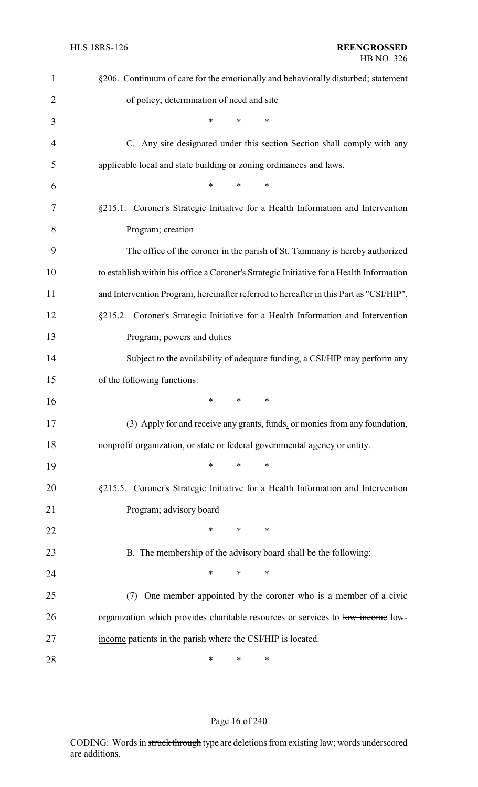| $\mathbf{1}$ | §206. Continuum of care for the emotionally and behaviorally disturbed; statement        |
|--------------|------------------------------------------------------------------------------------------|
| 2            | of policy; determination of need and site                                                |
| 3            | $\ast$<br>*<br>*                                                                         |
| 4            | C. Any site designated under this section Section shall comply with any                  |
| 5            | applicable local and state building or zoning ordinances and laws.                       |
| 6            | $\ast$<br>$\ast$<br>$\ast$                                                               |
| 7            | §215.1. Coroner's Strategic Initiative for a Health Information and Intervention         |
| 8            | Program; creation                                                                        |
| 9            | The office of the coroner in the parish of St. Tammany is hereby authorized              |
| 10           | to establish within his office a Coroner's Strategic Initiative for a Health Information |
| 11           | and Intervention Program, hereinafter referred to hereafter in this Part as "CSI/HIP".   |
| 12           | §215.2. Coroner's Strategic Initiative for a Health Information and Intervention         |
| 13           | Program; powers and duties                                                               |
| 14           | Subject to the availability of adequate funding, a CSI/HIP may perform any               |
| 15           | of the following functions:                                                              |
| 16           | $\ast$<br>$\ast$<br>∗                                                                    |
| 17           | (3) Apply for and receive any grants, funds, or monies from any foundation,              |
| 18           | nonprofit organization, or state or federal governmental agency or entity.               |
| 19           | $\ast$<br>$\ast$<br>∗                                                                    |
| 20           | §215.5. Coroner's Strategic Initiative for a Health Information and Intervention         |
| 21           | Program; advisory board                                                                  |
| 22           | *<br>*<br>∗                                                                              |
| 23           | B. The membership of the advisory board shall be the following:                          |
| 24           | $\ast$<br>$\ast$<br>*                                                                    |
| 25           | One member appointed by the coroner who is a member of a civic<br>(7)                    |
| 26           | organization which provides charitable resources or services to low income low-          |
| 27           | income patients in the parish where the CSI/HIP is located.                              |
| 28           | ∗<br>∗<br>∗                                                                              |

## Page 16 of 240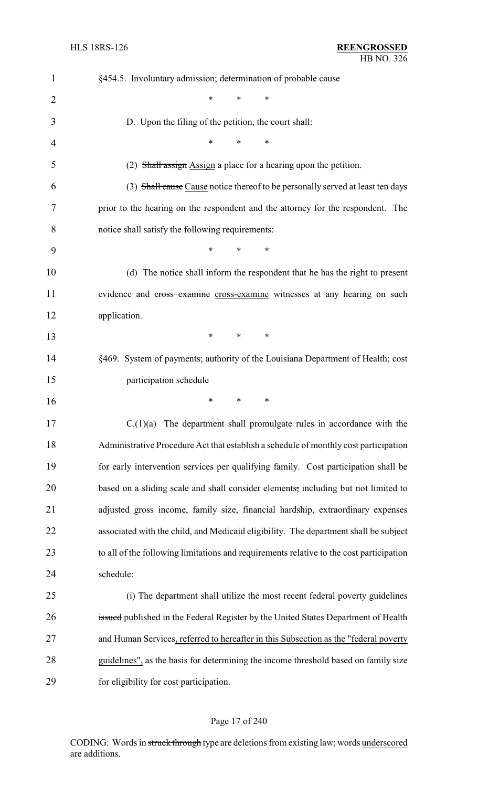| 1  | §454.5. Involuntary admission; determination of probable cause                          |
|----|-----------------------------------------------------------------------------------------|
| 2  | $\ast$<br>*<br>*                                                                        |
| 3  | D. Upon the filing of the petition, the court shall:                                    |
| 4  | $\ast$<br>*<br>∗                                                                        |
| 5  | (2) Shall assign Assign a place for a hearing upon the petition.                        |
| 6  | (3) Shall cause Cause notice thereof to be personally served at least ten days          |
| 7  | prior to the hearing on the respondent and the attorney for the respondent. The         |
| 8  | notice shall satisfy the following requirements:                                        |
| 9  | *<br>$\ast$<br>*                                                                        |
| 10 | (d) The notice shall inform the respondent that he has the right to present             |
| 11 | evidence and cross examine cross-examine witnesses at any hearing on such               |
| 12 | application.                                                                            |
| 13 | *<br>∗<br>∗                                                                             |
| 14 | §469. System of payments; authority of the Louisiana Department of Health; cost         |
| 15 | participation schedule                                                                  |
| 16 | ∗<br>∗<br>∗                                                                             |
| 17 | $C(1)(a)$ The department shall promulgate rules in accordance with the                  |
| 18 | Administrative Procedure Act that establish a schedule of monthly cost participation    |
| 19 | for early intervention services per qualifying family. Cost participation shall be      |
| 20 | based on a sliding scale and shall consider elements, including but not limited to      |
| 21 | adjusted gross income, family size, financial hardship, extraordinary expenses          |
| 22 | associated with the child, and Medicaid eligibility. The department shall be subject    |
| 23 | to all of the following limitations and requirements relative to the cost participation |
| 24 | schedule:                                                                               |
| 25 | (i) The department shall utilize the most recent federal poverty guidelines             |
| 26 | issued published in the Federal Register by the United States Department of Health      |
| 27 | and Human Services, referred to hereafter in this Subsection as the "federal poverty    |
| 28 | guidelines", as the basis for determining the income threshold based on family size     |
| 29 | for eligibility for cost participation.                                                 |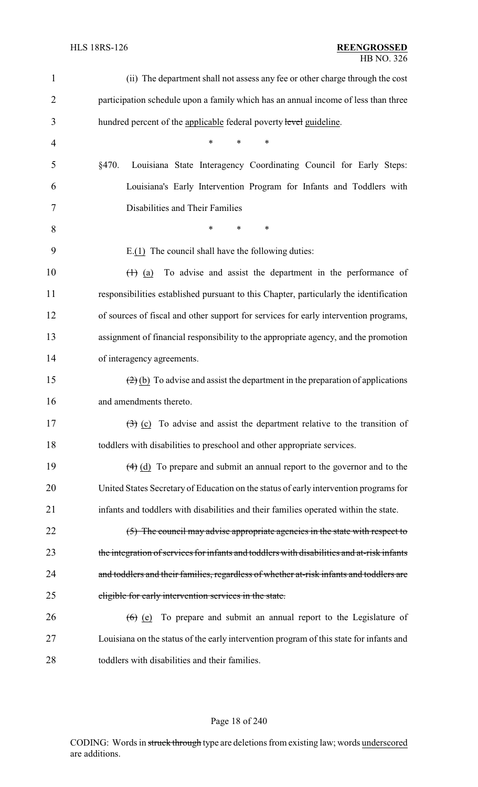| $\mathbf{1}$   | (ii) The department shall not assess any fee or other charge through the cost                                          |
|----------------|------------------------------------------------------------------------------------------------------------------------|
| $\overline{2}$ | participation schedule upon a family which has an annual income of less than three                                     |
| 3              | hundred percent of the applicable federal poverty level guideline.                                                     |
| 4              | $\ast$<br>*<br>$\ast$                                                                                                  |
| 5              | Louisiana State Interagency Coordinating Council for Early Steps:<br>§470.                                             |
| 6              | Louisiana's Early Intervention Program for Infants and Toddlers with                                                   |
| 7              | Disabilities and Their Families                                                                                        |
| 8              | $\ast$<br>$\ast$<br>*                                                                                                  |
| 9              | $E(1)$ The council shall have the following duties:                                                                    |
| 10             | To advise and assist the department in the performance of<br>$\left(\begin{matrix} + & \\ 1 & \end{matrix}\right)$ (a) |
| 11             | responsibilities established pursuant to this Chapter, particularly the identification                                 |
| 12             | of sources of fiscal and other support for services for early intervention programs,                                   |
| 13             | assignment of financial responsibility to the appropriate agency, and the promotion                                    |
| 14             | of interagency agreements.                                                                                             |
| 15             | $\left(\frac{2}{2}\right)$ (b) To advise and assist the department in the preparation of applications                  |
| 16             | and amendments thereto.                                                                                                |
| 17             | $\left(\frac{1}{2}\right)$ (c) To advise and assist the department relative to the transition of                       |
| 18             | toddlers with disabilities to preschool and other appropriate services.                                                |
| 19             | $\left(\frac{4}{9}\right)$ (d) To prepare and submit an annual report to the governor and to the                       |
| 20             | United States Secretary of Education on the status of early intervention programs for                                  |
| 21             | infants and toddlers with disabilities and their families operated within the state.                                   |
| 22             | $(5)$ The council may advise appropriate agencies in the state with respect to                                         |
| 23             | the integration of services for infants and toddlers with disabilities and at-risk infants                             |
| 24             | and toddlers and their families, regardless of whether at-risk infants and toddlers are                                |
| 25             | eligible for early intervention services in the state.                                                                 |
| 26             | $(6)$ (e) To prepare and submit an annual report to the Legislature of                                                 |
| 27             | Louisiana on the status of the early intervention program of this state for infants and                                |
| 28             | toddlers with disabilities and their families.                                                                         |

## Page 18 of 240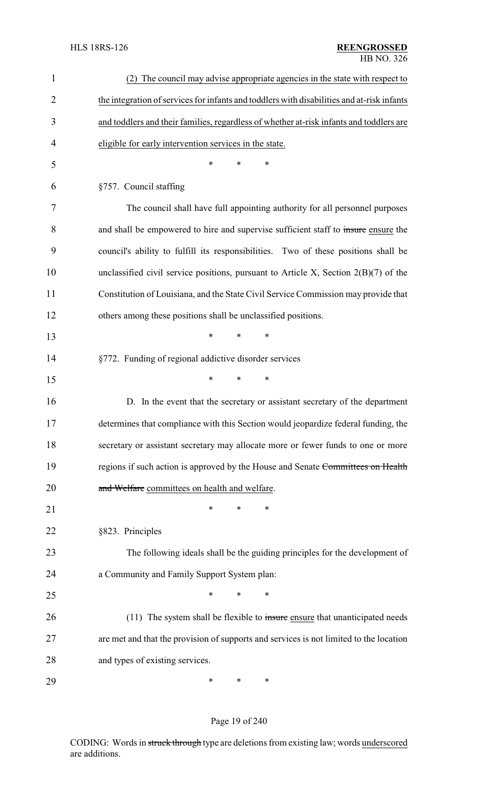| $\mathbf{1}$   | (2) The council may advise appropriate agencies in the state with respect to               |
|----------------|--------------------------------------------------------------------------------------------|
| $\overline{2}$ | the integration of services for infants and toddlers with disabilities and at-risk infants |
| 3              | and toddlers and their families, regardless of whether at-risk infants and toddlers are    |
| 4              | eligible for early intervention services in the state.                                     |
| 5              | $\ast$<br>*<br>*                                                                           |
| 6              | §757. Council staffing                                                                     |
| 7              | The council shall have full appointing authority for all personnel purposes                |
| 8              | and shall be empowered to hire and supervise sufficient staff to insure ensure the         |
| 9              | council's ability to fulfill its responsibilities. Two of these positions shall be         |
| 10             | unclassified civil service positions, pursuant to Article X, Section $2(B)(7)$ of the      |
| 11             | Constitution of Louisiana, and the State Civil Service Commission may provide that         |
| 12             | others among these positions shall be unclassified positions.                              |
| 13             | $\ast$<br>*<br>*                                                                           |
| 14             | §772. Funding of regional addictive disorder services                                      |
| 15             | $\ast$<br>$\ast$<br>*                                                                      |
| 16             | D. In the event that the secretary or assistant secretary of the department                |
| 17             | determines that compliance with this Section would jeopardize federal funding, the         |
| 18             | secretary or assistant secretary may allocate more or fewer funds to one or more           |
| 19             | regions if such action is approved by the House and Senate Committees on Health            |
| 20             | and Welfare committees on health and welfare.                                              |
| 21             | *<br>∗<br>∗                                                                                |
| 22             | §823. Principles                                                                           |
| 23             | The following ideals shall be the guiding principles for the development of                |
| 24             | a Community and Family Support System plan:                                                |
| 25             | $\ast$<br>*<br>∗                                                                           |
| 26             | $(11)$ The system shall be flexible to insure ensure that unanticipated needs              |
| 27             | are met and that the provision of supports and services is not limited to the location     |
| 28             | and types of existing services.                                                            |
| 29             | $\ast$<br>∗<br>$\ast$                                                                      |

## Page 19 of 240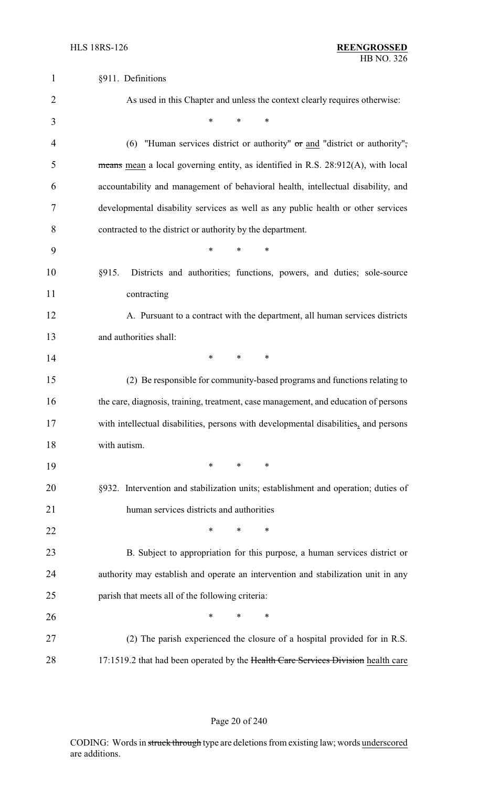| $\mathbf{1}$   | §911. Definitions                                                                    |
|----------------|--------------------------------------------------------------------------------------|
| $\overline{2}$ | As used in this Chapter and unless the context clearly requires otherwise:           |
| 3              | $\ast$<br>$\ast$<br>*                                                                |
| 4              | "Human services district or authority" or and "district or authority",<br>(6)        |
| 5              | means mean a local governing entity, as identified in R.S. 28:912(A), with local     |
| 6              | accountability and management of behavioral health, intellectual disability, and     |
| 7              | developmental disability services as well as any public health or other services     |
| 8              | contracted to the district or authority by the department.                           |
| 9              | *<br>$\ast$<br>*                                                                     |
| 10             | §915.<br>Districts and authorities; functions, powers, and duties; sole-source       |
| 11             | contracting                                                                          |
| 12             | A. Pursuant to a contract with the department, all human services districts          |
| 13             | and authorities shall:                                                               |
| 14             | $\ast$<br>$\ast$<br>*                                                                |
| 15             | (2) Be responsible for community-based programs and functions relating to            |
| 16             | the care, diagnosis, training, treatment, case management, and education of persons  |
| 17             | with intellectual disabilities, persons with developmental disabilities, and persons |
| 18             | with autism.                                                                         |
| 19             | $*$ and $*$<br>$\ast$<br>$\ast$                                                      |
| 20             | §932. Intervention and stabilization units; establishment and operation; duties of   |
| 21             | human services districts and authorities                                             |
| 22             | $\ast$<br>$\ast$<br>*                                                                |
| 23             | B. Subject to appropriation for this purpose, a human services district or           |
| 24             | authority may establish and operate an intervention and stabilization unit in any    |
| 25             | parish that meets all of the following criteria:                                     |
| 26             | *<br>$\ast$<br>∗                                                                     |
| 27             | (2) The parish experienced the closure of a hospital provided for in R.S.            |
| 28             | 17:1519.2 that had been operated by the Health Care Services Division health care    |

## Page 20 of 240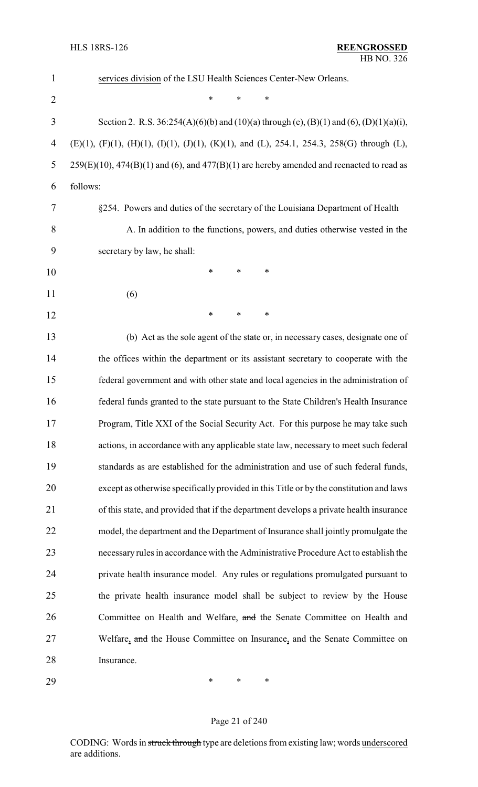| $\mathbf{1}$   | services division of the LSU Health Sciences Center-New Orleans.                                                   |
|----------------|--------------------------------------------------------------------------------------------------------------------|
| $\overline{2}$ | $\ast$<br>*<br>*                                                                                                   |
| 3              | Section 2. R.S. 36:254(A)(6)(b) and (10)(a) through (e), (B)(1) and (6), (D)(1)(a)(i),                             |
| 4              | $(E)(1)$ , $(F)(1)$ , $(H)(1)$ , $(I)(1)$ , $(J)(1)$ , $(K)(1)$ , and $(L)$ , 254.1, 254.3, 258(G) through $(L)$ , |
| 5              | $259(E)(10)$ , $474(B)(1)$ and (6), and $477(B)(1)$ are hereby amended and reenacted to read as                    |
| 6              | follows:                                                                                                           |
| 7              | §254. Powers and duties of the secretary of the Louisiana Department of Health                                     |
| 8              | A. In addition to the functions, powers, and duties otherwise vested in the                                        |
| 9              | secretary by law, he shall:                                                                                        |
| 10             | *<br>*<br>∗                                                                                                        |
| 11             | (6)                                                                                                                |
| 12             | *<br>*<br>$\ast$                                                                                                   |
| 13             | (b) Act as the sole agent of the state or, in necessary cases, designate one of                                    |
| 14             | the offices within the department or its assistant secretary to cooperate with the                                 |
| 15             | federal government and with other state and local agencies in the administration of                                |
| 16             | federal funds granted to the state pursuant to the State Children's Health Insurance                               |
| 17             | Program, Title XXI of the Social Security Act. For this purpose he may take such                                   |
| 18             | actions, in accordance with any applicable state law, necessary to meet such federal                               |
| 19             | standards as are established for the administration and use of such federal funds,                                 |
| 20             | except as otherwise specifically provided in this Title or by the constitution and laws                            |
| 21             | of this state, and provided that if the department develops a private health insurance                             |
| 22             | model, the department and the Department of Insurance shall jointly promulgate the                                 |
| 23             | necessary rules in accordance with the Administrative Procedure Act to establish the                               |
| 24             | private health insurance model. Any rules or regulations promulgated pursuant to                                   |
| 25             | the private health insurance model shall be subject to review by the House                                         |
| 26             | Committee on Health and Welfare, and the Senate Committee on Health and                                            |
| 27             | Welfare, and the House Committee on Insurance, and the Senate Committee on                                         |
| 28             | Insurance.                                                                                                         |
|                |                                                                                                                    |

\* \* \*

## Page 21 of 240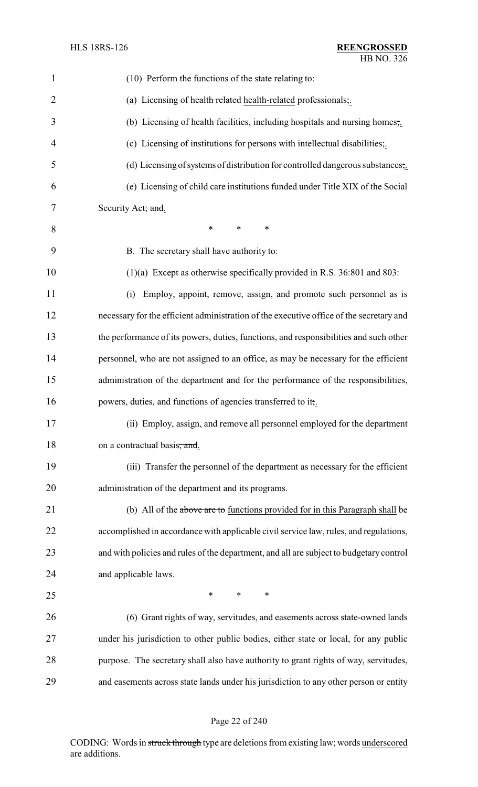| $\mathbf{1}$   | (10) Perform the functions of the state relating to:                                    |
|----------------|-----------------------------------------------------------------------------------------|
| $\overline{2}$ | (a) Licensing of health related health-related professionals,.                          |
| 3              | (b) Licensing of health facilities, including hospitals and nursing homes,.             |
| 4              | (c) Licensing of institutions for persons with intellectual disabilities,.              |
| 5              | (d) Licensing of systems of distribution for controlled dangerous substances;           |
| 6              | (e) Licensing of child care institutions funded under Title XIX of the Social           |
| 7              | Security Act; and.                                                                      |
| 8              | $\ast$<br>*<br>*                                                                        |
| 9              | B. The secretary shall have authority to:                                               |
| 10             | $(1)(a)$ Except as otherwise specifically provided in R.S. 36:801 and 803:              |
| 11             | Employ, appoint, remove, assign, and promote such personnel as is<br>(i)                |
| 12             | necessary for the efficient administration of the executive office of the secretary and |
| 13             | the performance of its powers, duties, functions, and responsibilities and such other   |
| 14             | personnel, who are not assigned to an office, as may be necessary for the efficient     |
| 15             | administration of the department and for the performance of the responsibilities,       |
| 16             | powers, duties, and functions of agencies transferred to it,                            |
| 17             | (ii) Employ, assign, and remove all personnel employed for the department               |
| 18             | on a contractual basis, and.                                                            |
| 19             | (iii) Transfer the personnel of the department as necessary for the efficient           |
| 20             | administration of the department and its programs.                                      |
| 21             | (b) All of the above are to functions provided for in this Paragraph shall be           |
| 22             | accomplished in accordance with applicable civil service law, rules, and regulations,   |
| 23             | and with policies and rules of the department, and all are subject to budgetary control |
| 24             | and applicable laws.                                                                    |
| 25             | ∗<br>*<br>∗                                                                             |
| 26             | (6) Grant rights of way, servitudes, and easements across state-owned lands             |
| 27             | under his jurisdiction to other public bodies, either state or local, for any public    |
| 28             | purpose. The secretary shall also have authority to grant rights of way, servitudes,    |
| 29             | and easements across state lands under his jurisdiction to any other person or entity   |

## Page 22 of 240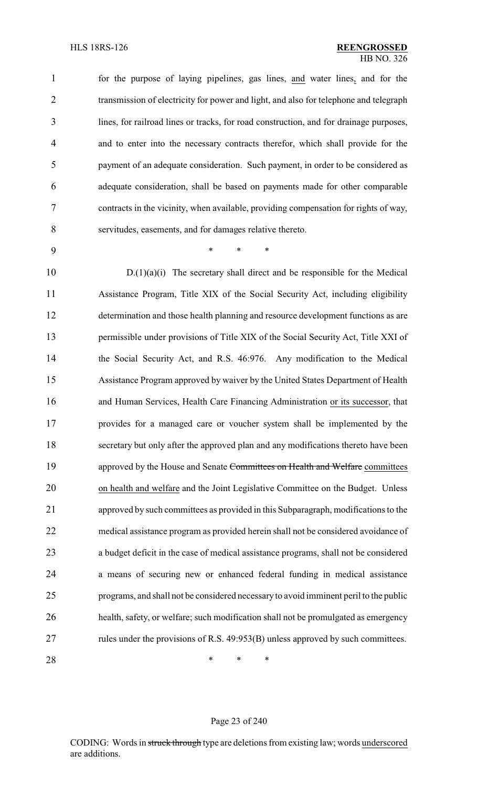for the purpose of laying pipelines, gas lines, and water lines, and for the 2 transmission of electricity for power and light, and also for telephone and telegraph lines, for railroad lines or tracks, for road construction, and for drainage purposes, and to enter into the necessary contracts therefor, which shall provide for the payment of an adequate consideration. Such payment, in order to be considered as adequate consideration, shall be based on payments made for other comparable contracts in the vicinity, when available, providing compensation for rights of way, servitudes, easements, and for damages relative thereto.

\* \* \*

 D.(1)(a)(i) The secretary shall direct and be responsible for the Medical Assistance Program, Title XIX of the Social Security Act, including eligibility determination and those health planning and resource development functions as are permissible under provisions of Title XIX of the Social Security Act, Title XXI of the Social Security Act, and R.S. 46:976. Any modification to the Medical Assistance Program approved by waiver by the United States Department of Health and Human Services, Health Care Financing Administration or its successor, that provides for a managed care or voucher system shall be implemented by the secretary but only after the approved plan and any modifications thereto have been 19 approved by the House and Senate Committees on Health and Welfare committees on health and welfare and the Joint Legislative Committee on the Budget. Unless approved by such committees as provided in this Subparagraph, modifications to the medical assistance program as provided herein shall not be considered avoidance of a budget deficit in the case of medical assistance programs, shall not be considered a means of securing new or enhanced federal funding in medical assistance programs, and shall not be considered necessaryto avoid imminent peril to the public health, safety, or welfare; such modification shall not be promulgated as emergency rules under the provisions of R.S. 49:953(B) unless approved by such committees.

**\*** \* \* \*

#### Page 23 of 240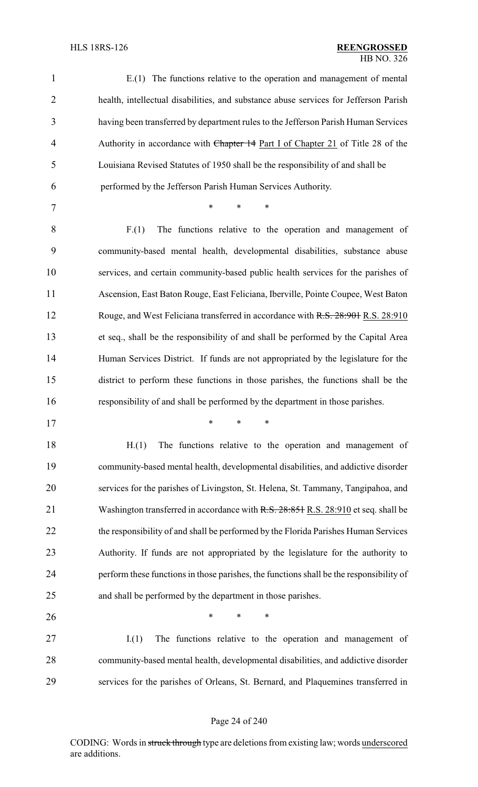| $\mathbf{1}$   | $E(1)$ The functions relative to the operation and management of mental                 |
|----------------|-----------------------------------------------------------------------------------------|
| $\overline{2}$ | health, intellectual disabilities, and substance abuse services for Jefferson Parish    |
| 3              | having been transferred by department rules to the Jefferson Parish Human Services      |
| $\overline{4}$ | Authority in accordance with Chapter 14 Part I of Chapter 21 of Title 28 of the         |
| 5              | Louisiana Revised Statutes of 1950 shall be the responsibility of and shall be          |
| 6              | performed by the Jefferson Parish Human Services Authority.                             |
| 7              | $\ast$<br>*<br>*                                                                        |
| 8              | The functions relative to the operation and management of<br>F(1)                       |
| 9              | community-based mental health, developmental disabilities, substance abuse              |
| 10             | services, and certain community-based public health services for the parishes of        |
| 11             | Ascension, East Baton Rouge, East Feliciana, Iberville, Pointe Coupee, West Baton       |
| 12             | Rouge, and West Feliciana transferred in accordance with R.S. 28:901 R.S. 28:910        |
| 13             | et seq., shall be the responsibility of and shall be performed by the Capital Area      |
| 14             | Human Services District. If funds are not appropriated by the legislature for the       |
| 15             | district to perform these functions in those parishes, the functions shall be the       |
| 16             | responsibility of and shall be performed by the department in those parishes.           |
| 17             |                                                                                         |
| 18             | The functions relative to the operation and management of<br>H(1)                       |
| 19             | community-based mental health, developmental disabilities, and addictive disorder       |
| 20             | services for the parishes of Livingston, St. Helena, St. Tammany, Tangipahoa, and       |
| 21             | Washington transferred in accordance with R.S. 28:851 R.S. 28:910 et seq. shall be      |
| 22             | the responsibility of and shall be performed by the Florida Parishes Human Services     |
| 23             | Authority. If funds are not appropriated by the legislature for the authority to        |
| 24             | perform these functions in those parishes, the functions shall be the responsibility of |
| 25             | and shall be performed by the department in those parishes.                             |
| 26             | $\ast$<br>$\ast$<br>*                                                                   |
| 27             | The functions relative to the operation and management of<br>I(1)                       |
| 28             | community-based mental health, developmental disabilities, and addictive disorder       |
| 29             | services for the parishes of Orleans, St. Bernard, and Plaquemines transferred in       |
|                |                                                                                         |

## Page 24 of 240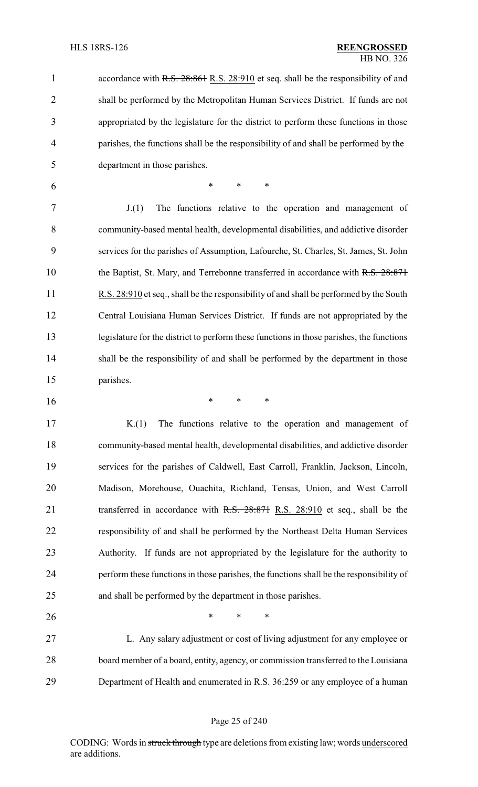1 accordance with R.S. 28:861 R.S. 28:910 et seq. shall be the responsibility of and shall be performed by the Metropolitan Human Services District. If funds are not appropriated by the legislature for the district to perform these functions in those parishes, the functions shall be the responsibility of and shall be performed by the department in those parishes.

\* \* \*

 J.(1) The functions relative to the operation and management of community-based mental health, developmental disabilities, and addictive disorder services for the parishes of Assumption, Lafourche, St. Charles, St. James, St. John 10 the Baptist, St. Mary, and Terrebonne transferred in accordance with R.S. 28:871 R.S. 28:910 et seq., shall be the responsibility of and shall be performed by the South Central Louisiana Human Services District. If funds are not appropriated by the legislature for the district to perform these functions in those parishes, the functions shall be the responsibility of and shall be performed by the department in those parishes.

\* \* \*

 K.(1) The functions relative to the operation and management of community-based mental health, developmental disabilities, and addictive disorder services for the parishes of Caldwell, East Carroll, Franklin, Jackson, Lincoln, Madison, Morehouse, Ouachita, Richland, Tensas, Union, and West Carroll 21 transferred in accordance with R.S. 28:871 R.S. 28:910 et seq., shall be the responsibility of and shall be performed by the Northeast Delta Human Services Authority. If funds are not appropriated by the legislature for the authority to perform these functions in those parishes, the functions shall be the responsibility of and shall be performed by the department in those parishes.

 L. Any salary adjustment or cost of living adjustment for any employee or board member of a board, entity, agency, or commission transferred to the Louisiana Department of Health and enumerated in R.S. 36:259 or any employee of a human

**\*** \* \* \*

#### Page 25 of 240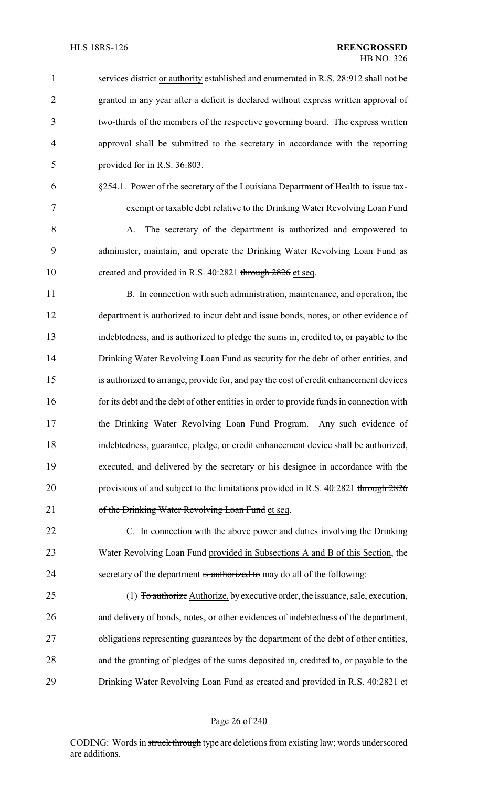| $\mathbf{1}$   | services district or authority established and enumerated in R.S. 28:912 shall not be    |
|----------------|------------------------------------------------------------------------------------------|
| $\overline{2}$ | granted in any year after a deficit is declared without express written approval of      |
| $\overline{3}$ | two-thirds of the members of the respective governing board. The express written         |
| $\overline{4}$ | approval shall be submitted to the secretary in accordance with the reporting            |
| 5              | provided for in R.S. 36:803.                                                             |
| 6              | §254.1. Power of the secretary of the Louisiana Department of Health to issue tax-       |
| 7              | exempt or taxable debt relative to the Drinking Water Revolving Loan Fund                |
| 8              | The secretary of the department is authorized and empowered to<br>A.                     |
| 9              | administer, maintain, and operate the Drinking Water Revolving Loan Fund as              |
| 10             | created and provided in R.S. 40:2821 through 2826 et seq.                                |
| 11             | B. In connection with such administration, maintenance, and operation, the               |
| 12             | department is authorized to incur debt and issue bonds, notes, or other evidence of      |
| 13             | indebtedness, and is authorized to pledge the sums in, credited to, or payable to the    |
| 14             | Drinking Water Revolving Loan Fund as security for the debt of other entities, and       |
| 15             | is authorized to arrange, provide for, and pay the cost of credit enhancement devices    |
| 16             | for its debt and the debt of other entities in order to provide funds in connection with |
| 17             | the Drinking Water Revolving Loan Fund Program. Any such evidence of                     |
| 18             | indebtedness, guarantee, pledge, or credit enhancement device shall be authorized,       |
| 19             | executed, and delivered by the secretary or his designee in accordance with the          |
| 20             | provisions of and subject to the limitations provided in R.S. 40:2821 through 2826       |
| 21             | of the Drinking Water Revolving Loan Fund et seq.                                        |
| 22             | C. In connection with the above power and duties involving the Drinking                  |
| 23             | Water Revolving Loan Fund provided in Subsections A and B of this Section, the           |
| 24             | secretary of the department is authorized to may do all of the following:                |
| 25             | (1) To authorize Authorize, by executive order, the issuance, sale, execution,           |
| 26             | and delivery of bonds, notes, or other evidences of indebtedness of the department,      |
| 27             | obligations representing guarantees by the department of the debt of other entities,     |
| 28             | and the granting of pledges of the sums deposited in, credited to, or payable to the     |
| 29             | Drinking Water Revolving Loan Fund as created and provided in R.S. 40:2821 et            |
|                |                                                                                          |

# Page 26 of 240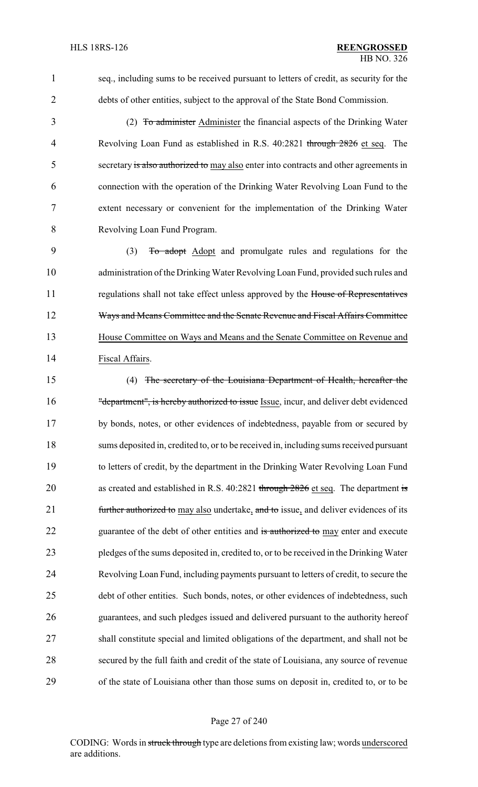seq., including sums to be received pursuant to letters of credit, as security for the debts of other entities, subject to the approval of the State Bond Commission.

3 (2) To administer Administer the financial aspects of the Drinking Water 4 Revolving Loan Fund as established in R.S. 40:2821 through 2826 et seq. The secretary is also authorized to may also enter into contracts and other agreements in connection with the operation of the Drinking Water Revolving Loan Fund to the extent necessary or convenient for the implementation of the Drinking Water Revolving Loan Fund Program.

 (3) To adopt Adopt and promulgate rules and regulations for the administration of the Drinking Water Revolving Loan Fund, provided such rules and 11 regulations shall not take effect unless approved by the House of Representatives 12 Ways and Means Committee and the Senate Revenue and Fiscal Affairs Committee House Committee on Ways and Means and the Senate Committee on Revenue and Fiscal Affairs.

 (4) The secretary of the Louisiana Department of Health, hereafter the 16 "department", is hereby authorized to issue Issue, incur, and deliver debt evidenced by bonds, notes, or other evidences of indebtedness, payable from or secured by sums deposited in, credited to, or to be received in, including sums received pursuant to letters of credit, by the department in the Drinking Water Revolving Loan Fund 20 as created and established in R.S. 40:2821 through 2826 et seq. The department is 21 further authorized to may also undertake, and to issue, and deliver evidences of its 22 guarantee of the debt of other entities and is authorized to may enter and execute pledges of the sums deposited in, credited to, or to be received in the Drinking Water Revolving Loan Fund, including payments pursuant to letters of credit, to secure the debt of other entities. Such bonds, notes, or other evidences of indebtedness, such guarantees, and such pledges issued and delivered pursuant to the authority hereof shall constitute special and limited obligations of the department, and shall not be secured by the full faith and credit of the state of Louisiana, any source of revenue of the state of Louisiana other than those sums on deposit in, credited to, or to be

#### Page 27 of 240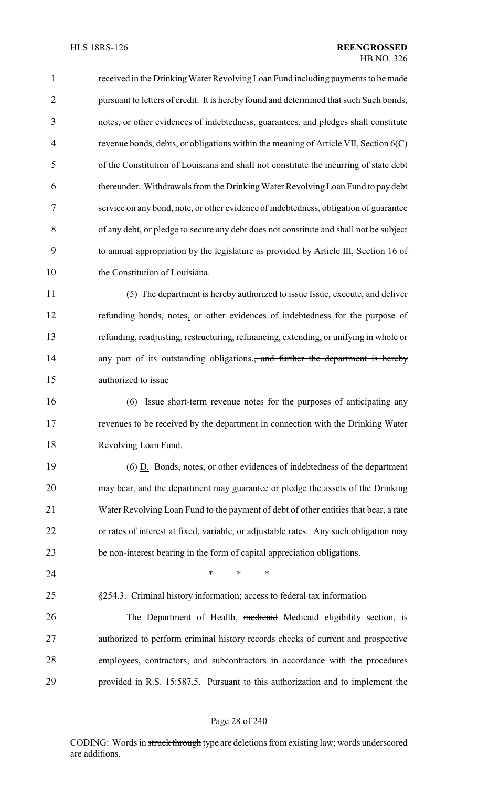received in the DrinkingWater Revolving Loan Fund including payments to be made 2 pursuant to letters of credit. It is hereby found and determined that such Such bonds, notes, or other evidences of indebtedness, guarantees, and pledges shall constitute revenue bonds, debts, or obligations within the meaning of Article VII, Section 6(C) of the Constitution of Louisiana and shall not constitute the incurring of state debt thereunder. Withdrawals from the Drinking Water Revolving Loan Fund to pay debt service on any bond, note, or other evidence of indebtedness, obligation of guarantee of any debt, or pledge to secure any debt does not constitute and shall not be subject to annual appropriation by the legislature as provided by Article III, Section 16 of 10 the Constitution of Louisiana.

11 (5) The department is hereby authorized to issue Issue, execute, and deliver refunding bonds, notes, or other evidences of indebtedness for the purpose of refunding, readjusting, restructuring, refinancing, extending, or unifying in whole or 14 any part of its outstanding obligations., and further the department is hereby authorized to issue

 (6) Issue short-term revenue notes for the purposes of anticipating any revenues to be received by the department in connection with the Drinking Water Revolving Loan Fund.

 (6) D. Bonds, notes, or other evidences of indebtedness of the department may bear, and the department may guarantee or pledge the assets of the Drinking Water Revolving Loan Fund to the payment of debt of other entities that bear, a rate or rates of interest at fixed, variable, or adjustable rates. Any such obligation may be non-interest bearing in the form of capital appreciation obligations.

**\*** \* \* \*

§254.3. Criminal history information; access to federal tax information

26 The Department of Health, medicaid Medicaid eligibility section, is authorized to perform criminal history records checks of current and prospective employees, contractors, and subcontractors in accordance with the procedures provided in R.S. 15:587.5. Pursuant to this authorization and to implement the

#### Page 28 of 240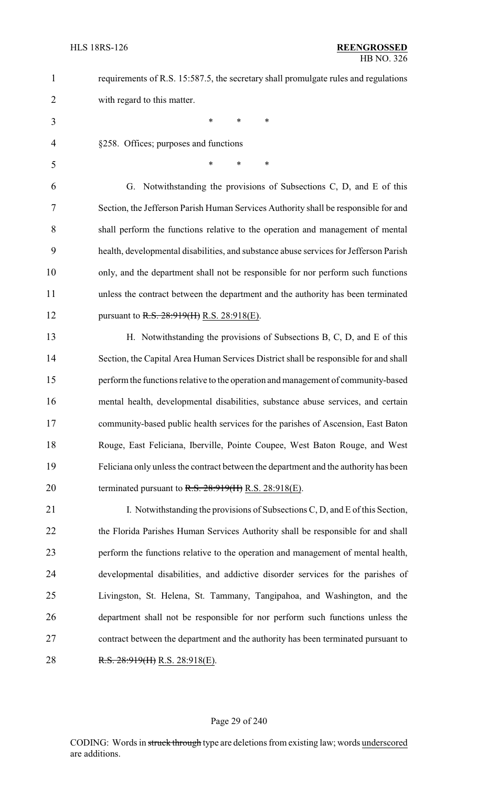1 requirements of R.S. 15:587.5, the secretary shall promulgate rules and regulations with regard to this matter.

- \* \* \*
- §258. Offices; purposes and functions
- \* \* \*

 G. Notwithstanding the provisions of Subsections C, D, and E of this Section, the Jefferson Parish Human Services Authority shall be responsible for and shall perform the functions relative to the operation and management of mental health, developmental disabilities, and substance abuse services for Jefferson Parish only, and the department shall not be responsible for nor perform such functions unless the contract between the department and the authority has been terminated 12 pursuant to R.S. 28:919(II) R.S. 28:918(E).

 H. Notwithstanding the provisions of Subsections B, C, D, and E of this Section, the Capital Area Human Services District shall be responsible for and shall perform the functions relative to the operation and management of community-based mental health, developmental disabilities, substance abuse services, and certain community-based public health services for the parishes of Ascension, East Baton Rouge, East Feliciana, Iberville, Pointe Coupee, West Baton Rouge, and West Feliciana only unless the contract between the department and the authority has been 20 terminated pursuant to  $R.S. 28:919(H) R.S. 28:918(E)$ .

21 I. Notwithstanding the provisions of Subsections C, D, and E of this Section, 22 the Florida Parishes Human Services Authority shall be responsible for and shall perform the functions relative to the operation and management of mental health, developmental disabilities, and addictive disorder services for the parishes of Livingston, St. Helena, St. Tammany, Tangipahoa, and Washington, and the department shall not be responsible for nor perform such functions unless the contract between the department and the authority has been terminated pursuant to 28 R.S. 28:919(H) R.S. 28:918(E).

#### Page 29 of 240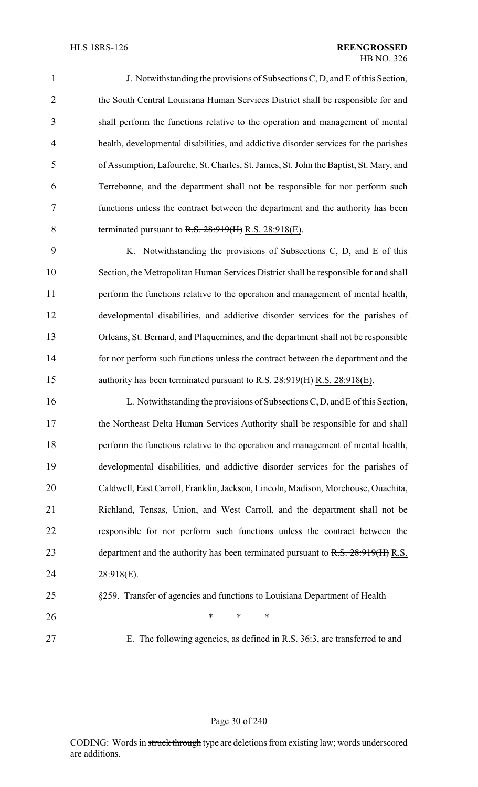J. Notwithstanding the provisions of Subsections C, D, and E of this Section, 2 the South Central Louisiana Human Services District shall be responsible for and shall perform the functions relative to the operation and management of mental health, developmental disabilities, and addictive disorder services for the parishes of Assumption, Lafourche, St. Charles, St. James, St. John the Baptist, St. Mary, and Terrebonne, and the department shall not be responsible for nor perform such functions unless the contract between the department and the authority has been 8 terminated pursuant to R.S. 28:919(H) R.S. 28:918(E).

 K. Notwithstanding the provisions of Subsections C, D, and E of this Section, the Metropolitan Human Services District shall be responsible for and shall perform the functions relative to the operation and management of mental health, developmental disabilities, and addictive disorder services for the parishes of Orleans, St. Bernard, and Plaquemines, and the department shall not be responsible for nor perform such functions unless the contract between the department and the 15 authority has been terminated pursuant to R.S. 28:919(H) R.S. 28:918(E).

 L. Notwithstanding the provisions of Subsections C, D, and E of this Section, the Northeast Delta Human Services Authority shall be responsible for and shall perform the functions relative to the operation and management of mental health, developmental disabilities, and addictive disorder services for the parishes of Caldwell, East Carroll, Franklin, Jackson, Lincoln, Madison, Morehouse, Ouachita, Richland, Tensas, Union, and West Carroll, and the department shall not be responsible for nor perform such functions unless the contract between the 23 department and the authority has been terminated pursuant to R.S. 28:919(H) R.S. 28:918(E).

#### §259. Transfer of agencies and functions to Louisiana Department of Health

- **\*** \* \* \*
- 
- E. The following agencies, as defined in R.S. 36:3, are transferred to and

#### Page 30 of 240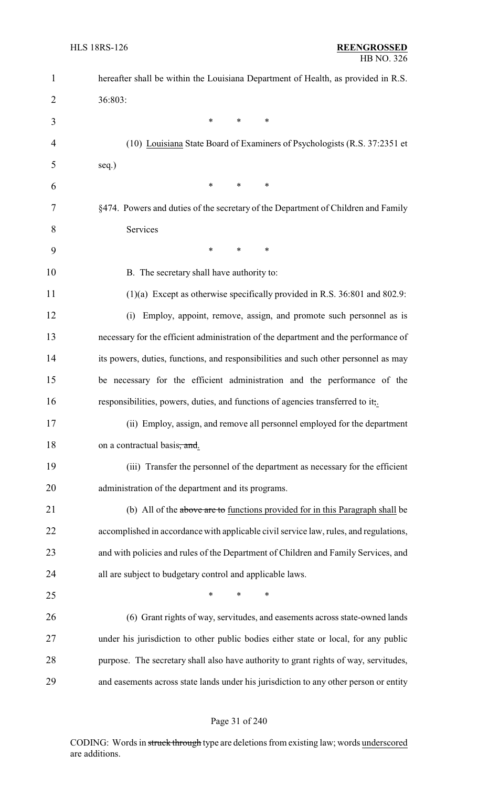| $\mathbf{1}$   | hereafter shall be within the Louisiana Department of Health, as provided in R.S.     |
|----------------|---------------------------------------------------------------------------------------|
| $\overline{2}$ | 36:803:                                                                               |
| 3              | $\ast$<br>∗<br>*                                                                      |
| 4              | (10) Louisiana State Board of Examiners of Psychologists (R.S. 37:2351 et             |
| 5              | seq.)                                                                                 |
| 6              | $\ast$<br>∗<br>$\ast$                                                                 |
| 7              | §474. Powers and duties of the secretary of the Department of Children and Family     |
| 8              | Services                                                                              |
| 9              | $\ast$<br>$\ast$<br>$\ast$                                                            |
| 10             | B. The secretary shall have authority to:                                             |
| 11             | $(1)(a)$ Except as otherwise specifically provided in R.S. 36:801 and 802.9:          |
| 12             | Employ, appoint, remove, assign, and promote such personnel as is<br>(i)              |
| 13             | necessary for the efficient administration of the department and the performance of   |
| 14             | its powers, duties, functions, and responsibilities and such other personnel as may   |
| 15             | be necessary for the efficient administration and the performance of the              |
| 16             | responsibilities, powers, duties, and functions of agencies transferred to it,.       |
| 17             | (ii) Employ, assign, and remove all personnel employed for the department             |
| 18             | on a contractual basis, and.                                                          |
| 19             | (iii) Transfer the personnel of the department as necessary for the efficient         |
| 20             | administration of the department and its programs.                                    |
| 21             | (b) All of the above are to functions provided for in this Paragraph shall be         |
| 22             | accomplished in accordance with applicable civil service law, rules, and regulations, |
| 23             | and with policies and rules of the Department of Children and Family Services, and    |
| 24             | all are subject to budgetary control and applicable laws.                             |
| 25             | $\ast$<br>*<br>*                                                                      |
| 26             | (6) Grant rights of way, servitudes, and easements across state-owned lands           |
| 27             | under his jurisdiction to other public bodies either state or local, for any public   |
| 28             | purpose. The secretary shall also have authority to grant rights of way, servitudes,  |
| 29             | and easements across state lands under his jurisdiction to any other person or entity |

## Page 31 of 240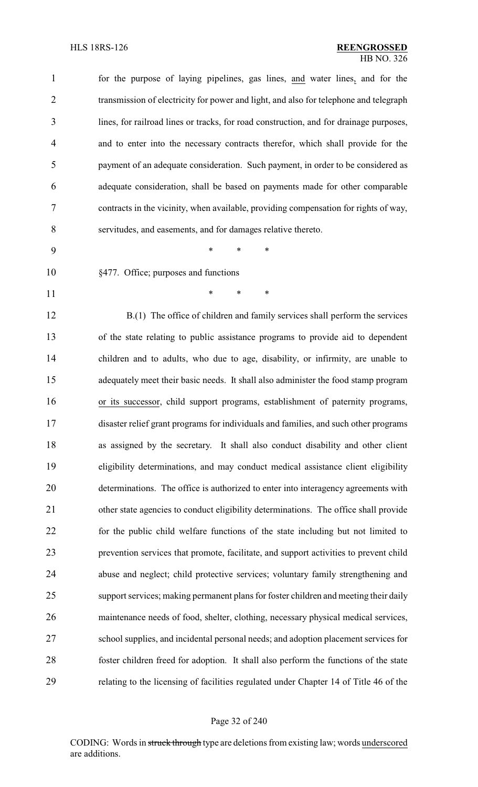| $\mathbf{1}$   | for the purpose of laying pipelines, gas lines, and water lines, and for the           |
|----------------|----------------------------------------------------------------------------------------|
| $\overline{2}$ | transmission of electricity for power and light, and also for telephone and telegraph  |
| 3              | lines, for railroad lines or tracks, for road construction, and for drainage purposes, |
| $\overline{4}$ | and to enter into the necessary contracts therefor, which shall provide for the        |
| 5              | payment of an adequate consideration. Such payment, in order to be considered as       |
| 6              | adequate consideration, shall be based on payments made for other comparable           |
| 7              | contracts in the vicinity, when available, providing compensation for rights of way,   |
| 8              | servitudes, and easements, and for damages relative thereto.                           |
| 9              | $\ast$<br>*<br>*                                                                       |
| 10             | §477. Office; purposes and functions                                                   |
| 11             | $\ast$<br>*<br>*                                                                       |
| 12             | B.(1) The office of children and family services shall perform the services            |
| 13             | of the state relating to public assistance programs to provide aid to dependent        |
| 14             | children and to adults, who due to age, disability, or infirmity, are unable to        |
| 15             | adequately meet their basic needs. It shall also administer the food stamp program     |
| 16             | or its successor, child support programs, establishment of paternity programs,         |
| 17             | disaster relief grant programs for individuals and families, and such other programs   |
| 18             | as assigned by the secretary. It shall also conduct disability and other client        |
| 19             | eligibility determinations, and may conduct medical assistance client eligibility      |
| 20             | determinations. The office is authorized to enter into interagency agreements with     |
| 21             | other state agencies to conduct eligibility determinations. The office shall provide   |
| 22             | for the public child welfare functions of the state including but not limited to       |
| 23             | prevention services that promote, facilitate, and support activities to prevent child  |
| 24             | abuse and neglect; child protective services; voluntary family strengthening and       |
| 25             | support services; making permanent plans for foster children and meeting their daily   |
| 26             | maintenance needs of food, shelter, clothing, necessary physical medical services,     |
| 27             | school supplies, and incidental personal needs; and adoption placement services for    |
| 28             | foster children freed for adoption. It shall also perform the functions of the state   |
| 29             | relating to the licensing of facilities regulated under Chapter 14 of Title 46 of the  |

## Page 32 of 240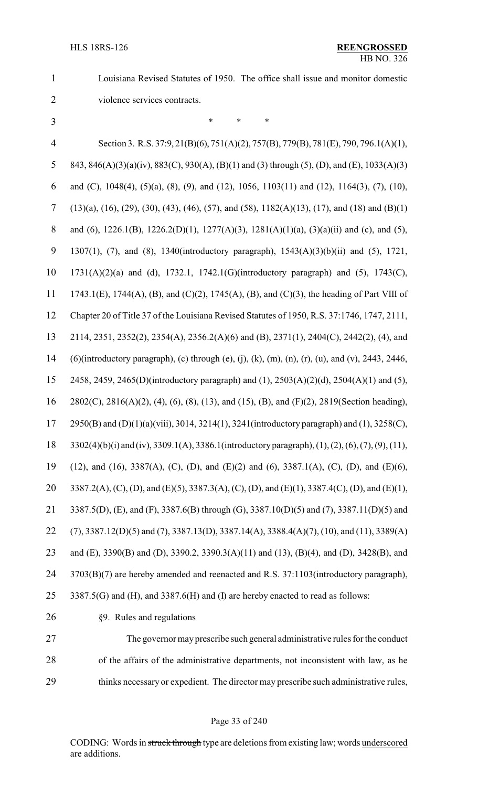Louisiana Revised Statutes of 1950. The office shall issue and monitor domestic

violence services contracts.

 \* \* \* Section 3. R.S. 37:9, 21(B)(6), 751(A)(2), 757(B), 779(B), 781(E), 790, 796.1(A)(1), 843, 846(A)(3)(a)(iv), 883(C), 930(A), (B)(1) and (3) through (5), (D), and (E), 1033(A)(3) and (C), 1048(4), (5)(a), (8), (9), and (12), 1056, 1103(11) and (12), 1164(3), (7), (10), (13)(a), (16), (29), (30), (43), (46), (57), and (58), 1182(A)(13), (17), and (18) and (B)(1) 8 and (6), 1226.1(B), 1226.2(D)(1), 1277(A)(3), 1281(A)(1)(a), (3)(a)(ii) and (c), and (5), 1307(1), (7), and (8), 1340(introductory paragraph), 1543(A)(3)(b)(ii) and (5), 1721, 1731(A)(2)(a) and (d), 1732.1, 1742.1(G)(introductory paragraph) and (5), 1743(C), 1743.1(E), 1744(A), (B), and (C)(2), 1745(A), (B), and (C)(3), the heading of Part VIII of Chapter 20 of Title 37 of the Louisiana Revised Statutes of 1950, R.S. 37:1746, 1747, 2111, 2114, 2351, 2352(2), 2354(A), 2356.2(A)(6) and (B), 2371(1), 2404(C), 2442(2), (4), and (6)(introductory paragraph), (c) through (e), (j), (k), (m), (n), (r), (u), and (v), 2443, 2446, 2458, 2459, 2465(D)(introductory paragraph) and (1), 2503(A)(2)(d), 2504(A)(1) and (5), 2802(C), 2816(A)(2), (4), (6), (8), (13), and (15), (B), and (F)(2), 2819(Section heading), 2950(B) and (D)(1)(a)(viii), 3014, 3214(1), 3241(introductory paragraph) and (1), 3258(C), 3302(4)(b)(i) and (iv), 3309.1(A), 3386.1(introductoryparagraph), (1), (2), (6), (7), (9), (11), (12), and (16), 3387(A), (C), (D), and (E)(2) and (6), 3387.1(A), (C), (D), and (E)(6), 20 3387.2(A), (C), (D), and (E)(5), 3387.3(A), (C), (D), and (E)(1), 3387.4(C), (D), and (E)(1), 3387.5(D), (E), and (F), 3387.6(B) through (G), 3387.10(D)(5) and (7), 3387.11(D)(5) and (7), 3387.12(D)(5) and (7), 3387.13(D), 3387.14(A), 3388.4(A)(7), (10), and (11), 3389(A) and (E), 3390(B) and (D), 3390.2, 3390.3(A)(11) and (13), (B)(4), and (D), 3428(B), and 3703(B)(7) are hereby amended and reenacted and R.S. 37:1103(introductory paragraph), 3387.5(G) and (H), and 3387.6(H) and (I) are hereby enacted to read as follows: §9. Rules and regulations The governor may prescribe such general administrative rules for the conduct

 of the affairs of the administrative departments, not inconsistent with law, as he 29 thinks necessary or expedient. The director may prescribe such administrative rules,

#### Page 33 of 240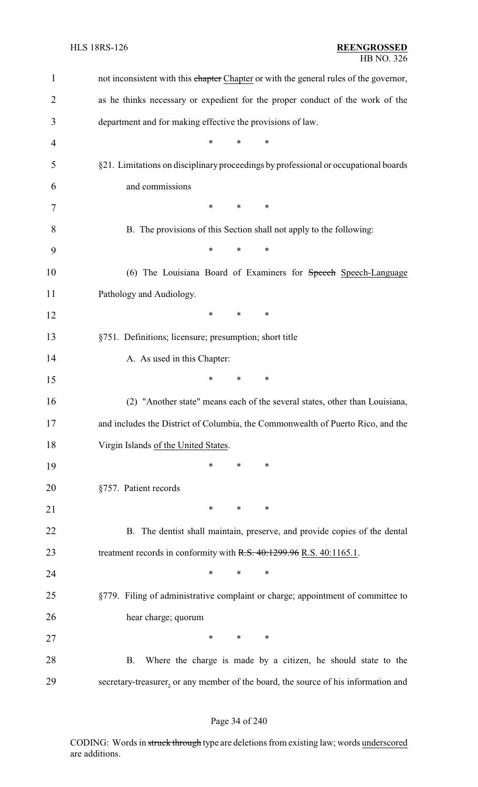| $\mathbf{1}$   | not inconsistent with this chapter Chapter or with the general rules of the governor, |
|----------------|---------------------------------------------------------------------------------------|
| $\overline{2}$ | as he thinks necessary or expedient for the proper conduct of the work of the         |
| 3              | department and for making effective the provisions of law.                            |
| 4              | $\ast$<br>∗<br>∗                                                                      |
| 5              | §21. Limitations on disciplinary proceedings by professional or occupational boards   |
| 6              | and commissions                                                                       |
| 7              | $\ast$<br>$\ast$<br>$\ast$                                                            |
| 8              | B. The provisions of this Section shall not apply to the following:                   |
| 9              | $\ast$<br>*<br>*                                                                      |
| 10             | (6) The Louisiana Board of Examiners for Speech Speech-Language                       |
| 11             | Pathology and Audiology.                                                              |
| 12             | $\ast$<br>$\ast$<br>$\ast$                                                            |
| 13             | §751. Definitions; licensure; presumption; short title                                |
| 14             | A. As used in this Chapter:                                                           |
| 15             | *<br>$\ast$<br>$\ast$                                                                 |
| 16             | (2) "Another state" means each of the several states, other than Louisiana,           |
| 17             | and includes the District of Columbia, the Commonwealth of Puerto Rico, and the       |
| 18             | Virgin Islands of the United States.                                                  |
| 19             | ∗<br>∗<br>$\ast$                                                                      |
| 20             | §757. Patient records                                                                 |
| 21             | $\ast$<br>∗<br>∗                                                                      |
| 22             | B. The dentist shall maintain, preserve, and provide copies of the dental             |
| 23             | treatment records in conformity with R.S. 40:1299.96 R.S. 40:1165.1.                  |
| 24             | $\ast$<br>*<br>*                                                                      |
| 25             | §779. Filing of administrative complaint or charge; appointment of committee to       |
| 26             | hear charge; quorum                                                                   |
| 27             | $\ast$<br>$*$ $*$<br>$\ast$                                                           |
| 28             | Where the charge is made by a citizen, he should state to the<br><b>B.</b>            |
| 29             | secretary-treasurer, or any member of the board, the source of his information and    |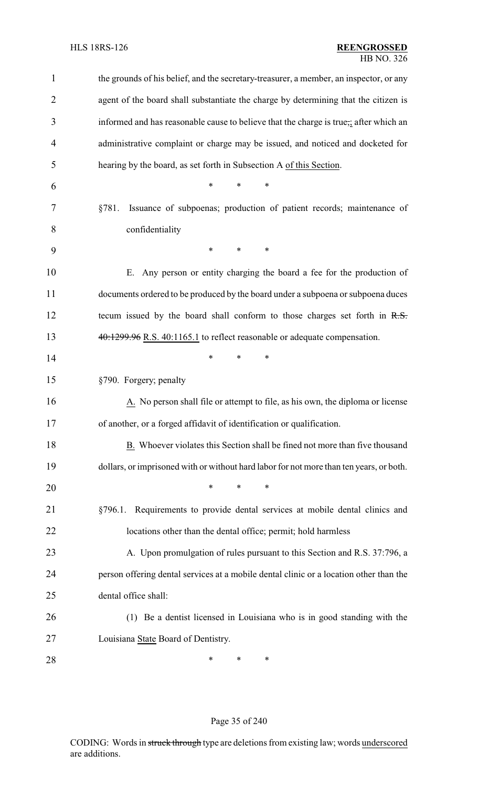| $\mathbf{1}$   | the grounds of his belief, and the secretary-treasurer, a member, an inspector, or any  |
|----------------|-----------------------------------------------------------------------------------------|
| $\overline{2}$ | agent of the board shall substantiate the charge by determining that the citizen is     |
| 3              | informed and has reasonable cause to believe that the charge is true,; after which an   |
| $\overline{4}$ | administrative complaint or charge may be issued, and noticed and docketed for          |
| 5              | hearing by the board, as set forth in Subsection A of this Section.                     |
| 6              | $\ast$<br>*                                                                             |
| 7              | Issuance of subpoenas; production of patient records; maintenance of<br>§781.           |
| 8              | confidentiality                                                                         |
| 9              | *<br>$\ast$<br>$\ast$                                                                   |
| 10             | E. Any person or entity charging the board a fee for the production of                  |
| 11             | documents ordered to be produced by the board under a subpoena or subpoena duces        |
| 12             | tecum issued by the board shall conform to those charges set forth in R.S.              |
| 13             | 40:1299.96 R.S. 40:1165.1 to reflect reasonable or adequate compensation.               |
| 14             | *<br>∗<br>*                                                                             |
| 15             | §790. Forgery; penalty                                                                  |
| 16             | A. No person shall file or attempt to file, as his own, the diploma or license          |
| 17             | of another, or a forged affidavit of identification or qualification.                   |
| 18             | B. Whoever violates this Section shall be fined not more than five thousand             |
| 19             | dollars, or imprisoned with or without hard labor for not more than ten years, or both. |
| 20             | $\ast$<br>*<br>*                                                                        |
| 21             | Requirements to provide dental services at mobile dental clinics and<br>§796.1.         |
| 22             | locations other than the dental office; permit; hold harmless                           |
| 23             | A. Upon promulgation of rules pursuant to this Section and R.S. 37:796, a               |
| 24             | person offering dental services at a mobile dental clinic or a location other than the  |
| 25             | dental office shall:                                                                    |
| 26             | (1) Be a dentist licensed in Louisiana who is in good standing with the                 |
| 27             | Louisiana State Board of Dentistry.                                                     |
| 28             | ∗<br>∗<br>∗                                                                             |

## Page 35 of 240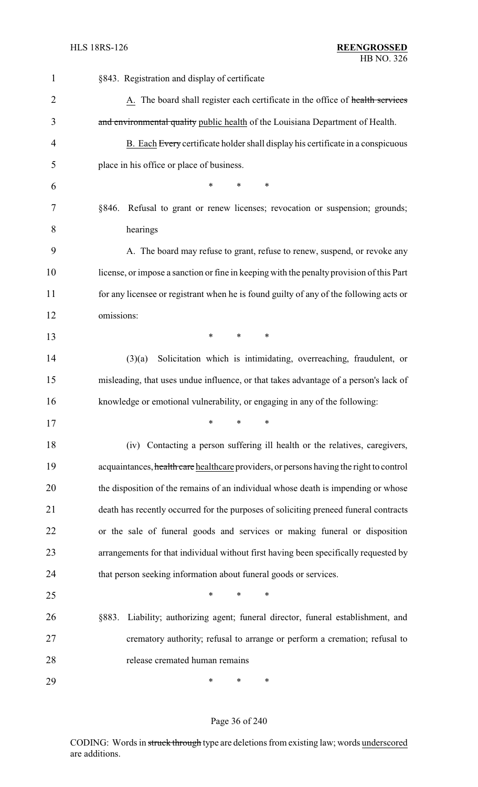| $\mathbf{1}$   | §843. Registration and display of certificate                                            |
|----------------|------------------------------------------------------------------------------------------|
| $\overline{2}$ | A. The board shall register each certificate in the office of health services            |
| 3              | and environmental quality public health of the Louisiana Department of Health.           |
| 4              | B. Each Every certificate holder shall display his certificate in a conspicuous          |
| 5              | place in his office or place of business.                                                |
| 6              | $\ast$<br>$\ast$<br>*                                                                    |
| 7              | Refusal to grant or renew licenses; revocation or suspension; grounds;<br>§846.          |
| 8              | hearings                                                                                 |
| 9              | A. The board may refuse to grant, refuse to renew, suspend, or revoke any                |
| 10             | license, or impose a sanction or fine in keeping with the penalty provision of this Part |
| 11             | for any licensee or registrant when he is found guilty of any of the following acts or   |
| 12             | omissions:                                                                               |
| 13             | $\ast$<br>$\ast$<br>$\ast$                                                               |
| 14             | Solicitation which is intimidating, overreaching, fraudulent, or<br>(3)(a)               |
| 15             | misleading, that uses undue influence, or that takes advantage of a person's lack of     |
| 16             | knowledge or emotional vulnerability, or engaging in any of the following:               |
| 17             | ∗<br>∗<br>∗                                                                              |
| 18             | Contacting a person suffering ill health or the relatives, caregivers,<br>(iv)           |
| 19             | acquaintances, health care healthcare providers, or persons having the right to control  |
| 20             | the disposition of the remains of an individual whose death is impending or whose        |
| 21             | death has recently occurred for the purposes of soliciting preneed funeral contracts     |
| 22             | or the sale of funeral goods and services or making funeral or disposition               |
| 23             | arrangements for that individual without first having been specifically requested by     |
| 24             | that person seeking information about funeral goods or services.                         |
| 25             | *<br>∗<br>*                                                                              |
| 26             | Liability; authorizing agent; funeral director, funeral establishment, and<br>§883.      |
| 27             | crematory authority; refusal to arrange or perform a cremation; refusal to               |
| 28             | release cremated human remains                                                           |
| 29             | ∗<br>∗<br>∗                                                                              |

## Page 36 of 240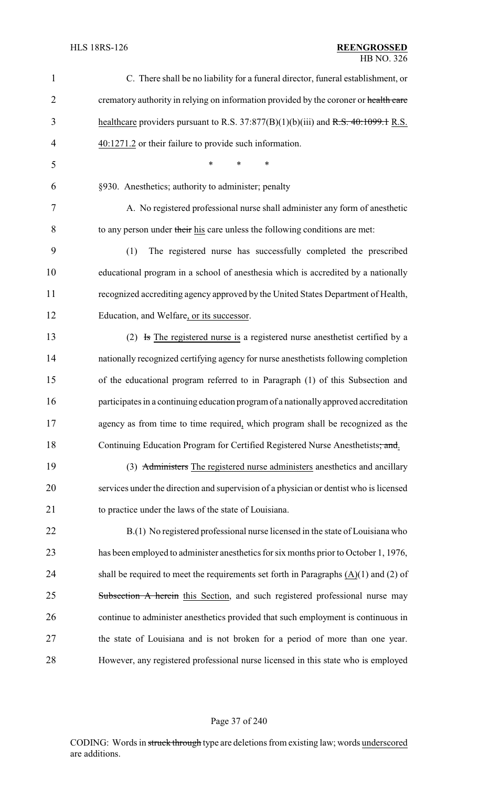| $\mathbf{1}$   | C. There shall be no liability for a funeral director, funeral establishment, or         |
|----------------|------------------------------------------------------------------------------------------|
| $\overline{2}$ | crematory authority in relying on information provided by the coroner or health care     |
| 3              | healthcare providers pursuant to R.S. 37:877(B)(1)(b)(iii) and R.S. 40:1099.1 R.S.       |
| 4              | 40:1271.2 or their failure to provide such information.                                  |
| 5              | *<br>*<br>*                                                                              |
| 6              | §930. Anesthetics; authority to administer; penalty                                      |
| 7              | A. No registered professional nurse shall administer any form of anesthetic              |
| 8              | to any person under their his care unless the following conditions are met:              |
| 9              | (1)<br>The registered nurse has successfully completed the prescribed                    |
| 10             | educational program in a school of anesthesia which is accredited by a nationally        |
| 11             | recognized accrediting agency approved by the United States Department of Health,        |
| 12             | Education, and Welfare, or its successor.                                                |
| 13             | (2) Is The registered nurse is a registered nurse anesthetist certified by a             |
| 14             | nationally recognized certifying agency for nurse anesthetists following completion      |
| 15             | of the educational program referred to in Paragraph (1) of this Subsection and           |
| 16             | participates in a continuing education program of a nationally approved accreditation    |
| 17             | agency as from time to time required, which program shall be recognized as the           |
| 18             | Continuing Education Program for Certified Registered Nurse Anesthetists, and.           |
| 19             | (3) Administers The registered nurse administers anesthetics and ancillary               |
| 20             | services under the direction and supervision of a physician or dentist who is licensed   |
| 21             | to practice under the laws of the state of Louisiana.                                    |
| 22             | B.(1) No registered professional nurse licensed in the state of Louisiana who            |
| 23             | has been employed to administer anesthetics for six months prior to October 1, 1976,     |
| 24             | shall be required to meet the requirements set forth in Paragraphs $(A)(1)$ and $(2)$ of |
| 25             | Subsection A herein this Section, and such registered professional nurse may             |
| 26             | continue to administer anesthetics provided that such employment is continuous in        |
| 27             | the state of Louisiana and is not broken for a period of more than one year.             |
| 28             | However, any registered professional nurse licensed in this state who is employed        |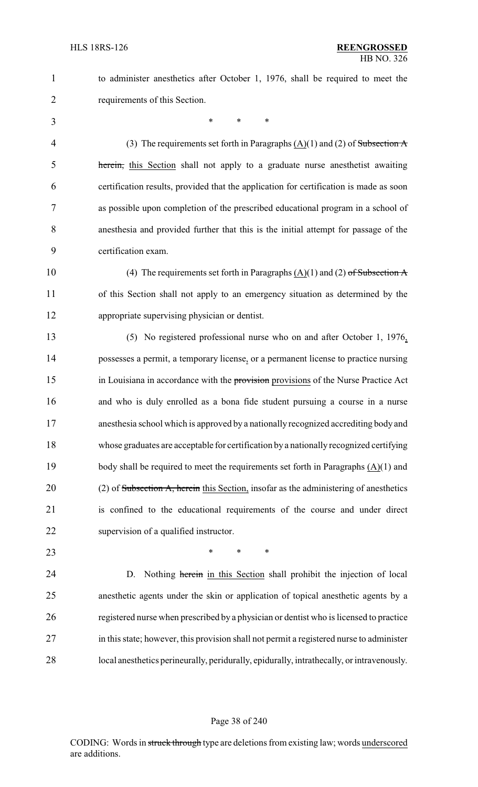- to administer anesthetics after October 1, 1976, shall be required to meet the
- requirements of this Section.

\* \* \*

4 (3) The requirements set forth in Paragraphs  $(A)(1)$  and (2) of Subsection A herein, this Section shall not apply to a graduate nurse anesthetist awaiting certification results, provided that the application for certification is made as soon as possible upon completion of the prescribed educational program in a school of anesthesia and provided further that this is the initial attempt for passage of the certification exam.

10 (4) The requirements set forth in Paragraphs  $(A)(1)$  and  $(2)$  of Subsection A of this Section shall not apply to an emergency situation as determined by the appropriate supervising physician or dentist.

 (5) No registered professional nurse who on and after October 1, 1976, possesses a permit, a temporary license, or a permanent license to practice nursing 15 in Louisiana in accordance with the **provision** provisions of the Nurse Practice Act and who is duly enrolled as a bona fide student pursuing a course in a nurse anesthesia school which is approved by a nationally recognized accrediting body and whose graduates are acceptable for certification by a nationally recognized certifying body shall be required to meet the requirements set forth in Paragraphs (A)(1) and 20 (2) of Subsection A, herein this Section, insofar as the administering of anesthetics is confined to the educational requirements of the course and under direct supervision of a qualified instructor.

**\*** \* \* \*

24 D. Nothing herein in this Section shall prohibit the injection of local anesthetic agents under the skin or application of topical anesthetic agents by a registered nurse when prescribed by a physician or dentist who is licensed to practice in this state; however, this provision shall not permit a registered nurse to administer local anesthetics perineurally, peridurally, epidurally, intrathecally, or intravenously.

#### Page 38 of 240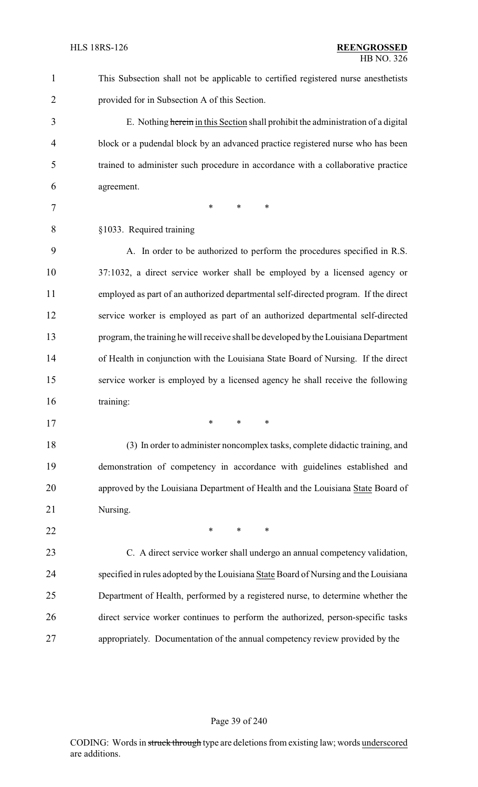This Subsection shall not be applicable to certified registered nurse anesthetists provided for in Subsection A of this Section.

 E. Nothing herein in this Section shall prohibit the administration of a digital block or a pudendal block by an advanced practice registered nurse who has been trained to administer such procedure in accordance with a collaborative practice agreement.

7 \* \* \* \*

§1033. Required training

 A. In order to be authorized to perform the procedures specified in R.S. 37:1032, a direct service worker shall be employed by a licensed agency or employed as part of an authorized departmental self-directed program. If the direct service worker is employed as part of an authorized departmental self-directed program, the training he will receive shall be developed by the Louisiana Department of Health in conjunction with the Louisiana State Board of Nursing. If the direct service worker is employed by a licensed agency he shall receive the following training:

\* \* \*

 (3) In order to administer noncomplex tasks, complete didactic training, and demonstration of competency in accordance with guidelines established and approved by the Louisiana Department of Health and the Louisiana State Board of Nursing.

**\*** \* \* \*

 C. A direct service worker shall undergo an annual competency validation, 24 specified in rules adopted by the Louisiana State Board of Nursing and the Louisiana Department of Health, performed by a registered nurse, to determine whether the direct service worker continues to perform the authorized, person-specific tasks appropriately. Documentation of the annual competency review provided by the

#### Page 39 of 240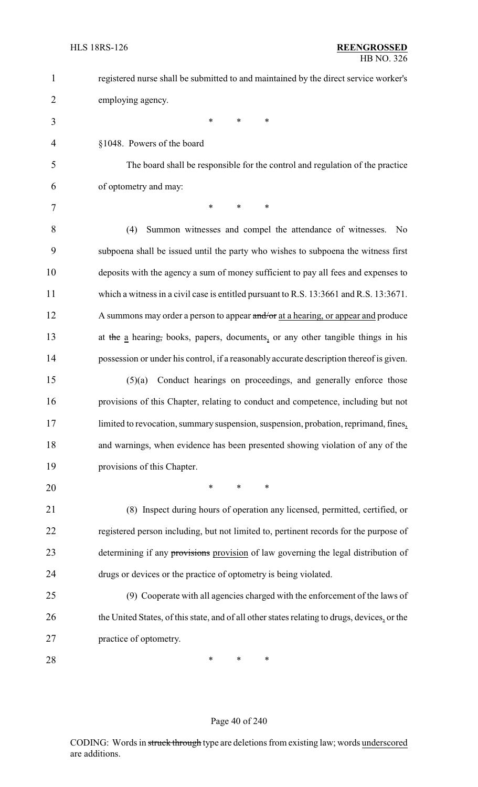| $\mathbf{1}$   | registered nurse shall be submitted to and maintained by the direct service worker's         |
|----------------|----------------------------------------------------------------------------------------------|
| $\overline{2}$ | employing agency.                                                                            |
| 3              | $\ast$<br>$\ast$<br>∗                                                                        |
| 4              | §1048. Powers of the board                                                                   |
| 5              | The board shall be responsible for the control and regulation of the practice                |
| 6              | of optometry and may:                                                                        |
| 7              | *<br>$\ast$<br>$\ast$                                                                        |
| 8              | (4)<br>Summon witnesses and compel the attendance of witnesses.<br>N <sub>0</sub>            |
| 9              | subpoena shall be issued until the party who wishes to subpoena the witness first            |
| 10             | deposits with the agency a sum of money sufficient to pay all fees and expenses to           |
| 11             | which a witness in a civil case is entitled pursuant to R.S. 13:3661 and R.S. 13:3671.       |
| 12             | A summons may order a person to appear and/or at a hearing, or appear and produce            |
| 13             | at the a hearing, books, papers, documents, or any other tangible things in his              |
| 14             | possession or under his control, if a reasonably accurate description thereof is given.      |
| 15             | Conduct hearings on proceedings, and generally enforce those<br>(5)(a)                       |
| 16             | provisions of this Chapter, relating to conduct and competence, including but not            |
| 17             | limited to revocation, summary suspension, suspension, probation, reprimand, fines,          |
| 18             | and warnings, when evidence has been presented showing violation of any of the               |
| 19             | provisions of this Chapter.                                                                  |
| 20             | $\ast$<br>$\ast$<br>$\ast$                                                                   |
| 21             | (8) Inspect during hours of operation any licensed, permitted, certified, or                 |
| 22             | registered person including, but not limited to, pertinent records for the purpose of        |
| 23             | determining if any provisions provision of law governing the legal distribution of           |
| 24             | drugs or devices or the practice of optometry is being violated.                             |
| 25             | (9) Cooperate with all agencies charged with the enforcement of the laws of                  |
| 26             | the United States, of this state, and of all other states relating to drugs, devices, or the |
| 27             | practice of optometry.                                                                       |
| 28             | ∗<br>$\ast$<br>∗                                                                             |

## Page 40 of 240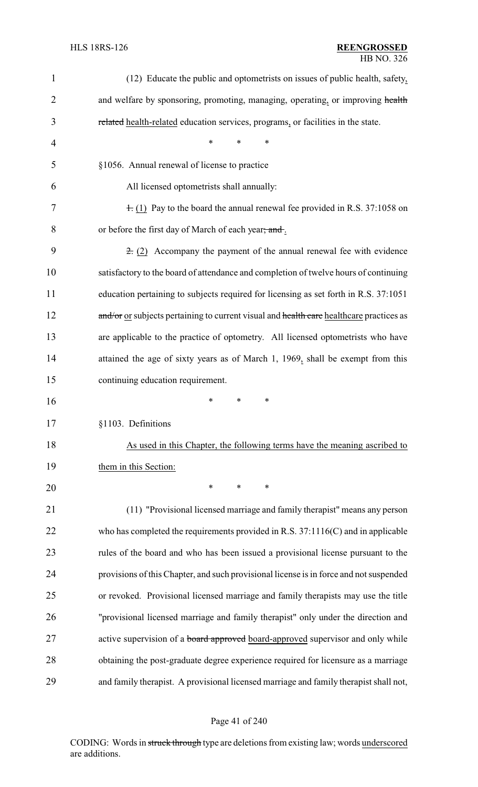| $\mathbf{1}$ | (12) Educate the public and optometrists on issues of public health, safety,            |
|--------------|-----------------------------------------------------------------------------------------|
| 2            | and welfare by sponsoring, promoting, managing, operating, or improving health          |
| 3            | related health-related education services, programs, or facilities in the state.        |
| 4            | ∗<br>*<br>∗                                                                             |
| 5            | §1056. Annual renewal of license to practice                                            |
| 6            | All licensed optometrists shall annually:                                               |
| 7            | $\pm$ (1) Pay to the board the annual renewal fee provided in R.S. 37:1058 on           |
| 8            | or before the first day of March of each year; and.                                     |
| 9            | $\pm$ (2) Accompany the payment of the annual renewal fee with evidence                 |
| 10           | satisfactory to the board of attendance and completion of twelve hours of continuing    |
| 11           | education pertaining to subjects required for licensing as set forth in R.S. 37:1051    |
| 12           | and/or or subjects pertaining to current visual and health care healthcare practices as |
| 13           | are applicable to the practice of optometry. All licensed optometrists who have         |
| 14           | attained the age of sixty years as of March 1, 1969, shall be exempt from this          |
| 15           | continuing education requirement.                                                       |
| 16           | $\ast$<br>$\ast$<br>∗                                                                   |
| 17           | §1103. Definitions                                                                      |
| 18           | As used in this Chapter, the following terms have the meaning ascribed to               |
| 19           | them in this Section:                                                                   |
| 20           | $\ast$<br>∗<br>∗                                                                        |
| 21           | (11) "Provisional licensed marriage and family therapist" means any person              |
| 22           | who has completed the requirements provided in R.S. $37:1116(C)$ and in applicable      |
| 23           | rules of the board and who has been issued a provisional license pursuant to the        |
| 24           | provisions of this Chapter, and such provisional license is in force and not suspended  |
| 25           | or revoked. Provisional licensed marriage and family therapists may use the title       |
| 26           | "provisional licensed marriage and family therapist" only under the direction and       |
| 27           | active supervision of a board approved board-approved supervisor and only while         |
| 28           | obtaining the post-graduate degree experience required for licensure as a marriage      |
| 29           | and family therapist. A provisional licensed marriage and family therapist shall not,   |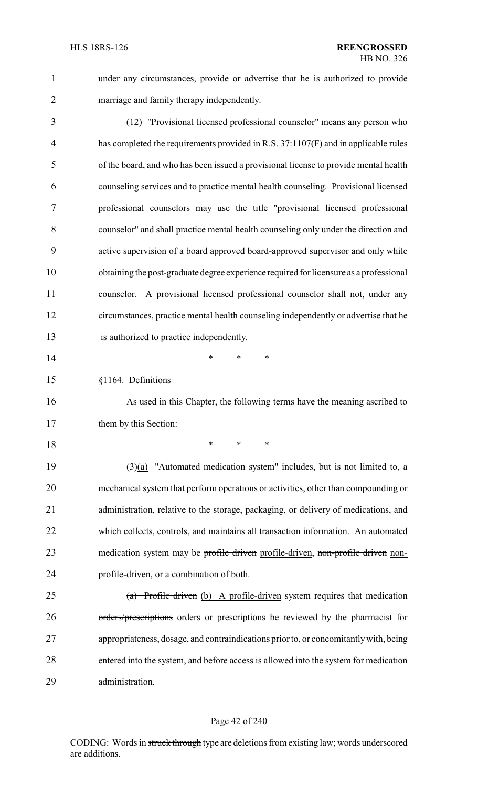under any circumstances, provide or advertise that he is authorized to provide marriage and family therapy independently.

 (12) "Provisional licensed professional counselor" means any person who has completed the requirements provided in R.S. 37:1107(F) and in applicable rules of the board, and who has been issued a provisional license to provide mental health counseling services and to practice mental health counseling. Provisional licensed professional counselors may use the title "provisional licensed professional counselor" and shall practice mental health counseling only under the direction and 9 active supervision of a **board approved** board-approved supervisor and only while obtaining the post-graduate degree experience required for licensure as a professional counselor. A provisional licensed professional counselor shall not, under any circumstances, practice mental health counseling independently or advertise that he is authorized to practice independently.

- **\*** \* \* \*
- §1164. Definitions

 As used in this Chapter, the following terms have the meaning ascribed to 17 them by this Section:

\* \* \*

 (3)(a) "Automated medication system" includes, but is not limited to, a mechanical system that perform operations or activities, other than compounding or administration, relative to the storage, packaging, or delivery of medications, and which collects, controls, and maintains all transaction information. An automated 23 medication system may be profile driven profile-driven, non-profile driven non-profile-driven, or a combination of both.

 (a) Profile driven (b) A profile-driven system requires that medication 26 orders/prescriptions orders or prescriptions be reviewed by the pharmacist for appropriateness, dosage, and contraindications prior to, or concomitantlywith, being entered into the system, and before access is allowed into the system for medication administration.

#### Page 42 of 240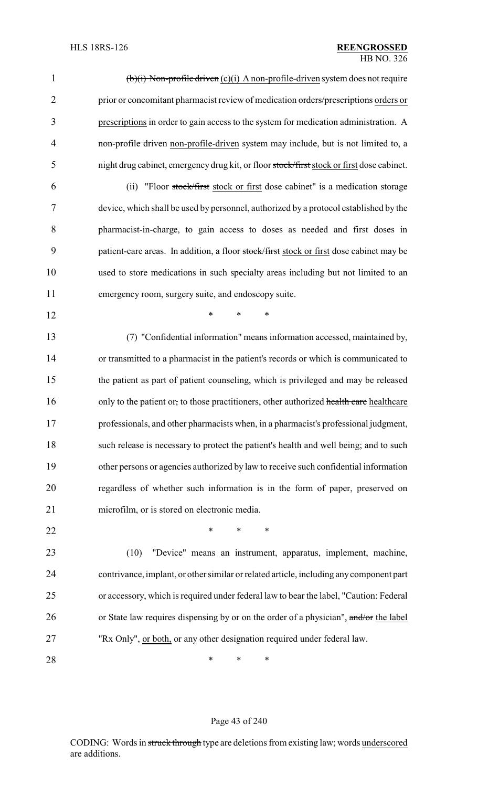| 1              | $(b)(i)$ Non-profile driven $(c)(i)$ A non-profile-driven system does not require         |
|----------------|-------------------------------------------------------------------------------------------|
| $\overline{2}$ | prior or concomitant pharmacist review of medication orders/prescriptions orders or       |
| 3              | prescriptions in order to gain access to the system for medication administration. A      |
| $\overline{4}$ | non-profile driven non-profile-driven system may include, but is not limited to, a        |
| 5              | night drug cabinet, emergency drug kit, or floor stock/first stock or first dose cabinet. |
| 6              | "Floor stock/first stock or first dose cabinet" is a medication storage<br>(ii)           |
| 7              | device, which shall be used by personnel, authorized by a protocol established by the     |
| 8              | pharmacist-in-charge, to gain access to doses as needed and first doses in                |
| 9              | patient-care areas. In addition, a floor stock/first stock or first dose cabinet may be   |
| 10             | used to store medications in such specialty areas including but not limited to an         |
| 11             | emergency room, surgery suite, and endoscopy suite.                                       |
| 12             | *<br>$\ast$<br>*                                                                          |
| 13             | (7) "Confidential information" means information accessed, maintained by,                 |
| 14             | or transmitted to a pharmacist in the patient's records or which is communicated to       |
| 15             | the patient as part of patient counseling, which is privileged and may be released        |
| 16             | only to the patient or, to those practitioners, other authorized health care healthcare   |
| 17             | professionals, and other pharmacists when, in a pharmacist's professional judgment,       |
| 18             | such release is necessary to protect the patient's health and well being; and to such     |
| 19             | other persons or agencies authorized by law to receive such confidential information      |
| 20             | regardless of whether such information is in the form of paper, preserved on              |
| 21             | microfilm, or is stored on electronic media.                                              |
| 22             | *<br>*                                                                                    |
| 23             | "Device" means an instrument, apparatus, implement, machine,<br>(10)                      |
| 24             | contrivance, implant, or other similar or related article, including any component part   |
| 25             | or accessory, which is required under federal law to bear the label, "Caution: Federal    |
| 26             | or State law requires dispensing by or on the order of a physician", and/or the label     |
| 27             | "Rx Only", or both, or any other designation required under federal law.                  |

**\*** \* \* \*

# Page 43 of 240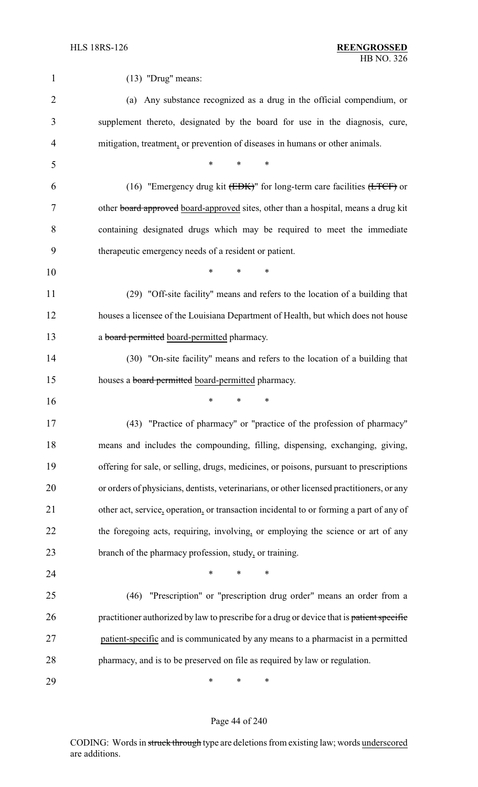| 1              | $(13)$ "Drug" means:                                                                               |
|----------------|----------------------------------------------------------------------------------------------------|
| $\overline{2}$ | (a) Any substance recognized as a drug in the official compendium, or                              |
| 3              | supplement thereto, designated by the board for use in the diagnosis, cure,                        |
| 4              | mitigation, treatment, or prevention of diseases in humans or other animals.                       |
| 5              | $\ast$<br>$\ast$<br>∗                                                                              |
| 6              | (16) "Emergency drug kit $(\overline{EBK})$ " for long-term care facilities $(\overline{LTCF})$ or |
| 7              | other board approved board-approved sites, other than a hospital, means a drug kit                 |
| 8              | containing designated drugs which may be required to meet the immediate                            |
| 9              | therapeutic emergency needs of a resident or patient.                                              |
| 10             | $\ast$<br>$\ast$<br>*                                                                              |
| 11             | (29) "Off-site facility" means and refers to the location of a building that                       |
| 12             | houses a licensee of the Louisiana Department of Health, but which does not house                  |
| 13             | a board permitted board-permitted pharmacy.                                                        |
| 14             | (30) "On-site facility" means and refers to the location of a building that                        |
| 15             | houses a <b>board permitted</b> board-permitted pharmacy.                                          |
| 16             | ∗<br>$\ast$<br>∗                                                                                   |
| 17             | (43) "Practice of pharmacy" or "practice of the profession of pharmacy"                            |
| 18             | means and includes the compounding, filling, dispensing, exchanging, giving,                       |
| 19             | offering for sale, or selling, drugs, medicines, or poisons, pursuant to prescriptions             |
| 20             | or orders of physicians, dentists, veterinarians, or other licensed practitioners, or any          |
| 21             | other act, service, operation, or transaction incidental to or forming a part of any of            |
| 22             | the foregoing acts, requiring, involving, or employing the science or art of any                   |
| 23             | branch of the pharmacy profession, study, or training.                                             |
| 24             | ∗<br>∗                                                                                             |
| 25             | "Prescription" or "prescription drug order" means an order from a<br>(46)                          |
| 26             | practitioner authorized by law to prescribe for a drug or device that is patient specific          |
| 27             | patient-specific and is communicated by any means to a pharmacist in a permitted                   |
| 28             | pharmacy, and is to be preserved on file as required by law or regulation.                         |
| 29             | ∗<br>∗<br>∗                                                                                        |

## Page 44 of 240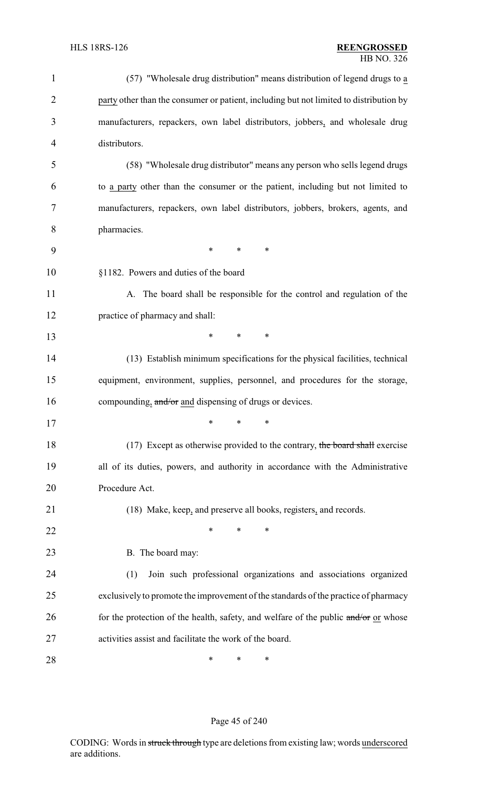| $\mathbf{1}$   | (57) "Wholesale drug distribution" means distribution of legend drugs to a             |
|----------------|----------------------------------------------------------------------------------------|
| $\overline{2}$ | party other than the consumer or patient, including but not limited to distribution by |
| 3              | manufacturers, repackers, own label distributors, jobbers, and wholesale drug          |
| $\overline{4}$ | distributors.                                                                          |
| 5              | (58) "Wholesale drug distributor" means any person who sells legend drugs              |
| 6              | to a party other than the consumer or the patient, including but not limited to        |
| 7              | manufacturers, repackers, own label distributors, jobbers, brokers, agents, and        |
| 8              | pharmacies.                                                                            |
| 9              | ∗<br>∗<br>∗                                                                            |
| 10             | §1182. Powers and duties of the board                                                  |
| 11             | A. The board shall be responsible for the control and regulation of the                |
| 12             | practice of pharmacy and shall:                                                        |
| 13             | *<br>$\ast$<br>∗                                                                       |
| 14             | (13) Establish minimum specifications for the physical facilities, technical           |
| 15             | equipment, environment, supplies, personnel, and procedures for the storage,           |
| 16             | compounding, and/or and dispensing of drugs or devices.                                |
| 17             |                                                                                        |
| 18             | (17) Except as otherwise provided to the contrary, the board shall exercise            |
| 19             | all of its duties, powers, and authority in accordance with the Administrative         |
| 20             | Procedure Act.                                                                         |
| 21             | (18) Make, keep, and preserve all books, registers, and records.                       |
| 22             | $\ast$<br>*<br>∗                                                                       |
| 23             | B. The board may:                                                                      |
| 24             | Join such professional organizations and associations organized<br>(1)                 |
| 25             | exclusively to promote the improvement of the standards of the practice of pharmacy    |
| 26             | for the protection of the health, safety, and welfare of the public and/or or whose    |
| 27             | activities assist and facilitate the work of the board.                                |
| 28             | ∗<br>∗<br>∗                                                                            |

## Page 45 of 240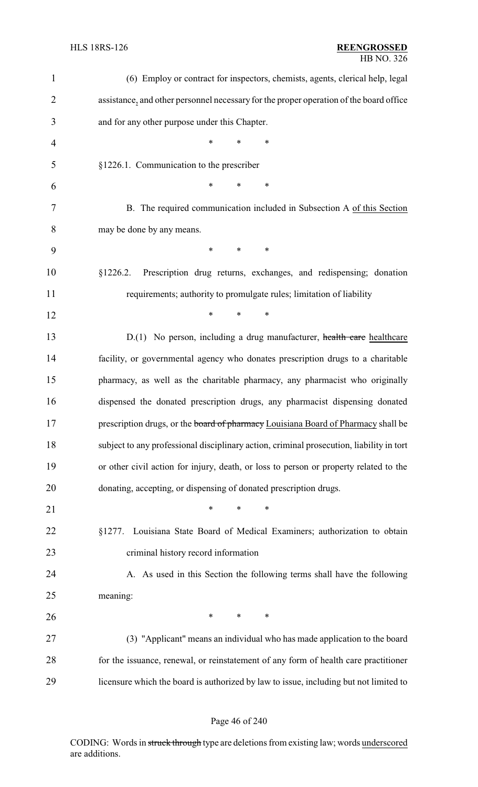#### HLS 18RS-126 **REENGROSSED** HB NO. 326

| $\mathbf{1}$   | (6) Employ or contract for inspectors, chemists, agents, clerical help, legal            |
|----------------|------------------------------------------------------------------------------------------|
| $\overline{2}$ | assistance, and other personnel necessary for the proper operation of the board office   |
| 3              | and for any other purpose under this Chapter.                                            |
| $\overline{4}$ | $\ast$<br>$\ast$<br>$\ast$                                                               |
| 5              | §1226.1. Communication to the prescriber                                                 |
| 6              | $\ast$<br>*<br>$\ast$                                                                    |
| 7              | B. The required communication included in Subsection A of this Section                   |
| 8              | may be done by any means.                                                                |
| 9              | $\ast$<br>*<br>∗                                                                         |
| 10             | Prescription drug returns, exchanges, and redispensing; donation<br>§1226.2.             |
| 11             | requirements; authority to promulgate rules; limitation of liability                     |
| 12             | $\ast$<br>$\ast$<br>∗                                                                    |
| 13             | D.(1) No person, including a drug manufacturer, health care healthcare                   |
| 14             | facility, or governmental agency who donates prescription drugs to a charitable          |
| 15             | pharmacy, as well as the charitable pharmacy, any pharmacist who originally              |
| 16             | dispensed the donated prescription drugs, any pharmacist dispensing donated              |
| 17             | prescription drugs, or the board of pharmacy Louisiana Board of Pharmacy shall be        |
| 18             | subject to any professional disciplinary action, criminal prosecution, liability in tort |
| 19             | or other civil action for injury, death, or loss to person or property related to the    |
| 20             | donating, accepting, or dispensing of donated prescription drugs.                        |
| 21             | $\ast$<br>$\ast$<br>$\ast$                                                               |
| 22             | Louisiana State Board of Medical Examiners; authorization to obtain<br>§1277.            |
| 23             | criminal history record information                                                      |
| 24             | A. As used in this Section the following terms shall have the following                  |
| 25             | meaning:                                                                                 |
| 26             | $\ast$<br>$*$ $*$<br>$\ast$                                                              |
| 27             | (3) "Applicant" means an individual who has made application to the board                |
| 28             | for the issuance, renewal, or reinstatement of any form of health care practitioner      |
| 29             | licensure which the board is authorized by law to issue, including but not limited to    |

## Page 46 of 240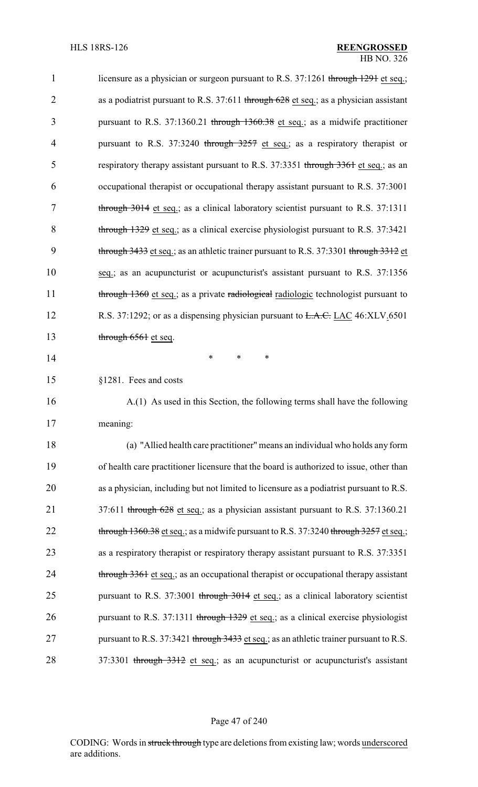| $\mathbf{1}$   | licensure as a physician or surgeon pursuant to R.S. 37:1261 through 1291 et seq.;        |
|----------------|-------------------------------------------------------------------------------------------|
| $\overline{2}$ | as a podiatrist pursuant to R.S. $37:611$ through $628$ et seq.; as a physician assistant |
| 3              | pursuant to R.S. 37:1360.21 through 1360.38 et seq.; as a midwife practitioner            |
| $\overline{4}$ | pursuant to R.S. 37:3240 through $3257$ et seq.; as a respiratory therapist or            |
| 5              | respiratory therapy assistant pursuant to R.S. 37:3351 through 3361 et seq.; as an        |
| 6              | occupational therapist or occupational therapy assistant pursuant to R.S. 37:3001         |
| 7              | through $3014$ et seq.; as a clinical laboratory scientist pursuant to R.S. 37:1311       |
| 8              | through 1329 et seq.; as a clinical exercise physiologist pursuant to R.S. 37:3421        |
| 9              | through 3433 et seq.; as an athletic trainer pursuant to R.S. 37:3301 through 3312 et     |
| 10             | seq.; as an acupuncturist or acupuncturist's assistant pursuant to R.S. 37:1356           |
| 11             | through 1360 et seq.; as a private radiological radiologic technologist pursuant to       |
| 12             | R.S. 37:1292; or as a dispensing physician pursuant to <del>L.A.C.</del> LAC 46:XLV.6501  |
| 13             | through 6561 et seq.                                                                      |
| 14             | ∗<br>∗<br>∗                                                                               |
| 15             | §1281. Fees and costs                                                                     |
| 16             | A.(1) As used in this Section, the following terms shall have the following               |
| 17             | meaning:                                                                                  |
| 18             | (a) "Allied health care practitioner" means an individual who holds any form              |
| 19             | of health care practitioner licensure that the board is authorized to issue, other than   |
| 20             | as a physician, including but not limited to licensure as a podiatrist pursuant to R.S.   |
| 21             | 37:611 through 628 et seq.; as a physician assistant pursuant to R.S. 37:1360.21          |
| 22             | through $1360.38$ et seq.; as a midwife pursuant to R.S. 37:3240 through $3257$ et seq.;  |
| 23             | as a respiratory therapist or respiratory therapy assistant pursuant to R.S. 37:3351      |
| 24             | through 3361 et seq.; as an occupational therapist or occupational therapy assistant      |
| 25             | pursuant to R.S. 37:3001 through 3014 et seq.; as a clinical laboratory scientist         |
| 26             | pursuant to R.S. 37:1311 through 1329 et seq.; as a clinical exercise physiologist        |
| 27             | pursuant to R.S. 37:3421 through 3433 et seq.; as an athletic trainer pursuant to R.S.    |
| 28             | 37:3301 through 3312 et seq.; as an acupuncturist or acupuncturist's assistant            |

Page 47 of 240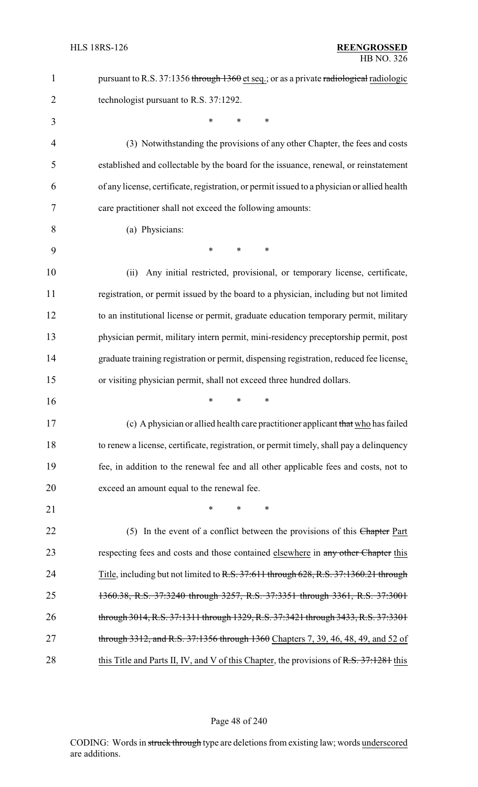| $\mathbf{1}$   | pursuant to R.S. 37:1356 through 1360 et seq.; or as a private radiological radiologic      |
|----------------|---------------------------------------------------------------------------------------------|
| $\overline{2}$ | technologist pursuant to R.S. 37:1292.                                                      |
| 3              | $\ast$<br>*<br>*                                                                            |
| $\overline{4}$ | (3) Notwithstanding the provisions of any other Chapter, the fees and costs                 |
| 5              | established and collectable by the board for the issuance, renewal, or reinstatement        |
| 6              | of any license, certificate, registration, or permit issued to a physician or allied health |
| 7              | care practitioner shall not exceed the following amounts:                                   |
| 8              | (a) Physicians:                                                                             |
| 9              | *<br>*<br>∗                                                                                 |
| 10             | Any initial restricted, provisional, or temporary license, certificate,<br>(ii)             |
| 11             | registration, or permit issued by the board to a physician, including but not limited       |
| 12             | to an institutional license or permit, graduate education temporary permit, military        |
| 13             | physician permit, military intern permit, mini-residency preceptorship permit, post         |
| 14             | graduate training registration or permit, dispensing registration, reduced fee license,     |
|                |                                                                                             |
| 15             | or visiting physician permit, shall not exceed three hundred dollars.                       |
| 16             | *<br>*<br>∗                                                                                 |
| 17             | (c) A physician or allied health care practitioner applicant that who has failed            |
| 18             | to renew a license, certificate, registration, or permit timely, shall pay a delinquency    |
| 19             | fee, in addition to the renewal fee and all other applicable fees and costs, not to         |
| 20             | exceed an amount equal to the renewal fee.                                                  |
| 21             | ∗<br>∗                                                                                      |
| 22             | (5) In the event of a conflict between the provisions of this Chapter Part                  |
| 23             | respecting fees and costs and those contained elsewhere in any other Chapter this           |
| 24             | Title, including but not limited to R.S. 37:611 through 628, R.S. 37:1360.21 through        |
| 25             | 1360.38, R.S. 37:3240 through 3257, R.S. 37:3351 through 3361, R.S. 37:3001                 |
| 26             | through 3014, R.S. 37:1311 through 1329, R.S. 37:3421 through 3433, R.S. 37:3301            |
| 27             | through 3312, and R.S. 37:1356 through 1360 Chapters 7, 39, 46, 48, 49, and 52 of           |

## Page 48 of 240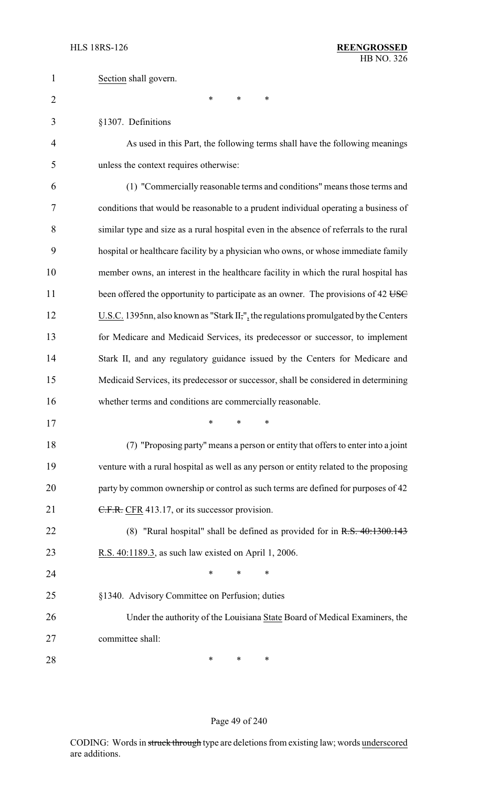| $\mathbf{1}$   | Section shall govern.                                                                   |
|----------------|-----------------------------------------------------------------------------------------|
| $\overline{2}$ | $\ast$<br>*<br>*                                                                        |
| 3              | §1307. Definitions                                                                      |
| 4              | As used in this Part, the following terms shall have the following meanings             |
| 5              | unless the context requires otherwise:                                                  |
| 6              | (1) "Commercially reasonable terms and conditions" means those terms and                |
| 7              | conditions that would be reasonable to a prudent individual operating a business of     |
| 8              | similar type and size as a rural hospital even in the absence of referrals to the rural |
| 9              | hospital or healthcare facility by a physician who owns, or whose immediate family      |
| 10             | member owns, an interest in the healthcare facility in which the rural hospital has     |
| 11             | been offered the opportunity to participate as an owner. The provisions of 42 USC       |
| 12             | U.S.C. 1395nn, also known as "Stark II,", the regulations promulgated by the Centers    |
| 13             | for Medicare and Medicaid Services, its predecessor or successor, to implement          |
| 14             | Stark II, and any regulatory guidance issued by the Centers for Medicare and            |
| 15             | Medicaid Services, its predecessor or successor, shall be considered in determining     |
| 16             | whether terms and conditions are commercially reasonable.                               |
| 17             |                                                                                         |
| 18             | (7) "Proposing party" means a person or entity that offers to enter into a joint        |
| 19             | venture with a rural hospital as well as any person or entity related to the proposing  |
| 20             | party by common ownership or control as such terms are defined for purposes of 42       |
| 21             | C.F.R. CFR 413.17, or its successor provision.                                          |
| 22             | (8) "Rural hospital" shall be defined as provided for in $R.S. 40:1300.143$             |
| 23             | R.S. 40:1189.3, as such law existed on April 1, 2006.                                   |
| 24             | ∗<br>*<br>*                                                                             |
| 25             | §1340. Advisory Committee on Perfusion; duties                                          |
| 26             | Under the authority of the Louisiana State Board of Medical Examiners, the              |
| 27             | committee shall:                                                                        |
| 28             | ∗<br>∗<br>∗                                                                             |

## Page 49 of 240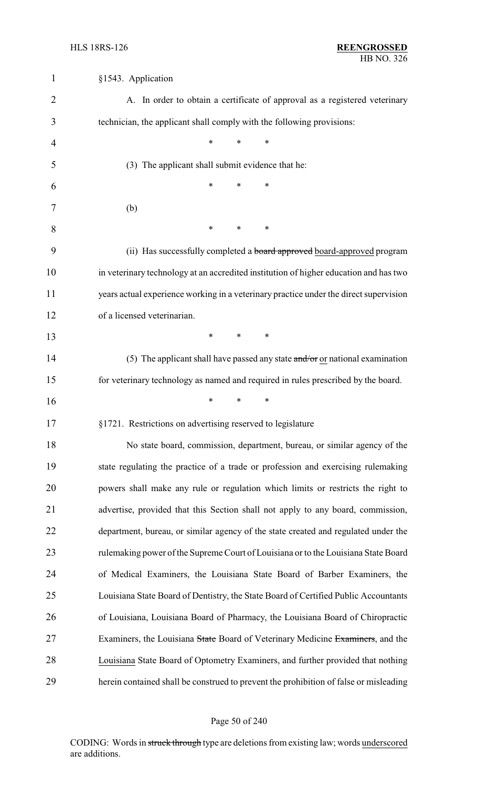| $\mathbf{1}$   | §1543. Application                                                                     |
|----------------|----------------------------------------------------------------------------------------|
| $\overline{2}$ | A. In order to obtain a certificate of approval as a registered veterinary             |
| 3              | technician, the applicant shall comply with the following provisions:                  |
| 4              | $\ast$<br>*<br>$\ast$                                                                  |
| 5              | (3) The applicant shall submit evidence that he:                                       |
| 6              | $\ast$<br>*<br>∗                                                                       |
| 7              | (b)                                                                                    |
| 8              | $\ast$<br>$\ast$<br>∗                                                                  |
| 9              | (ii) Has successfully completed a board approved board-approved program                |
| 10             | in veterinary technology at an accredited institution of higher education and has two  |
| 11             | years actual experience working in a veterinary practice under the direct supervision  |
| 12             | of a licensed veterinarian.                                                            |
| 13             | $\ast$<br>$\ast$<br>$\ast$                                                             |
| 14             | (5) The applicant shall have passed any state $\frac{and}{or}$ or national examination |
| 15             | for veterinary technology as named and required in rules prescribed by the board.      |
| 16             | $\ast$<br>$\ast$<br>∗                                                                  |
| 17             | §1721. Restrictions on advertising reserved to legislature                             |
| 18             | No state board, commission, department, bureau, or similar agency of the               |
| 19             | state regulating the practice of a trade or profession and exercising rulemaking       |
| 20             | powers shall make any rule or regulation which limits or restricts the right to        |
| 21             | advertise, provided that this Section shall not apply to any board, commission,        |
| 22             | department, bureau, or similar agency of the state created and regulated under the     |
| 23             | rulemaking power of the Supreme Court of Louisiana or to the Louisiana State Board     |
| 24             | of Medical Examiners, the Louisiana State Board of Barber Examiners, the               |
| 25             | Louisiana State Board of Dentistry, the State Board of Certified Public Accountants    |
| 26             | of Louisiana, Louisiana Board of Pharmacy, the Louisiana Board of Chiropractic         |
| 27             | Examiners, the Louisiana State Board of Veterinary Medicine Examiners, and the         |
| 28             | Louisiana State Board of Optometry Examiners, and further provided that nothing        |
| 29             | herein contained shall be construed to prevent the prohibition of false or misleading  |

## Page 50 of 240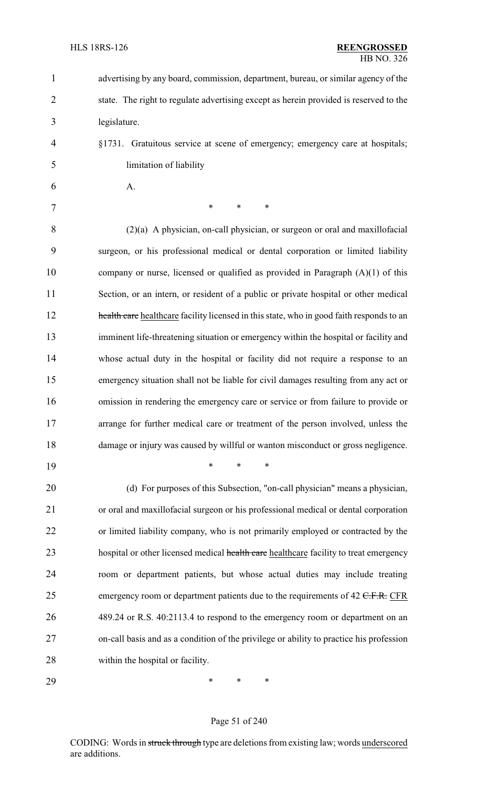| $\mathbf{1}$   | advertising by any board, commission, department, bureau, or similar agency of the       |
|----------------|------------------------------------------------------------------------------------------|
| $\overline{2}$ | state. The right to regulate advertising except as herein provided is reserved to the    |
| 3              | legislature.                                                                             |
| 4              | §1731. Gratuitous service at scene of emergency; emergency care at hospitals;            |
| 5              | limitation of liability                                                                  |
| 6              | A.                                                                                       |
| 7              | $\ast$<br>$\ast$<br>∗                                                                    |
| 8              | $(2)(a)$ A physician, on-call physician, or surgeon or oral and maxillofacial            |
| 9              | surgeon, or his professional medical or dental corporation or limited liability          |
| 10             | company or nurse, licensed or qualified as provided in Paragraph $(A)(1)$ of this        |
| 11             | Section, or an intern, or resident of a public or private hospital or other medical      |
| 12             | health care healthcare facility licensed in this state, who in good faith responds to an |
| 13             | imminent life-threatening situation or emergency within the hospital or facility and     |
| 14             | whose actual duty in the hospital or facility did not require a response to an           |
| 15             | emergency situation shall not be liable for civil damages resulting from any act or      |
| 16             | omission in rendering the emergency care or service or from failure to provide or        |
| 17             | arrange for further medical care or treatment of the person involved, unless the         |
| 18             | damage or injury was caused by willful or wanton misconduct or gross negligence.         |
| 19             | *<br>∗                                                                                   |
| 20             | (d) For purposes of this Subsection, "on-call physician" means a physician,              |
| 21             | or oral and maxillofacial surgeon or his professional medical or dental corporation      |
| 22             | or limited liability company, who is not primarily employed or contracted by the         |
| 23             | hospital or other licensed medical health care healthcare facility to treat emergency    |
| 24             | room or department patients, but whose actual duties may include treating                |
| 25             | emergency room or department patients due to the requirements of $42$ C.F.R. CFR         |
| 26             | 489.24 or R.S. 40:2113.4 to respond to the emergency room or department on an            |
| 27             | on-call basis and as a condition of the privilege or ability to practice his profession  |
| 28             | within the hospital or facility.                                                         |
| 29             | ∗<br>∗<br>*                                                                              |

## Page 51 of 240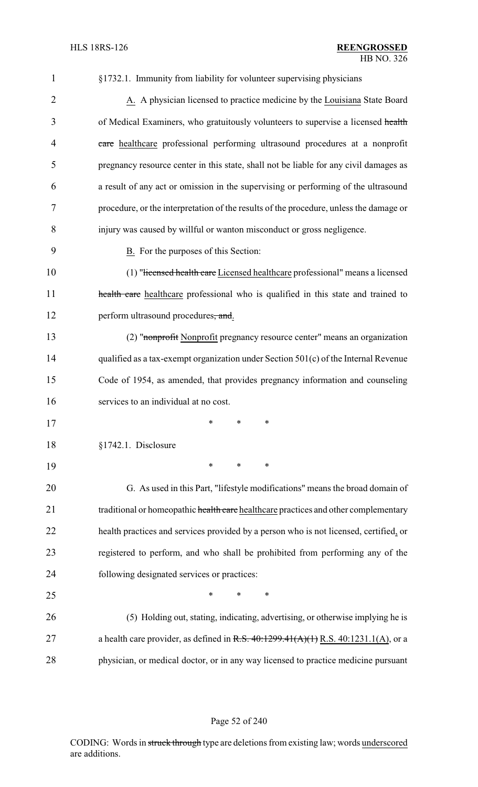| $\mathbf{1}$   | §1732.1. Immunity from liability for volunteer supervising physicians                    |
|----------------|------------------------------------------------------------------------------------------|
| $\overline{2}$ | A. A physician licensed to practice medicine by the Louisiana State Board                |
| 3              | of Medical Examiners, who gratuitously volunteers to supervise a licensed health         |
| 4              | eare healthcare professional performing ultrasound procedures at a nonprofit             |
| 5              | pregnancy resource center in this state, shall not be liable for any civil damages as    |
| 6              | a result of any act or omission in the supervising or performing of the ultrasound       |
| 7              | procedure, or the interpretation of the results of the procedure, unless the damage or   |
| 8              | injury was caused by willful or wanton misconduct or gross negligence.                   |
| 9              | B. For the purposes of this Section:                                                     |
| 10             | (1) "Hicensed health care Licensed healthcare professional" means a licensed             |
| 11             | health care healthcare professional who is qualified in this state and trained to        |
| 12             | perform ultrasound procedures, and.                                                      |
| 13             | (2) "nonprofit Nonprofit pregnancy resource center" means an organization                |
| 14             | qualified as a tax-exempt organization under Section 501(c) of the Internal Revenue      |
| 15             | Code of 1954, as amended, that provides pregnancy information and counseling             |
| 16             | services to an individual at no cost.                                                    |
| 17             | $\ast$<br>$\ast$<br>*                                                                    |
| 18             | §1742.1. Disclosure                                                                      |
| 19             | $\ast$<br>$\ast$<br>$\ast$                                                               |
| 20             | G. As used in this Part, "lifestyle modifications" means the broad domain of             |
| 21             | traditional or homeopathic health care healthcare practices and other complementary      |
| 22             | health practices and services provided by a person who is not licensed, certified, or    |
| 23             | registered to perform, and who shall be prohibited from performing any of the            |
| 24             | following designated services or practices:                                              |
| 25             | $\ast$<br>∗<br>∗                                                                         |
| 26             | (5) Holding out, stating, indicating, advertising, or otherwise implying he is           |
| 27             | a health care provider, as defined in R.S. $40:1299.41(A)(1)$ R.S. $40:1231.1(A)$ , or a |
| 28             | physician, or medical doctor, or in any way licensed to practice medicine pursuant       |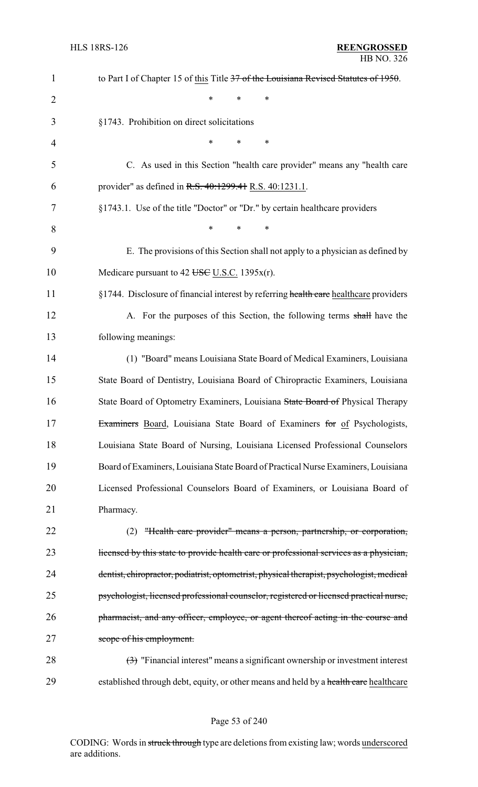| $\mathbf{1}$   | to Part I of Chapter 15 of this Title 37 of the Louisiana Revised Statutes of 1950.                  |
|----------------|------------------------------------------------------------------------------------------------------|
| $\overline{2}$ | *<br>∗<br>∗                                                                                          |
| 3              | §1743. Prohibition on direct solicitations                                                           |
| 4              | $\ast$<br>*<br>∗                                                                                     |
| 5              | C. As used in this Section "health care provider" means any "health care                             |
| 6              | provider" as defined in R.S. 40:1299.41 R.S. 40:1231.1.                                              |
| 7              | §1743.1. Use of the title "Doctor" or "Dr." by certain healthcare providers                          |
| 8              | $\ast$<br>*<br>$\ast$                                                                                |
| 9              | E. The provisions of this Section shall not apply to a physician as defined by                       |
| 10             | Medicare pursuant to 42 USC U.S.C. 1395 $x(r)$ .                                                     |
| 11             | §1744. Disclosure of financial interest by referring health care healthcare providers                |
| 12             | A. For the purposes of this Section, the following terms shall have the                              |
| 13             | following meanings:                                                                                  |
| 14             | (1) "Board" means Louisiana State Board of Medical Examiners, Louisiana                              |
| 15             | State Board of Dentistry, Louisiana Board of Chiropractic Examiners, Louisiana                       |
| 16             | State Board of Optometry Examiners, Louisiana State Board of Physical Therapy                        |
| 17             | Examiners Board, Louisiana State Board of Examiners for of Psychologists,                            |
| 18             | Louisiana State Board of Nursing, Louisiana Licensed Professional Counselors                         |
| 19             | Board of Examiners, Louisiana State Board of Practical Nurse Examiners, Louisiana                    |
| 20             | Licensed Professional Counselors Board of Examiners, or Louisiana Board of                           |
| 21             | Pharmacy.                                                                                            |
| 22             | "Health care provider" means a person, partnership, or corporation,<br>(2)                           |
| 23             | licensed by this state to provide health care or professional services as a physician,               |
| 24             | dentist, chiropractor, podiatrist, optometrist, physical therapist, psychologist, medical            |
| 25             | psychologist, licensed professional counselor, registered or licensed practical nurse,               |
| 26             | pharmacist, and any officer, employee, or agent thereof acting in the course and                     |
| 27             | scope of his employment.                                                                             |
| 28             | $\left(\frac{1}{2}\right)$ "Financial interest" means a significant ownership or investment interest |
| 29             | established through debt, equity, or other means and held by a health care healthcare                |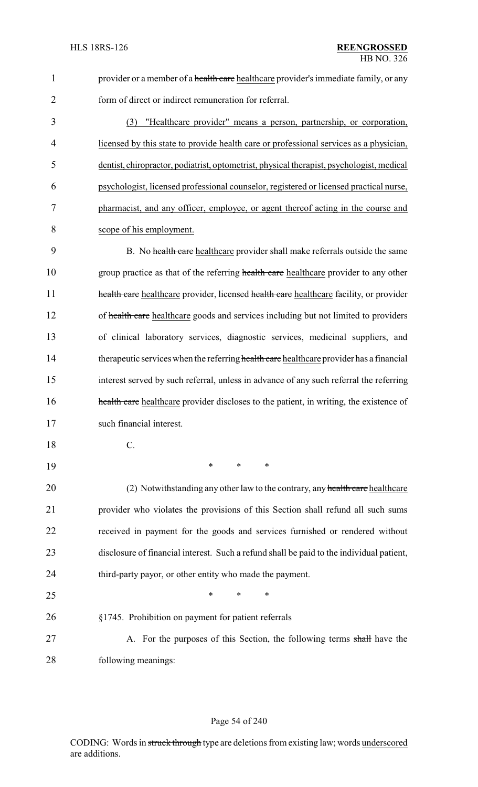1 provider or a member of a health care healthcare provider's immediate family, or any form of direct or indirect remuneration for referral.

 (3) "Healthcare provider" means a person, partnership, or corporation, licensed by this state to provide health care or professional services as a physician, dentist, chiropractor, podiatrist, optometrist, physical therapist, psychologist, medical psychologist, licensed professional counselor, registered or licensed practical nurse, pharmacist, and any officer, employee, or agent thereof acting in the course and scope of his employment.

9 B. No health care healthcare provider shall make referrals outside the same 10 group practice as that of the referring health care healthcare provider to any other **health care** healthcare provider, licensed health care healthcare facility, or provider 12 of health care healthcare goods and services including but not limited to providers of clinical laboratory services, diagnostic services, medicinal suppliers, and 14 therapeutic services when the referring health care healthcare provider has a financial interest served by such referral, unless in advance of any such referral the referring **health care** healthcare provider discloses to the patient, in writing, the existence of such financial interest.

- C.
- \* \* \*

20 (2) Notwithstanding any other law to the contrary, any health care healthcare provider who violates the provisions of this Section shall refund all such sums received in payment for the goods and services furnished or rendered without disclosure of financial interest. Such a refund shall be paid to the individual patient, third-party payor, or other entity who made the payment.

 $*$  \* \* \* §1745. Prohibition on payment for patient referrals 27 A. For the purposes of this Section, the following terms shall have the following meanings: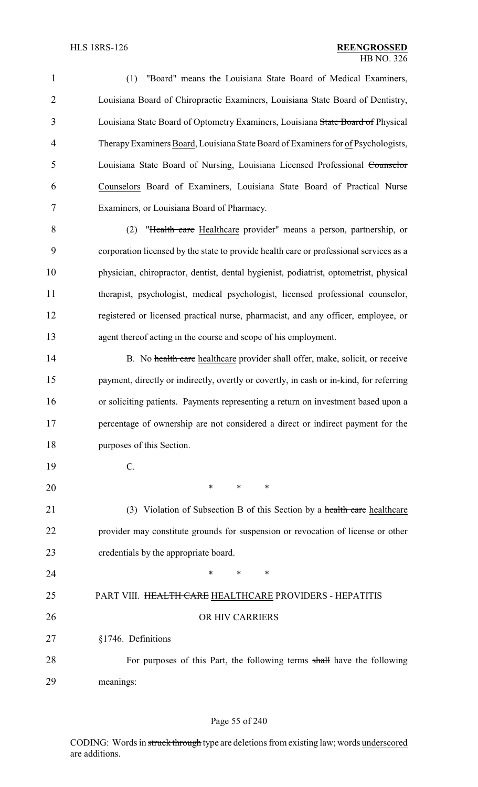(1) "Board" means the Louisiana State Board of Medical Examiners, Louisiana Board of Chiropractic Examiners, Louisiana State Board of Dentistry, 3 Louisiana State Board of Optometry Examiners, Louisiana State Board of Physical 4 Therapy Examiners Board, Louisiana State Board of Examiners for of Psychologists, Louisiana State Board of Nursing, Louisiana Licensed Professional Counselor Counselors Board of Examiners, Louisiana State Board of Practical Nurse Examiners, or Louisiana Board of Pharmacy.

 (2) "Health care Healthcare provider" means a person, partnership, or corporation licensed by the state to provide health care or professional services as a physician, chiropractor, dentist, dental hygienist, podiatrist, optometrist, physical therapist, psychologist, medical psychologist, licensed professional counselor, registered or licensed practical nurse, pharmacist, and any officer, employee, or agent thereof acting in the course and scope of his employment.

14 B. No health care healthcare provider shall offer, make, solicit, or receive 15 payment, directly or indirectly, overtly or covertly, in cash or in-kind, for referring or soliciting patients. Payments representing a return on investment based upon a percentage of ownership are not considered a direct or indirect payment for the purposes of this Section.

C.

\* \* \*

21 (3) Violation of Subsection B of this Section by a health care healthcare provider may constitute grounds for suspension or revocation of license or other credentials by the appropriate board.

**\*** \* \* \*

# 25 PART VIII. HEALTH CARE HEALTHCARE PROVIDERS - HEPATITIS 26 OR HIV CARRIERS §1746. Definitions

28 For purposes of this Part, the following terms shall have the following meanings:

#### Page 55 of 240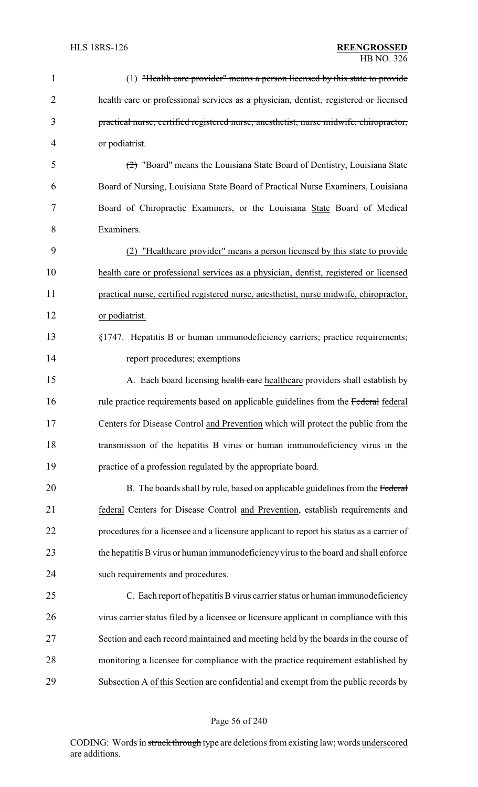| 1              | (1) "Health care provider" means a person licensed by this state to provide              |
|----------------|------------------------------------------------------------------------------------------|
| $\overline{2}$ | health care or professional services as a physician, dentist, registered or licensed     |
| 3              | practical nurse, certified registered nurse, anesthetist, nurse midwife, chiropractor,   |
| $\overline{4}$ | or podiatrist.                                                                           |
| 5              | (2) "Board" means the Louisiana State Board of Dentistry, Louisiana State                |
| 6              | Board of Nursing, Louisiana State Board of Practical Nurse Examiners, Louisiana          |
| 7              | Board of Chiropractic Examiners, or the Louisiana State Board of Medical                 |
| 8              | Examiners.                                                                               |
| 9              | "Healthcare provider" means a person licensed by this state to provide<br>(2)            |
| 10             | health care or professional services as a physician, dentist, registered or licensed     |
| 11             | practical nurse, certified registered nurse, anesthetist, nurse midwife, chiropractor,   |
| 12             | or podiatrist.                                                                           |
| 13             | §1747. Hepatitis B or human immunodeficiency carriers; practice requirements;            |
| 14             | report procedures; exemptions                                                            |
| 15             | A. Each board licensing health care healthcare providers shall establish by              |
| 16             | rule practice requirements based on applicable guidelines from the Federal federal       |
| 17             | Centers for Disease Control and Prevention which will protect the public from the        |
| 18             | transmission of the hepatitis B virus or human immunodeficiency virus in the             |
| 19             | practice of a profession regulated by the appropriate board.                             |
| 20             | B. The boards shall by rule, based on applicable guidelines from the Federal             |
| 21             | federal Centers for Disease Control and Prevention, establish requirements and           |
| 22             | procedures for a licensee and a licensure applicant to report his status as a carrier of |
| 23             | the hepatitis B virus or human immunodeficiency virus to the board and shall enforce     |
| 24             | such requirements and procedures.                                                        |
| 25             | C. Each report of hepatitis B virus carrier status or human immunodeficiency             |
| 26             | virus carrier status filed by a licensee or licensure applicant in compliance with this  |
| 27             | Section and each record maintained and meeting held by the boards in the course of       |
| 28             | monitoring a licensee for compliance with the practice requirement established by        |
| 29             | Subsection A of this Section are confidential and exempt from the public records by      |

## Page 56 of 240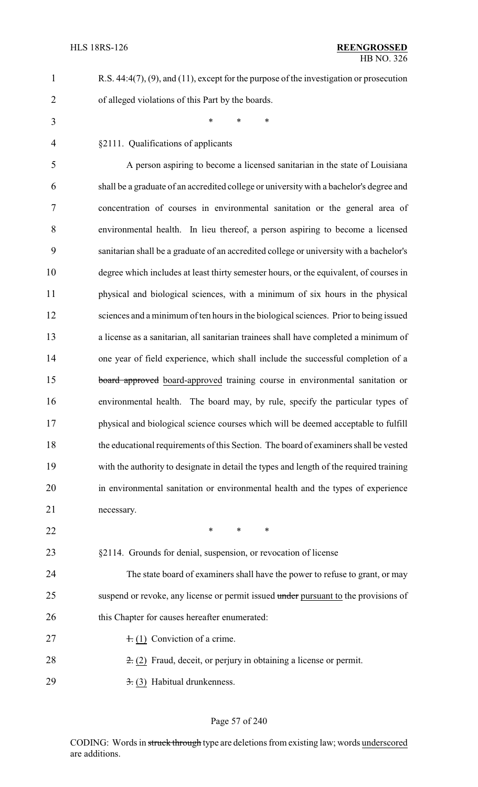| R.S. $44:4(7)$ , $(9)$ , and $(11)$ , except for the purpose of the investigation or prosecution |
|--------------------------------------------------------------------------------------------------|
| of alleged violations of this Part by the boards.                                                |

\* \* \*

§2111. Qualifications of applicants

 A person aspiring to become a licensed sanitarian in the state of Louisiana shall be a graduate of an accredited college or universitywith a bachelor's degree and concentration of courses in environmental sanitation or the general area of environmental health. In lieu thereof, a person aspiring to become a licensed sanitarian shall be a graduate of an accredited college or university with a bachelor's degree which includes at least thirty semester hours, or the equivalent, of courses in physical and biological sciences, with a minimum of six hours in the physical sciences and a minimum of ten hours in the biological sciences. Prior to being issued a license as a sanitarian, all sanitarian trainees shall have completed a minimum of one year of field experience, which shall include the successful completion of a 15 board approved board-approved training course in environmental sanitation or environmental health. The board may, by rule, specify the particular types of physical and biological science courses which will be deemed acceptable to fulfill the educational requirements of this Section. The board of examiners shall be vested with the authority to designate in detail the types and length of the required training in environmental sanitation or environmental health and the types of experience necessary.

- **\*** \* \* \*
- §2114. Grounds for denial, suspension, or revocation of license

 The state board of examiners shall have the power to refuse to grant, or may 25 suspend or revoke, any license or permit issued under pursuant to the provisions of 26 this Chapter for causes hereafter enumerated:

- 27  $+ (1)$  Conviction of a crime.
- 28  $\frac{2}{5}$  (2) Fraud, deceit, or perjury in obtaining a license or permit.
- 29  $\rightarrow$  3. (3) Habitual drunkenness.

#### Page 57 of 240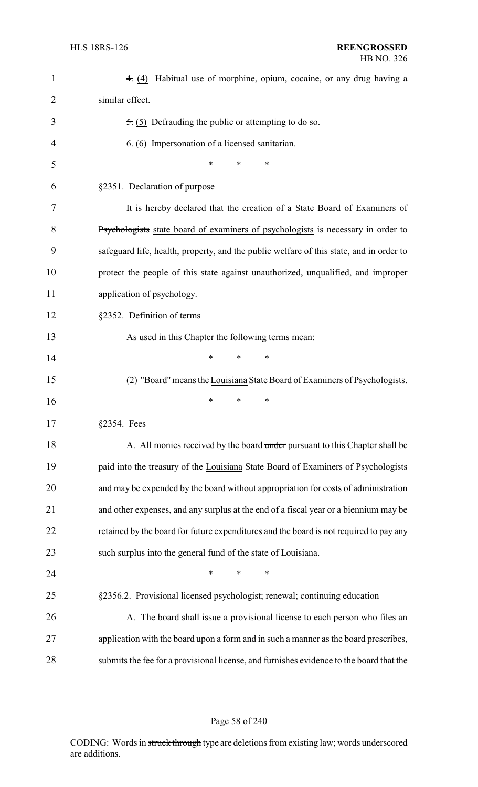| $\mathbf{1}$ | 4. (4) Habitual use of morphine, opium, cocaine, or any drug having a                   |
|--------------|-----------------------------------------------------------------------------------------|
| 2            | similar effect.                                                                         |
| 3            | $\overline{5}$ . (5) Defrauding the public or attempting to do so.                      |
| 4            | $6. (6)$ Impersonation of a licensed sanitarian.                                        |
| 5            | ∗<br>∗<br>*                                                                             |
| 6            | §2351. Declaration of purpose                                                           |
| 7            | It is hereby declared that the creation of a State Board of Examiners of                |
| 8            | Psychologists state board of examiners of psychologists is necessary in order to        |
| 9            | safeguard life, health, property, and the public welfare of this state, and in order to |
| 10           | protect the people of this state against unauthorized, unqualified, and improper        |
| 11           | application of psychology.                                                              |
| 12           | §2352. Definition of terms                                                              |
| 13           | As used in this Chapter the following terms mean:                                       |
| 14           | *<br>∗<br>∗                                                                             |
| 15           | (2) "Board" means the Louisiana State Board of Examiners of Psychologists.              |
| 16           | ∗<br>∗<br>∗                                                                             |
| 17           | $§2354.$ Fees                                                                           |
| 18           | A. All monies received by the board under pursuant to this Chapter shall be             |
| 19           | paid into the treasury of the Louisiana State Board of Examiners of Psychologists       |
| 20           | and may be expended by the board without appropriation for costs of administration      |
| 21           | and other expenses, and any surplus at the end of a fiscal year or a biennium may be    |
| 22           | retained by the board for future expenditures and the board is not required to pay any  |
| 23           | such surplus into the general fund of the state of Louisiana.                           |
| 24           | $\ast$<br>*<br>∗                                                                        |
| 25           | §2356.2. Provisional licensed psychologist; renewal; continuing education               |
| 26           | A. The board shall issue a provisional license to each person who files an              |
| 27           | application with the board upon a form and in such a manner as the board prescribes,    |
| 28           | submits the fee for a provisional license, and furnishes evidence to the board that the |

Page 58 of 240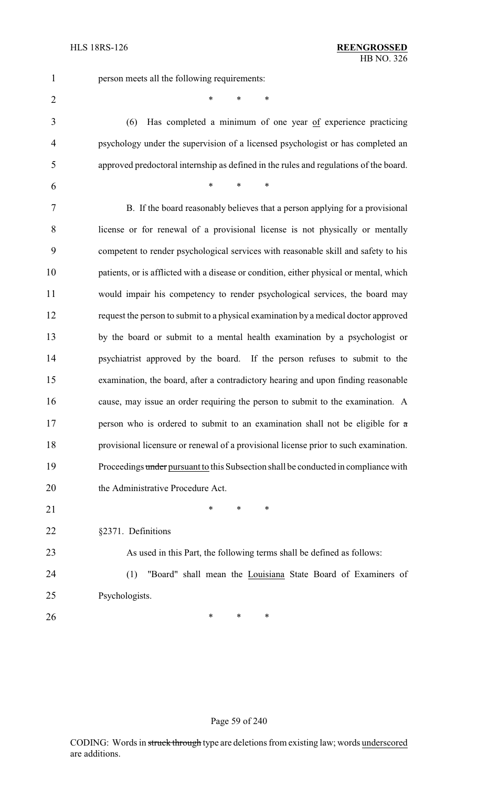person meets all the following requirements:

\* \* \*

 $*$  \* \* \*

 (6) Has completed a minimum of one year of experience practicing psychology under the supervision of a licensed psychologist or has completed an approved predoctoral internship as defined in the rules and regulations of the board.

 B. If the board reasonably believes that a person applying for a provisional license or for renewal of a provisional license is not physically or mentally competent to render psychological services with reasonable skill and safety to his patients, or is afflicted with a disease or condition, either physical or mental, which would impair his competency to render psychological services, the board may request the person to submit to a physical examination by a medical doctor approved by the board or submit to a mental health examination by a psychologist or psychiatrist approved by the board. If the person refuses to submit to the examination, the board, after a contradictory hearing and upon finding reasonable cause, may issue an order requiring the person to submit to the examination. A 17 person who is ordered to submit to an examination shall not be eligible for  $\alpha$  provisional licensure or renewal of a provisional license prior to such examination. 19 Proceedings under pursuant to this Subsection shall be conducted in compliance with 20 the Administrative Procedure Act. 21 \* \* \* \*

§2371. Definitions

 As used in this Part, the following terms shall be defined as follows: (1) "Board" shall mean the Louisiana State Board of Examiners of

Psychologists.

**\*** \* \* \*

Page 59 of 240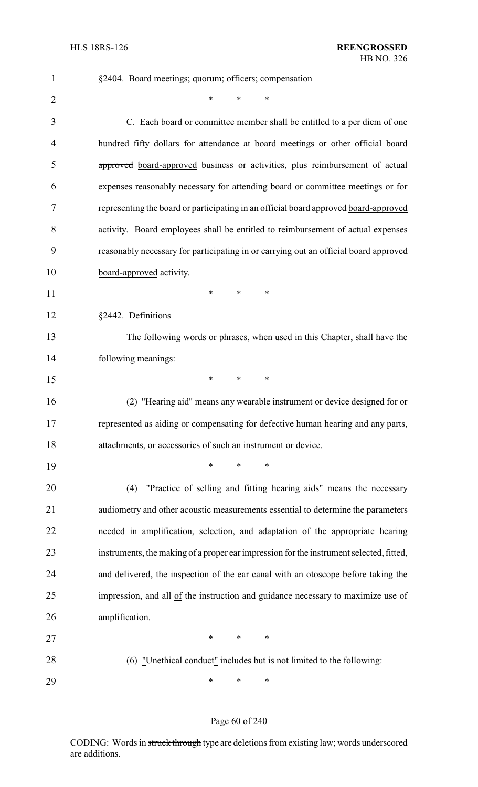| $\mathbf{1}$ | §2404. Board meetings; quorum; officers; compensation                                   |
|--------------|-----------------------------------------------------------------------------------------|
| 2            | $\ast$<br>$\ast$<br>$\ast$                                                              |
| 3            | C. Each board or committee member shall be entitled to a per diem of one                |
| 4            | hundred fifty dollars for attendance at board meetings or other official board          |
| 5            | approved board-approved business or activities, plus reimbursement of actual            |
| 6            | expenses reasonably necessary for attending board or committee meetings or for          |
| 7            | representing the board or participating in an official board approved board-approved    |
| 8            | activity. Board employees shall be entitled to reimbursement of actual expenses         |
| 9            | reasonably necessary for participating in or carrying out an official board approved    |
| 10           | board-approved activity.                                                                |
| 11           | *<br>*<br>∗                                                                             |
| 12           | §2442. Definitions                                                                      |
| 13           | The following words or phrases, when used in this Chapter, shall have the               |
| 14           | following meanings:                                                                     |
| 15           | $\ast$<br>*<br>*                                                                        |
| 16           | (2) "Hearing aid" means any wearable instrument or device designed for or               |
| 17           | represented as aiding or compensating for defective human hearing and any parts,        |
| 18           | attachments, or accessories of such an instrument or device.                            |
| 19           | *<br>∗                                                                                  |
| 20           | "Practice of selling and fitting hearing aids" means the necessary<br>(4)               |
| 21           | audiometry and other acoustic measurements essential to determine the parameters        |
| 22           | needed in amplification, selection, and adaptation of the appropriate hearing           |
| 23           | instruments, the making of a proper ear impression for the instrument selected, fitted, |
| 24           | and delivered, the inspection of the ear canal with an otoscope before taking the       |
| 25           | impression, and all of the instruction and guidance necessary to maximize use of        |
| 26           | amplification.                                                                          |
| 27           | $\ast$<br>$\ast$<br>∗                                                                   |
| 28           | (6) "Unethical conduct" includes but is not limited to the following:                   |
| 29           | ∗<br>*<br>∗                                                                             |

## Page 60 of 240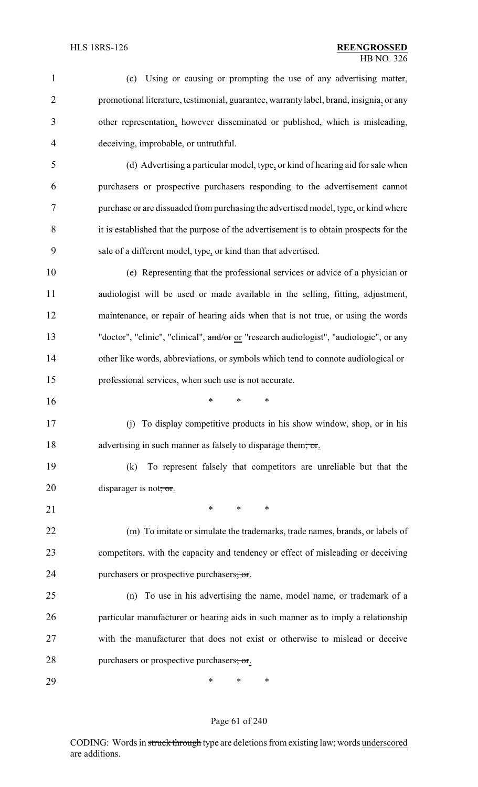| $\mathbf{1}$ | (c) Using or causing or prompting the use of any advertising matter,                    |
|--------------|-----------------------------------------------------------------------------------------|
| 2            | promotional literature, testimonial, guarantee, warranty label, brand, insignia, or any |
| 3            | other representation, however disseminated or published, which is misleading,           |
| 4            | deceiving, improbable, or untruthful.                                                   |
| 5            | (d) Advertising a particular model, type, or kind of hearing aid for sale when          |
| 6            | purchasers or prospective purchasers responding to the advertisement cannot             |
| 7            | purchase or are dissuaded from purchasing the advertised model, type, or kind where     |
| 8            | it is established that the purpose of the advertisement is to obtain prospects for the  |
| 9            | sale of a different model, type, or kind than that advertised.                          |
| 10           | (e) Representing that the professional services or advice of a physician or             |
| 11           | audiologist will be used or made available in the selling, fitting, adjustment,         |
| 12           | maintenance, or repair of hearing aids when that is not true, or using the words        |
| 13           | "doctor", "clinic", "clinical", and/or or "research audiologist", "audiologic", or any  |
| 14           | other like words, abbreviations, or symbols which tend to connote audiological or       |
| 15           | professional services, when such use is not accurate.                                   |
| 16           | *<br>*<br>∗                                                                             |
| 17           | (j) To display competitive products in his show window, shop, or in his                 |
| 18           | advertising in such manner as falsely to disparage them; or.                            |
| 19           | To represent falsely that competitors are unreliable but that the<br>(k)                |
| 20           | disparager is not, or.                                                                  |
| 21           | *<br>$\ast$<br>∗                                                                        |
| 22           | (m) To imitate or simulate the trademarks, trade names, brands, or labels of            |
| 23           | competitors, with the capacity and tendency or effect of misleading or deceiving        |
| 24           | purchasers or prospective purchasers; or.                                               |
| 25           | (n) To use in his advertising the name, model name, or trademark of a                   |
| 26           | particular manufacturer or hearing aids in such manner as to imply a relationship       |
| 27           | with the manufacturer that does not exist or otherwise to mislead or deceive            |
| 28           | purchasers or prospective purchasers; or.                                               |
| 29           | $\ast$<br>∗<br>∗                                                                        |

## Page 61 of 240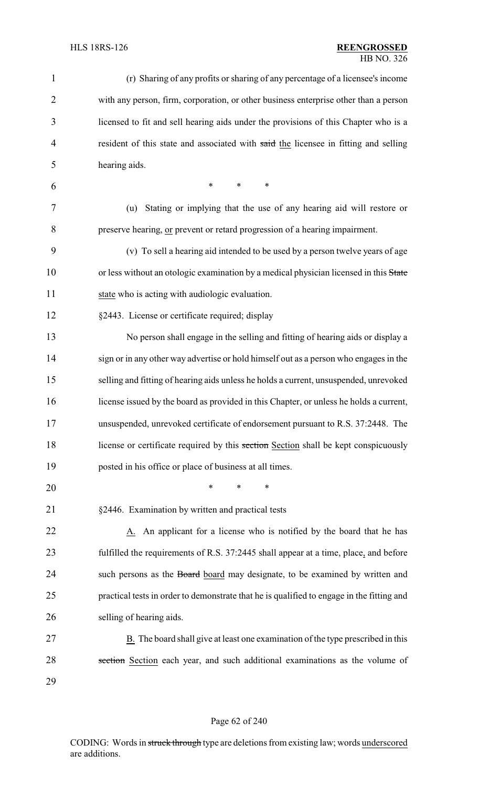| $\mathbf{1}$   | (r) Sharing of any profits or sharing of any percentage of a licensee's income            |
|----------------|-------------------------------------------------------------------------------------------|
| $\overline{2}$ | with any person, firm, corporation, or other business enterprise other than a person      |
| 3              | licensed to fit and sell hearing aids under the provisions of this Chapter who is a       |
| $\overline{4}$ | resident of this state and associated with said the licensee in fitting and selling       |
| 5              | hearing aids.                                                                             |
| 6              | $\ast$<br>$\ast$<br>$\ast$                                                                |
| 7              | Stating or implying that the use of any hearing aid will restore or<br>(u)                |
| 8              | preserve hearing, or prevent or retard progression of a hearing impairment.               |
| 9              | (v) To sell a hearing aid intended to be used by a person twelve years of age             |
| 10             | or less without an otologic examination by a medical physician licensed in this State     |
| 11             | state who is acting with audiologic evaluation.                                           |
| 12             | §2443. License or certificate required; display                                           |
| 13             | No person shall engage in the selling and fitting of hearing aids or display a            |
| 14             | sign or in any other way advertise or hold himself out as a person who engages in the     |
| 15             | selling and fitting of hearing aids unless he holds a current, unsuspended, unrevoked     |
| 16             | license issued by the board as provided in this Chapter, or unless he holds a current,    |
| 17             | unsuspended, unrevoked certificate of endorsement pursuant to R.S. 37:2448. The           |
| 18             | license or certificate required by this section Section shall be kept conspicuously       |
| 19             | posted in his office or place of business at all times.                                   |
| 20             | *<br>*<br>*                                                                               |
| 21             | §2446. Examination by written and practical tests                                         |
| 22             | A. An applicant for a license who is notified by the board that he has                    |
| 23             | fulfilled the requirements of R.S. 37:2445 shall appear at a time, place, and before      |
| 24             | such persons as the Board board may designate, to be examined by written and              |
| 25             | practical tests in order to demonstrate that he is qualified to engage in the fitting and |
| 26             | selling of hearing aids.                                                                  |
| 27             | B. The board shall give at least one examination of the type prescribed in this           |
| 28             | section Section each year, and such additional examinations as the volume of              |
| 29             |                                                                                           |

## Page 62 of 240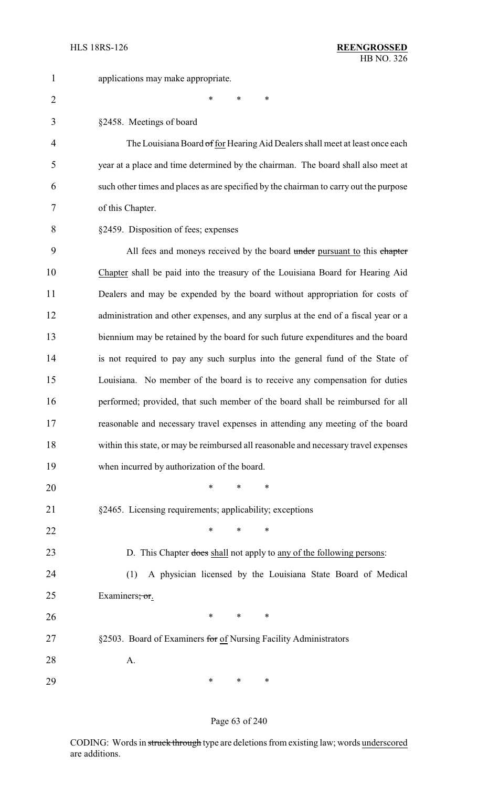| $\mathbf 1$    | applications may make appropriate.                                                    |
|----------------|---------------------------------------------------------------------------------------|
| $\overline{2}$ | $\ast$<br>$\ast$<br>*                                                                 |
| 3              | §2458. Meetings of board                                                              |
| 4              | The Louisiana Board of for Hearing Aid Dealers shall meet at least once each          |
| 5              | year at a place and time determined by the chairman. The board shall also meet at     |
| 6              | such other times and places as are specified by the chairman to carry out the purpose |
| 7              | of this Chapter.                                                                      |
| 8              | §2459. Disposition of fees; expenses                                                  |
| 9              | All fees and moneys received by the board under pursuant to this chapter              |
| 10             | Chapter shall be paid into the treasury of the Louisiana Board for Hearing Aid        |
| 11             | Dealers and may be expended by the board without appropriation for costs of           |
| 12             | administration and other expenses, and any surplus at the end of a fiscal year or a   |
| 13             | biennium may be retained by the board for such future expenditures and the board      |
| 14             | is not required to pay any such surplus into the general fund of the State of         |
| 15             | Louisiana. No member of the board is to receive any compensation for duties           |
| 16             | performed; provided, that such member of the board shall be reimbursed for all        |
| 17             | reasonable and necessary travel expenses in attending any meeting of the board        |
| 18             | within this state, or may be reimbursed all reasonable and necessary travel expenses  |
| 19             | when incurred by authorization of the board.                                          |
| 20             | $\ast$<br>*<br>∗                                                                      |
| 21             | §2465. Licensing requirements; applicability; exceptions                              |
| 22             | $\ast$<br>$\ast$<br>*                                                                 |
| 23             | D. This Chapter does shall not apply to any of the following persons:                 |
| 24             | A physician licensed by the Louisiana State Board of Medical<br>(1)                   |
| 25             | Examiners; or.                                                                        |
| 26             | $\ast$<br>$\ast$<br>∗                                                                 |
| 27             | §2503. Board of Examiners for of Nursing Facility Administrators                      |
| 28             | A.                                                                                    |
| 29             | $\ast$<br>∗<br>∗                                                                      |

## Page 63 of 240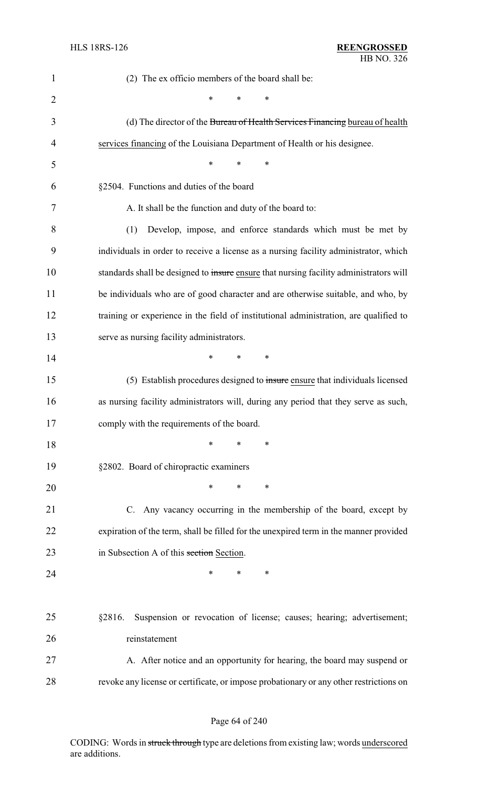| $\mathbf{1}$   | (2) The ex officio members of the board shall be:                                      |
|----------------|----------------------------------------------------------------------------------------|
| $\overline{2}$ | *<br>∗<br>*                                                                            |
| 3              | (d) The director of the Bureau of Health Services Financing bureau of health           |
| 4              | services financing of the Louisiana Department of Health or his designee.              |
| 5              | $\ast$<br>∗<br>∗                                                                       |
| 6              | §2504. Functions and duties of the board                                               |
| 7              | A. It shall be the function and duty of the board to:                                  |
| 8              | Develop, impose, and enforce standards which must be met by<br>(1)                     |
| 9              | individuals in order to receive a license as a nursing facility administrator, which   |
| 10             | standards shall be designed to insure ensure that nursing facility administrators will |
| 11             | be individuals who are of good character and are otherwise suitable, and who, by       |
| 12             | training or experience in the field of institutional administration, are qualified to  |
| 13             | serve as nursing facility administrators.                                              |
| 14             | $\ast$<br>∗<br>∗                                                                       |
| 15             | (5) Establish procedures designed to insure ensure that individuals licensed           |
| 16             | as nursing facility administrators will, during any period that they serve as such,    |
| 17             | comply with the requirements of the board.                                             |
| 18             | $\ast$<br>$\ast$<br>*                                                                  |
| 19             | §2802. Board of chiropractic examiners                                                 |
| 20             | ∗<br>∗<br>*                                                                            |
| 21             | C. Any vacancy occurring in the membership of the board, except by                     |
| 22             | expiration of the term, shall be filled for the unexpired term in the manner provided  |
| 23             | in Subsection A of this section Section.                                               |
| 24             | $\ast$<br>*<br>∗                                                                       |
|                |                                                                                        |
| 25             | Suspension or revocation of license; causes; hearing; advertisement;<br>§2816.         |
| 26             | reinstatement                                                                          |
| 27             | A. After notice and an opportunity for hearing, the board may suspend or               |
| 28             | revoke any license or certificate, or impose probationary or any other restrictions on |

## Page 64 of 240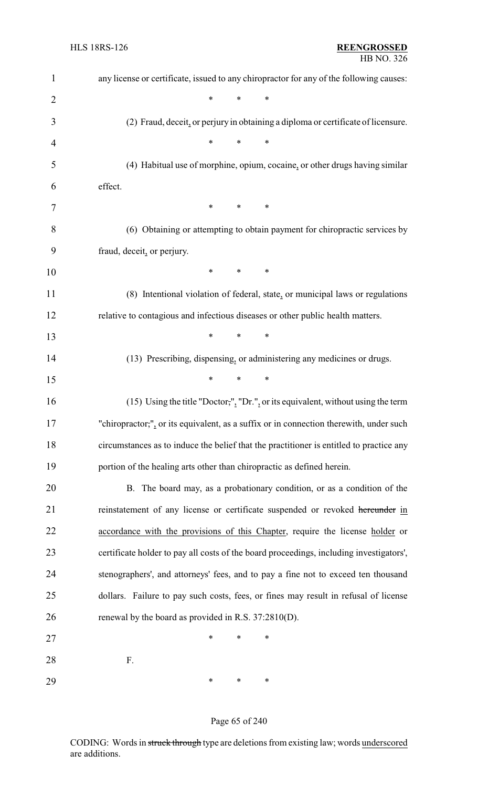| $\mathbf{1}$   | any license or certificate, issued to any chiropractor for any of the following causes: |
|----------------|-----------------------------------------------------------------------------------------|
| $\overline{2}$ | $\ast$<br>$\ast$<br>$\ast$                                                              |
| 3              | (2) Fraud, deceit, or perjury in obtaining a diploma or certificate of licensure.       |
| 4              | $\ast$<br>$\ast$<br>∗                                                                   |
| 5              | (4) Habitual use of morphine, opium, cocaine, or other drugs having similar             |
| 6              | effect.                                                                                 |
| 7              | ∗<br>∗<br>∗                                                                             |
| 8              | (6) Obtaining or attempting to obtain payment for chiropractic services by              |
| 9              | fraud, deceit, or perjury.                                                              |
| 10             | $\ast$<br>$\ast$<br>∗                                                                   |
| 11             | (8) Intentional violation of federal, state, or municipal laws or regulations           |
| 12             | relative to contagious and infectious diseases or other public health matters.          |
| 13             | *<br>∗<br>∗                                                                             |
| 14             | (13) Prescribing, dispensing, or administering any medicines or drugs.                  |
| 15             | $\ast$<br>$\ast$<br>$\ast$                                                              |
| 16             | (15) Using the title "Doctor,", "Dr.", or its equivalent, without using the term        |
| 17             | "chiropractor;", or its equivalent, as a suffix or in connection therewith, under such  |
| 18             | circumstances as to induce the belief that the practitioner is entitled to practice any |
| 19             | portion of the healing arts other than chiropractic as defined herein.                  |
| 20             | B. The board may, as a probationary condition, or as a condition of the                 |
| 21             | reinstatement of any license or certificate suspended or revoked hereunder in           |
| 22             | accordance with the provisions of this Chapter, require the license holder or           |
| 23             | certificate holder to pay all costs of the board proceedings, including investigators', |
| 24             | stenographers', and attorneys' fees, and to pay a fine not to exceed ten thousand       |
| 25             | dollars. Failure to pay such costs, fees, or fines may result in refusal of license     |
| 26             | renewal by the board as provided in R.S. 37:2810(D).                                    |
| 27             | $\ast$<br>∗<br>*                                                                        |
| 28             | F.                                                                                      |
| 29             | ∗<br>*<br>∗                                                                             |

## Page 65 of 240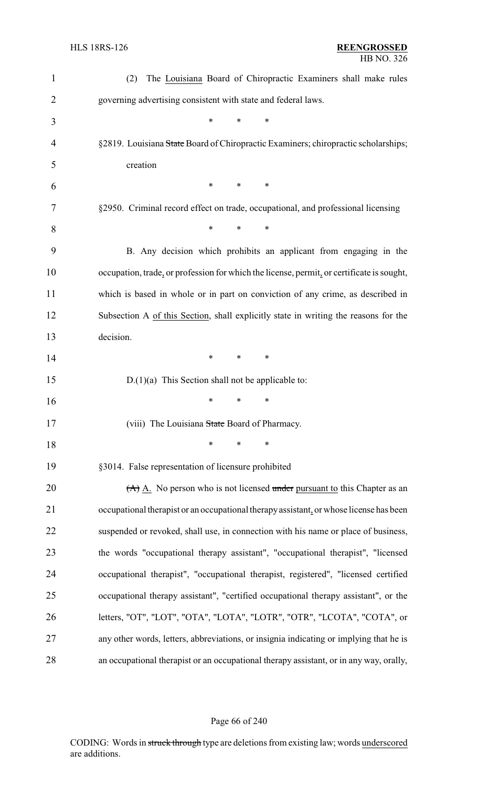| $\mathbf{1}$   | The Louisiana Board of Chiropractic Examiners shall make rules<br>(2)                     |
|----------------|-------------------------------------------------------------------------------------------|
| 2              | governing advertising consistent with state and federal laws.                             |
| 3              | $\ast$<br>*<br>*                                                                          |
| $\overline{4}$ | §2819. Louisiana State Board of Chiropractic Examiners; chiropractic scholarships;        |
| 5              | creation                                                                                  |
| 6              | *<br>*<br>∗                                                                               |
| 7              | §2950. Criminal record effect on trade, occupational, and professional licensing          |
| 8              | $\ast$<br>∗<br>∗                                                                          |
| 9              | B. Any decision which prohibits an applicant from engaging in the                         |
| 10             | occupation, trade, or profession for which the license, permit, or certificate is sought, |
| 11             | which is based in whole or in part on conviction of any crime, as described in            |
| 12             | Subsection A of this Section, shall explicitly state in writing the reasons for the       |
| 13             | decision.                                                                                 |
| 14             | *<br>*<br>∗                                                                               |
| 15             | $D(1)(a)$ This Section shall not be applicable to:                                        |
| 16             | *<br>$\ast$<br>∗                                                                          |
| 17             | (viii) The Louisiana State Board of Pharmacy.                                             |
| 18             | $\ast$<br>∗<br>*                                                                          |
| 19             | §3014. False representation of licensure prohibited                                       |
| 20             | $(A)$ A. No person who is not licensed under pursuant to this Chapter as an               |
| 21             | occupational therapist or an occupational therapy assistant, or whose license has been    |
| 22             | suspended or revoked, shall use, in connection with his name or place of business,        |
| 23             | the words "occupational therapy assistant", "occupational therapist", "licensed           |
| 24             | occupational therapist", "occupational therapist, registered", "licensed certified        |
| 25             | occupational therapy assistant", "certified occupational therapy assistant", or the       |
| 26             | letters, "OT", "LOT", "OTA", "LOTA", "LOTR", "OTR", "LCOTA", "COTA", or                   |
| 27             | any other words, letters, abbreviations, or insignia indicating or implying that he is    |
| 28             | an occupational therapist or an occupational therapy assistant, or in any way, orally,    |

## Page 66 of 240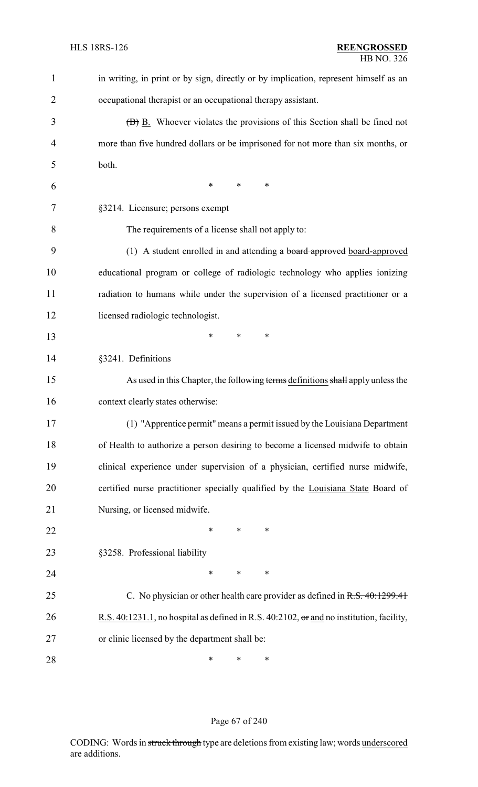| $\mathbf{1}$   | in writing, in print or by sign, directly or by implication, represent himself as an     |
|----------------|------------------------------------------------------------------------------------------|
| $\overline{2}$ | occupational therapist or an occupational therapy assistant.                             |
| 3              | (B) B. Whoever violates the provisions of this Section shall be fined not                |
| $\overline{4}$ | more than five hundred dollars or be imprisoned for not more than six months, or         |
| 5              | both.                                                                                    |
| 6              | $\ast$<br>*<br>∗                                                                         |
| 7              | §3214. Licensure; persons exempt                                                         |
| 8              | The requirements of a license shall not apply to:                                        |
| 9              | (1) A student enrolled in and attending a <b>board approved</b> board-approved           |
| 10             | educational program or college of radiologic technology who applies ionizing             |
| 11             | radiation to humans while under the supervision of a licensed practitioner or a          |
| 12             | licensed radiologic technologist.                                                        |
| 13             | *<br>$\ast$<br>*                                                                         |
| 14             | §3241. Definitions                                                                       |
| 15             | As used in this Chapter, the following terms definitions shall apply unless the          |
| 16             | context clearly states otherwise:                                                        |
| 17             | (1) "Apprentice permit" means a permit issued by the Louisiana Department                |
| 18             | of Health to authorize a person desiring to become a licensed midwife to obtain          |
| 19             | clinical experience under supervision of a physician, certified nurse midwife,           |
| 20             | certified nurse practitioner specially qualified by the Louisiana State Board of         |
| 21             | Nursing, or licensed midwife.                                                            |
| 22             | *<br>*<br>∗                                                                              |
| 23             | §3258. Professional liability                                                            |
| 24             | $\ast$<br>*<br>∗                                                                         |
| 25             | C. No physician or other health care provider as defined in R.S. 40:1299.41              |
| 26             | R.S. 40:1231.1, no hospital as defined in R.S. 40:2102, or and no institution, facility, |
| 27             | or clinic licensed by the department shall be:                                           |
| 28             | $\ast$<br>∗<br>∗                                                                         |

## Page 67 of 240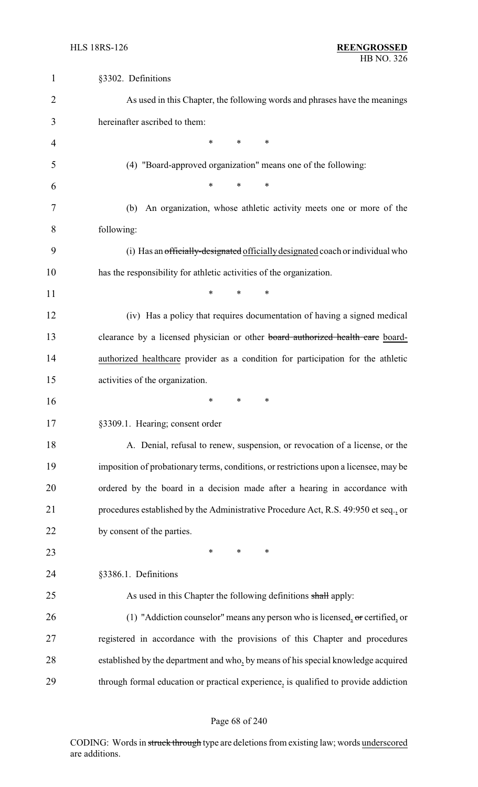| $\mathbf{1}$ | §3302. Definitions                                                                    |
|--------------|---------------------------------------------------------------------------------------|
| 2            | As used in this Chapter, the following words and phrases have the meanings            |
| 3            | hereinafter ascribed to them:                                                         |
| 4            | $\ast$<br>∗<br>∗                                                                      |
| 5            | (4) "Board-approved organization" means one of the following:                         |
| 6            | $\ast$<br>$\ast$<br>$\ast$                                                            |
| 7            | An organization, whose athletic activity meets one or more of the<br>(b)              |
| 8            | following:                                                                            |
| 9            | (i) Has an officially-designated officially designated coach or individual who        |
| 10           | has the responsibility for athletic activities of the organization.                   |
| 11           | $\ast$<br>*<br>*                                                                      |
| 12           | (iv) Has a policy that requires documentation of having a signed medical              |
| 13           | clearance by a licensed physician or other board authorized health care board-        |
| 14           | authorized healthcare provider as a condition for participation for the athletic      |
| 15           | activities of the organization.                                                       |
| 16           | ∗<br>∗<br>∗                                                                           |
| 17           | §3309.1. Hearing; consent order                                                       |
| 18           | A. Denial, refusal to renew, suspension, or revocation of a license, or the           |
| 19           | imposition of probationary terms, conditions, or restrictions upon a licensee, may be |
| 20           | ordered by the board in a decision made after a hearing in accordance with            |
| 21           | procedures established by the Administrative Procedure Act, R.S. 49:950 et seq., or   |
| 22           | by consent of the parties.                                                            |
| 23           | $\ast$<br>$\ast$<br>$\ast$                                                            |
| 24           | §3386.1. Definitions                                                                  |
| 25           | As used in this Chapter the following definitions shall apply:                        |
| 26           | (1) "Addiction counselor" means any person who is licensed, $\sigma$ certified, or    |
| 27           | registered in accordance with the provisions of this Chapter and procedures           |
| 28           | established by the department and who, by means of his special knowledge acquired     |
| 29           | through formal education or practical experience, is qualified to provide addiction   |

## Page 68 of 240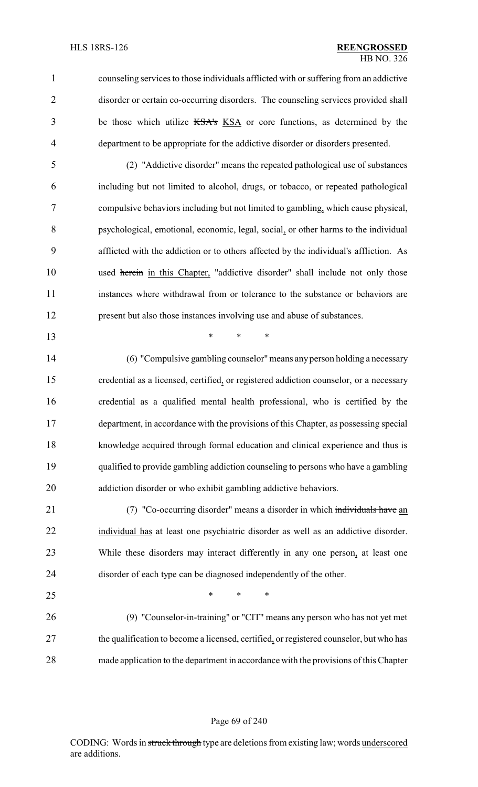counseling services to those individuals afflicted with orsuffering from an addictive disorder or certain co-occurring disorders. The counseling services provided shall 3 be those which utilize KSA's KSA or core functions, as determined by the department to be appropriate for the addictive disorder or disorders presented.

 (2) "Addictive disorder" means the repeated pathological use of substances including but not limited to alcohol, drugs, or tobacco, or repeated pathological compulsive behaviors including but not limited to gambling, which cause physical, psychological, emotional, economic, legal, social, or other harms to the individual afflicted with the addiction or to others affected by the individual's affliction. As 10 used herein in this Chapter, "addictive disorder" shall include not only those instances where withdrawal from or tolerance to the substance or behaviors are present but also those instances involving use and abuse of substances.

\* \* \*

 (6) "Compulsive gambling counselor"means any person holding a necessary credential as a licensed, certified, or registered addiction counselor, or a necessary credential as a qualified mental health professional, who is certified by the department, in accordance with the provisions of this Chapter, as possessing special knowledge acquired through formal education and clinical experience and thus is qualified to provide gambling addiction counseling to persons who have a gambling addiction disorder or who exhibit gambling addictive behaviors.

21 (7) "Co-occurring disorder" means a disorder in which individuals have an individual has at least one psychiatric disorder as well as an addictive disorder. While these disorders may interact differently in any one person, at least one disorder of each type can be diagnosed independently of the other.

 $*$  \* \* \* (9) "Counselor-in-training" or "CIT" means any person who has not yet met 27 the qualification to become a licensed, certified, or registered counselor, but who has made application to the department in accordance with the provisions of this Chapter

#### Page 69 of 240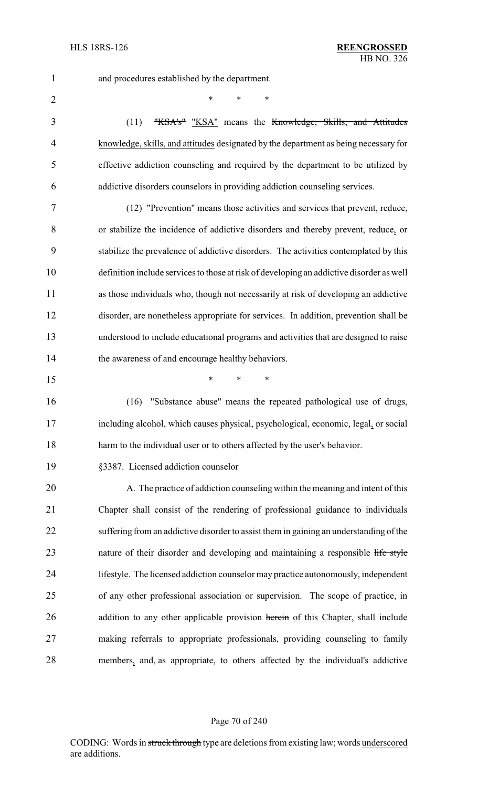and procedures established by the department.

 $*$  \* \* \*

3 (11) "KSA's" "KSA" means the Knowledge, Skills, and Attitudes knowledge, skills, and attitudes designated by the department as being necessary for effective addiction counseling and required by the department to be utilized by addictive disorders counselors in providing addiction counseling services.

 (12) "Prevention" means those activities and services that prevent, reduce, or stabilize the incidence of addictive disorders and thereby prevent, reduce, or stabilize the prevalence of addictive disorders. The activities contemplated by this definition include services to those at risk of developing an addictive disorder as well as those individuals who, though not necessarily at risk of developing an addictive disorder, are nonetheless appropriate for services. In addition, prevention shall be understood to include educational programs and activities that are designed to raise 14 the awareness of and encourage healthy behaviors.

\* \* \*

 (16) "Substance abuse" means the repeated pathological use of drugs, including alcohol, which causes physical, psychological, economic, legal, or social 18 harm to the individual user or to others affected by the user's behavior.

§3387. Licensed addiction counselor

 A. The practice of addiction counseling within the meaning and intent of this Chapter shall consist of the rendering of professional guidance to individuals suffering from an addictive disorder to assist them in gaining an understanding of the 23 nature of their disorder and developing and maintaining a responsible life style lifestyle. The licensed addiction counselor may practice autonomously, independent of any other professional association or supervision. The scope of practice, in 26 addition to any other applicable provision herein of this Chapter, shall include making referrals to appropriate professionals, providing counseling to family members, and, as appropriate, to others affected by the individual's addictive

#### Page 70 of 240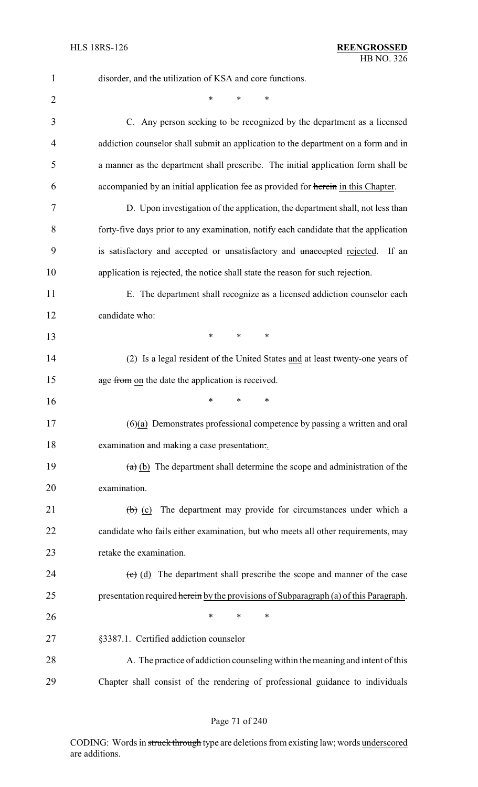| $\mathbf{1}$   | disorder, and the utilization of KSA and core functions.                                  |
|----------------|-------------------------------------------------------------------------------------------|
| $\overline{2}$ | *<br>*<br>∗                                                                               |
| 3              | C. Any person seeking to be recognized by the department as a licensed                    |
| $\overline{4}$ | addiction counselor shall submit an application to the department on a form and in        |
| 5              | a manner as the department shall prescribe. The initial application form shall be         |
| 6              | accompanied by an initial application fee as provided for herein in this Chapter.         |
| 7              | D. Upon investigation of the application, the department shall, not less than             |
| 8              | forty-five days prior to any examination, notify each candidate that the application      |
| 9              | is satisfactory and accepted or unsatisfactory and unaccepted rejected.<br>If an          |
| 10             | application is rejected, the notice shall state the reason for such rejection.            |
| 11             | E. The department shall recognize as a licensed addiction counselor each                  |
| 12             | candidate who:                                                                            |
| 13             | $\ast$<br>$\ast$<br>$\ast$                                                                |
| 14             | (2) Is a legal resident of the United States and at least twenty-one years of             |
| 15             | age from on the date the application is received.                                         |
| 16             | *<br>*<br>$\ast$                                                                          |
| 17             | $(6)(a)$ Demonstrates professional competence by passing a written and oral               |
| 18             | examination and making a case presentation                                                |
| 19             | $(a)$ (b) The department shall determine the scope and administration of the              |
| 20             | examination.                                                                              |
| 21             | $\left(\frac{b}{c}\right)$ (c) The department may provide for circumstances under which a |
| 22             | candidate who fails either examination, but who meets all other requirements, may         |
| 23             | retake the examination.                                                                   |
| 24             | $\overline{c}$ (d) The department shall prescribe the scope and manner of the case        |
| 25             | presentation required herein by the provisions of Subparagraph (a) of this Paragraph.     |
| 26             | *<br>$\ast$<br>*                                                                          |
| 27             | §3387.1. Certified addiction counselor                                                    |
| 28             | A. The practice of addiction counseling within the meaning and intent of this             |
| 29             | Chapter shall consist of the rendering of professional guidance to individuals            |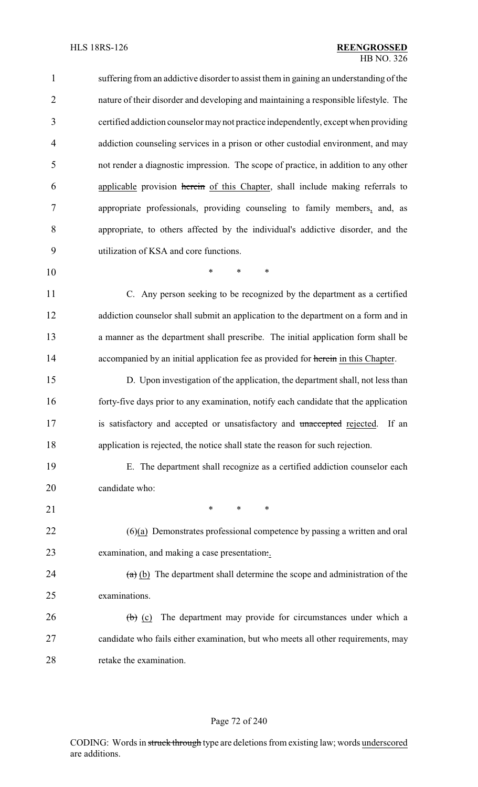| $\mathbf{1}$   | suffering from an addictive disorder to assist them in gaining an understanding of the      |
|----------------|---------------------------------------------------------------------------------------------|
| $\overline{2}$ | nature of their disorder and developing and maintaining a responsible lifestyle. The        |
| 3              | certified addiction counselor may not practice independently, except when providing         |
| $\overline{4}$ | addiction counseling services in a prison or other custodial environment, and may           |
| 5              | not render a diagnostic impression. The scope of practice, in addition to any other         |
| 6              | applicable provision herein of this Chapter, shall include making referrals to              |
| 7              | appropriate professionals, providing counseling to family members, and, as                  |
| 8              | appropriate, to others affected by the individual's addictive disorder, and the             |
| 9              | utilization of KSA and core functions.                                                      |
| 10             | *<br>$\ast$<br>$\ast$                                                                       |
| 11             | C. Any person seeking to be recognized by the department as a certified                     |
| 12             | addiction counselor shall submit an application to the department on a form and in          |
| 13             | a manner as the department shall prescribe. The initial application form shall be           |
| 14             | accompanied by an initial application fee as provided for herein in this Chapter.           |
| 15             | D. Upon investigation of the application, the department shall, not less than               |
| 16             | forty-five days prior to any examination, notify each candidate that the application        |
| 17             | is satisfactory and accepted or unsatisfactory and unaccepted rejected.<br>If an            |
| 18             | application is rejected, the notice shall state the reason for such rejection.              |
| 19             | E. The department shall recognize as a certified addiction counselor each                   |
| 20             | candidate who:                                                                              |
| 21             | $\ast$<br>$\ast$<br>$\ast$                                                                  |
| 22             | $(6)(a)$ Demonstrates professional competence by passing a written and oral                 |
| 23             | examination, and making a case presentation                                                 |
| 24             | $(a)$ (b) The department shall determine the scope and administration of the                |
| 25             | examinations.                                                                               |
| 26             | The department may provide for circumstances under which a<br>$\left(\mathbf{b}\right)$ (c) |
| 27             | candidate who fails either examination, but who meets all other requirements, may           |

#### Page 72 of 240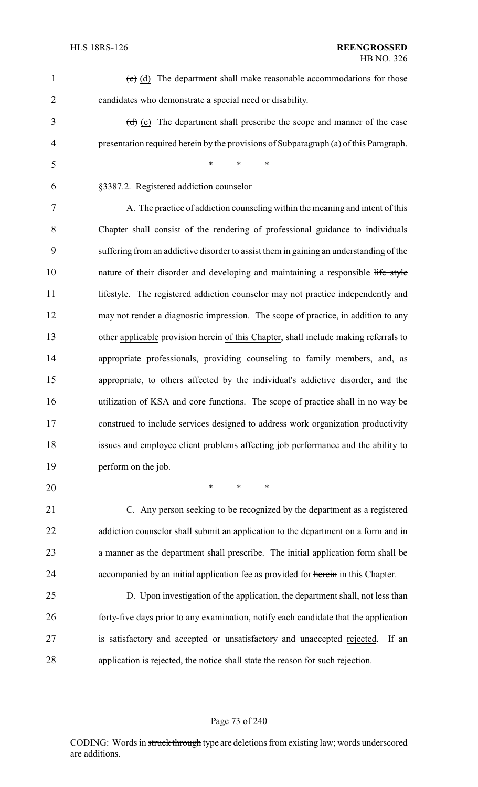| $\mathbf{1}$   | $\overline{(e)}$ (d) The department shall make reasonable accommodations for those     |
|----------------|----------------------------------------------------------------------------------------|
| $\overline{2}$ | candidates who demonstrate a special need or disability.                               |
| 3              | $(d)$ (e) The department shall prescribe the scope and manner of the case              |
| $\overline{4}$ | presentation required herein by the provisions of Subparagraph (a) of this Paragraph.  |
| 5              | $\ast$<br>$\ast$<br>$\ast$                                                             |
| 6              | §3387.2. Registered addiction counselor                                                |
| $\overline{7}$ | A. The practice of addiction counseling within the meaning and intent of this          |
| 8              | Chapter shall consist of the rendering of professional guidance to individuals         |
| 9              | suffering from an addictive disorder to assist them in gaining an understanding of the |
| 10             | nature of their disorder and developing and maintaining a responsible life style       |
| 11             | lifestyle. The registered addiction counselor may not practice independently and       |
| 12             | may not render a diagnostic impression. The scope of practice, in addition to any      |
| 13             | other applicable provision herein of this Chapter, shall include making referrals to   |
| 14             | appropriate professionals, providing counseling to family members, and, as             |
| 15             | appropriate, to others affected by the individual's addictive disorder, and the        |
| 16             | utilization of KSA and core functions. The scope of practice shall in no way be        |
| 17             | construed to include services designed to address work organization productivity       |
| 18             | issues and employee client problems affecting job performance and the ability to       |
| 19             | perform on the job.                                                                    |
| 20             | $\ast$<br>$\ast$<br>$\ast$                                                             |
| 21             | C. Any person seeking to be recognized by the department as a registered               |
| 22             | addiction counselor shall submit an application to the department on a form and in     |
| 23             | a manner as the department shall prescribe. The initial application form shall be      |
| 24             | accompanied by an initial application fee as provided for herein in this Chapter.      |
| 25             | D. Upon investigation of the application, the department shall, not less than          |
| 26             | forty-five days prior to any examination, notify each candidate that the application   |
| 27             | is satisfactory and accepted or unsatisfactory and unaccepted rejected.<br>If an       |
| 28             | application is rejected, the notice shall state the reason for such rejection.         |
|                |                                                                                        |

# Page 73 of 240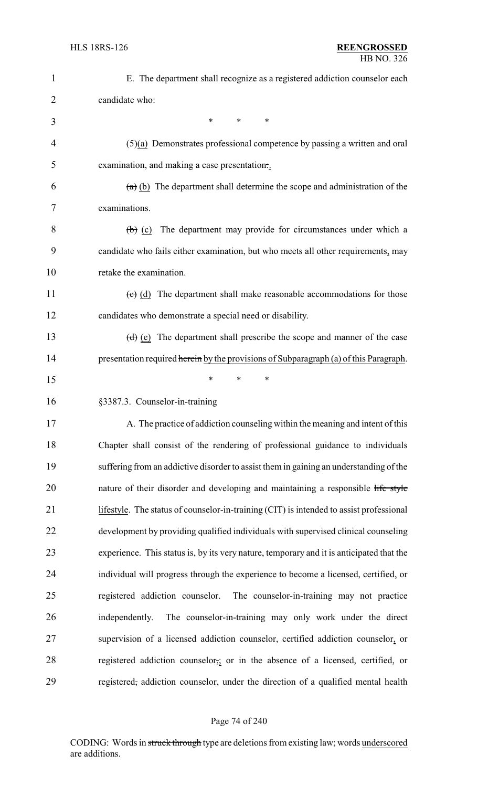| $\mathbf{1}$   | E. The department shall recognize as a registered addiction counselor each                |
|----------------|-------------------------------------------------------------------------------------------|
| $\overline{2}$ | candidate who:                                                                            |
| 3              | *<br>$\ast$<br>$\ast$                                                                     |
| 4              | $(5)(a)$ Demonstrates professional competence by passing a written and oral               |
| 5              | examination, and making a case presentation                                               |
| 6              | $(a)$ (b) The department shall determine the scope and administration of the              |
| 7              | examinations.                                                                             |
| 8              | $\left(\frac{b}{c}\right)$ (c) The department may provide for circumstances under which a |
| 9              | candidate who fails either examination, but who meets all other requirements, may         |
| 10             | retake the examination.                                                                   |
| 11             | $(e)$ (d) The department shall make reasonable accommodations for those                   |
| 12             | candidates who demonstrate a special need or disability.                                  |
| 13             | $(d)$ (e) The department shall prescribe the scope and manner of the case                 |
| 14             | presentation required herein by the provisions of Subparagraph (a) of this Paragraph.     |
| 15             | $\ast$<br>*<br>*                                                                          |
| 16             | §3387.3. Counselor-in-training                                                            |
| 17             | A. The practice of addiction counseling within the meaning and intent of this             |
| 18             | Chapter shall consist of the rendering of professional guidance to individuals            |
| 19             | suffering from an addictive disorder to assist them in gaining an understanding of the    |
| 20             | nature of their disorder and developing and maintaining a responsible life style          |
| 21             | lifestyle. The status of counselor-in-training (CIT) is intended to assist professional   |
| 22             | development by providing qualified individuals with supervised clinical counseling        |
| 23             | experience. This status is, by its very nature, temporary and it is anticipated that the  |
| 24             | individual will progress through the experience to become a licensed, certified, or       |
| 25             | registered addiction counselor.<br>The counselor-in-training may not practice             |
| 26             | The counselor-in-training may only work under the direct<br>independently.                |
| 27             | supervision of a licensed addiction counselor, certified addiction counselor, or          |
| 28             | registered addiction counselor, or in the absence of a licensed, certified, or            |
| 29             | registered, addiction counselor, under the direction of a qualified mental health         |

# Page 74 of 240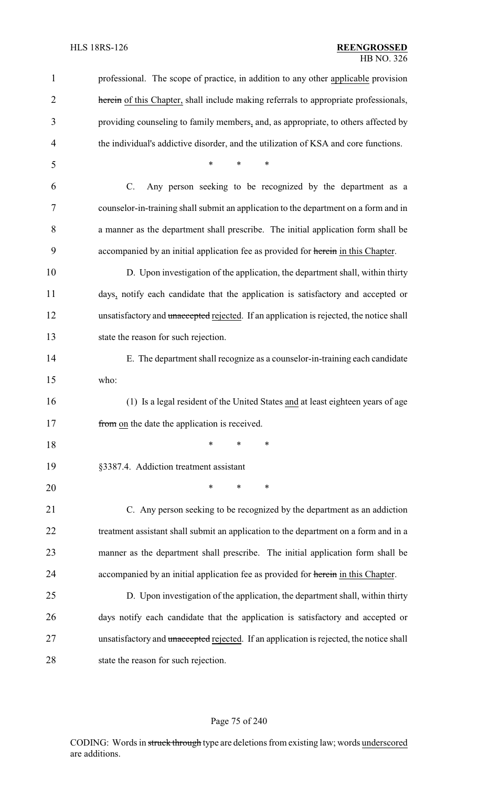| $\mathbf{1}$   | professional. The scope of practice, in addition to any other applicable provision      |
|----------------|-----------------------------------------------------------------------------------------|
| 2              | herein of this Chapter, shall include making referrals to appropriate professionals,    |
| 3              | providing counseling to family members, and, as appropriate, to others affected by      |
| $\overline{4}$ | the individual's addictive disorder, and the utilization of KSA and core functions.     |
| 5              | *<br>$\ast$<br>*                                                                        |
| 6              | $C$ .<br>Any person seeking to be recognized by the department as a                     |
| 7              | counselor-in-training shall submit an application to the department on a form and in    |
| 8              | a manner as the department shall prescribe. The initial application form shall be       |
| 9              | accompanied by an initial application fee as provided for herein in this Chapter.       |
| 10             | D. Upon investigation of the application, the department shall, within thirty           |
| 11             | days, notify each candidate that the application is satisfactory and accepted or        |
| 12             | unsatisfactory and unaccepted rejected. If an application is rejected, the notice shall |
| 13             | state the reason for such rejection.                                                    |
| 14             | E. The department shall recognize as a counselor-in-training each candidate             |
| 15             | who:                                                                                    |
| 16             | (1) Is a legal resident of the United States and at least eighteen years of age         |
| 17             | from on the date the application is received.                                           |
| 18             | ∗<br>*<br>∗                                                                             |
| 19             | §3387.4. Addiction treatment assistant                                                  |
| 20             | *<br>∗<br>*                                                                             |
| 21             | C. Any person seeking to be recognized by the department as an addiction                |
| 22             | treatment assistant shall submit an application to the department on a form and in a    |
| 23             | manner as the department shall prescribe. The initial application form shall be         |
| 24             | accompanied by an initial application fee as provided for herein in this Chapter.       |
| 25             | D. Upon investigation of the application, the department shall, within thirty           |
| 26             | days notify each candidate that the application is satisfactory and accepted or         |
| 27             | unsatisfactory and unaccepted rejected. If an application is rejected, the notice shall |
| 28             | state the reason for such rejection.                                                    |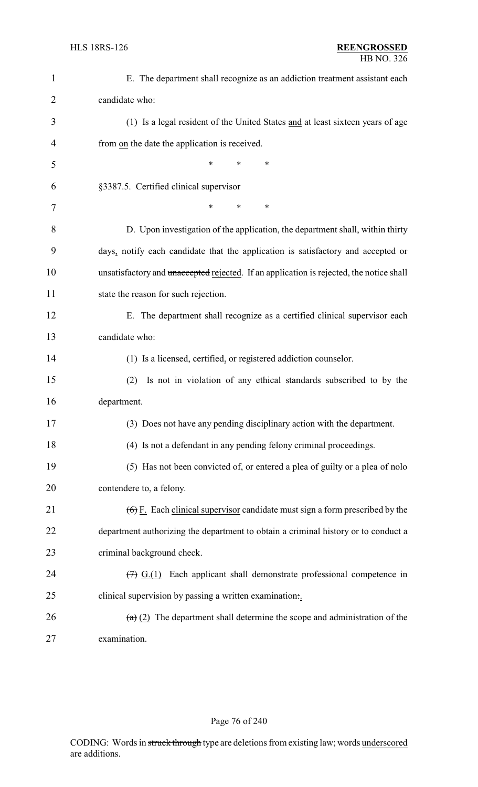| $\mathbf{1}$   | E. The department shall recognize as an addiction treatment assistant each                        |
|----------------|---------------------------------------------------------------------------------------------------|
| $\overline{2}$ | candidate who:                                                                                    |
| 3              | (1) Is a legal resident of the United States and at least sixteen years of age                    |
| 4              | from on the date the application is received.                                                     |
| 5              | *<br>∗<br>*                                                                                       |
| 6              | §3387.5. Certified clinical supervisor                                                            |
| 7              | *<br>*<br>∗                                                                                       |
| 8              | D. Upon investigation of the application, the department shall, within thirty                     |
| 9              | days, notify each candidate that the application is satisfactory and accepted or                  |
| 10             | unsatisfactory and unaccepted rejected. If an application is rejected, the notice shall           |
| 11             | state the reason for such rejection.                                                              |
| 12             | E. The department shall recognize as a certified clinical supervisor each                         |
| 13             | candidate who:                                                                                    |
| 14             | (1) Is a licensed, certified, or registered addiction counselor.                                  |
| 15             | Is not in violation of any ethical standards subscribed to by the<br>(2)                          |
| 16             | department.                                                                                       |
| 17             | (3) Does not have any pending disciplinary action with the department.                            |
| 18             | (4) Is not a defendant in any pending felony criminal proceedings.                                |
| 19             | (5) Has not been convicted of, or entered a plea of guilty or a plea of nolo                      |
| 20             | contendere to, a felony.                                                                          |
| 21             | $(6)$ F. Each clinical supervisor candidate must sign a form prescribed by the                    |
| 22             | department authorizing the department to obtain a criminal history or to conduct a                |
| 23             | criminal background check.                                                                        |
| 24             | $\left(\frac{1}{2}\right)$ G.(1) Each applicant shall demonstrate professional competence in      |
| 25             | clinical supervision by passing a written examination                                             |
| 26             | $\left(\frac{a}{b}\right)$ (2) The department shall determine the scope and administration of the |
| 27             | examination.                                                                                      |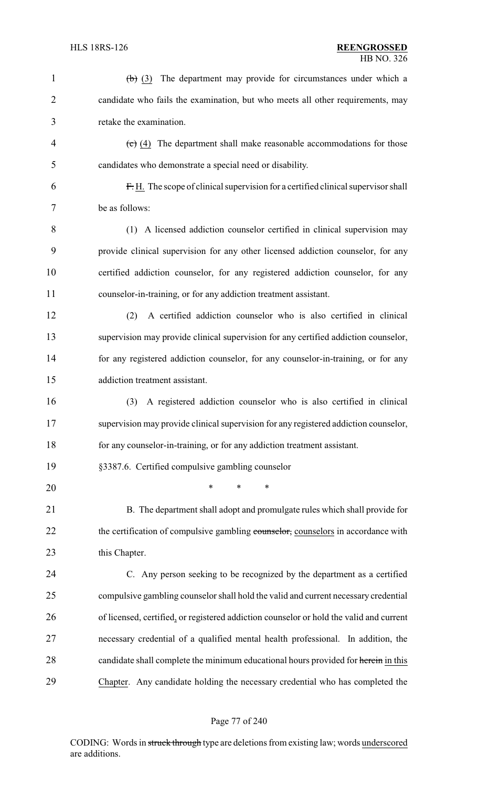| $\mathbf{1}$   | $\left(\frac{b}{c}\right)$ (3) The department may provide for circumstances under which a    |
|----------------|----------------------------------------------------------------------------------------------|
| $\overline{2}$ | candidate who fails the examination, but who meets all other requirements, may               |
| 3              | retake the examination.                                                                      |
| $\overline{4}$ | $\left(\frac{c}{c}\right)$ (4) The department shall make reasonable accommodations for those |
| 5              | candidates who demonstrate a special need or disability.                                     |
| 6              | F.H. The scope of clinical supervision for a certified clinical supervisor shall             |
| 7              | be as follows:                                                                               |
| 8              | (1) A licensed addiction counselor certified in clinical supervision may                     |
| 9              | provide clinical supervision for any other licensed addiction counselor, for any             |
| 10             | certified addiction counselor, for any registered addiction counselor, for any               |
| 11             | counselor-in-training, or for any addiction treatment assistant.                             |
| 12             | A certified addiction counselor who is also certified in clinical<br>(2)                     |
| 13             | supervision may provide clinical supervision for any certified addiction counselor,          |
| 14             | for any registered addiction counselor, for any counselor-in-training, or for any            |
| 15             | addiction treatment assistant.                                                               |
| 16             | A registered addiction counselor who is also certified in clinical<br>(3)                    |
| 17             | supervision may provide clinical supervision for any registered addiction counselor,         |
| 18             | for any counselor-in-training, or for any addiction treatment assistant.                     |
| 19             | §3387.6. Certified compulsive gambling counselor                                             |
| 20             | *<br>$\ast$<br>*                                                                             |
| 21             | B. The department shall adopt and promulgate rules which shall provide for                   |
| 22             | the certification of compulsive gambling counselor, counselors in accordance with            |
| 23             | this Chapter.                                                                                |
| 24             | C. Any person seeking to be recognized by the department as a certified                      |
| 25             | compulsive gambling counselor shall hold the valid and current necessary credential          |
| 26             | of licensed, certified, or registered addiction counselor or hold the valid and current      |
| 27             | necessary credential of a qualified mental health professional. In addition, the             |
| 28             | candidate shall complete the minimum educational hours provided for herein in this           |
| 29             | Chapter. Any candidate holding the necessary credential who has completed the                |
|                |                                                                                              |

Page 77 of 240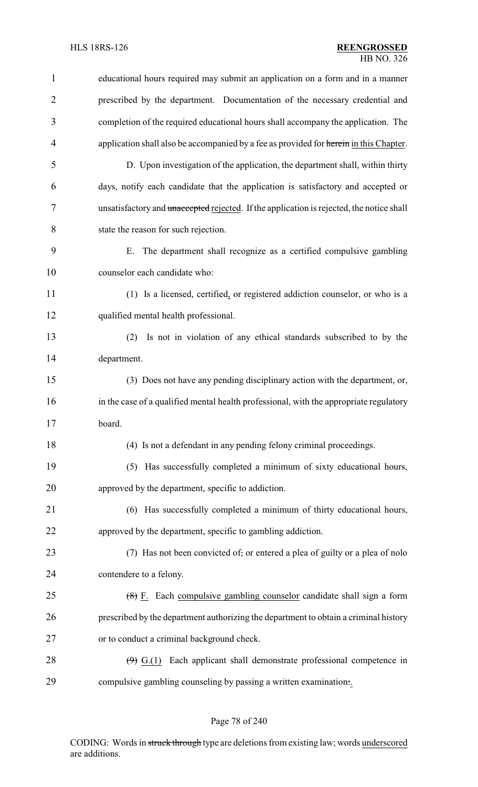| $\mathbf{1}$   | educational hours required may submit an application on a form and in a manner                     |
|----------------|----------------------------------------------------------------------------------------------------|
| $\overline{2}$ | prescribed by the department. Documentation of the necessary credential and                        |
| 3              | completion of the required educational hours shall accompany the application. The                  |
| $\overline{4}$ | application shall also be accompanied by a fee as provided for herein in this Chapter.             |
| 5              | D. Upon investigation of the application, the department shall, within thirty                      |
| 6              | days, notify each candidate that the application is satisfactory and accepted or                   |
| 7              | unsatisfactory and unaccepted rejected. If the application is rejected, the notice shall           |
| 8              | state the reason for such rejection.                                                               |
| 9              | E. The department shall recognize as a certified compulsive gambling                               |
| 10             | counselor each candidate who:                                                                      |
| 11             | (1) Is a licensed, certified, or registered addiction counselor, or who is a                       |
| 12             | qualified mental health professional.                                                              |
| 13             | Is not in violation of any ethical standards subscribed to by the<br>(2)                           |
| 14             | department.                                                                                        |
| 15             | (3) Does not have any pending disciplinary action with the department, or,                         |
| 16             | in the case of a qualified mental health professional, with the appropriate regulatory             |
| 17             | board.                                                                                             |
| 18             | (4) Is not a defendant in any pending felony criminal proceedings.                                 |
| 19             | (5) Has successfully completed a minimum of sixty educational hours,                               |
| 20             | approved by the department, specific to addiction.                                                 |
| 21             | (6) Has successfully completed a minimum of thirty educational hours,                              |
| 22             | approved by the department, specific to gambling addiction.                                        |
| 23             | (7) Has not been convicted of, or entered a plea of guilty or a plea of nolo                       |
| 24             | contendere to a felony.                                                                            |
| 25             | $(8)$ F. Each compulsive gambling counselor candidate shall sign a form                            |
| 26             | prescribed by the department authorizing the department to obtain a criminal history               |
| 27             | or to conduct a criminal background check.                                                         |
| 28             | $\left(\frac{\Theta}{2}\right)$ $G(1)$ Each applicant shall demonstrate professional competence in |
| 29             | compulsive gambling counseling by passing a written examination                                    |

Page 78 of 240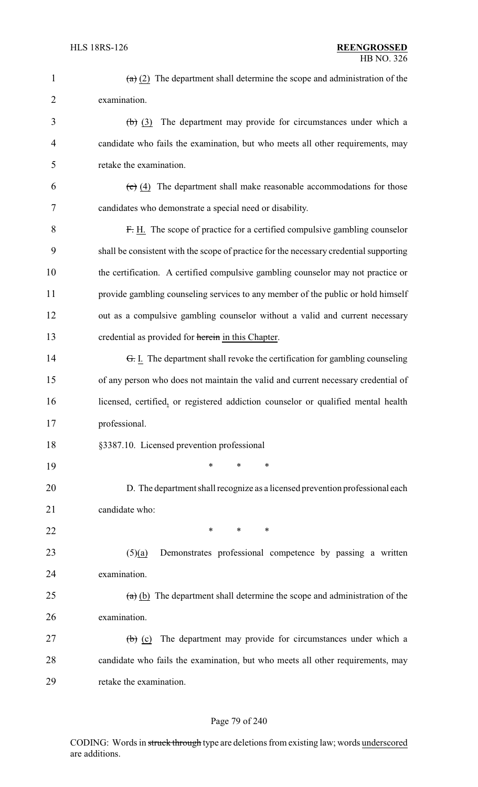| $\mathbf{1}$   | $\left(\frac{a}{b}\right)$ (2) The department shall determine the scope and administration of the |
|----------------|---------------------------------------------------------------------------------------------------|
| $\overline{2}$ | examination.                                                                                      |
| 3              | $(b)$ (3) The department may provide for circumstances under which a                              |
| 4              | candidate who fails the examination, but who meets all other requirements, may                    |
| 5              | retake the examination.                                                                           |
| 6              | $\left(\frac{1}{2}\right)$ (4) The department shall make reasonable accommodations for those      |
| 7              | candidates who demonstrate a special need or disability.                                          |
| 8              | F. H. The scope of practice for a certified compulsive gambling counselor                         |
| 9              | shall be consistent with the scope of practice for the necessary credential supporting            |
| 10             | the certification. A certified compulsive gambling counselor may not practice or                  |
| 11             | provide gambling counseling services to any member of the public or hold himself                  |
| 12             | out as a compulsive gambling counselor without a valid and current necessary                      |
| 13             | credential as provided for herein in this Chapter.                                                |
| 14             | <del>G.</del> I. The department shall revoke the certification for gambling counseling            |
| 15             | of any person who does not maintain the valid and current necessary credential of                 |
| 16             | licensed, certified, or registered addiction counselor or qualified mental health                 |
| 17             | professional.                                                                                     |
| 18             | §3387.10. Licensed prevention professional                                                        |
| 19             | *<br>*<br>*                                                                                       |
| 20             | D. The department shall recognize as a licensed prevention professional each                      |
| 21             | candidate who:                                                                                    |
| 22             | *<br>$\ast$<br>∗                                                                                  |
| 23             | Demonstrates professional competence by passing a written<br>(5)(a)                               |
| 24             | examination.                                                                                      |
| 25             | $(a)$ (b) The department shall determine the scope and administration of the                      |
| 26             | examination.                                                                                      |
| 27             | The department may provide for circumstances under which a<br>$\left(\mathbf{b}\right)$ (c)       |
| 28             | candidate who fails the examination, but who meets all other requirements, may                    |
| 29             | retake the examination.                                                                           |

# Page 79 of 240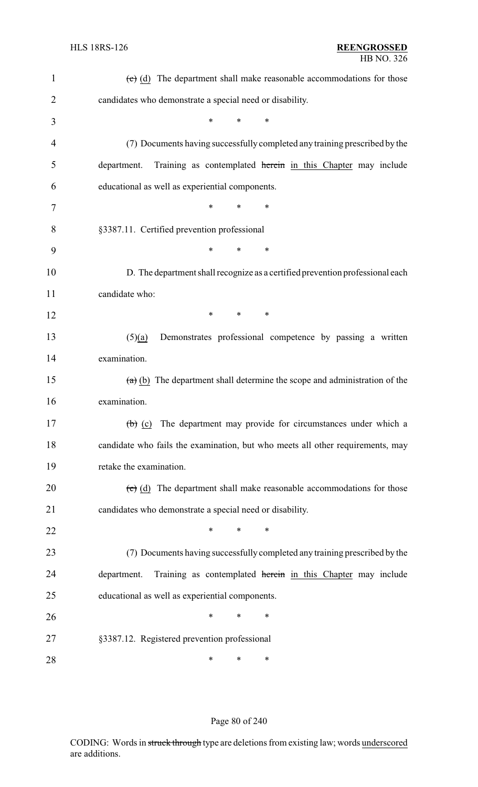| $\mathbf{1}$   | $\overline{(e)}$ (d) The department shall make reasonable accommodations for those |
|----------------|------------------------------------------------------------------------------------|
| $\overline{2}$ | candidates who demonstrate a special need or disability.                           |
| 3              | $\ast$<br>$\ast$<br>$\ast$                                                         |
| 4              | (7) Documents having successfully completed any training prescribed by the         |
| 5              | Training as contemplated herein in this Chapter may include<br>department.         |
| 6              | educational as well as experiential components.                                    |
| 7              | *<br>$\ast$<br>∗                                                                   |
| 8              | §3387.11. Certified prevention professional                                        |
| 9              | *<br>$\ast$<br>$\ast$                                                              |
| 10             | D. The department shall recognize as a certified prevention professional each      |
| 11             | candidate who:                                                                     |
| 12             | *<br>$\ast$<br>∗                                                                   |
| 13             | Demonstrates professional competence by passing a written<br>(5)(a)                |
| 14             | examination.                                                                       |
| 15             | $(a)$ (b) The department shall determine the scope and administration of the       |
| 16             | examination.                                                                       |
| 17             | $\overline{a}$ (b) (c) The department may provide for circumstances under which a  |
| 18             | candidate who fails the examination, but who meets all other requirements, may     |
| 19             | retake the examination.                                                            |
| 20             | $\overline{c}$ (d) The department shall make reasonable accommodations for those   |
| 21             | candidates who demonstrate a special need or disability.                           |
| 22             | *<br>$\ast$<br>*                                                                   |
| 23             | (7) Documents having successfully completed any training prescribed by the         |
| 24             | Training as contemplated herein in this Chapter may include<br>department.         |
| 25             | educational as well as experiential components.                                    |
| 26             | *<br>$\ast$<br>∗                                                                   |
| 27             | §3387.12. Registered prevention professional                                       |
| 28             | ∗<br>∗<br>∗                                                                        |

# Page 80 of 240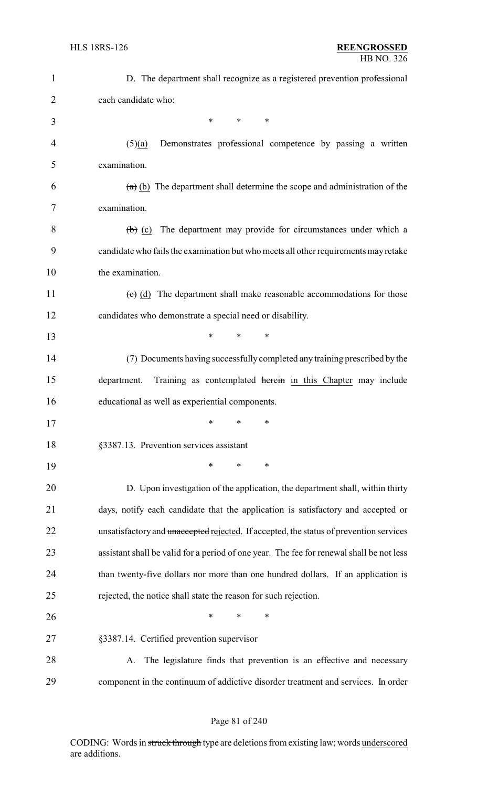| 1              | D. The department shall recognize as a registered prevention professional                |
|----------------|------------------------------------------------------------------------------------------|
| $\overline{2}$ | each candidate who:                                                                      |
| 3              | *<br>$\ast$<br>$\ast$                                                                    |
| 4              | Demonstrates professional competence by passing a written<br>(5)(a)                      |
| 5              | examination.                                                                             |
| 6              | $(a)$ (b) The department shall determine the scope and administration of the             |
| 7              | examination.                                                                             |
| 8              | $(b)$ (c) The department may provide for circumstances under which a                     |
| 9              | candidate who fails the examination but who meets all other requirements may retake      |
| 10             | the examination.                                                                         |
| 11             | $\overline{c}$ (d) The department shall make reasonable accommodations for those         |
| 12             | candidates who demonstrate a special need or disability.                                 |
| 13             | *<br>$\ast$<br>∗                                                                         |
| 14             | (7) Documents having successfully completed any training prescribed by the               |
| 15             | Training as contemplated herein in this Chapter may include<br>department.               |
| 16             | educational as well as experiential components.                                          |
| 17             | $\ast$<br>$\ast$<br>$\ast$                                                               |
| 18             | §3387.13. Prevention services assistant                                                  |
| 19             | *<br>*<br>∗                                                                              |
| 20             | D. Upon investigation of the application, the department shall, within thirty            |
| 21             | days, notify each candidate that the application is satisfactory and accepted or         |
| 22             | unsatisfactory and unaccepted rejected. If accepted, the status of prevention services   |
| 23             | assistant shall be valid for a period of one year. The fee for renewal shall be not less |
| 24             | than twenty-five dollars nor more than one hundred dollars. If an application is         |
| 25             | rejected, the notice shall state the reason for such rejection.                          |
| 26             | ∗<br>*<br>∗                                                                              |
| 27             | §3387.14. Certified prevention supervisor                                                |
| 28             | The legislature finds that prevention is an effective and necessary<br>А.                |
| 29             | component in the continuum of addictive disorder treatment and services. In order        |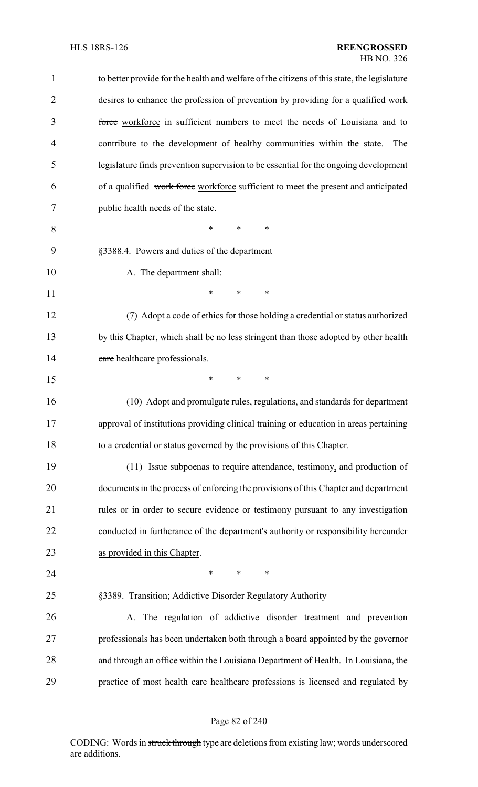| $\mathbf{1}$   | to better provide for the health and welfare of the citizens of this state, the legislature |
|----------------|---------------------------------------------------------------------------------------------|
| $\overline{2}$ | desires to enhance the profession of prevention by providing for a qualified work           |
| 3              | force workforce in sufficient numbers to meet the needs of Louisiana and to                 |
| $\overline{4}$ | contribute to the development of healthy communities within the state.<br>The               |
| 5              | legislature finds prevention supervision to be essential for the ongoing development        |
| 6              | of a qualified work force workforce sufficient to meet the present and anticipated          |
| 7              | public health needs of the state.                                                           |
| 8              | *<br>$\ast$<br>∗                                                                            |
| 9              | §3388.4. Powers and duties of the department                                                |
| 10             | A. The department shall:                                                                    |
| 11             | *<br>$\ast$<br>*                                                                            |
| 12             | (7) Adopt a code of ethics for those holding a credential or status authorized              |
| 13             | by this Chapter, which shall be no less stringent than those adopted by other health        |
| 14             | care healthcare professionals.                                                              |
| 15             | $\ast$<br>*<br>∗                                                                            |
| 16             | (10) Adopt and promulgate rules, regulations, and standards for department                  |
| 17             | approval of institutions providing clinical training or education in areas pertaining       |
| 18             | to a credential or status governed by the provisions of this Chapter.                       |
| 19             | (11) Issue subpoenas to require attendance, testimony, and production of                    |
| 20             | documents in the process of enforcing the provisions of this Chapter and department         |
| 21             | rules or in order to secure evidence or testimony pursuant to any investigation             |
| 22             | conducted in furtherance of the department's authority or responsibility hereunder          |
| 23             | as provided in this Chapter.                                                                |
| 24             | $\ast$<br>∗<br>∗                                                                            |
| 25             | §3389. Transition; Addictive Disorder Regulatory Authority                                  |
| 26             | A. The regulation of addictive disorder treatment and prevention                            |
| 27             | professionals has been undertaken both through a board appointed by the governor            |
| 28             | and through an office within the Louisiana Department of Health. In Louisiana, the          |
| 29             | practice of most health care healthcare professions is licensed and regulated by            |
|                |                                                                                             |

# Page 82 of 240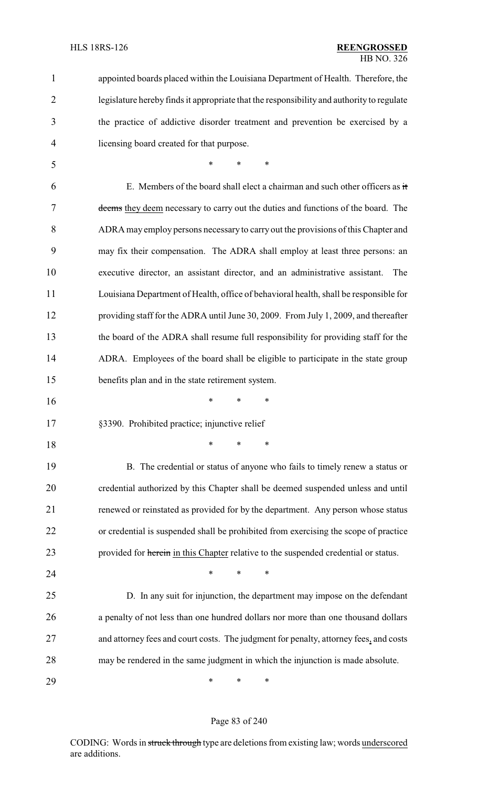| 1              | appointed boards placed within the Louisiana Department of Health. Therefore, the         |
|----------------|-------------------------------------------------------------------------------------------|
| $\overline{2}$ | legislature hereby finds it appropriate that the responsibility and authority to regulate |
| 3              | the practice of addictive disorder treatment and prevention be exercised by a             |
| 4              | licensing board created for that purpose.                                                 |
| 5              | $\ast$<br>$\ast$<br>$\ast$                                                                |
| 6              | E. Members of the board shall elect a chairman and such other officers as it              |
| 7              | deems they deem necessary to carry out the duties and functions of the board. The         |
| 8              | ADRA may employ persons necessary to carry out the provisions of this Chapter and         |
| 9              | may fix their compensation. The ADRA shall employ at least three persons: an              |
| 10             | executive director, an assistant director, and an administrative assistant.<br>The        |
| 11             | Louisiana Department of Health, office of behavioral health, shall be responsible for     |
| 12             | providing staff for the ADRA until June 30, 2009. From July 1, 2009, and thereafter       |
| 13             | the board of the ADRA shall resume full responsibility for providing staff for the        |
| 14             | ADRA. Employees of the board shall be eligible to participate in the state group          |
| 15             | benefits plan and in the state retirement system.                                         |
| 16             | $\ast$<br>$\ast$<br>∗                                                                     |
| 17             | §3390. Prohibited practice; injunctive relief                                             |
| 18             | $\ast$<br>$\ast$<br>∗                                                                     |
| 19             | B. The credential or status of anyone who fails to timely renew a status or               |
| 20             | credential authorized by this Chapter shall be deemed suspended unless and until          |
| 21             | renewed or reinstated as provided for by the department. Any person whose status          |
| 22             | or credential is suspended shall be prohibited from exercising the scope of practice      |
| 23             | provided for herein in this Chapter relative to the suspended credential or status.       |
| 24             | $\ast$<br>$\ast$<br>∗                                                                     |
| 25             | D. In any suit for injunction, the department may impose on the defendant                 |
| 26             | a penalty of not less than one hundred dollars nor more than one thousand dollars         |
| 27             | and attorney fees and court costs. The judgment for penalty, attorney fees, and costs     |
| 28             | may be rendered in the same judgment in which the injunction is made absolute.            |
| 29             | ∗<br>∗<br>∗                                                                               |

# Page 83 of 240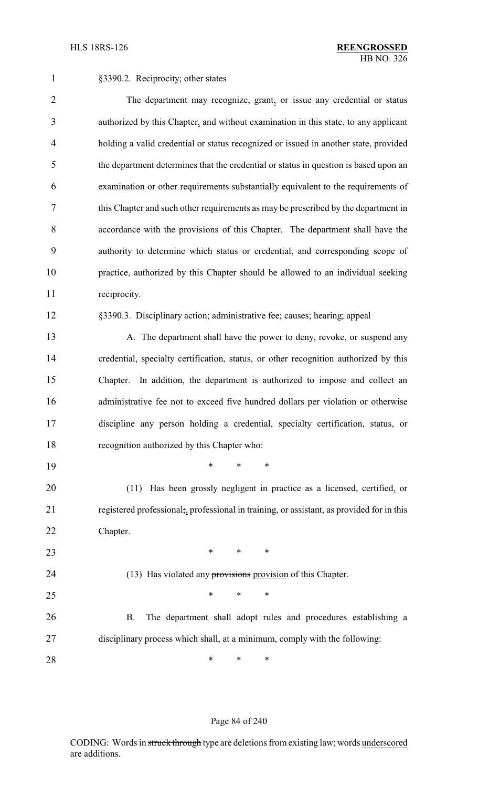1 §3390.2. Reciprocity; other states

 The department may recognize, grant, or issue any credential or status authorized by this Chapter, and without examination in this state, to any applicant holding a valid credential or status recognized or issued in another state, provided the department determines that the credential or status in question is based upon an examination or other requirements substantially equivalent to the requirements of this Chapter and such other requirements as may be prescribed by the department in accordance with the provisions of this Chapter. The department shall have the authority to determine which status or credential, and corresponding scope of practice, authorized by this Chapter should be allowed to an individual seeking reciprocity. §3390.3. Disciplinary action; administrative fee; causes; hearing; appeal 13 A. The department shall have the power to deny, revoke, or suspend any credential, specialty certification, status, or other recognition authorized by this Chapter. In addition, the department is authorized to impose and collect an administrative fee not to exceed five hundred dollars per violation or otherwise discipline any person holding a credential, specialty certification, status, or recognition authorized by this Chapter who: \* \* \* (11) Has been grossly negligent in practice as a licensed, certified, or registered professional;, professional in training, or assistant, as provided for in this Chapter. **\*** \* \* \* 24 (13) Has violated any provisions provision of this Chapter.  $*$  \* \* \* B. The department shall adopt rules and procedures establishing a disciplinary process which shall, at a minimum, comply with the following: **\*** \* \* \*

#### Page 84 of 240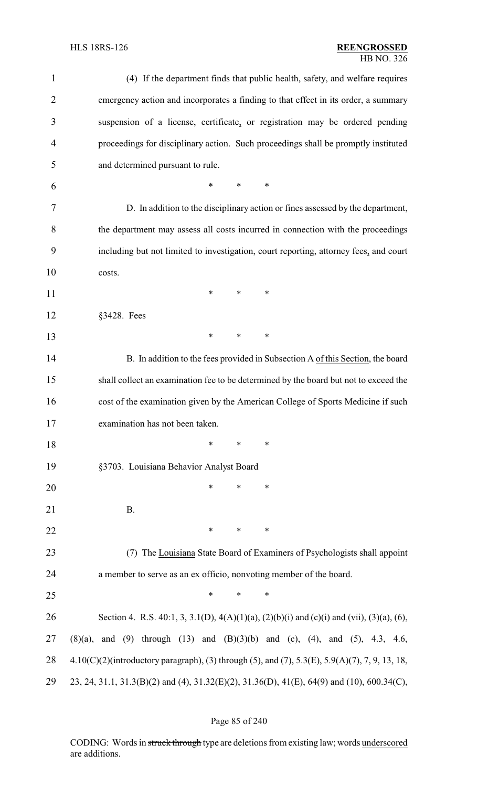### HLS 18RS-126 **REENGROSSED** HB NO. 326

| $\mathbf{1}$   | (4) If the department finds that public health, safety, and welfare requires                   |
|----------------|------------------------------------------------------------------------------------------------|
| $\overline{2}$ | emergency action and incorporates a finding to that effect in its order, a summary             |
| 3              | suspension of a license, certificate, or registration may be ordered pending                   |
| 4              | proceedings for disciplinary action. Such proceedings shall be promptly instituted             |
| 5              | and determined pursuant to rule.                                                               |
| 6              | *<br>$\ast$<br>$\ast$                                                                          |
| 7              | D. In addition to the disciplinary action or fines assessed by the department,                 |
| 8              | the department may assess all costs incurred in connection with the proceedings                |
| 9              | including but not limited to investigation, court reporting, attorney fees, and court          |
| 10             | costs.                                                                                         |
| 11             | $\ast$<br>$\ast$<br>$\ast$                                                                     |
| 12             | §3428. Fees                                                                                    |
| 13             | $\ast$<br>$\ast$<br>$\ast$                                                                     |
| 14             | B. In addition to the fees provided in Subsection A of this Section, the board                 |
| 15             | shall collect an examination fee to be determined by the board but not to exceed the           |
| 16             | cost of the examination given by the American College of Sports Medicine if such               |
| 17             | examination has not been taken.                                                                |
| 18             | $\ast$<br>$\ast$<br>∗                                                                          |
| 19             | §3703. Louisiana Behavior Analyst Board                                                        |
| 20             | $\ast$<br>*<br>∗                                                                               |
| 21             | <b>B.</b>                                                                                      |
| 22             | $\ast$<br>$\ast$<br>∗                                                                          |
| 23             | The Louisiana State Board of Examiners of Psychologists shall appoint<br>(7)                   |
| 24             | a member to serve as an ex officio, nonvoting member of the board.                             |
| 25             | *<br>*<br>∗                                                                                    |
| 26             | Section 4. R.S. 40:1, 3, 3.1(D), 4(A)(1)(a), (2)(b)(i) and (c)(i) and (vii), (3)(a), (6),      |
| 27             | and (9) through (13) and (B)(3)(b) and (c), (4), and (5), 4.3, 4.6,<br>(8)(a),                 |
| 28             | 4.10(C)(2)(introductory paragraph), (3) through (5), and (7), 5.3(E), 5.9(A)(7), 7, 9, 13, 18, |
| 29             | 23, 24, 31.1, 31.3(B)(2) and (4), 31.32(E)(2), 31.36(D), 41(E), 64(9) and (10), 600.34(C),     |

# Page 85 of 240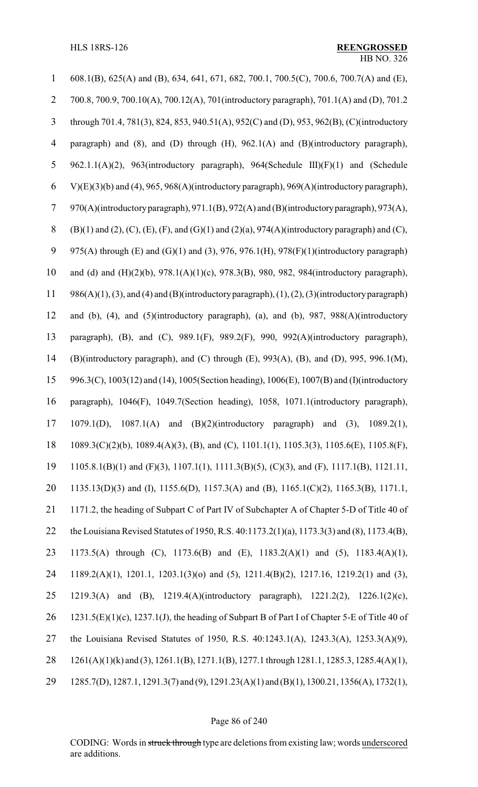| 1                        | 608.1(B), 625(A) and (B), 634, 641, 671, 682, 700.1, 700.5(C), 700.6, 700.7(A) and (E),                                |
|--------------------------|------------------------------------------------------------------------------------------------------------------------|
| $\overline{2}$           | 700.8, 700.9, 700.10(A), 700.12(A), 701(introductory paragraph), 701.1(A) and (D), 701.2                               |
| 3                        | through 701.4, 781(3), 824, 853, 940.51(A), 952(C) and (D), 953, 962(B), (C)(introductory                              |
| $\overline{\mathcal{A}}$ | paragraph) and $(8)$ , and $(D)$ through $(H)$ , $962.1(A)$ and $(B)$ (introductory paragraph),                        |
| 5                        | 962.1.1(A)(2), 963(introductory paragraph), 964(Schedule III)(F)(1) and (Schedule                                      |
| 6                        | $V(E)(3)(b)$ and (4), 965, 968(A)(introductory paragraph), 969(A)(introductory paragraph),                             |
| $\tau$                   | 970(A)(introductory paragraph), 971.1(B), 972(A) and (B)(introductory paragraph), 973(A),                              |
| $8\,$                    | $(B)(1)$ and $(2)$ , $(C)$ , $(E)$ , $(F)$ , and $(G)(1)$ and $(2)(a)$ , $974(A)$ (introductory paragraph) and $(C)$ , |
| 9                        | 975(A) through (E) and (G)(1) and (3), 976, 976.1(H), 978(F)(1)(introductory paragraph)                                |
| 10                       | and (d) and $(H)(2)(b)$ , 978.1(A)(1)(c), 978.3(B), 980, 982, 984(introductory paragraph),                             |
| 11                       | $986(A)(1)$ , (3), and (4) and (B)(introductory paragraph), (1), (2), (3)(introductory paragraph)                      |
| 12                       | and (b), (4), and (5)(introductory paragraph), (a), and (b), 987, 988(A)(introductory                                  |
| 13                       | paragraph), (B), and (C), 989.1(F), 989.2(F), 990, 992(A)(introductory paragraph),                                     |
| 14                       | (B)(introductory paragraph), and (C) through (E), 993(A), (B), and (D), 995, 996.1(M),                                 |
| 15                       | 996.3(C), 1003(12) and (14), 1005(Section heading), 1006(E), 1007(B) and (I)(introductory                              |
| 16                       | paragraph), 1046(F), 1049.7(Section heading), 1058, 1071.1(introductory paragraph),                                    |
| 17                       | 1079.1(D), 1087.1(A) and (B)(2)(introductory paragraph) and (3), 1089.2(1),                                            |
| 18                       | 1089.3(C)(2)(b), 1089.4(A)(3), (B), and (C), 1101.1(1), 1105.3(3), 1105.6(E), 1105.8(F),                               |
| 19                       | 1105.8.1(B)(1) and (F)(3), 1107.1(1), 1111.3(B)(5), (C)(3), and (F), 1117.1(B), 1121.11,                               |
| 20                       | 1135.13(D)(3) and (I), 1155.6(D), 1157.3(A) and (B), 1165.1(C)(2), 1165.3(B), 1171.1,                                  |
| 21                       | 1171.2, the heading of Subpart C of Part IV of Subchapter A of Chapter 5-D of Title 40 of                              |
| 22                       | the Louisiana Revised Statutes of 1950, R.S. 40:1173.2(1)(a), 1173.3(3) and (8), 1173.4(B),                            |
| 23                       | 1173.5(A) through (C), 1173.6(B) and (E), 1183.2(A)(1) and (5), 1183.4(A)(1),                                          |
| 24                       | 1189.2(A)(1), 1201.1, 1203.1(3)(o) and (5), 1211.4(B)(2), 1217.16, 1219.2(1) and (3),                                  |
| 25                       | 1219.3(A) and (B), 1219.4(A)(introductory paragraph), 1221.2(2), 1226.1(2)(c),                                         |
| 26                       | $1231.5(E)(1)(c)$ , $1237.1(J)$ , the heading of Subpart B of Part I of Chapter 5-E of Title 40 of                     |
| 27                       | the Louisiana Revised Statutes of 1950, R.S. 40:1243.1(A), 1243.3(A), 1253.3(A)(9),                                    |
| 28                       | $1261(A)(1)(k)$ and (3), $1261.1(B)$ , $1271.1(B)$ , $1277.1$ through $1281.1$ , $1285.3$ , $1285.4(A)(1)$ ,           |
| 29                       | 1285.7(D), 1287.1, 1291.3(7) and (9), 1291.23(A)(1) and (B)(1), 1300.21, 1356(A), 1732(1),                             |

# Page 86 of 240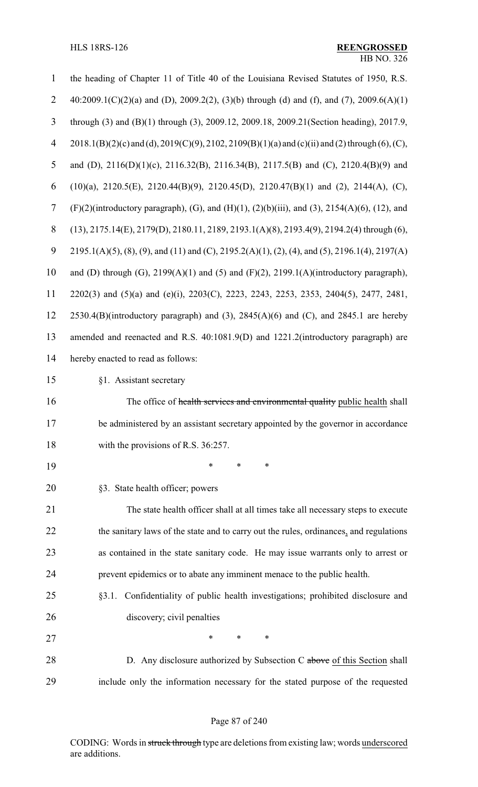| $\mathbf{1}$   | the heading of Chapter 11 of Title 40 of the Louisiana Revised Statutes of 1950, R.S.                    |
|----------------|----------------------------------------------------------------------------------------------------------|
| $\overline{2}$ | 40:2009.1(C)(2)(a) and (D), 2009.2(2), (3)(b) through (d) and (f), and (7), 2009.6(A)(1)                 |
| $\overline{3}$ | through (3) and (B)(1) through (3), 2009.12, 2009.18, 2009.21 (Section heading), 2017.9,                 |
| $\overline{4}$ | $2018.1(B)(2)(c)$ and (d), $2019(C)(9)$ , $2102$ , $2109(B)(1)(a)$ and (c)(ii) and (2) through (6), (C), |
| 5              | and (D), 2116(D)(1)(c), 2116.32(B), 2116.34(B), 2117.5(B) and (C), 2120.4(B)(9) and                      |
| 6              | $(10)(a)$ , 2120.5(E), 2120.44(B)(9), 2120.45(D), 2120.47(B)(1) and (2), 2144(A), (C),                   |
| 7              | $(F)(2)$ (introductory paragraph), (G), and (H)(1), (2)(b)(iii), and (3), 2154(A)(6), (12), and          |
| $8\,$          | $(13), 2175.14(E), 2179(D), 2180.11, 2189, 2193.1(A)(8), 2193.4(9), 2194.2(4)$ through $(6),$            |
| 9              | $2195.1(A)(5)$ , (8), (9), and (11) and (C), 2195.2(A)(1), (2), (4), and (5), 2196.1(4), 2197(A)         |
| 10             | and (D) through (G), $2199(A)(1)$ and (5) and (F)(2), $2199.1(A)(introductory paragraph)$ ,              |
| 11             | 2202(3) and (5)(a) and (e)(i), 2203(C), 2223, 2243, 2253, 2353, 2404(5), 2477, 2481,                     |
| 12             | $2530.4(B)$ (introductory paragraph) and (3), $2845(A)(6)$ and (C), and $2845.1$ are hereby              |
| 13             | amended and reenacted and R.S. 40:1081.9(D) and 1221.2(introductory paragraph) are                       |
| 14             | hereby enacted to read as follows:                                                                       |
| 15             | §1. Assistant secretary                                                                                  |
| 16             | The office of health services and environmental quality public health shall                              |
| 17             | be administered by an assistant secretary appointed by the governor in accordance                        |
| 18             | with the provisions of R.S. 36:257.                                                                      |
| 19             | *<br>∗<br>∗                                                                                              |
| 20             | §3. State health officer; powers                                                                         |
| 21             | The state health officer shall at all times take all necessary steps to execute                          |
| 22             | the sanitary laws of the state and to carry out the rules, ordinances, and regulations                   |
| 23             | as contained in the state sanitary code. He may issue warrants only to arrest or                         |
| 24             | prevent epidemics or to abate any imminent menace to the public health.                                  |
| 25             | §3.1. Confidentiality of public health investigations; prohibited disclosure and                         |
| 26             | discovery; civil penalties                                                                               |
| 27             | *<br>*<br>∗                                                                                              |
| 28             | D. Any disclosure authorized by Subsection C above of this Section shall                                 |
| 29             | include only the information necessary for the stated purpose of the requested                           |

# Page 87 of 240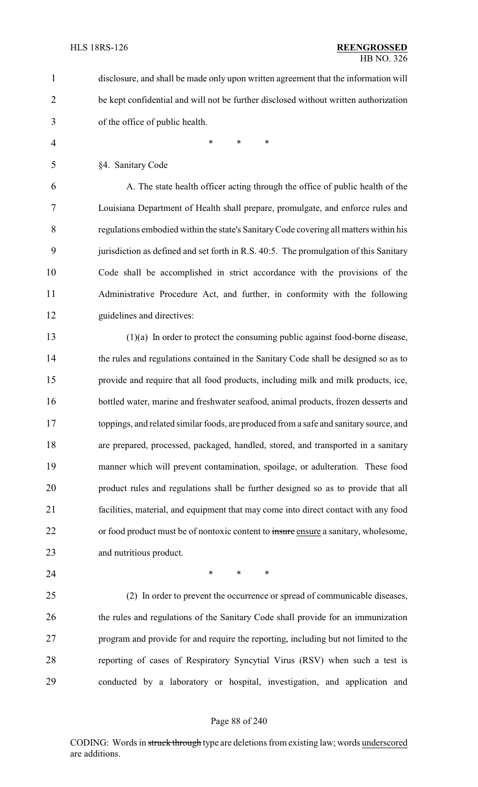disclosure, and shall be made only upon written agreement that the information will be kept confidential and will not be further disclosed without written authorization of the office of public health.

- 4 \* \* \* \*
- §4. Sanitary Code

 A. The state health officer acting through the office of public health of the Louisiana Department of Health shall prepare, promulgate, and enforce rules and regulations embodied within the state's SanitaryCode covering all matters within his 9 jurisdiction as defined and set forth in R.S. 40:5. The promulgation of this Sanitary Code shall be accomplished in strict accordance with the provisions of the Administrative Procedure Act, and further, in conformity with the following guidelines and directives:

 (1)(a) In order to protect the consuming public against food-borne disease, 14 the rules and regulations contained in the Sanitary Code shall be designed so as to provide and require that all food products, including milk and milk products, ice, bottled water, marine and freshwater seafood, animal products, frozen desserts and toppings, and related similar foods, are produced from a safe and sanitary source, and are prepared, processed, packaged, handled, stored, and transported in a sanitary manner which will prevent contamination, spoilage, or adulteration. These food product rules and regulations shall be further designed so as to provide that all facilities, material, and equipment that may come into direct contact with any food 22 or food product must be of nontoxic content to insure ensure a sanitary, wholesome, and nutritious product.

**\*** \* \* \*

 (2) In order to prevent the occurrence or spread of communicable diseases, the rules and regulations of the Sanitary Code shall provide for an immunization program and provide for and require the reporting, including but not limited to the reporting of cases of Respiratory Syncytial Virus (RSV) when such a test is conducted by a laboratory or hospital, investigation, and application and

#### Page 88 of 240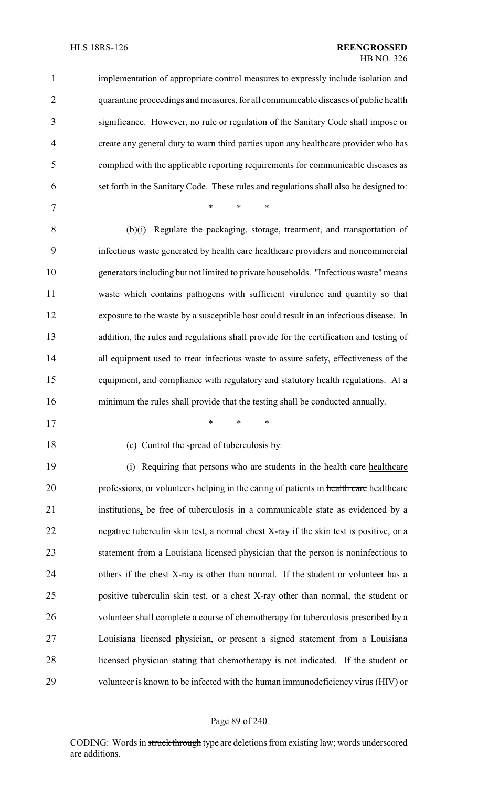| $\mathbf{1}$   | implementation of appropriate control measures to expressly include isolation and      |
|----------------|----------------------------------------------------------------------------------------|
| $\overline{2}$ | quarantine proceedings and measures, for all communicable diseases of public health    |
| 3              | significance. However, no rule or regulation of the Sanitary Code shall impose or      |
| 4              | create any general duty to warn third parties upon any healthcare provider who has     |
| 5              | complied with the applicable reporting requirements for communicable diseases as       |
| 6              | set forth in the Sanitary Code. These rules and regulations shall also be designed to: |
| 7              | *<br>$\ast$<br>*                                                                       |
| 8              | (b)(i) Regulate the packaging, storage, treatment, and transportation of               |
| 9              | infectious waste generated by health care healthcare providers and noncommercial       |
| 10             | generators including but not limited to private households. "Infectious waste" means   |
| 11             | waste which contains pathogens with sufficient virulence and quantity so that          |
| 12             | exposure to the waste by a susceptible host could result in an infectious disease. In  |
| 13             | addition, the rules and regulations shall provide for the certification and testing of |
| 14             | all equipment used to treat infectious waste to assure safety, effectiveness of the    |
| 15             | equipment, and compliance with regulatory and statutory health regulations. At a       |
| 16             | minimum the rules shall provide that the testing shall be conducted annually.          |
| 17             | *<br>*<br>∗                                                                            |
| 18             | (c) Control the spread of tuberculosis by:                                             |
| 19             | Requiring that persons who are students in the health care healthcare<br>(i)           |
| 20             | professions, or volunteers helping in the caring of patients in health care healthcare |
| 21             | institutions, be free of tuberculosis in a communicable state as evidenced by a        |
| 22             | negative tuberculin skin test, a normal chest X-ray if the skin test is positive, or a |
| 23             | statement from a Louisiana licensed physician that the person is noninfectious to      |
| 24             | others if the chest X-ray is other than normal. If the student or volunteer has a      |
| 25             | positive tuberculin skin test, or a chest X-ray other than normal, the student or      |
| 26             | volunteer shall complete a course of chemotherapy for tuberculosis prescribed by a     |
| 27             | Louisiana licensed physician, or present a signed statement from a Louisiana           |
| 28             | licensed physician stating that chemotherapy is not indicated. If the student or       |
| 29             | volunteer is known to be infected with the human immunodeficiency virus (HIV) or       |
|                |                                                                                        |

# Page 89 of 240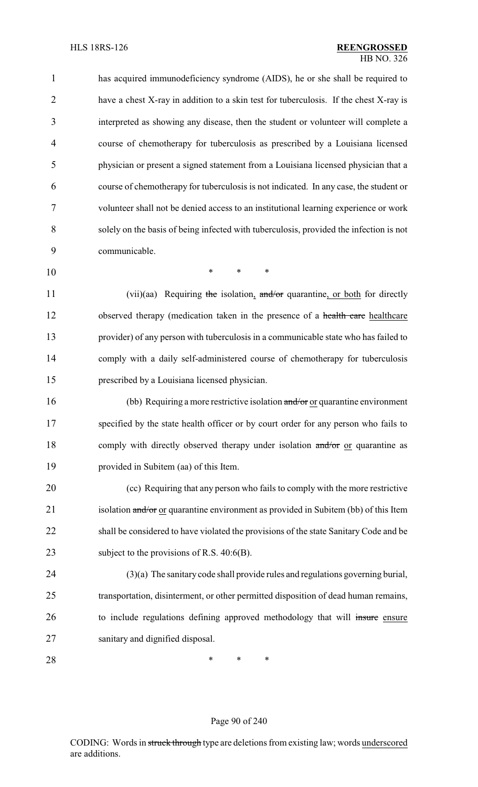has acquired immunodeficiency syndrome (AIDS), he or she shall be required to 2 have a chest X-ray in addition to a skin test for tuberculosis. If the chest X-ray is interpreted as showing any disease, then the student or volunteer will complete a course of chemotherapy for tuberculosis as prescribed by a Louisiana licensed physician or present a signed statement from a Louisiana licensed physician that a course of chemotherapy for tuberculosis is not indicated. In any case, the student or volunteer shall not be denied access to an institutional learning experience or work solely on the basis of being infected with tuberculosis, provided the infection is not communicable.

10 \* \* \*

11 (vii)(aa) Requiring the isolation, and/or quarantine, or both for directly 12 observed therapy (medication taken in the presence of a health care healthcare 13 provider) of any person with tuberculosis in a communicable state who has failed to 14 comply with a daily self-administered course of chemotherapy for tuberculosis 15 prescribed by a Louisiana licensed physician.

16 (bb) Requiring a more restrictive isolation and/or or quarantine environment 17 specified by the state health officer or by court order for any person who fails to 18 comply with directly observed therapy under isolation and/or or quarantine as 19 provided in Subitem (aa) of this Item.

20 (cc) Requiring that any person who fails to comply with the more restrictive 21 isolation and/or or quarantine environment as provided in Subitem (bb) of this Item 22 shall be considered to have violated the provisions of the state Sanitary Code and be 23 subject to the provisions of R.S. 40:6(B).

 (3)(a) The sanitary code shall provide rules and regulations governing burial, transportation, disinterment, or other permitted disposition of dead human remains, 26 to include regulations defining approved methodology that will insure ensure sanitary and dignified disposal.

28 **\*** \* \* \*

#### Page 90 of 240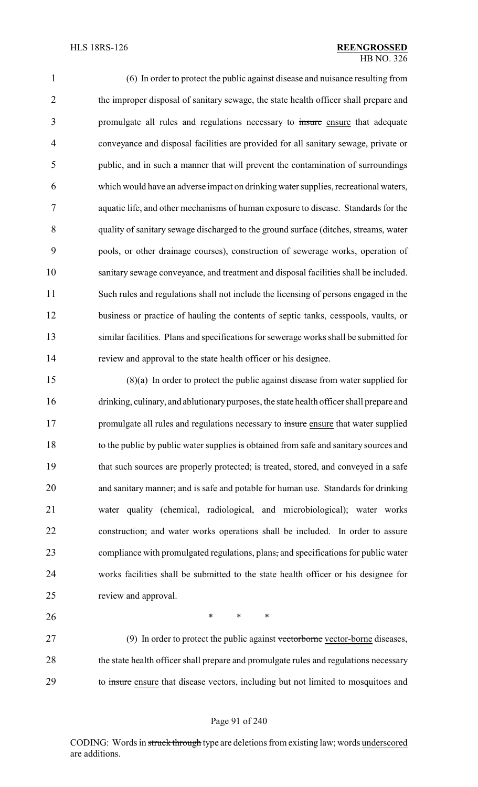(6) In order to protect the public against disease and nuisance resulting from 2 the improper disposal of sanitary sewage, the state health officer shall prepare and 3 promulgate all rules and regulations necessary to insure ensure that adequate conveyance and disposal facilities are provided for all sanitary sewage, private or public, and in such a manner that will prevent the contamination of surroundings which would have an adverse impact on drinking water supplies, recreational waters, aquatic life, and other mechanisms of human exposure to disease. Standards for the quality of sanitary sewage discharged to the ground surface (ditches, streams, water pools, or other drainage courses), construction of sewerage works, operation of sanitary sewage conveyance, and treatment and disposal facilities shall be included. Such rules and regulations shall not include the licensing of persons engaged in the business or practice of hauling the contents of septic tanks, cesspools, vaults, or similar facilities. Plans and specifications for sewerage works shall be submitted for review and approval to the state health officer or his designee.

 (8)(a) In order to protect the public against disease from water supplied for drinking, culinary, and ablutionary purposes, the state health officer shall prepare and 17 promulgate all rules and regulations necessary to insure ensure that water supplied to the public by public water supplies is obtained from safe and sanitary sources and that such sources are properly protected; is treated, stored, and conveyed in a safe and sanitary manner; and is safe and potable for human use. Standards for drinking water quality (chemical, radiological, and microbiological); water works construction; and water works operations shall be included. In order to assure compliance with promulgated regulations, plans, and specifications for public water works facilities shall be submitted to the state health officer or his designee for review and approval.

27 (9) In order to protect the public against vectorborne vector-borne diseases, 28 the state health officer shall prepare and promulgate rules and regulations necessary to insure ensure that disease vectors, including but not limited to mosquitoes and

**\*** \* \* \*

### Page 91 of 240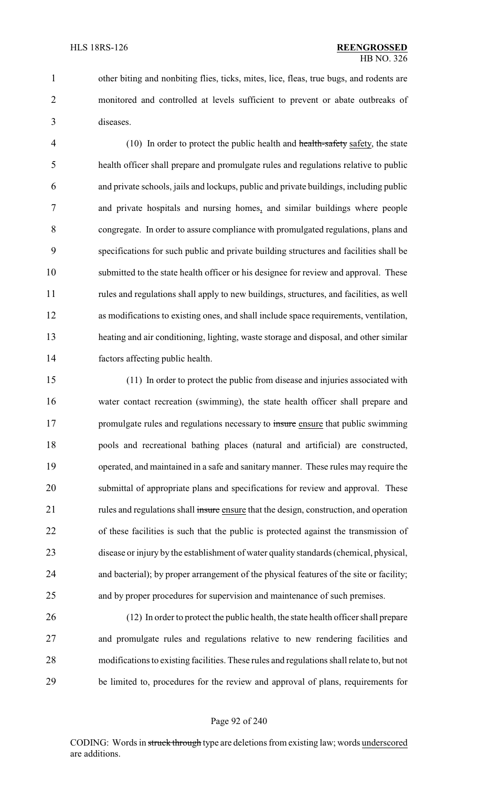1 other biting and nonbiting flies, ticks, mites, lice, fleas, true bugs, and rodents are monitored and controlled at levels sufficient to prevent or abate outbreaks of diseases.

4 (10) In order to protect the public health and health-safety safety, the state health officer shall prepare and promulgate rules and regulations relative to public and private schools, jails and lockups, public and private buildings, including public and private hospitals and nursing homes, and similar buildings where people congregate. In order to assure compliance with promulgated regulations, plans and specifications for such public and private building structures and facilities shall be submitted to the state health officer or his designee for review and approval. These rules and regulations shall apply to new buildings, structures, and facilities, as well as modifications to existing ones, and shall include space requirements, ventilation, heating and air conditioning, lighting, waste storage and disposal, and other similar factors affecting public health.

 (11) In order to protect the public from disease and injuries associated with water contact recreation (swimming), the state health officer shall prepare and 17 promulgate rules and regulations necessary to insure ensure that public swimming pools and recreational bathing places (natural and artificial) are constructed, operated, and maintained in a safe and sanitary manner. These rules may require the submittal of appropriate plans and specifications for review and approval. These 21 rules and regulations shall insure ensure that the design, construction, and operation of these facilities is such that the public is protected against the transmission of disease or injury by the establishment of water quality standards (chemical, physical, and bacterial); by proper arrangement of the physical features of the site or facility; and by proper procedures for supervision and maintenance of such premises.

 (12) In order to protect the public health, the state health officer shall prepare and promulgate rules and regulations relative to new rendering facilities and modifications to existing facilities. These rules and regulations shall relate to, but not be limited to, procedures for the review and approval of plans, requirements for

#### Page 92 of 240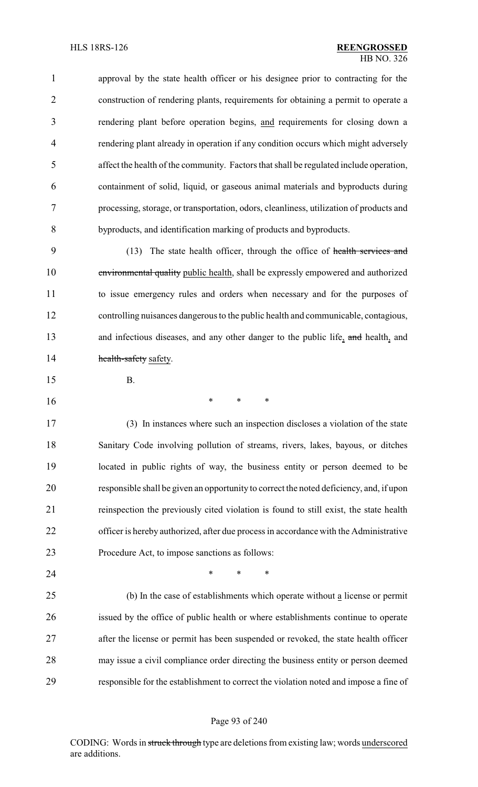| $\mathbf{1}$   | approval by the state health officer or his designee prior to contracting for the       |
|----------------|-----------------------------------------------------------------------------------------|
| 2              | construction of rendering plants, requirements for obtaining a permit to operate a      |
| 3              | rendering plant before operation begins, and requirements for closing down a            |
| $\overline{4}$ | rendering plant already in operation if any condition occurs which might adversely      |
| 5              | affect the health of the community. Factors that shall be regulated include operation,  |
| 6              | containment of solid, liquid, or gaseous animal materials and byproducts during         |
| 7              | processing, storage, or transportation, odors, cleanliness, utilization of products and |
| 8              | byproducts, and identification marking of products and byproducts.                      |

 (13) The state health officer, through the office of health services and environmental quality public health, shall be expressly empowered and authorized to issue emergency rules and orders when necessary and for the purposes of controlling nuisances dangerous to the public health and communicable, contagious, 13 and infectious diseases, and any other danger to the public life, and health, and **health-safety** safety.

- B.
- \* \* \*

 (3) In instances where such an inspection discloses a violation of the state Sanitary Code involving pollution of streams, rivers, lakes, bayous, or ditches located in public rights of way, the business entity or person deemed to be responsible shall be given an opportunity to correct the noted deficiency, and, if upon reinspection the previously cited violation is found to still exist, the state health officer is hereby authorized, after due process in accordance with the Administrative Procedure Act, to impose sanctions as follows:

**\*** \* \* \*

 (b) In the case of establishments which operate without a license or permit issued by the office of public health or where establishments continue to operate after the license or permit has been suspended or revoked, the state health officer may issue a civil compliance order directing the business entity or person deemed responsible for the establishment to correct the violation noted and impose a fine of

#### Page 93 of 240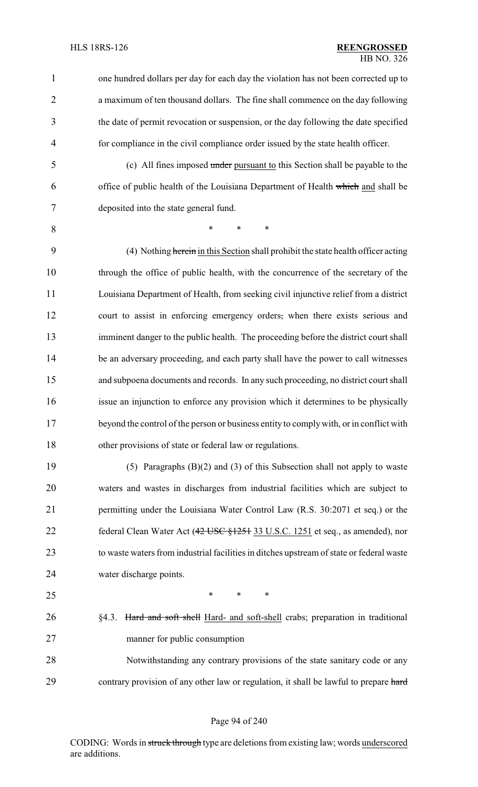| $\mathbf{1}$   | one hundred dollars per day for each day the violation has not been corrected up to      |
|----------------|------------------------------------------------------------------------------------------|
| $\overline{2}$ | a maximum of ten thousand dollars. The fine shall commence on the day following          |
| 3              | the date of permit revocation or suspension, or the day following the date specified     |
| 4              | for compliance in the civil compliance order issued by the state health officer.         |
| 5              | (c) All fines imposed under pursuant to this Section shall be payable to the             |
| 6              | office of public health of the Louisiana Department of Health which and shall be         |
| 7              | deposited into the state general fund.                                                   |
| 8              | $\ast$<br>$\ast$<br>*                                                                    |
| 9              | (4) Nothing herein in this Section shall prohibit the state health officer acting        |
| 10             | through the office of public health, with the concurrence of the secretary of the        |
| 11             | Louisiana Department of Health, from seeking civil injunctive relief from a district     |
| 12             | court to assist in enforcing emergency orders, when there exists serious and             |
| 13             | imminent danger to the public health. The proceeding before the district court shall     |
| 14             | be an adversary proceeding, and each party shall have the power to call witnesses        |
| 15             | and subpoena documents and records. In any such proceeding, no district court shall      |
| 16             | issue an injunction to enforce any provision which it determines to be physically        |
| 17             | beyond the control of the person or business entity to comply with, or in conflict with  |
| 18             | other provisions of state or federal law or regulations.                                 |
| 19             | (5) Paragraphs $(B)(2)$ and $(3)$ of this Subsection shall not apply to waste            |
| 20             | waters and wastes in discharges from industrial facilities which are subject to          |
| 21             | permitting under the Louisiana Water Control Law (R.S. 30:2071 et seq.) or the           |
| 22             | federal Clean Water Act (42 USC §1251 33 U.S.C. 1251 et seq., as amended), nor           |
| 23             | to waste waters from industrial facilities in ditches upstream of state or federal waste |
| 24             | water discharge points.                                                                  |
| 25             | $\ast$<br>$\ast$<br>$\ast$                                                               |
| 26             | Hard and soft shell Hard- and soft-shell crabs; preparation in traditional<br>§4.3.      |
| 27             | manner for public consumption                                                            |
| 28             | Notwithstanding any contrary provisions of the state sanitary code or any                |
| 29             | contrary provision of any other law or regulation, it shall be lawful to prepare hard    |

# Page 94 of 240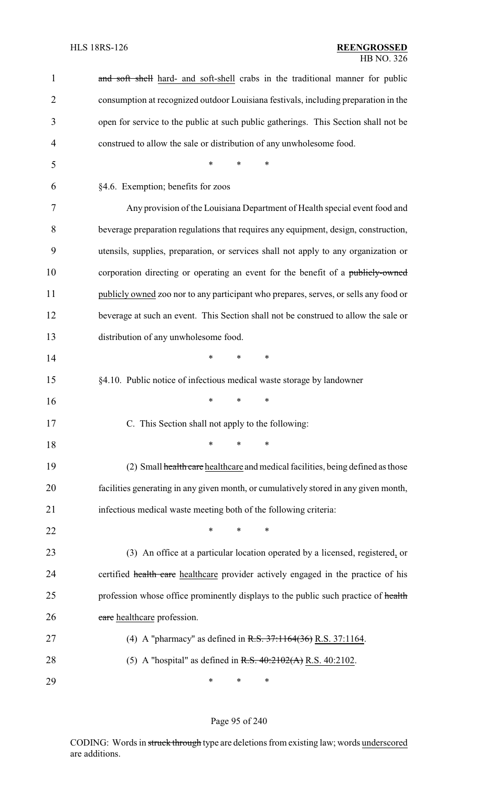| 1              | and soft shell hard- and soft-shell crabs in the traditional manner for public       |
|----------------|--------------------------------------------------------------------------------------|
| $\overline{2}$ | consumption at recognized outdoor Louisiana festivals, including preparation in the  |
| 3              | open for service to the public at such public gatherings. This Section shall not be  |
| $\overline{4}$ | construed to allow the sale or distribution of any unwholesome food.                 |
| 5              | $\ast$<br>*<br>*                                                                     |
| 6              | §4.6. Exemption; benefits for zoos                                                   |
| 7              | Any provision of the Louisiana Department of Health special event food and           |
| 8              | beverage preparation regulations that requires any equipment, design, construction,  |
| 9              | utensils, supplies, preparation, or services shall not apply to any organization or  |
| 10             | corporation directing or operating an event for the benefit of a publicly-owned      |
| 11             | publicly owned zoo nor to any participant who prepares, serves, or sells any food or |
| 12             | beverage at such an event. This Section shall not be construed to allow the sale or  |
| 13             | distribution of any unwholesome food.                                                |
| 14             | ∗<br>∗<br>∗                                                                          |
| 15             | §4.10. Public notice of infectious medical waste storage by landowner                |
| 16             | *<br>*<br>∗                                                                          |
| 17             | C. This Section shall not apply to the following:                                    |
| 18             | ∗<br>*<br>∗                                                                          |
| 19             | (2) Small health care healthcare and medical facilities, being defined as those      |
| 20             | facilities generating in any given month, or cumulatively stored in any given month, |
| 21             | infectious medical waste meeting both of the following criteria:                     |
| 22             | $\ast$<br>∗<br>*                                                                     |
| 23             | (3) An office at a particular location operated by a licensed, registered, or        |
| 24             | certified health care healthcare provider actively engaged in the practice of his    |
| 25             | profession whose office prominently displays to the public such practice of health   |
| 26             | care healthcare profession.                                                          |
| 27             | (4) A "pharmacy" as defined in $R.S. 37:1164(36) R.S. 37:1164$ .                     |
| 28             | (5) A "hospital" as defined in R.S. $40:2102(A)$ R.S. $40:2102$ .                    |
| 29             | ∗<br>∗<br>∗                                                                          |

Page 95 of 240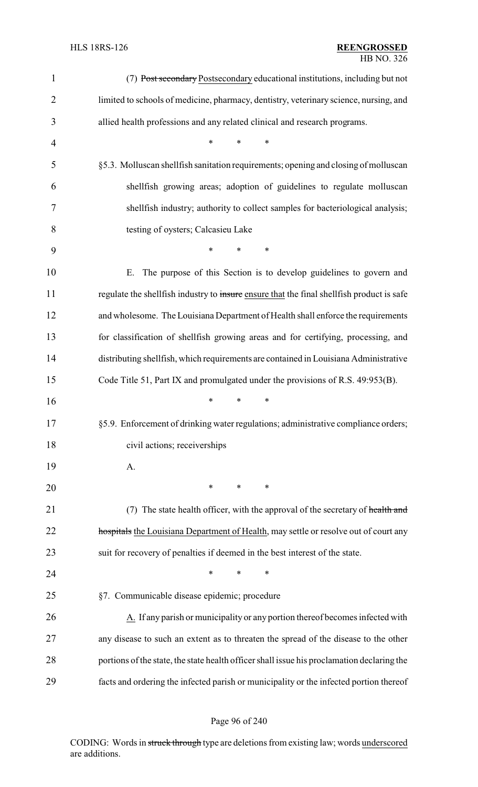| $\mathbf{1}$   | (7) Post secondary Postsecondary educational institutions, including but not               |
|----------------|--------------------------------------------------------------------------------------------|
| $\overline{2}$ | limited to schools of medicine, pharmacy, dentistry, veterinary science, nursing, and      |
| 3              | allied health professions and any related clinical and research programs.                  |
| 4              | $\ast$<br>*<br>*                                                                           |
| 5              | §5.3. Molluscan shellfish sanitation requirements; opening and closing of molluscan        |
| 6              | shellfish growing areas; adoption of guidelines to regulate molluscan                      |
| 7              | shellfish industry; authority to collect samples for bacteriological analysis;             |
| 8              | testing of oysters; Calcasieu Lake                                                         |
| 9              | *<br>$\ast$<br>*                                                                           |
| 10             | The purpose of this Section is to develop guidelines to govern and<br>Ε.                   |
| 11             | regulate the shellfish industry to insure ensure that the final shellfish product is safe  |
| 12             | and wholesome. The Louisiana Department of Health shall enforce the requirements           |
| 13             | for classification of shellfish growing areas and for certifying, processing, and          |
| 14             | distributing shellfish, which requirements are contained in Louisiana Administrative       |
| 15             | Code Title 51, Part IX and promulgated under the provisions of R.S. 49:953(B).             |
| 16             | *<br>∗<br>∗                                                                                |
| 17             | §5.9. Enforcement of drinking water regulations; administrative compliance orders;         |
| 18             | civil actions; receiverships                                                               |
| 19             | A.                                                                                         |
| 20             | $\ast$<br>$\ast$<br>∗                                                                      |
| 21             | (7) The state health officer, with the approval of the secretary of health and             |
| 22             | hospitals the Louisiana Department of Health, may settle or resolve out of court any       |
| 23             | suit for recovery of penalties if deemed in the best interest of the state.                |
| 24             | ∗<br>*<br>*                                                                                |
| 25             | §7. Communicable disease epidemic; procedure                                               |
| 26             | A. If any parish or municipality or any portion thereof becomes infected with              |
| 27             | any disease to such an extent as to threaten the spread of the disease to the other        |
| 28             | portions of the state, the state health officer shall issue his proclamation declaring the |
| 29             | facts and ordering the infected parish or municipality or the infected portion thereof     |

# Page 96 of 240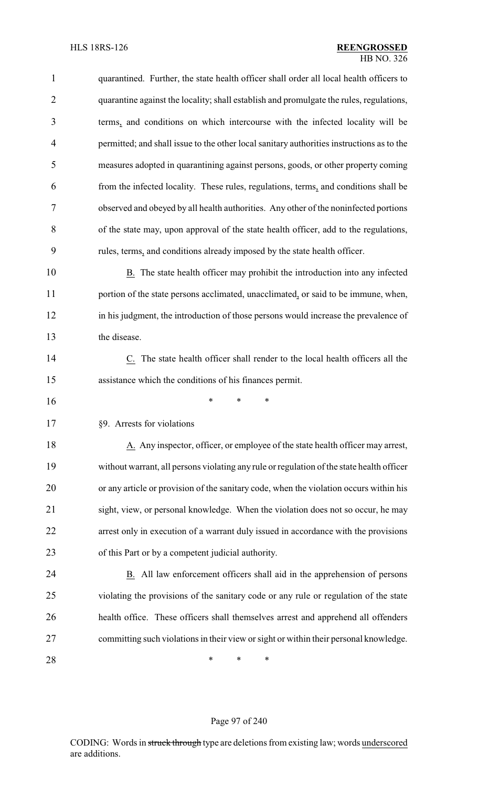| $\mathbf{1}$   | quarantined. Further, the state health officer shall order all local health officers to   |
|----------------|-------------------------------------------------------------------------------------------|
| $\overline{2}$ | quarantine against the locality; shall establish and promulgate the rules, regulations,   |
| 3              | terms, and conditions on which intercourse with the infected locality will be             |
| 4              | permitted; and shall issue to the other local sanitary authorities instructions as to the |
| 5              | measures adopted in quarantining against persons, goods, or other property coming         |
| 6              | from the infected locality. These rules, regulations, terms, and conditions shall be      |
| 7              | observed and obeyed by all health authorities. Any other of the noninfected portions      |
| 8              | of the state may, upon approval of the state health officer, add to the regulations,      |
| 9              | rules, terms, and conditions already imposed by the state health officer.                 |
| 10             | B. The state health officer may prohibit the introduction into any infected               |
| 11             | portion of the state persons acclimated, unacclimated, or said to be immune, when,        |
| 12             | in his judgment, the introduction of those persons would increase the prevalence of       |
| 13             | the disease.                                                                              |
| 14             | C. The state health officer shall render to the local health officers all the             |
| 15             | assistance which the conditions of his finances permit.                                   |
| 16             | *<br>*<br>∗                                                                               |
| 17             | §9. Arrests for violations                                                                |
| 18             | A. Any inspector, officer, or employee of the state health officer may arrest,            |
| 19             | without warrant, all persons violating any rule or regulation of the state health officer |
| 20             | or any article or provision of the sanitary code, when the violation occurs within his    |
| 21             | sight, view, or personal knowledge. When the violation does not so occur, he may          |
| 22             | arrest only in execution of a warrant duly issued in accordance with the provisions       |
| 23             | of this Part or by a competent judicial authority.                                        |
| 24             | B. All law enforcement officers shall aid in the apprehension of persons                  |
| 25             | violating the provisions of the sanitary code or any rule or regulation of the state      |
| 26             | health office. These officers shall themselves arrest and apprehend all offenders         |
| 27             | committing such violations in their view or sight or within their personal knowledge.     |
| 28             | ∗<br>∗<br>∗                                                                               |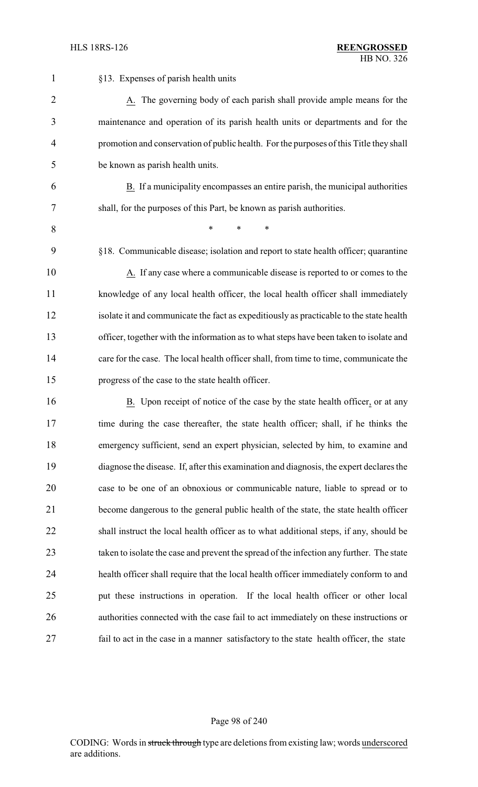| 1              | §13. Expenses of parish health units                                                     |
|----------------|------------------------------------------------------------------------------------------|
| $\overline{2}$ | A. The governing body of each parish shall provide ample means for the                   |
| 3              | maintenance and operation of its parish health units or departments and for the          |
| 4              | promotion and conservation of public health. For the purposes of this Title they shall   |
| 5              | be known as parish health units.                                                         |
| 6              | B. If a municipality encompasses an entire parish, the municipal authorities             |
| 7              | shall, for the purposes of this Part, be known as parish authorities.                    |
| 8              | *<br>$\ast$<br>∗                                                                         |
| 9              | §18. Communicable disease; isolation and report to state health officer; quarantine      |
| 10             | A. If any case where a communicable disease is reported to or comes to the               |
| 11             | knowledge of any local health officer, the local health officer shall immediately        |
| 12             | isolate it and communicate the fact as expeditiously as practicable to the state health  |
| 13             | officer, together with the information as to what steps have been taken to isolate and   |
| 14             | care for the case. The local health officer shall, from time to time, communicate the    |
| 15             | progress of the case to the state health officer.                                        |
| 16             | B. Upon receipt of notice of the case by the state health officer, or at any             |
| 17             | time during the case thereafter, the state health officer, shall, if he thinks the       |
| 18             | emergency sufficient, send an expert physician, selected by him, to examine and          |
| 19             | diagnose the disease. If, after this examination and diagnosis, the expert declares the  |
| 20             | case to be one of an obnoxious or communicable nature, liable to spread or to            |
| 21             | become dangerous to the general public health of the state, the state health officer     |
| 22             | shall instruct the local health officer as to what additional steps, if any, should be   |
| 23             | taken to isolate the case and prevent the spread of the infection any further. The state |
| 24             | health officer shall require that the local health officer immediately conform to and    |
| 25             | put these instructions in operation. If the local health officer or other local          |
| 26             | authorities connected with the case fail to act immediately on these instructions or     |
| 27             | fail to act in the case in a manner satisfactory to the state health officer, the state  |

# Page 98 of 240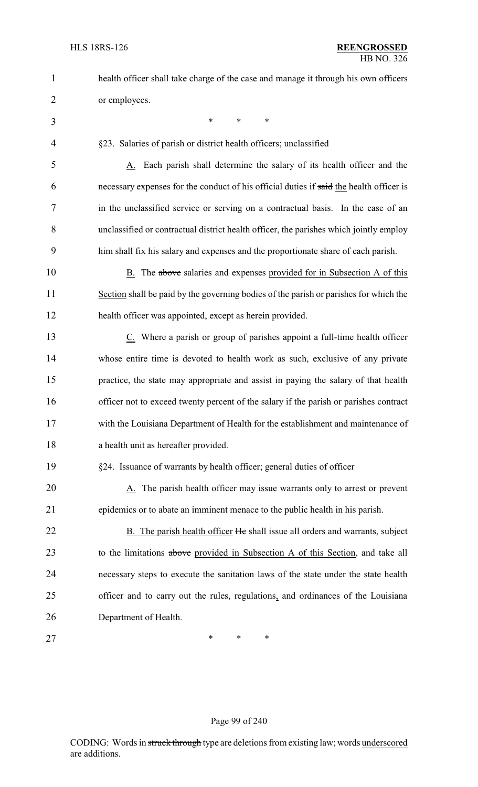| 1              | health officer shall take charge of the case and manage it through his own officers     |
|----------------|-----------------------------------------------------------------------------------------|
| $\overline{2}$ | or employees.                                                                           |
| 3              | $\ast$<br>$\ast$<br>$\ast$                                                              |
| 4              | §23. Salaries of parish or district health officers; unclassified                       |
| 5              | A. Each parish shall determine the salary of its health officer and the                 |
| 6              | necessary expenses for the conduct of his official duties if said the health officer is |
| 7              | in the unclassified service or serving on a contractual basis. In the case of an        |
| 8              | unclassified or contractual district health officer, the parishes which jointly employ  |
| 9              | him shall fix his salary and expenses and the proportionate share of each parish.       |
| 10             | B. The above salaries and expenses provided for in Subsection A of this                 |
| 11             | Section shall be paid by the governing bodies of the parish or parishes for which the   |
| 12             | health officer was appointed, except as herein provided.                                |
| 13             | $Cz$ . Where a parish or group of parishes appoint a full-time health officer           |
| 14             | whose entire time is devoted to health work as such, exclusive of any private           |
| 15             | practice, the state may appropriate and assist in paying the salary of that health      |
| 16             | officer not to exceed twenty percent of the salary if the parish or parishes contract   |
| 17             | with the Louisiana Department of Health for the establishment and maintenance of        |
| 18             | a health unit as hereafter provided.                                                    |
| 19             | §24. Issuance of warrants by health officer; general duties of officer                  |
| 20             | A. The parish health officer may issue warrants only to arrest or prevent               |
| 21             | epidemics or to abate an imminent menace to the public health in his parish.            |
| 22             | B. The parish health officer He shall issue all orders and warrants, subject            |
| 23             | to the limitations above provided in Subsection A of this Section, and take all         |
| 24             | necessary steps to execute the sanitation laws of the state under the state health      |
| 25             | officer and to carry out the rules, regulations, and ordinances of the Louisiana        |
| 26             | Department of Health.                                                                   |
| 27             | *<br>∗<br>∗                                                                             |

# Page 99 of 240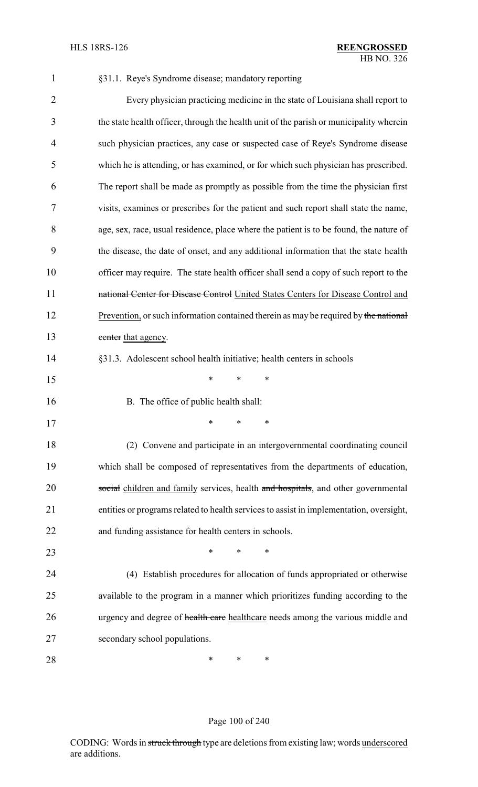| $\mathbf{1}$   | §31.1. Reye's Syndrome disease; mandatory reporting                                     |
|----------------|-----------------------------------------------------------------------------------------|
| $\overline{2}$ | Every physician practicing medicine in the state of Louisiana shall report to           |
| 3              | the state health officer, through the health unit of the parish or municipality wherein |
| 4              | such physician practices, any case or suspected case of Reye's Syndrome disease         |
| 5              | which he is attending, or has examined, or for which such physician has prescribed.     |
| 6              | The report shall be made as promptly as possible from the time the physician first      |
| 7              | visits, examines or prescribes for the patient and such report shall state the name,    |
| 8              | age, sex, race, usual residence, place where the patient is to be found, the nature of  |
| 9              | the disease, the date of onset, and any additional information that the state health    |
| 10             | officer may require. The state health officer shall send a copy of such report to the   |
| 11             | national Center for Disease Control United States Centers for Disease Control and       |
| 12             | Prevention, or such information contained therein as may be required by the national    |
| 13             | center that agency.                                                                     |
| 14             | §31.3. Adolescent school health initiative; health centers in schools                   |
| 15             | ∗<br>∗<br>∗                                                                             |
| 16             | B. The office of public health shall:                                                   |
| 17             | ∗<br>∗<br>∗                                                                             |
| 18             | (2) Convene and participate in an intergovernmental coordinating council                |
| 19             | which shall be composed of representatives from the departments of education,           |
| 20             | social children and family services, health and hospitals, and other governmental       |
| 21             | entities or programs related to health services to assist in implementation, oversight, |
| 22             | and funding assistance for health centers in schools.                                   |
| 23             | ∗<br>∗<br>∗                                                                             |
| 24             | (4) Establish procedures for allocation of funds appropriated or otherwise              |
| 25             | available to the program in a manner which prioritizes funding according to the         |
| 26             | urgency and degree of health care healthcare needs among the various middle and         |
| 27             | secondary school populations.                                                           |
| 28             | ∗<br>∗<br>∗                                                                             |

### Page 100 of 240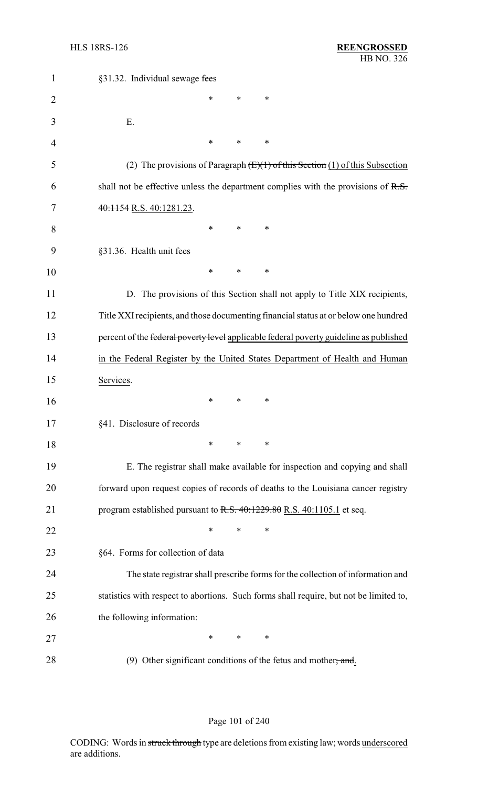| $\mathbf{1}$   | §31.32. Individual sewage fees                                                         |
|----------------|----------------------------------------------------------------------------------------|
| $\overline{2}$ | *<br>∗<br>∗                                                                            |
| 3              | Ε.                                                                                     |
| 4              | $\ast$<br>∗<br>∗                                                                       |
| 5              | (2) The provisions of Paragraph $(E)(1)$ of this Section (1) of this Subsection        |
| 6              | shall not be effective unless the department complies with the provisions of $R.S.$    |
| 7              | $40:1154$ R.S. $40:1281.23$ .                                                          |
| 8              | $\ast$<br>∗<br>∗                                                                       |
| 9              | §31.36. Health unit fees                                                               |
| 10             | $\ast$<br>$\ast$<br>∗                                                                  |
| 11             | D. The provisions of this Section shall not apply to Title XIX recipients,             |
| 12             | Title XXI recipients, and those documenting financial status at or below one hundred   |
| 13             | percent of the federal poverty level applicable federal poverty guideline as published |
| 14             | in the Federal Register by the United States Department of Health and Human            |
| 15             | Services.                                                                              |
| 16             | ∗<br>∗<br>∗                                                                            |
| 17             | §41. Disclosure of records                                                             |
| 18             | $\ast$<br>*<br>$\ast$                                                                  |
| 19             | E. The registrar shall make available for inspection and copying and shall             |
| 20             | forward upon request copies of records of deaths to the Louisiana cancer registry      |
| 21             | program established pursuant to $R.S. 40:1229.80 R.S. 40:1105.1$ et seq.               |
| 22             | *<br>*<br>∗                                                                            |
| 23             | §64. Forms for collection of data                                                      |
| 24             | The state registrar shall prescribe forms for the collection of information and        |
| 25             | statistics with respect to abortions. Such forms shall require, but not be limited to, |
| 26             | the following information:                                                             |
| 27             | $\ast$<br>∗<br>∗                                                                       |
| 28             | (9) Other significant conditions of the fetus and mother; and                          |

# Page 101 of 240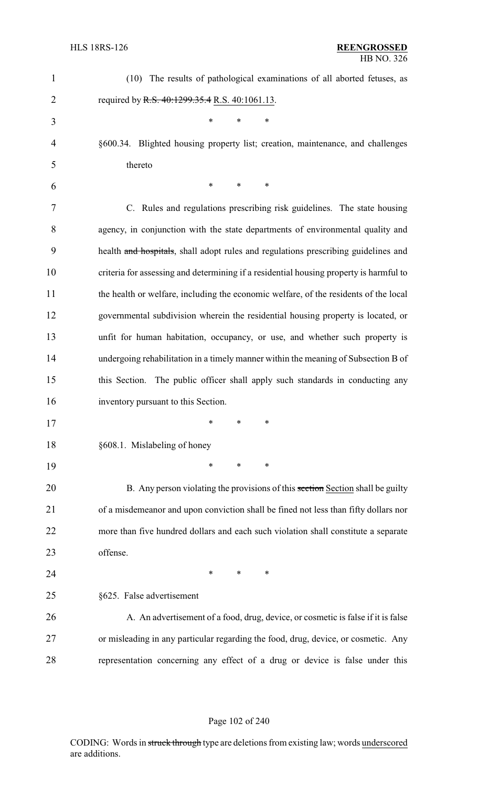| $\mathbf 1$    | (10) The results of pathological examinations of all aborted fetuses, as               |
|----------------|----------------------------------------------------------------------------------------|
| $\overline{2}$ | required by R.S. 40:1299.35.4 R.S. 40:1061.13.                                         |
| 3              | $\ast$<br>$\ast$<br>*                                                                  |
| 4              | §600.34. Blighted housing property list; creation, maintenance, and challenges         |
| 5              | thereto                                                                                |
| 6              | *<br>$\ast$<br>∗                                                                       |
| 7              | C. Rules and regulations prescribing risk guidelines. The state housing                |
| 8              | agency, in conjunction with the state departments of environmental quality and         |
| 9              | health and hospitals, shall adopt rules and regulations prescribing guidelines and     |
| 10             | criteria for assessing and determining if a residential housing property is harmful to |
| 11             | the health or welfare, including the economic welfare, of the residents of the local   |
| 12             | governmental subdivision wherein the residential housing property is located, or       |
| 13             | unfit for human habitation, occupancy, or use, and whether such property is            |
| 14             | undergoing rehabilitation in a timely manner within the meaning of Subsection B of     |
| 15             | this Section. The public officer shall apply such standards in conducting any          |
| 16             | inventory pursuant to this Section.                                                    |
| 17             |                                                                                        |
| 18             | §608.1. Mislabeling of honey                                                           |
| 19             | $\ast$<br>∗<br>$\ast$                                                                  |
| 20             | B. Any person violating the provisions of this section Section shall be guilty         |
| 21             | of a misdemeanor and upon conviction shall be fined not less than fifty dollars nor    |
| 22             | more than five hundred dollars and each such violation shall constitute a separate     |
| 23             | offense.                                                                               |
| 24             | $\ast$<br>$\ast$<br>$\ast$                                                             |
| 25             | §625. False advertisement                                                              |
| 26             | A. An advertisement of a food, drug, device, or cosmetic is false if it is false       |
| 27             | or misleading in any particular regarding the food, drug, device, or cosmetic. Any     |
| 28             | representation concerning any effect of a drug or device is false under this           |

# Page 102 of 240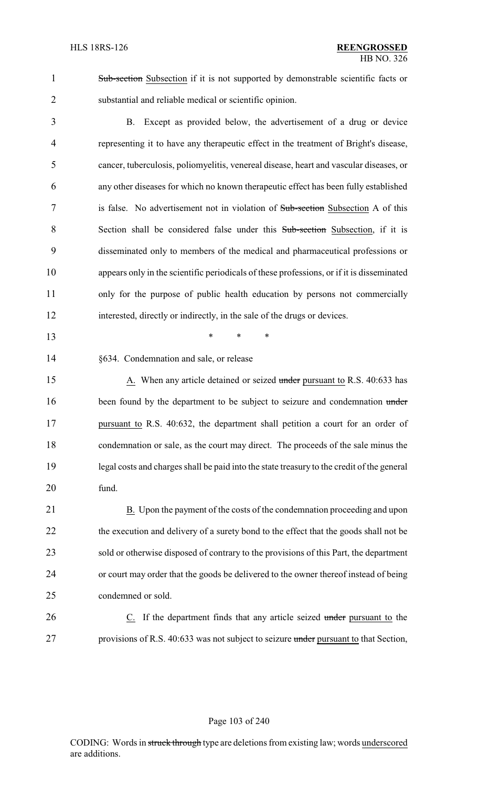1 Sub-section Subsection if it is not supported by demonstrable scientific facts or 2 substantial and reliable medical or scientific opinion.

 B. Except as provided below, the advertisement of a drug or device representing it to have any therapeutic effect in the treatment of Bright's disease, cancer, tuberculosis, poliomyelitis, venereal disease, heart and vascular diseases, or any other diseases for which no known therapeutic effect has been fully established 7 is false. No advertisement not in violation of Sub-section Subsection A of this Section shall be considered false under this Sub-section Subsection, if it is disseminated only to members of the medical and pharmaceutical professions or appears only in the scientific periodicals of these professions, or if it is disseminated only for the purpose of public health education by persons not commercially interested, directly or indirectly, in the sale of the drugs or devices.

13 \* \* \*

14 §634. Condemnation and sale, or release

15 A. When any article detained or seized under pursuant to R.S. 40:633 has 16 been found by the department to be subject to seizure and condemnation under 17 pursuant to R.S. 40:632, the department shall petition a court for an order of 18 condemnation or sale, as the court may direct. The proceeds of the sale minus the 19 legal costs and charges shall be paid into the state treasury to the credit of the general 20 fund.

21 B. Upon the payment of the costs of the condemnation proceeding and upon 22 the execution and delivery of a surety bond to the effect that the goods shall not be 23 sold or otherwise disposed of contrary to the provisions of this Part, the department 24 or court may order that the goods be delivered to the owner thereof instead of being 25 condemned or sold.

26 C. If the department finds that any article seized under pursuant to the 27 provisions of R.S. 40:633 was not subject to seizure under pursuant to that Section,

#### Page 103 of 240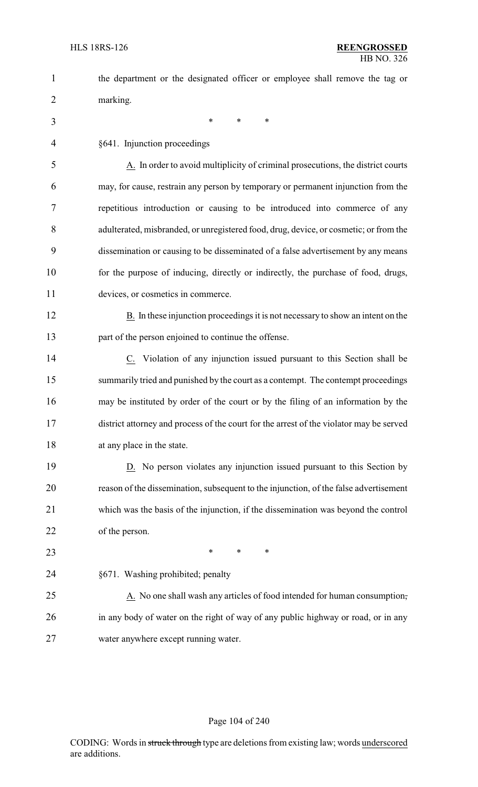| $\mathbf{1}$ | the department or the designated officer or employee shall remove the tag or            |
|--------------|-----------------------------------------------------------------------------------------|
| 2            | marking.                                                                                |
| 3            | $\ast$<br>*<br>$\ast$                                                                   |
| 4            | §641. Injunction proceedings                                                            |
| 5            | A. In order to avoid multiplicity of criminal prosecutions, the district courts         |
| 6            | may, for cause, restrain any person by temporary or permanent injunction from the       |
| 7            | repetitious introduction or causing to be introduced into commerce of any               |
| 8            | adulterated, misbranded, or unregistered food, drug, device, or cosmetic; or from the   |
| 9            | dissemination or causing to be disseminated of a false advertisement by any means       |
| 10           | for the purpose of inducing, directly or indirectly, the purchase of food, drugs,       |
| 11           | devices, or cosmetics in commerce.                                                      |
| 12           | B. In these injunction proceedings it is not necessary to show an intent on the         |
| 13           | part of the person enjoined to continue the offense.                                    |
| 14           | C. Violation of any injunction issued pursuant to this Section shall be                 |
| 15           | summarily tried and punished by the court as a contempt. The contempt proceedings       |
| 16           | may be instituted by order of the court or by the filing of an information by the       |
| 17           | district attorney and process of the court for the arrest of the violator may be served |
| 18           | at any place in the state.                                                              |
| 19           | D. No person violates any injunction issued pursuant to this Section by                 |
| 20           | reason of the dissemination, subsequent to the injunction, of the false advertisement   |
| 21           | which was the basis of the injunction, if the dissemination was beyond the control      |
| 22           | of the person.                                                                          |
| 23           | ∗<br>∗<br>∗                                                                             |
| 24           | §671. Washing prohibited; penalty                                                       |
| 25           | A. No one shall wash any articles of food intended for human consumption,               |
| 26           | in any body of water on the right of way of any public highway or road, or in any       |
| 27           | water anywhere except running water.                                                    |

### Page 104 of 240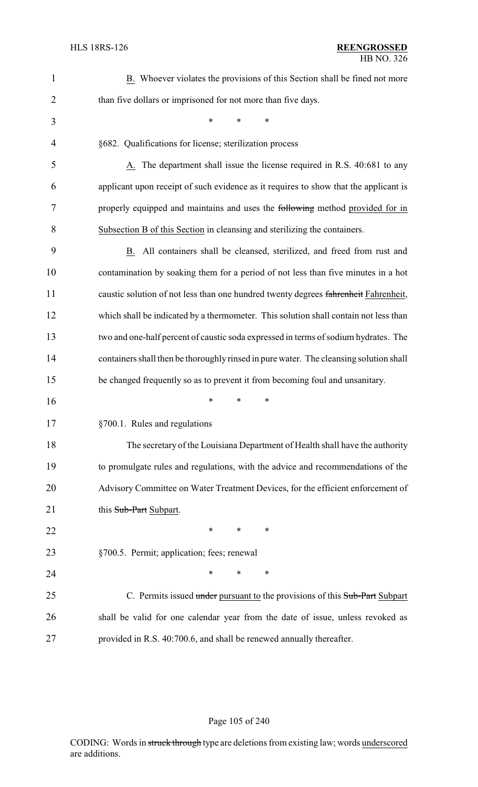| $\mathbf{1}$   | B. Whoever violates the provisions of this Section shall be fined not more             |
|----------------|----------------------------------------------------------------------------------------|
| $\overline{2}$ | than five dollars or imprisoned for not more than five days.                           |
| 3              | *<br>∗<br>*                                                                            |
| 4              | §682. Qualifications for license; sterilization process                                |
| 5              | A. The department shall issue the license required in R.S. 40:681 to any               |
| 6              | applicant upon receipt of such evidence as it requires to show that the applicant is   |
| 7              | properly equipped and maintains and uses the following method provided for in          |
| 8              | Subsection B of this Section in cleansing and sterilizing the containers.              |
| 9              | B. All containers shall be cleansed, sterilized, and freed from rust and               |
| 10             | contamination by soaking them for a period of not less than five minutes in a hot      |
| 11             | caustic solution of not less than one hundred twenty degrees fahrenheit Fahrenheit,    |
| 12             | which shall be indicated by a thermometer. This solution shall contain not less than   |
| 13             | two and one-half percent of caustic soda expressed in terms of sodium hydrates. The    |
| 14             | containers shall then be thoroughly rinsed in pure water. The cleansing solution shall |
| 15             | be changed frequently so as to prevent it from becoming foul and unsanitary.           |
| 16             | *<br>∗<br>∗                                                                            |
| 17             | §700.1. Rules and regulations                                                          |
| 18             | The secretary of the Louisiana Department of Health shall have the authority           |
| 19             | to promulgate rules and regulations, with the advice and recommendations of the        |
| 20             | Advisory Committee on Water Treatment Devices, for the efficient enforcement of        |
| 21             | this Sub-Part Subpart.                                                                 |
| 22             | $\ast$<br>$\ast$<br>$\ast$                                                             |
| 23             | §700.5. Permit; application; fees; renewal                                             |
| 24             | ∗<br>*<br>∗                                                                            |
| 25             | C. Permits issued under pursuant to the provisions of this Sub-Part Subpart            |
| 26             | shall be valid for one calendar year from the date of issue, unless revoked as         |
| 27             | provided in R.S. 40:700.6, and shall be renewed annually thereafter.                   |

# Page 105 of 240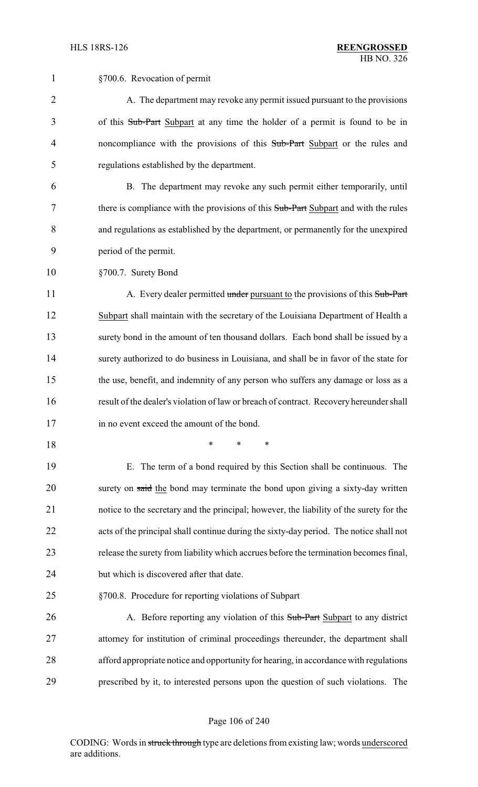| $\mathbf{1}$   | §700.6. Revocation of permit                                                            |
|----------------|-----------------------------------------------------------------------------------------|
| $\overline{2}$ | A. The department may revoke any permit issued pursuant to the provisions               |
| 3              | of this Sub-Part Subpart at any time the holder of a permit is found to be in           |
| 4              | noncompliance with the provisions of this Sub-Part Subpart or the rules and             |
| 5              | regulations established by the department.                                              |
| 6              | B. The department may revoke any such permit either temporarily, until                  |
| 7              | there is compliance with the provisions of this Sub-Part Subpart and with the rules     |
| 8              | and regulations as established by the department, or permanently for the unexpired      |
| 9              | period of the permit.                                                                   |
| 10             | §700.7. Surety Bond                                                                     |
| 11             | A. Every dealer permitted under pursuant to the provisions of this Sub-Part             |
| 12             | Subpart shall maintain with the secretary of the Louisiana Department of Health a       |
| 13             | surety bond in the amount of ten thousand dollars. Each bond shall be issued by a       |
| 14             | surety authorized to do business in Louisiana, and shall be in favor of the state for   |
| 15             | the use, benefit, and indemnity of any person who suffers any damage or loss as a       |
| 16             | result of the dealer's violation of law or breach of contract. Recovery hereunder shall |
| 17             | in no event exceed the amount of the bond.                                              |
| 18             | ∗<br>*<br>∗                                                                             |
| 19             | The term of a bond required by this Section shall be continuous. The<br>Е.              |
| 20             | surety on said the bond may terminate the bond upon giving a sixty-day written          |
| 21             | notice to the secretary and the principal; however, the liability of the surety for the |
| 22             | acts of the principal shall continue during the sixty-day period. The notice shall not  |
| 23             | release the surety from liability which accrues before the termination becomes final,   |
| 24             | but which is discovered after that date.                                                |
| 25             | §700.8. Procedure for reporting violations of Subpart                                   |
| 26             | A. Before reporting any violation of this Sub-Part Subpart to any district              |
| 27             | attorney for institution of criminal proceedings thereunder, the department shall       |
| 28             | afford appropriate notice and opportunity for hearing, in accordance with regulations   |
| 29             | prescribed by it, to interested persons upon the question of such violations. The       |
|                |                                                                                         |

# Page 106 of 240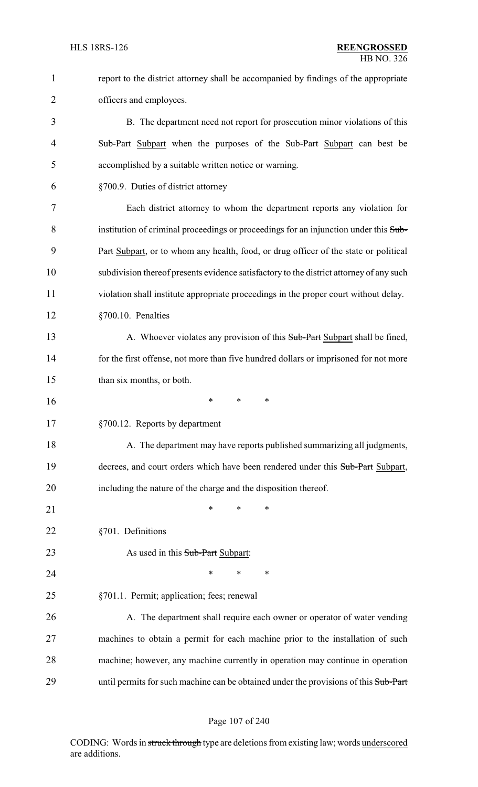| $\mathbf{1}$ | report to the district attorney shall be accompanied by findings of the appropriate     |
|--------------|-----------------------------------------------------------------------------------------|
| 2            | officers and employees.                                                                 |
| 3            | B. The department need not report for prosecution minor violations of this              |
| 4            | Sub-Part Subpart when the purposes of the Sub-Part Subpart can best be                  |
| 5            | accomplished by a suitable written notice or warning.                                   |
| 6            | §700.9. Duties of district attorney                                                     |
| 7            | Each district attorney to whom the department reports any violation for                 |
| 8            | institution of criminal proceedings or proceedings for an injunction under this Sub-    |
| 9            | Part Subpart, or to whom any health, food, or drug officer of the state or political    |
| 10           | subdivision thereof presents evidence satisfactory to the district attorney of any such |
| 11           | violation shall institute appropriate proceedings in the proper court without delay.    |
| 12           | §700.10. Penalties                                                                      |
| 13           | A. Whoever violates any provision of this Sub-Part Subpart shall be fined,              |
| 14           | for the first offense, not more than five hundred dollars or imprisoned for not more    |
| 15           | than six months, or both.                                                               |
| 16           | ∗<br>*<br>∗                                                                             |
| 17           | §700.12. Reports by department                                                          |
| 18           | A. The department may have reports published summarizing all judgments,                 |
| 19           | decrees, and court orders which have been rendered under this Sub-Part Subpart,         |
| 20           | including the nature of the charge and the disposition thereof.                         |
| 21           | *<br>∗<br>*                                                                             |
| 22           | §701. Definitions                                                                       |
| 23           | As used in this Sub-Part Subpart:                                                       |
| 24           | *<br>*<br>*                                                                             |
| 25           | §701.1. Permit; application; fees; renewal                                              |
| 26           | A. The department shall require each owner or operator of water vending                 |
| 27           | machines to obtain a permit for each machine prior to the installation of such          |
| 28           | machine; however, any machine currently in operation may continue in operation          |
| 29           | until permits for such machine can be obtained under the provisions of this Sub-Part    |

# Page 107 of 240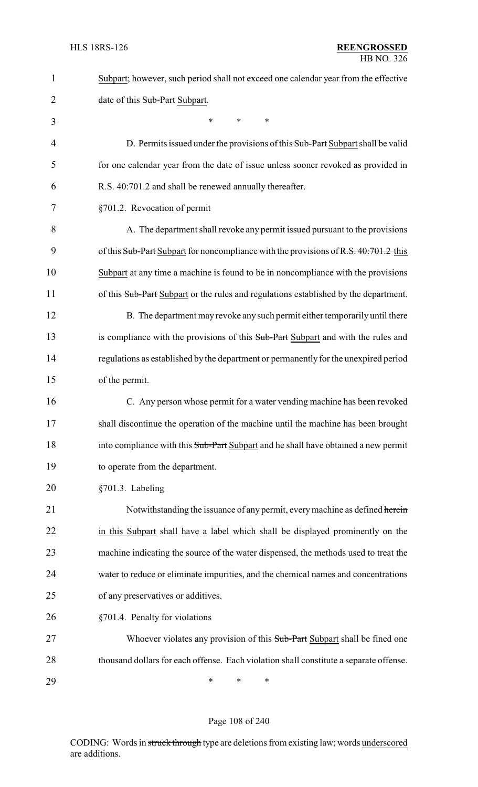| 1              | Subpart; however, such period shall not exceed one calendar year from the effective    |
|----------------|----------------------------------------------------------------------------------------|
| $\overline{c}$ | date of this Sub-Part Subpart.                                                         |
| 3              | *<br>*<br>*                                                                            |
| 4              | D. Permits issued under the provisions of this Sub-Part Subpart shall be valid         |
| 5              | for one calendar year from the date of issue unless sooner revoked as provided in      |
| 6              | R.S. 40:701.2 and shall be renewed annually thereafter.                                |
| 7              | §701.2. Revocation of permit                                                           |
| 8              | A. The department shall revoke any permit issued pursuant to the provisions            |
| 9              | of this Sub-Part Subpart for noncompliance with the provisions of R.S. 40:701.2 this   |
| 10             | Subpart at any time a machine is found to be in noncompliance with the provisions      |
| 11             | of this Sub-Part Subpart or the rules and regulations established by the department.   |
| 12             | B. The department may revoke any such permit either temporarily until there            |
| 13             | is compliance with the provisions of this Sub-Part Subpart and with the rules and      |
| 14             | regulations as established by the department or permanently for the unexpired period   |
| 15             | of the permit.                                                                         |
| 16             | C. Any person whose permit for a water vending machine has been revoked                |
| 17             | shall discontinue the operation of the machine until the machine has been brought      |
| 18             | into compliance with this Sub-Part Subpart and he shall have obtained a new permit     |
| 19             | to operate from the department.                                                        |
| 20             | §701.3. Labeling                                                                       |
| 21             | Notwithstanding the issuance of any permit, every machine as defined herein            |
| 22             | in this Subpart shall have a label which shall be displayed prominently on the         |
| 23             | machine indicating the source of the water dispensed, the methods used to treat the    |
| 24             | water to reduce or eliminate impurities, and the chemical names and concentrations     |
| 25             | of any preservatives or additives.                                                     |
| 26             | §701.4. Penalty for violations                                                         |
| 27             | Whoever violates any provision of this Sub-Part Subpart shall be fined one             |
| 28             | thousand dollars for each offense. Each violation shall constitute a separate offense. |
| 29             | $\ast$<br>∗<br>∗                                                                       |

# Page 108 of 240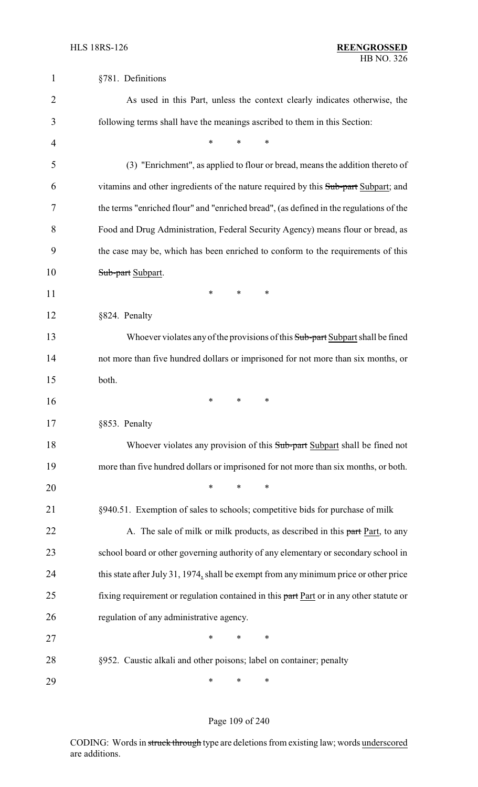| 1              | §781. Definitions                                                                       |  |  |  |  |
|----------------|-----------------------------------------------------------------------------------------|--|--|--|--|
| $\overline{2}$ | As used in this Part, unless the context clearly indicates otherwise, the               |  |  |  |  |
| 3              | following terms shall have the meanings ascribed to them in this Section:               |  |  |  |  |
| 4              | *<br>*<br>*                                                                             |  |  |  |  |
| 5              | (3) "Enrichment", as applied to flour or bread, means the addition thereto of           |  |  |  |  |
| 6              | vitamins and other ingredients of the nature required by this Sub-part Subpart; and     |  |  |  |  |
| 7              | the terms "enriched flour" and "enriched bread", (as defined in the regulations of the  |  |  |  |  |
| 8              | Food and Drug Administration, Federal Security Agency) means flour or bread, as         |  |  |  |  |
| 9              | the case may be, which has been enriched to conform to the requirements of this         |  |  |  |  |
| 10             | Sub-part Subpart.                                                                       |  |  |  |  |
| 11             | ∗<br>∗<br>∗                                                                             |  |  |  |  |
| 12             | §824. Penalty                                                                           |  |  |  |  |
| 13             | Whoever violates any of the provisions of this Sub-part Subpart shall be fined          |  |  |  |  |
| 14             | not more than five hundred dollars or imprisoned for not more than six months, or       |  |  |  |  |
| 15             | both.                                                                                   |  |  |  |  |
| 16             | ∗<br>∗<br>*                                                                             |  |  |  |  |
| 17             | §853. Penalty                                                                           |  |  |  |  |
| 18             | Whoever violates any provision of this Sub-part Subpart shall be fined not              |  |  |  |  |
| 19             | more than five hundred dollars or imprisoned for not more than six months, or both.     |  |  |  |  |
| 20             | ∗<br>$\ast$<br>*                                                                        |  |  |  |  |
| 21             | §940.51. Exemption of sales to schools; competitive bids for purchase of milk           |  |  |  |  |
| 22             | A. The sale of milk or milk products, as described in this part Part, to any            |  |  |  |  |
| 23             | school board or other governing authority of any elementary or secondary school in      |  |  |  |  |
| 24             | this state after July 31, 1974, shall be exempt from any minimum price or other price   |  |  |  |  |
| 25             | fixing requirement or regulation contained in this part Part or in any other statute or |  |  |  |  |
| 26             | regulation of any administrative agency.                                                |  |  |  |  |
| 27             | $\ast$<br>∗<br>∗                                                                        |  |  |  |  |
| 28             | §952. Caustic alkali and other poisons; label on container; penalty                     |  |  |  |  |
| 29             | ∗<br>∗<br>∗                                                                             |  |  |  |  |

# Page 109 of 240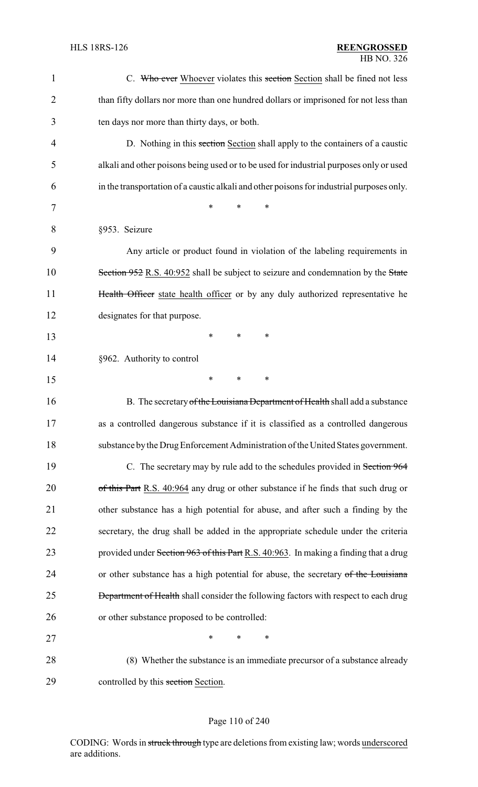| $\mathbf{1}$   | C. Who ever Whoever violates this section Section shall be fined not less                  |
|----------------|--------------------------------------------------------------------------------------------|
| $\overline{2}$ | than fifty dollars nor more than one hundred dollars or imprisoned for not less than       |
| 3              | ten days nor more than thirty days, or both.                                               |
| 4              | D. Nothing in this section Section shall apply to the containers of a caustic              |
| 5              | alkali and other poisons being used or to be used for industrial purposes only or used     |
| 6              | in the transportation of a caustic alkali and other poisons for industrial purposes only.  |
| 7              | $\ast$<br>*<br>∗                                                                           |
| 8              | §953. Seizure                                                                              |
| 9              | Any article or product found in violation of the labeling requirements in                  |
| 10             | Section 952 R.S. 40:952 shall be subject to seizure and condemnation by the State          |
| 11             | Health Officer state health officer or by any duly authorized representative he            |
| 12             | designates for that purpose.                                                               |
| 13             | $\ast$<br>∗<br>*                                                                           |
| 14             | §962. Authority to control                                                                 |
| 15             | $\ast$<br>*<br>*                                                                           |
| 16             | B. The secretary of the Louisiana Department of Health shall add a substance               |
| 17             | as a controlled dangerous substance if it is classified as a controlled dangerous          |
| 18             | substance by the Drug Enforcement Administration of the United States government.          |
| 19             | C. The secretary may by rule add to the schedules provided in Section 964                  |
| 20             | of this Part R.S. 40:964 any drug or other substance if he finds that such drug or         |
| 21             | other substance has a high potential for abuse, and after such a finding by the            |
| 22             | secretary, the drug shall be added in the appropriate schedule under the criteria          |
| 23             | provided under Section 963 of this Part R.S. 40:963. In making a finding that a drug       |
| 24             | or other substance has a high potential for abuse, the secretary of the Louisiana          |
| 25             | <b>Department of Health</b> shall consider the following factors with respect to each drug |
| 26             | or other substance proposed to be controlled:                                              |
| 27             | *<br>∗<br>∗                                                                                |
| 28             | (8) Whether the substance is an immediate precursor of a substance already                 |
| 29             | controlled by this section Section.                                                        |

# Page 110 of 240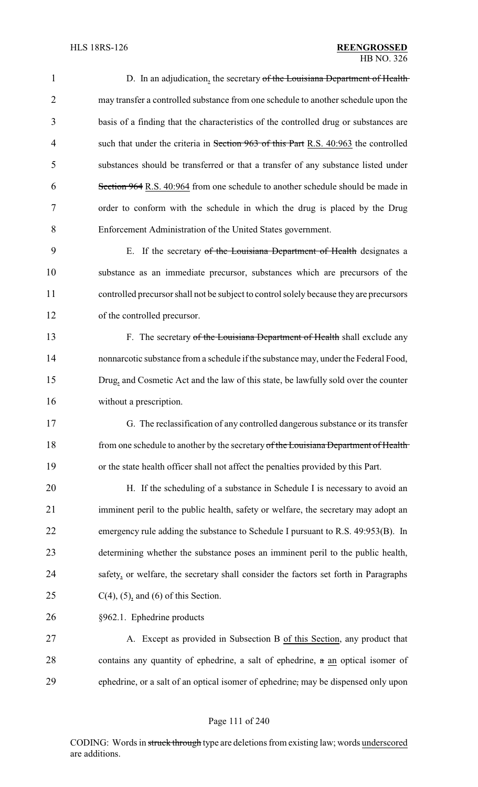| 1              | D. In an adjudication, the secretary of the Louisiana Department of Health              |  |  |  |
|----------------|-----------------------------------------------------------------------------------------|--|--|--|
| $\overline{2}$ | may transfer a controlled substance from one schedule to another schedule upon the      |  |  |  |
| 3              | basis of a finding that the characteristics of the controlled drug or substances are    |  |  |  |
| $\overline{4}$ | such that under the criteria in Section 963 of this Part R.S. 40:963 the controlled     |  |  |  |
| 5              | substances should be transferred or that a transfer of any substance listed under       |  |  |  |
| 6              | Section 964 R.S. 40:964 from one schedule to another schedule should be made in         |  |  |  |
| 7              | order to conform with the schedule in which the drug is placed by the Drug              |  |  |  |
| 8              | Enforcement Administration of the United States government.                             |  |  |  |
| 9              | E. If the secretary of the Louisiana Department of Health designates a                  |  |  |  |
| 10             | substance as an immediate precursor, substances which are precursors of the             |  |  |  |
| 11             | controlled precursor shall not be subject to control solely because they are precursors |  |  |  |
| 12             | of the controlled precursor.                                                            |  |  |  |
| 13             | F. The secretary of the Louisiana Department of Health shall exclude any                |  |  |  |
| 14             | nonnarcotic substance from a schedule if the substance may, under the Federal Food,     |  |  |  |
| 15             | Drug, and Cosmetic Act and the law of this state, be lawfully sold over the counter     |  |  |  |
| 16             | without a prescription.                                                                 |  |  |  |
| 17             | G. The reclassification of any controlled dangerous substance or its transfer           |  |  |  |
| 18             | from one schedule to another by the secretary of the Louisiana Department of Health     |  |  |  |
| 19             | or the state health officer shall not affect the penalties provided by this Part.       |  |  |  |
| 20             | H. If the scheduling of a substance in Schedule I is necessary to avoid an              |  |  |  |
| 21             | imminent peril to the public health, safety or welfare, the secretary may adopt an      |  |  |  |
| 22             | emergency rule adding the substance to Schedule I pursuant to R.S. 49:953(B). In        |  |  |  |
| 23             | determining whether the substance poses an imminent peril to the public health,         |  |  |  |
| 24             | safety, or welfare, the secretary shall consider the factors set forth in Paragraphs    |  |  |  |
| 25             | $C(4)$ , (5), and (6) of this Section.                                                  |  |  |  |
| 26             | §962.1. Ephedrine products                                                              |  |  |  |
| 27             | A. Except as provided in Subsection B of this Section, any product that                 |  |  |  |
| 28             | contains any quantity of ephedrine, a salt of ephedrine, a an optical isomer of         |  |  |  |
| 29             | ephedrine, or a salt of an optical isomer of ephedrine, may be dispensed only upon      |  |  |  |

# Page 111 of 240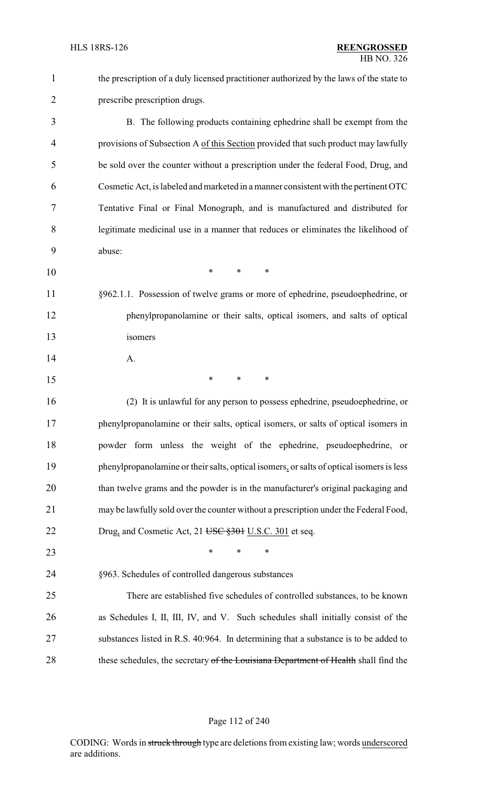| $\mathbf{1}$   | the prescription of a duly licensed practitioner authorized by the laws of the state to  |
|----------------|------------------------------------------------------------------------------------------|
| $\overline{2}$ | prescribe prescription drugs.                                                            |
| 3              | B. The following products containing ephedrine shall be exempt from the                  |
| 4              | provisions of Subsection A of this Section provided that such product may lawfully       |
| 5              | be sold over the counter without a prescription under the federal Food, Drug, and        |
| 6              | Cosmetic Act, is labeled and marketed in a manner consistent with the pertinent OTC      |
| 7              | Tentative Final or Final Monograph, and is manufactured and distributed for              |
| 8              | legitimate medicinal use in a manner that reduces or eliminates the likelihood of        |
| 9              | abuse:                                                                                   |
| 10             | $\ast$<br>*<br>*                                                                         |
| 11             | §962.1.1. Possession of twelve grams or more of ephedrine, pseudoephedrine, or           |
| 12             | phenylpropanolamine or their salts, optical isomers, and salts of optical                |
| 13             | isomers                                                                                  |
| 14             | A.                                                                                       |
| 15             | ∗<br>∗<br>$\ast$                                                                         |
| 16             | (2) It is unlawful for any person to possess ephedrine, pseudoephedrine, or              |
| 17             | phenylpropanolamine or their salts, optical isomers, or salts of optical isomers in      |
| 18             | powder form unless the weight of the ephedrine, pseudoephedrine, or                      |
| 19             | phenylpropanolamine or their salts, optical isomers, or salts of optical isomers is less |
| 20             | than twelve grams and the powder is in the manufacturer's original packaging and         |
| 21             | may be lawfully sold over the counter without a prescription under the Federal Food,     |
| 22             | Drug, and Cosmetic Act, 21 USC §301 U.S.C. 301 et seq.                                   |
| 23             | $\ast$<br>∗<br>∗                                                                         |
| 24             | §963. Schedules of controlled dangerous substances                                       |
| 25             | There are established five schedules of controlled substances, to be known               |
| 26             | as Schedules I, II, III, IV, and V. Such schedules shall initially consist of the        |
| 27             | substances listed in R.S. 40:964. In determining that a substance is to be added to      |
| 28             | these schedules, the secretary of the Louisiana Department of Health shall find the      |

# Page 112 of 240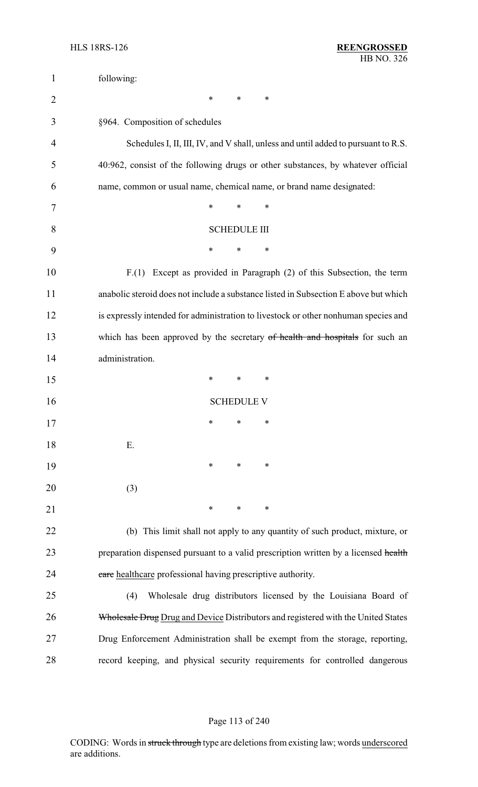| $\mathbf{1}$   | following:                                                                           |  |  |  |  |
|----------------|--------------------------------------------------------------------------------------|--|--|--|--|
| $\overline{2}$ | ∗<br>∗<br>∗                                                                          |  |  |  |  |
| 3              | §964. Composition of schedules                                                       |  |  |  |  |
| 4              | Schedules I, II, III, IV, and V shall, unless and until added to pursuant to R.S.    |  |  |  |  |
| 5              | 40:962, consist of the following drugs or other substances, by whatever official     |  |  |  |  |
| 6              | name, common or usual name, chemical name, or brand name designated:                 |  |  |  |  |
| 7              | *<br>$\ast$<br>$\ast$                                                                |  |  |  |  |
| 8              | <b>SCHEDULE III</b>                                                                  |  |  |  |  |
| 9              | ∗<br>∗<br>∗                                                                          |  |  |  |  |
| 10             | F.(1) Except as provided in Paragraph (2) of this Subsection, the term               |  |  |  |  |
| 11             | anabolic steroid does not include a substance listed in Subsection E above but which |  |  |  |  |
| 12             | is expressly intended for administration to livestock or other nonhuman species and  |  |  |  |  |
| 13             | which has been approved by the secretary of health and hospitals for such an         |  |  |  |  |
| 14             | administration.                                                                      |  |  |  |  |
| 15             | $\ast$<br>∗<br>∗                                                                     |  |  |  |  |
| 16             | <b>SCHEDULE V</b>                                                                    |  |  |  |  |
| 17             | ∗<br>∗<br>∗                                                                          |  |  |  |  |
| 18             | Ε.                                                                                   |  |  |  |  |
| 19             | $\ast$<br>∗<br>∗                                                                     |  |  |  |  |
| 20             | (3)                                                                                  |  |  |  |  |
| 21             | $\ast$<br>$\ast$<br>∗                                                                |  |  |  |  |
| 22             | (b) This limit shall not apply to any quantity of such product, mixture, or          |  |  |  |  |
| 23             | preparation dispensed pursuant to a valid prescription written by a licensed health  |  |  |  |  |
| 24             | care healthcare professional having prescriptive authority.                          |  |  |  |  |
| 25             | Wholesale drug distributors licensed by the Louisiana Board of<br>(4)                |  |  |  |  |
| 26             | Wholesale Drug Drug and Device Distributors and registered with the United States    |  |  |  |  |
| 27             | Drug Enforcement Administration shall be exempt from the storage, reporting,         |  |  |  |  |
| 28             | record keeping, and physical security requirements for controlled dangerous          |  |  |  |  |

# Page 113 of 240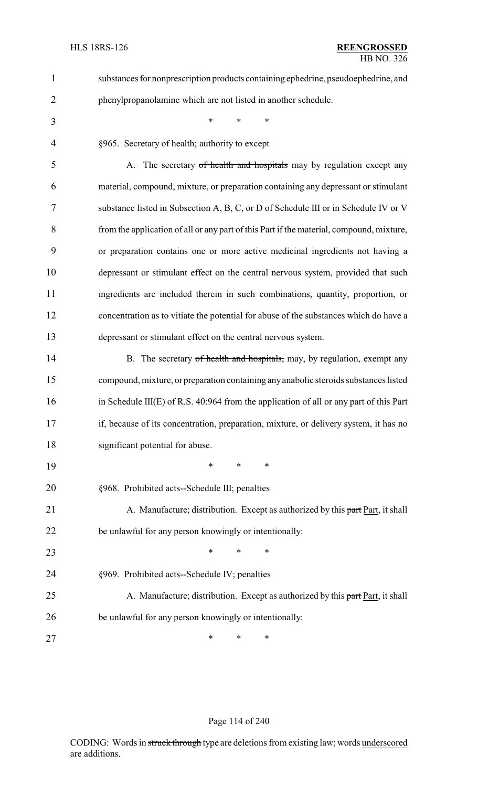| 1              | substances for nonprescription products containing ephedrine, pseudoephedrine, and       |  |  |  |  |
|----------------|------------------------------------------------------------------------------------------|--|--|--|--|
| $\overline{2}$ | phenylpropanolamine which are not listed in another schedule.                            |  |  |  |  |
| 3              | $\ast$<br>*<br>$\ast$                                                                    |  |  |  |  |
| $\overline{4}$ | §965. Secretary of health; authority to except                                           |  |  |  |  |
| 5              | A. The secretary of health and hospitals may by regulation except any                    |  |  |  |  |
| 6              | material, compound, mixture, or preparation containing any depressant or stimulant       |  |  |  |  |
| 7              | substance listed in Subsection A, B, C, or D of Schedule III or in Schedule IV or V      |  |  |  |  |
| 8              | from the application of all or any part of this Part if the material, compound, mixture, |  |  |  |  |
| 9              | or preparation contains one or more active medicinal ingredients not having a            |  |  |  |  |
| 10             | depressant or stimulant effect on the central nervous system, provided that such         |  |  |  |  |
| 11             | ingredients are included therein in such combinations, quantity, proportion, or          |  |  |  |  |
| 12             | concentration as to vitiate the potential for abuse of the substances which do have a    |  |  |  |  |
| 13             | depressant or stimulant effect on the central nervous system.                            |  |  |  |  |
| 14             | B. The secretary of health and hospitals, may, by regulation, exempt any                 |  |  |  |  |
| 15             | compound, mixture, or preparation containing any anabolic steroids substances listed     |  |  |  |  |
| 16             | in Schedule III(E) of R.S. 40:964 from the application of all or any part of this Part   |  |  |  |  |
| 17             | if, because of its concentration, preparation, mixture, or delivery system, it has no    |  |  |  |  |
| 18             | significant potential for abuse.                                                         |  |  |  |  |
| 19             | ∗<br>$\ast$<br>∗                                                                         |  |  |  |  |
| 20             | §968. Prohibited acts--Schedule III; penalties                                           |  |  |  |  |
| 21             | A. Manufacture; distribution. Except as authorized by this part Part, it shall           |  |  |  |  |
| 22             | be unlawful for any person knowingly or intentionally:                                   |  |  |  |  |
| 23             | *<br>∗<br>*                                                                              |  |  |  |  |
| 24             | §969. Prohibited acts--Schedule IV; penalties                                            |  |  |  |  |
| 25             | A. Manufacture; distribution. Except as authorized by this part Part, it shall           |  |  |  |  |
| 26             | be unlawful for any person knowingly or intentionally:                                   |  |  |  |  |
| 27             | ∗<br>∗<br>∗                                                                              |  |  |  |  |

# Page 114 of 240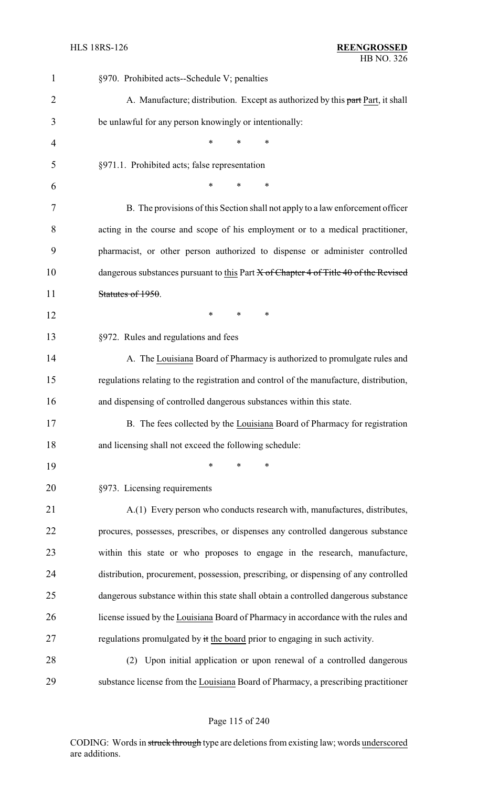| $\mathbf{1}$   | §970. Prohibited acts--Schedule V; penalties                                           |  |  |  |  |
|----------------|----------------------------------------------------------------------------------------|--|--|--|--|
| $\overline{2}$ | A. Manufacture; distribution. Except as authorized by this part Part, it shall         |  |  |  |  |
| 3              | be unlawful for any person knowingly or intentionally:                                 |  |  |  |  |
| $\overline{4}$ | $\ast$<br>*<br>$\ast$                                                                  |  |  |  |  |
| 5              | §971.1. Prohibited acts; false representation                                          |  |  |  |  |
| 6              | $\ast$<br>$\ast$<br>$\ast$                                                             |  |  |  |  |
| 7              | B. The provisions of this Section shall not apply to a law enforcement officer         |  |  |  |  |
| 8              | acting in the course and scope of his employment or to a medical practitioner,         |  |  |  |  |
| 9              | pharmacist, or other person authorized to dispense or administer controlled            |  |  |  |  |
| 10             | dangerous substances pursuant to this Part X of Chapter 4 of Title 40 of the Revised   |  |  |  |  |
| 11             | Statutes of 1950.                                                                      |  |  |  |  |
| 12             | $\ast$<br>$\ast$<br>$\ast$                                                             |  |  |  |  |
| 13             | §972. Rules and regulations and fees                                                   |  |  |  |  |
| 14             | A. The Louisiana Board of Pharmacy is authorized to promulgate rules and               |  |  |  |  |
| 15             | regulations relating to the registration and control of the manufacture, distribution, |  |  |  |  |
| 16             | and dispensing of controlled dangerous substances within this state.                   |  |  |  |  |
| 17             | B. The fees collected by the Louisiana Board of Pharmacy for registration              |  |  |  |  |
| 18             | and licensing shall not exceed the following schedule:                                 |  |  |  |  |
| 19             | $\ast$<br>$\ast$<br>*                                                                  |  |  |  |  |
| 20             | §973. Licensing requirements                                                           |  |  |  |  |
| 21             | A.(1) Every person who conducts research with, manufactures, distributes,              |  |  |  |  |
| 22             | procures, possesses, prescribes, or dispenses any controlled dangerous substance       |  |  |  |  |
| 23             | within this state or who proposes to engage in the research, manufacture,              |  |  |  |  |
| 24             | distribution, procurement, possession, prescribing, or dispensing of any controlled    |  |  |  |  |
| 25             | dangerous substance within this state shall obtain a controlled dangerous substance    |  |  |  |  |
| 26             | license issued by the Louisiana Board of Pharmacy in accordance with the rules and     |  |  |  |  |
| 27             | regulations promulgated by it the board prior to engaging in such activity.            |  |  |  |  |
| 28             | Upon initial application or upon renewal of a controlled dangerous<br>(2)              |  |  |  |  |
| 29             | substance license from the Louisiana Board of Pharmacy, a prescribing practitioner     |  |  |  |  |

Page 115 of 240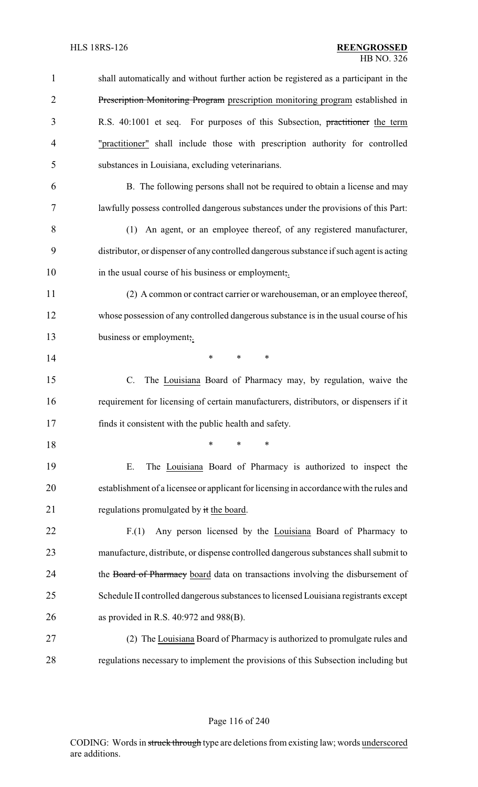| $\mathbf{1}$   | shall automatically and without further action be registered as a participant in the    |  |  |
|----------------|-----------------------------------------------------------------------------------------|--|--|
| $\overline{2}$ | Prescription Monitoring Program prescription monitoring program established in          |  |  |
| 3              | R.S. 40:1001 et seq. For purposes of this Subsection, practitioner the term             |  |  |
| 4              | "practitioner" shall include those with prescription authority for controlled           |  |  |
| 5              | substances in Louisiana, excluding veterinarians.                                       |  |  |
| 6              | B. The following persons shall not be required to obtain a license and may              |  |  |
| 7              | lawfully possess controlled dangerous substances under the provisions of this Part:     |  |  |
| 8              | (1) An agent, or an employee thereof, of any registered manufacturer,                   |  |  |
| 9              | distributor, or dispenser of any controlled dangerous substance if such agent is acting |  |  |
| 10             | in the usual course of his business or employment,.                                     |  |  |
| 11             | (2) A common or contract carrier or warehouseman, or an employee thereof,               |  |  |
| 12             | whose possession of any controlled dangerous substance is in the usual course of his    |  |  |
| 13             | business or employment,.                                                                |  |  |
| 14             | *<br>$\ast$<br>*                                                                        |  |  |
| 15             | C.<br>The Louisiana Board of Pharmacy may, by regulation, waive the                     |  |  |
| 16             | requirement for licensing of certain manufacturers, distributors, or dispensers if it   |  |  |
| 17             | finds it consistent with the public health and safety.                                  |  |  |
| 18             | *<br>*<br>∗                                                                             |  |  |
| 19             | The Louisiana Board of Pharmacy is authorized to inspect the<br>Ε.                      |  |  |
| 20             | establishment of a licensee or applicant for licensing in accordance with the rules and |  |  |
| 21             | regulations promulgated by it the board.                                                |  |  |
| 22             | Any person licensed by the Louisiana Board of Pharmacy to<br>F(1)                       |  |  |
| 23             | manufacture, distribute, or dispense controlled dangerous substances shall submit to    |  |  |
| 24             | the Board of Pharmacy board data on transactions involving the disbursement of          |  |  |
| 25             | Schedule II controlled dangerous substances to licensed Louisiana registrants except    |  |  |
| 26             | as provided in R.S. $40:972$ and $988(B)$ .                                             |  |  |
| 27             | (2) The Louisiana Board of Pharmacy is authorized to promulgate rules and               |  |  |
| 28             | regulations necessary to implement the provisions of this Subsection including but      |  |  |

## Page 116 of 240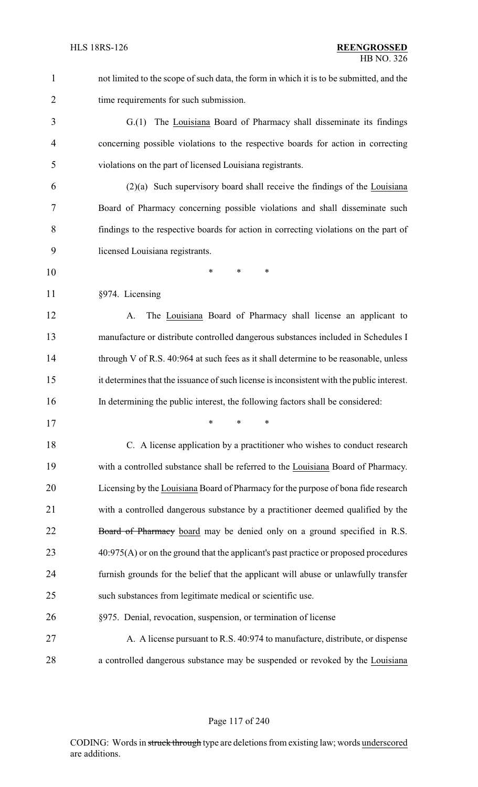not limited to the scope of such data, the form in which it is to be submitted, and the time requirements for such submission.

 G.(1) The Louisiana Board of Pharmacy shall disseminate its findings concerning possible violations to the respective boards for action in correcting violations on the part of licensed Louisiana registrants.

 (2)(a) Such supervisory board shall receive the findings of the Louisiana Board of Pharmacy concerning possible violations and shall disseminate such findings to the respective boards for action in correcting violations on the part of licensed Louisiana registrants.

- \* \* \*
- §974. Licensing

 A. The Louisiana Board of Pharmacy shall license an applicant to manufacture or distribute controlled dangerous substances included in Schedules I 14 through V of R.S. 40:964 at such fees as it shall determine to be reasonable, unless it determines that the issuance of such license is inconsistent with the public interest. In determining the public interest, the following factors shall be considered:

\* \* \*

 C. A license application by a practitioner who wishes to conduct research with a controlled substance shall be referred to the Louisiana Board of Pharmacy. Licensing by the Louisiana Board of Pharmacy for the purpose of bona fide research with a controlled dangerous substance by a practitioner deemed qualified by the 22 Board of Pharmacy board may be denied only on a ground specified in R.S. 23 40:975(A) or on the ground that the applicant's past practice or proposed procedures furnish grounds for the belief that the applicant will abuse or unlawfully transfer such substances from legitimate medical or scientific use.

## §975. Denial, revocation, suspension, or termination of license

27 A. A license pursuant to R.S. 40:974 to manufacture, distribute, or dispense a controlled dangerous substance may be suspended or revoked by the Louisiana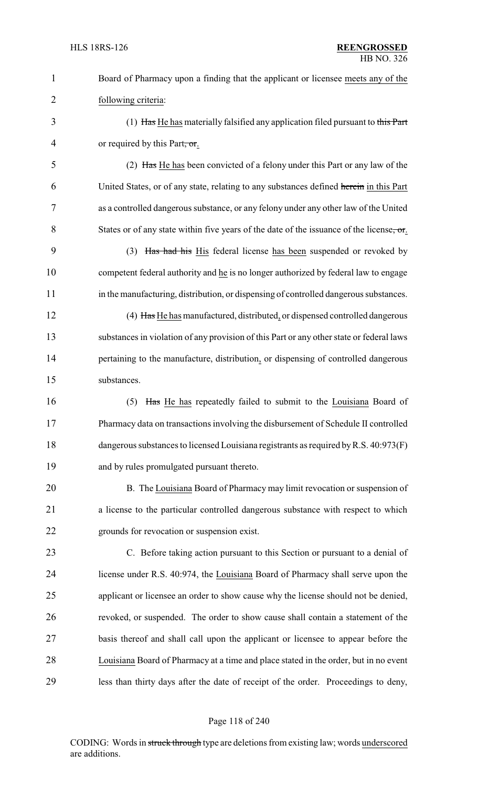| $\mathbf{1}$   | Board of Pharmacy upon a finding that the applicant or licensee meets any of the         |
|----------------|------------------------------------------------------------------------------------------|
| $\overline{2}$ | following criteria:                                                                      |
| 3              | (1) Has He has materially falsified any application filed pursuant to this Part          |
| $\overline{4}$ | or required by this Part, or.                                                            |
| 5              | (2) Has He has been convicted of a felony under this Part or any law of the              |
| 6              | United States, or of any state, relating to any substances defined herein in this Part   |
| $\overline{7}$ | as a controlled dangerous substance, or any felony under any other law of the United     |
| 8              | States or of any state within five years of the date of the issuance of the license, or  |
| 9              | (3) Has had his His federal license has been suspended or revoked by                     |
| 10             | competent federal authority and he is no longer authorized by federal law to engage      |
| 11             | in the manufacturing, distribution, or dispensing of controlled dangerous substances.    |
| 12             | (4) Has He has manufactured, distributed, or dispensed controlled dangerous              |
| 13             | substances in violation of any provision of this Part or any other state or federal laws |
| 14             | pertaining to the manufacture, distribution, or dispensing of controlled dangerous       |
| 15             | substances.                                                                              |
| 16             | Has He has repeatedly failed to submit to the Louisiana Board of<br>(5)                  |
| 17             | Pharmacy data on transactions involving the disbursement of Schedule II controlled       |
| 18             | dangerous substances to licensed Louisiana registrants as required by R.S. 40:973(F)     |
| 19             | and by rules promulgated pursuant thereto.                                               |
| 20             | B. The Louisiana Board of Pharmacy may limit revocation or suspension of                 |
| 21             | a license to the particular controlled dangerous substance with respect to which         |
| 22             | grounds for revocation or suspension exist.                                              |
| 23             | C. Before taking action pursuant to this Section or pursuant to a denial of              |
| 24             | license under R.S. 40:974, the Louisiana Board of Pharmacy shall serve upon the          |
| 25             | applicant or licensee an order to show cause why the license should not be denied,       |
| 26             | revoked, or suspended. The order to show cause shall contain a statement of the          |
| 27             | basis thereof and shall call upon the applicant or licensee to appear before the         |
| 28             | Louisiana Board of Pharmacy at a time and place stated in the order, but in no event     |
| 29             | less than thirty days after the date of receipt of the order. Proceedings to deny,       |

# Page 118 of 240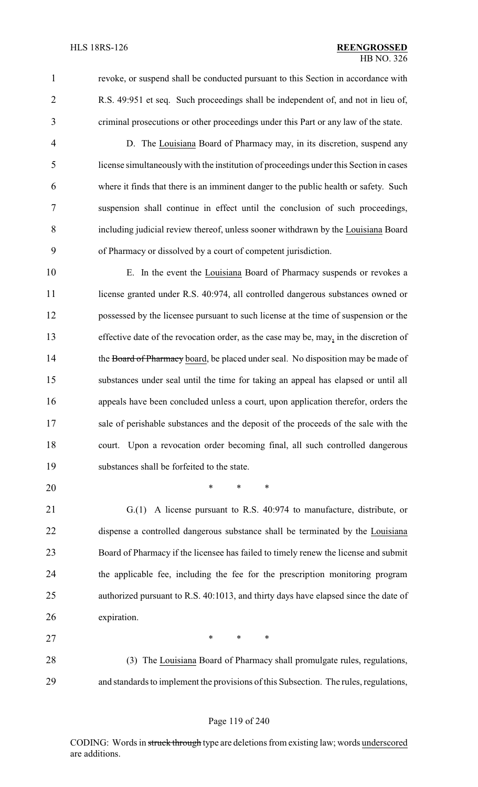revoke, or suspend shall be conducted pursuant to this Section in accordance with R.S. 49:951 et seq. Such proceedings shall be independent of, and not in lieu of, criminal prosecutions or other proceedings under this Part or any law of the state.

 D. The Louisiana Board of Pharmacy may, in its discretion, suspend any license simultaneouslywith the institution of proceedings under this Section in cases where it finds that there is an imminent danger to the public health or safety. Such suspension shall continue in effect until the conclusion of such proceedings, including judicial review thereof, unless sooner withdrawn by the Louisiana Board of Pharmacy or dissolved by a court of competent jurisdiction.

 E. In the event the Louisiana Board of Pharmacy suspends or revokes a 11 license granted under R.S. 40:974, all controlled dangerous substances owned or possessed by the licensee pursuant to such license at the time of suspension or the effective date of the revocation order, as the case may be, may, in the discretion of 14 the Board of Pharmacy board, be placed under seal. No disposition may be made of substances under seal until the time for taking an appeal has elapsed or until all appeals have been concluded unless a court, upon application therefor, orders the sale of perishable substances and the deposit of the proceeds of the sale with the court. Upon a revocation order becoming final, all such controlled dangerous substances shall be forfeited to the state.

\* \* \*

 G.(1) A license pursuant to R.S. 40:974 to manufacture, distribute, or dispense a controlled dangerous substance shall be terminated by the Louisiana Board of Pharmacy if the licensee has failed to timely renew the license and submit the applicable fee, including the fee for the prescription monitoring program authorized pursuant to R.S. 40:1013, and thirty days have elapsed since the date of expiration.

27 \* \* \* \* (3) The Louisiana Board of Pharmacy shall promulgate rules, regulations, and standards to implement the provisions of this Subsection. The rules, regulations,

### Page 119 of 240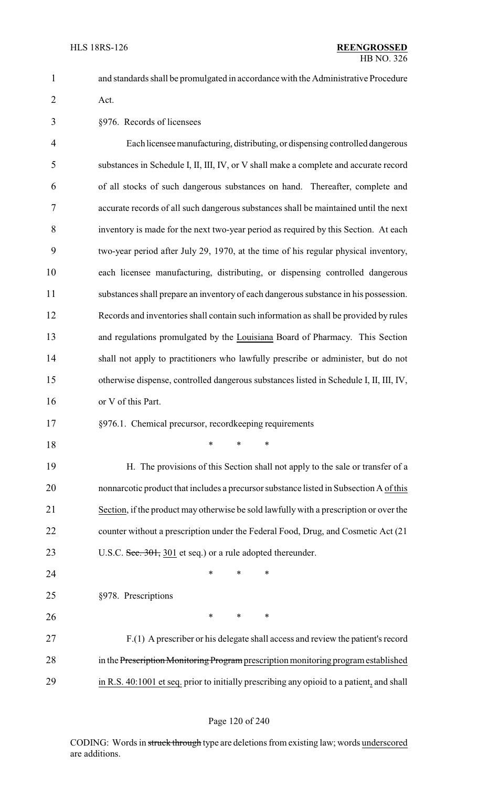and standards shall be promulgated in accordance with the Administrative Procedure Act.

§976. Records of licensees

 Each licenseemanufacturing, distributing, or dispensing controlled dangerous substances in Schedule I, II, III, IV, or V shall make a complete and accurate record of all stocks of such dangerous substances on hand. Thereafter, complete and accurate records of all such dangerous substances shall be maintained until the next inventory is made for the next two-year period as required by this Section. At each two-year period after July 29, 1970, at the time of his regular physical inventory, each licensee manufacturing, distributing, or dispensing controlled dangerous substances shall prepare an inventory of each dangerous substance in his possession. Records and inventories shall contain such information as shall be provided by rules 13 and regulations promulgated by the Louisiana Board of Pharmacy. This Section shall not apply to practitioners who lawfully prescribe or administer, but do not otherwise dispense, controlled dangerous substances listed in Schedule I, II, III, IV, or V of this Part.

- §976.1. Chemical precursor, recordkeeping requirements
- \* \* \*

 H. The provisions of this Section shall not apply to the sale or transfer of a nonnarcotic product that includes a precursor substance listed in Subsection A of this Section, if the product may otherwise be sold lawfully with a prescription or over the counter without a prescription under the Federal Food, Drug, and Cosmetic Act (21 23 U.S.C. Sec. 301, 301 et seq.) or a rule adopted thereunder.

**\*** \* \* \* §978. Prescriptions

**\*** \* \* \* F.(1) A prescriber or his delegate shall access and review the patient's record 28 in the Prescription Monitoring Program prescription monitoring program established in R.S. 40:1001 et seq. prior to initially prescribing any opioid to a patient, and shall

### Page 120 of 240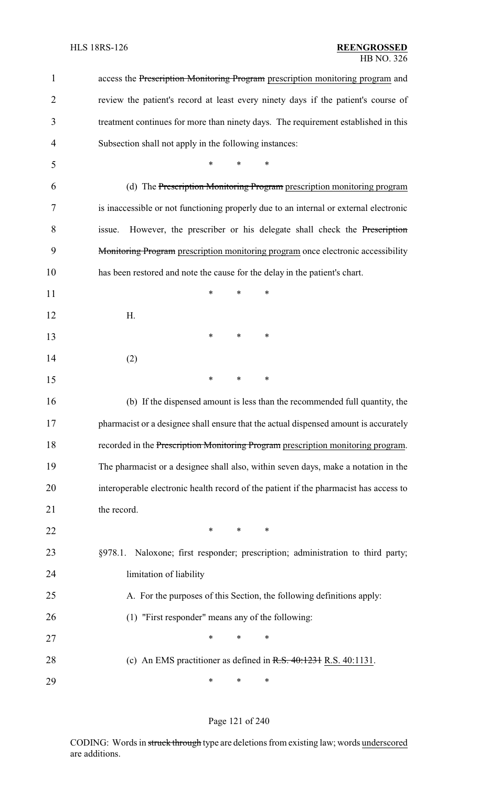| 1              | access the Prescription Monitoring Program prescription monitoring program and        |  |  |  |  |
|----------------|---------------------------------------------------------------------------------------|--|--|--|--|
| $\overline{2}$ | review the patient's record at least every ninety days if the patient's course of     |  |  |  |  |
| 3              | treatment continues for more than ninety days. The requirement established in this    |  |  |  |  |
| $\overline{4}$ | Subsection shall not apply in the following instances:                                |  |  |  |  |
| 5              | *<br>*                                                                                |  |  |  |  |
| 6              | (d) The Prescription Monitoring Program prescription monitoring program               |  |  |  |  |
| 7              | is inaccessible or not functioning properly due to an internal or external electronic |  |  |  |  |
| 8              | However, the prescriber or his delegate shall check the Prescription<br>issue.        |  |  |  |  |
| 9              | Monitoring Program prescription monitoring program once electronic accessibility      |  |  |  |  |
| 10             | has been restored and note the cause for the delay in the patient's chart.            |  |  |  |  |
| 11             | *<br>∗<br>∗                                                                           |  |  |  |  |
| 12             | H.                                                                                    |  |  |  |  |
| 13             | ∗<br>*<br>∗                                                                           |  |  |  |  |
| 14             | (2)                                                                                   |  |  |  |  |
| 15             | ∗<br>*<br>∗                                                                           |  |  |  |  |
| 16             | (b) If the dispensed amount is less than the recommended full quantity, the           |  |  |  |  |
| 17             | pharmacist or a designee shall ensure that the actual dispensed amount is accurately  |  |  |  |  |
| 18             | recorded in the Prescription Monitoring Program prescription monitoring program.      |  |  |  |  |
| 19             | The pharmacist or a designee shall also, within seven days, make a notation in the    |  |  |  |  |
| 20             | interoperable electronic health record of the patient if the pharmacist has access to |  |  |  |  |
| 21             | the record.                                                                           |  |  |  |  |
| 22             | $\ast$<br>∗<br>∗                                                                      |  |  |  |  |
| 23             | Naloxone; first responder; prescription; administration to third party;<br>§978.1.    |  |  |  |  |
| 24             | limitation of liability                                                               |  |  |  |  |
| 25             | A. For the purposes of this Section, the following definitions apply:                 |  |  |  |  |
| 26             | (1) "First responder" means any of the following:                                     |  |  |  |  |
| 27             | $\ast$<br>∗<br>*                                                                      |  |  |  |  |
| 28             | (c) An EMS practitioner as defined in $R.S. 40:1231 R.S. 40:1131$ .                   |  |  |  |  |
| 29             | ∗<br>∗<br>∗                                                                           |  |  |  |  |

# Page 121 of 240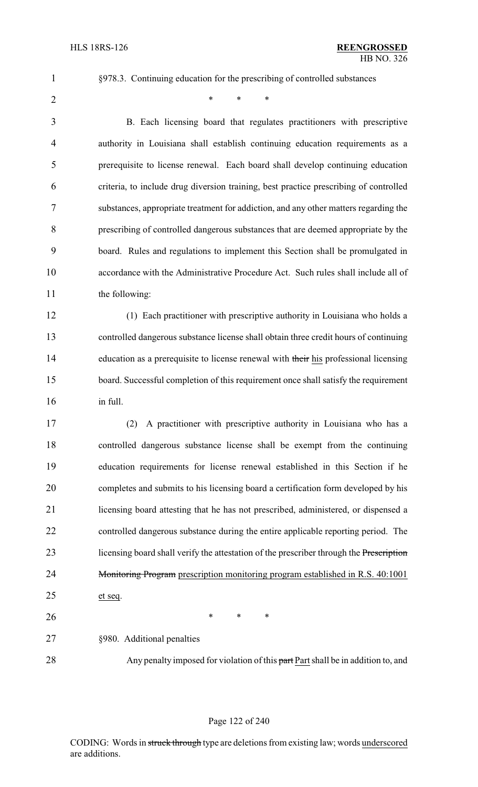§978.3. Continuing education for the prescribing of controlled substances

 $*$  \* \* \*

 B. Each licensing board that regulates practitioners with prescriptive authority in Louisiana shall establish continuing education requirements as a prerequisite to license renewal. Each board shall develop continuing education criteria, to include drug diversion training, best practice prescribing of controlled substances, appropriate treatment for addiction, and any other matters regarding the prescribing of controlled dangerous substances that are deemed appropriate by the board. Rules and regulations to implement this Section shall be promulgated in accordance with the Administrative Procedure Act. Such rules shall include all of 11 the following:

 (1) Each practitioner with prescriptive authority in Louisiana who holds a controlled dangerous substance license shall obtain three credit hours of continuing 14 education as a prerequisite to license renewal with their his professional licensing board. Successful completion of this requirement once shall satisfy the requirement in full.

 (2) A practitioner with prescriptive authority in Louisiana who has a controlled dangerous substance license shall be exempt from the continuing education requirements for license renewal established in this Section if he completes and submits to his licensing board a certification form developed by his licensing board attesting that he has not prescribed, administered, or dispensed a controlled dangerous substance during the entire applicable reporting period. The 23 licensing board shall verify the attestation of the prescriber through the Prescription 24 Monitoring Program prescription monitoring program established in R.S. 40:1001 et seq.

**\*** \* \* \*

§980. Additional penalties

28 Any penalty imposed for violation of this part Part shall be in addition to, and

### Page 122 of 240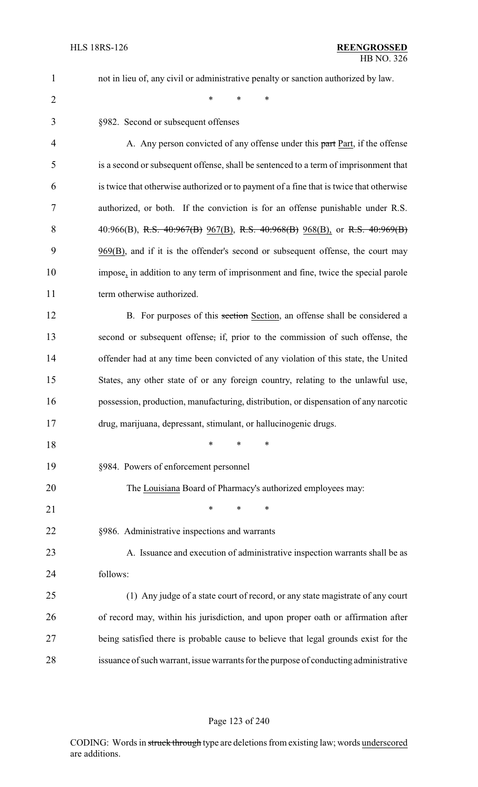|   | ÷ |  |
|---|---|--|
| ۹ |   |  |

not in lieu of, any civil or administrative penalty or sanction authorized by law.

 $*$  \* \* \*

| 3  | §982. Second or subsequent offenses                                                     |
|----|-----------------------------------------------------------------------------------------|
| 4  | A. Any person convicted of any offense under this part Part, if the offense             |
| 5  | is a second or subsequent offense, shall be sentenced to a term of imprisonment that    |
| 6  | is twice that otherwise authorized or to payment of a fine that is twice that otherwise |
| 7  | authorized, or both. If the conviction is for an offense punishable under R.S.          |
| 8  | 40:966(B), R.S. $40:967(B)$ $967(B)$ , R.S. $40:968(B)$ $968(B)$ , or R.S. $40:969(B)$  |
| 9  | 969(B), and if it is the offender's second or subsequent offense, the court may         |
| 10 | impose, in addition to any term of imprisonment and fine, twice the special parole      |
| 11 | term otherwise authorized.                                                              |
| 12 | B. For purposes of this section Section, an offense shall be considered a               |
| 13 | second or subsequent offense, if, prior to the commission of such offense, the          |
| 14 | offender had at any time been convicted of any violation of this state, the United      |
| 15 | States, any other state of or any foreign country, relating to the unlawful use,        |
| 16 | possession, production, manufacturing, distribution, or dispensation of any narcotic    |
| 17 | drug, marijuana, depressant, stimulant, or hallucinogenic drugs.                        |
| 18 | $\ast$<br>∗<br>*                                                                        |
| 19 | §984. Powers of enforcement personnel                                                   |
| 20 | The Louisiana Board of Pharmacy's authorized employees may:                             |
| 21 | *<br>*<br>*                                                                             |
| 22 | §986. Administrative inspections and warrants                                           |
| 23 | A. Issuance and execution of administrative inspection warrants shall be as             |
| 24 | follows:                                                                                |
| 25 | (1) Any judge of a state court of record, or any state magistrate of any court          |
| 26 | of record may, within his jurisdiction, and upon proper oath or affirmation after       |
| 27 | being satisfied there is probable cause to believe that legal grounds exist for the     |
| 28 | issuance of such warrant, issue warrants for the purpose of conducting administrative   |
|    |                                                                                         |

## Page 123 of 240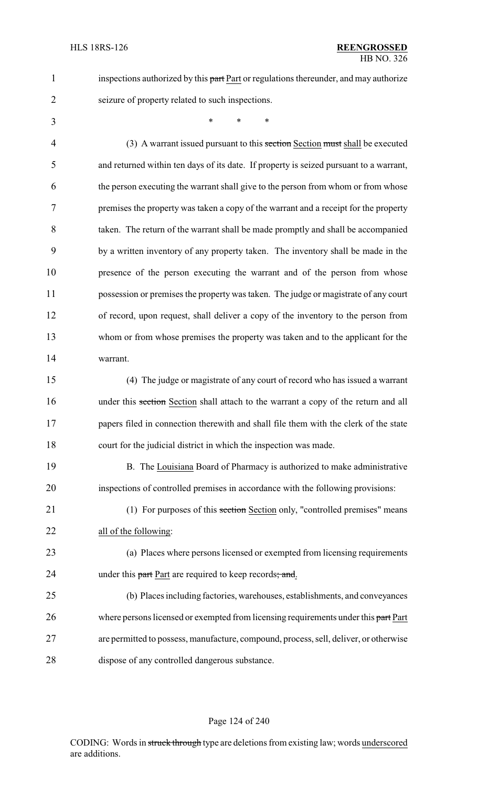1 inspections authorized by this part Part or regulations thereunder, and may authorize seizure of property related to such inspections.

\* \* \*

4 (3) A warrant issued pursuant to this section Section must shall be executed and returned within ten days of its date. If property is seized pursuant to a warrant, the person executing the warrant shall give to the person from whom or from whose premises the property was taken a copy of the warrant and a receipt for the property taken. The return of the warrant shall be made promptly and shall be accompanied by a written inventory of any property taken. The inventory shall be made in the presence of the person executing the warrant and of the person from whose possession or premises the property was taken. The judge or magistrate of any court of record, upon request, shall deliver a copy of the inventory to the person from whom or from whose premises the property was taken and to the applicant for the warrant.

 (4) The judge or magistrate of any court of record who has issued a warrant 16 under this section Section shall attach to the warrant a copy of the return and all 17 papers filed in connection therewith and shall file them with the clerk of the state court for the judicial district in which the inspection was made.

19 B. The Louisiana Board of Pharmacy is authorized to make administrative inspections of controlled premises in accordance with the following provisions:

21 (1) For purposes of this section Section only, "controlled premises" means all of the following:

 (a) Places where persons licensed or exempted from licensing requirements 24 under this part Part are required to keep records; and.

 (b) Places including factories, warehouses, establishments, and conveyances 26 where persons licensed or exempted from licensing requirements under this part Part are permitted to possess, manufacture, compound, process, sell, deliver, or otherwise dispose of any controlled dangerous substance.

#### Page 124 of 240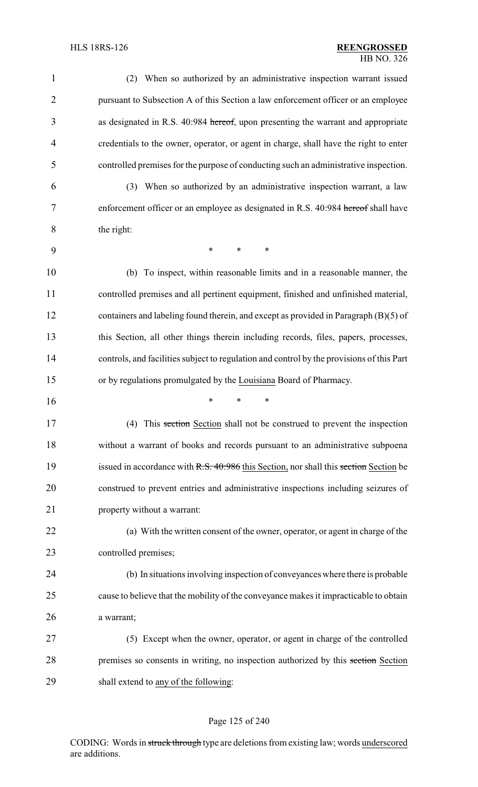| $\mathbf{1}$   | (2) When so authorized by an administrative inspection warrant issued                     |
|----------------|-------------------------------------------------------------------------------------------|
| $\overline{2}$ | pursuant to Subsection A of this Section a law enforcement officer or an employee         |
| 3              | as designated in R.S. 40:984 hereof, upon presenting the warrant and appropriate          |
| 4              | credentials to the owner, operator, or agent in charge, shall have the right to enter     |
| 5              | controlled premises for the purpose of conducting such an administrative inspection.      |
| 6              | (3) When so authorized by an administrative inspection warrant, a law                     |
| 7              | enforcement officer or an employee as designated in R.S. 40:984 hereof shall have         |
| 8              | the right:                                                                                |
| 9              | $\ast$<br>$\ast$<br>∗                                                                     |
| 10             | (b) To inspect, within reasonable limits and in a reasonable manner, the                  |
| 11             | controlled premises and all pertinent equipment, finished and unfinished material,        |
| 12             | containers and labeling found therein, and except as provided in Paragraph (B)(5) of      |
| 13             | this Section, all other things therein including records, files, papers, processes,       |
| 14             | controls, and facilities subject to regulation and control by the provisions of this Part |
| 15             | or by regulations promulgated by the Louisiana Board of Pharmacy.                         |
| 16             | ∗<br>*<br>*                                                                               |
| 17             | (4) This section Section shall not be construed to prevent the inspection                 |
| 18             | without a warrant of books and records pursuant to an administrative subpoena             |
| 19             | issued in accordance with R.S. 40:986 this Section, nor shall this section Section be     |
| 20             | construed to prevent entries and administrative inspections including seizures of         |
| 21             | property without a warrant:                                                               |
| 22             | (a) With the written consent of the owner, operator, or agent in charge of the            |
| 23             | controlled premises;                                                                      |
| 24             | (b) In situations involving inspection of conveyances where there is probable             |
| 25             | cause to believe that the mobility of the conveyance makes it impracticable to obtain     |
| 26             | a warrant;                                                                                |
| 27             | (5) Except when the owner, operator, or agent in charge of the controlled                 |
| 28             | premises so consents in writing, no inspection authorized by this section Section         |
| 29             | shall extend to any of the following:                                                     |
|                |                                                                                           |

# Page 125 of 240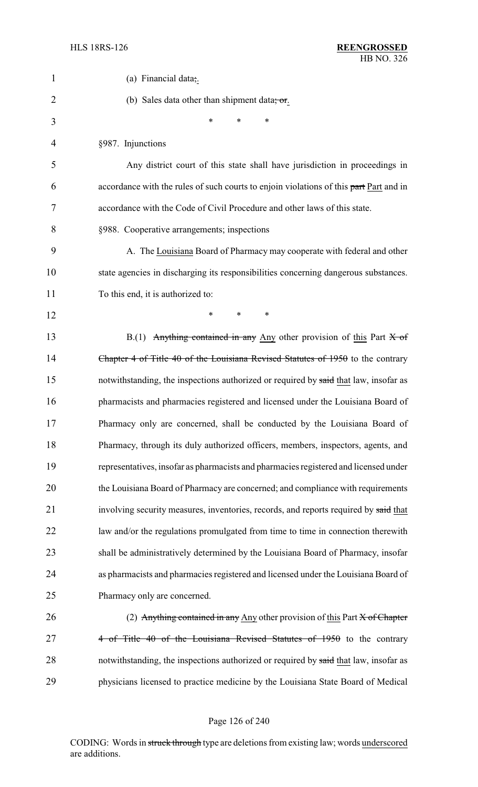| 1  | (a) Financial data;.                                                                     |
|----|------------------------------------------------------------------------------------------|
| 2  | (b) Sales data other than shipment data, or.                                             |
| 3  | *<br>*<br>*                                                                              |
| 4  | §987. Injunctions                                                                        |
| 5  | Any district court of this state shall have jurisdiction in proceedings in               |
| 6  | accordance with the rules of such courts to enjoin violations of this part Part and in   |
| 7  | accordance with the Code of Civil Procedure and other laws of this state.                |
| 8  | §988. Cooperative arrangements; inspections                                              |
| 9  | A. The Louisiana Board of Pharmacy may cooperate with federal and other                  |
| 10 | state agencies in discharging its responsibilities concerning dangerous substances.      |
| 11 | To this end, it is authorized to:                                                        |
| 12 | *<br>*<br>$\ast$                                                                         |
| 13 | $B(1)$ Anything contained in any Any other provision of this Part $X$ of                 |
| 14 | Chapter 4 of Title 40 of the Louisiana Revised Statutes of 1950 to the contrary          |
| 15 | notwithstanding, the inspections authorized or required by said that law, insofar as     |
| 16 | pharmacists and pharmacies registered and licensed under the Louisiana Board of          |
| 17 | Pharmacy only are concerned, shall be conducted by the Louisiana Board of                |
| 18 | Pharmacy, through its duly authorized officers, members, inspectors, agents, and         |
| 19 | representatives, insofar as pharmacists and pharmacies registered and licensed under     |
| 20 | the Louisiana Board of Pharmacy are concerned; and compliance with requirements          |
| 21 | involving security measures, inventories, records, and reports required by said that     |
| 22 | law and/or the regulations promulgated from time to time in connection therewith         |
| 23 | shall be administratively determined by the Louisiana Board of Pharmacy, insofar         |
| 24 | as pharmacists and pharmacies registered and licensed under the Louisiana Board of       |
| 25 | Pharmacy only are concerned.                                                             |
| 26 | (2) Anything contained in any Any other provision of this Part $\overline{X}$ of Chapter |
| 27 | 4 of Title 40 of the Louisiana Revised Statutes of 1950 to the contrary                  |
| 28 | notwithstanding, the inspections authorized or required by said that law, insofar as     |
| 29 | physicians licensed to practice medicine by the Louisiana State Board of Medical         |

# Page 126 of 240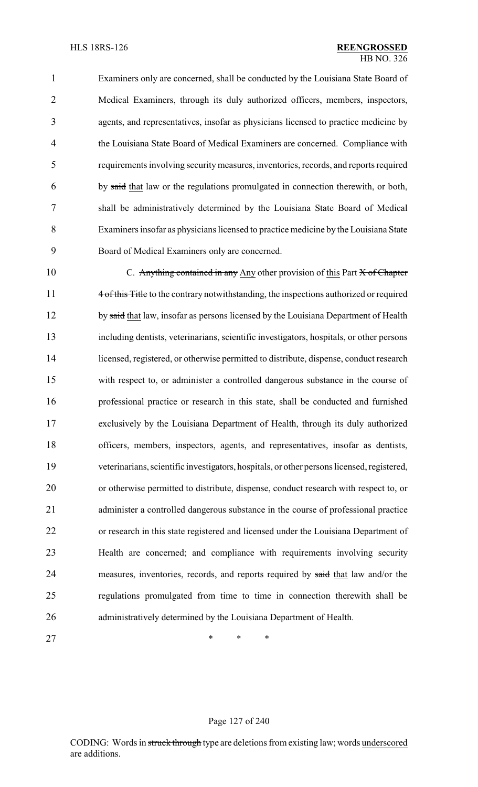Examiners only are concerned, shall be conducted by the Louisiana State Board of Medical Examiners, through its duly authorized officers, members, inspectors, agents, and representatives, insofar as physicians licensed to practice medicine by the Louisiana State Board of Medical Examiners are concerned. Compliance with requirements involving securitymeasures, inventories, records, and reports required by said that law or the regulations promulgated in connection therewith, or both, shall be administratively determined by the Louisiana State Board of Medical Examiners insofar as physicians licensed to practice medicine by the Louisiana State Board of Medical Examiners only are concerned.

10 C. Anything contained in any Any other provision of this Part X of Chapter 11 4 of this Title to the contrary notwithstanding, the inspections authorized or required 12 by said that law, insofar as persons licensed by the Louisiana Department of Health including dentists, veterinarians, scientific investigators, hospitals, or other persons licensed, registered, or otherwise permitted to distribute, dispense, conduct research with respect to, or administer a controlled dangerous substance in the course of professional practice or research in this state, shall be conducted and furnished exclusively by the Louisiana Department of Health, through its duly authorized officers, members, inspectors, agents, and representatives, insofar as dentists, veterinarians, scientific investigators, hospitals, or other persons licensed, registered, or otherwise permitted to distribute, dispense, conduct research with respect to, or administer a controlled dangerous substance in the course of professional practice or research in this state registered and licensed under the Louisiana Department of Health are concerned; and compliance with requirements involving security 24 measures, inventories, records, and reports required by said that law and/or the regulations promulgated from time to time in connection therewith shall be administratively determined by the Louisiana Department of Health.

27 \* \* \* \*

### Page 127 of 240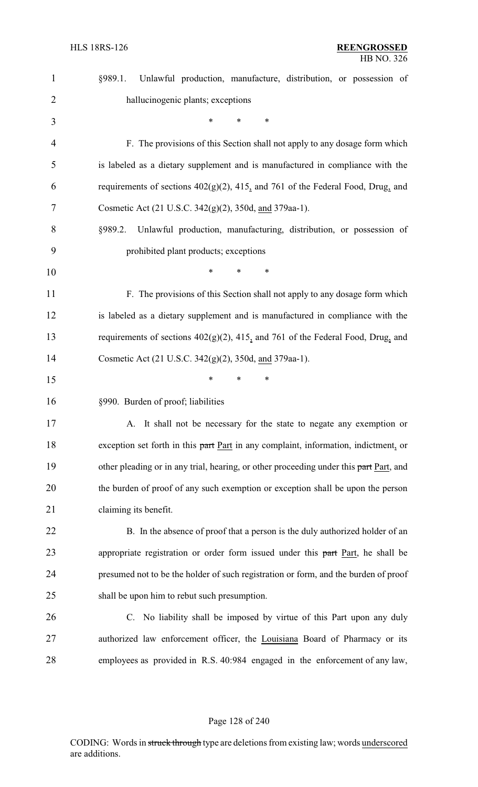| $\mathbf{1}$   | Unlawful production, manufacture, distribution, or possession of<br>§989.1.            |
|----------------|----------------------------------------------------------------------------------------|
| $\overline{2}$ | hallucinogenic plants; exceptions                                                      |
| 3              | $\ast$<br>∗<br>*                                                                       |
| $\overline{4}$ | F. The provisions of this Section shall not apply to any dosage form which             |
| 5              | is labeled as a dietary supplement and is manufactured in compliance with the          |
| 6              | requirements of sections $402(g)(2)$ , $415$ , and 761 of the Federal Food, Drug, and  |
| 7              | Cosmetic Act (21 U.S.C. 342(g)(2), 350d, and 379aa-1).                                 |
| 8              | Unlawful production, manufacturing, distribution, or possession of<br>§989.2.          |
| 9              | prohibited plant products; exceptions                                                  |
| 10             | *<br>∗                                                                                 |
| 11             | F. The provisions of this Section shall not apply to any dosage form which             |
| 12             | is labeled as a dietary supplement and is manufactured in compliance with the          |
| 13             | requirements of sections $402(g)(2)$ , 415, and 761 of the Federal Food, Drug, and     |
| 14             | Cosmetic Act (21 U.S.C. 342(g)(2), 350d, and 379aa-1).                                 |
| 15             | *<br>∗<br>*                                                                            |
| 16             | §990. Burden of proof; liabilities                                                     |
| 17             | A. It shall not be necessary for the state to negate any exemption or                  |
| 18             | exception set forth in this part Part in any complaint, information, indictment, or    |
| 19             | other pleading or in any trial, hearing, or other proceeding under this part Part, and |
| 20             | the burden of proof of any such exemption or exception shall be upon the person        |
| 21             | claiming its benefit.                                                                  |
| 22             | B. In the absence of proof that a person is the duly authorized holder of an           |
| 23             | appropriate registration or order form issued under this part Part, he shall be        |
| 24             | presumed not to be the holder of such registration or form, and the burden of proof    |
| 25             | shall be upon him to rebut such presumption.                                           |
| 26             | C. No liability shall be imposed by virtue of this Part upon any duly                  |
| 27             | authorized law enforcement officer, the Louisiana Board of Pharmacy or its             |
| 28             | employees as provided in R.S. 40:984 engaged in the enforcement of any law,            |
|                |                                                                                        |

# Page 128 of 240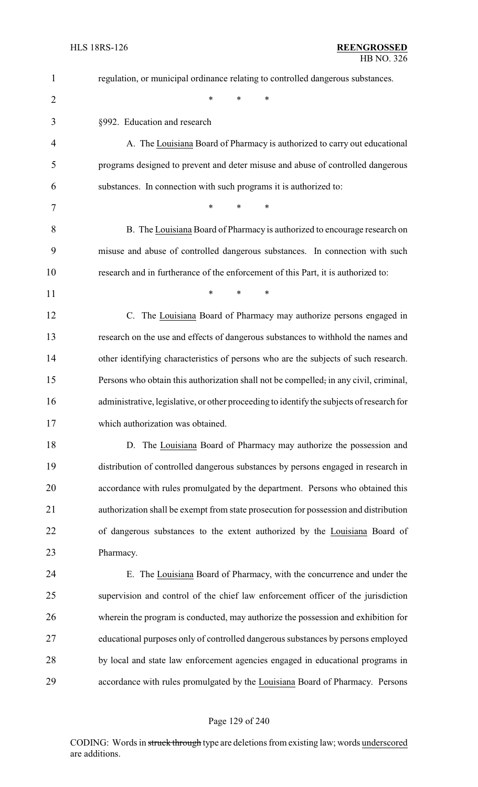| $\mathbf{1}$   | regulation, or municipal ordinance relating to controlled dangerous substances.           |
|----------------|-------------------------------------------------------------------------------------------|
| $\overline{2}$ | *<br>*<br>*                                                                               |
| 3              | §992. Education and research                                                              |
| 4              | A. The Louisiana Board of Pharmacy is authorized to carry out educational                 |
| 5              | programs designed to prevent and deter misuse and abuse of controlled dangerous           |
| 6              | substances. In connection with such programs it is authorized to:                         |
| 7              | $\ast$<br>$\ast$<br>*                                                                     |
| 8              | B. The Louisiana Board of Pharmacy is authorized to encourage research on                 |
| 9              | misuse and abuse of controlled dangerous substances. In connection with such              |
| 10             | research and in furtherance of the enforcement of this Part, it is authorized to:         |
| 11             | $\ast$<br>*<br>$\ast$                                                                     |
| 12             | The Louisiana Board of Pharmacy may authorize persons engaged in<br>$C_{\cdot}$           |
| 13             | research on the use and effects of dangerous substances to withhold the names and         |
| 14             | other identifying characteristics of persons who are the subjects of such research.       |
| 15             | Persons who obtain this authorization shall not be compelled, in any civil, criminal,     |
| 16             | administrative, legislative, or other proceeding to identify the subjects of research for |
| 17             | which authorization was obtained.                                                         |
| 18             | D. The Louisiana Board of Pharmacy may authorize the possession and                       |
| 19             | distribution of controlled dangerous substances by persons engaged in research in         |
| 20             | accordance with rules promulgated by the department. Persons who obtained this            |
| 21             | authorization shall be exempt from state prosecution for possession and distribution      |
| 22             | of dangerous substances to the extent authorized by the Louisiana Board of                |
| 23             | Pharmacy.                                                                                 |
| 24             | E. The Louisiana Board of Pharmacy, with the concurrence and under the                    |
| 25             | supervision and control of the chief law enforcement officer of the jurisdiction          |
| 26             | wherein the program is conducted, may authorize the possession and exhibition for         |
| 27             | educational purposes only of controlled dangerous substances by persons employed          |
| 28             | by local and state law enforcement agencies engaged in educational programs in            |
| 29             | accordance with rules promulgated by the Louisiana Board of Pharmacy. Persons             |

# Page 129 of 240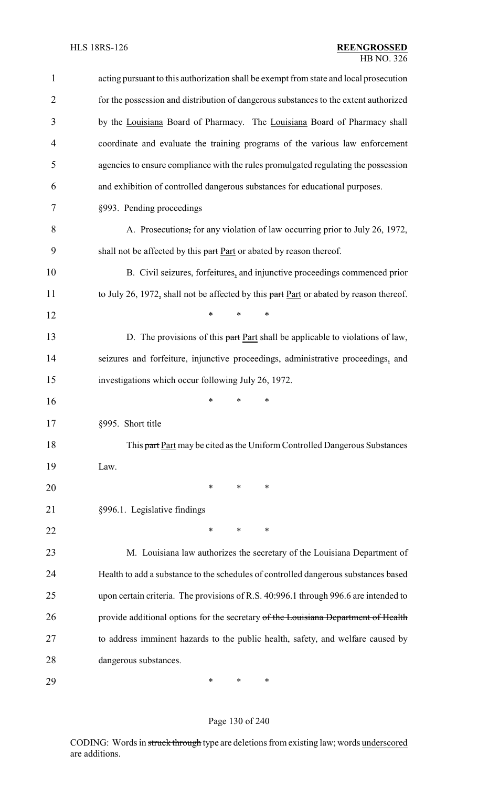| $\mathbf{1}$   | acting pursuant to this authorization shall be exempt from state and local prosecution |
|----------------|----------------------------------------------------------------------------------------|
| $\overline{2}$ | for the possession and distribution of dangerous substances to the extent authorized   |
| 3              | by the Louisiana Board of Pharmacy. The Louisiana Board of Pharmacy shall              |
| 4              | coordinate and evaluate the training programs of the various law enforcement           |
| 5              | agencies to ensure compliance with the rules promulgated regulating the possession     |
| 6              | and exhibition of controlled dangerous substances for educational purposes.            |
| 7              | §993. Pending proceedings                                                              |
| 8              | A. Prosecutions, for any violation of law occurring prior to July 26, 1972,            |
| 9              | shall not be affected by this part Part or abated by reason thereof.                   |
| 10             | B. Civil seizures, forfeitures, and injunctive proceedings commenced prior             |
| 11             | to July 26, 1972, shall not be affected by this part Part or abated by reason thereof. |
| 12             | $\ast$<br>*<br>$\ast$                                                                  |
| 13             | D. The provisions of this part Part shall be applicable to violations of law,          |
| 14             | seizures and forfeiture, injunctive proceedings, administrative proceedings, and       |
| 15             | investigations which occur following July 26, 1972.                                    |
| 16             | ∗<br>∗<br>*                                                                            |
| 17             | §995. Short title                                                                      |
| 18             | This part Part may be cited as the Uniform Controlled Dangerous Substances             |
| 19             | Law.                                                                                   |
| 20             | ∗<br>∗<br>∗                                                                            |
| 21             | §996.1. Legislative findings                                                           |
| 22             | *<br>∗<br>∗                                                                            |
| 23             | M. Louisiana law authorizes the secretary of the Louisiana Department of               |
| 24             | Health to add a substance to the schedules of controlled dangerous substances based    |
| 25             | upon certain criteria. The provisions of R.S. 40:996.1 through 996.6 are intended to   |
| 26             | provide additional options for the secretary of the Louisiana Department of Health     |
| 27             | to address imminent hazards to the public health, safety, and welfare caused by        |
| 28             | dangerous substances.                                                                  |
| 29             | ∗<br>∗<br>∗                                                                            |

# Page 130 of 240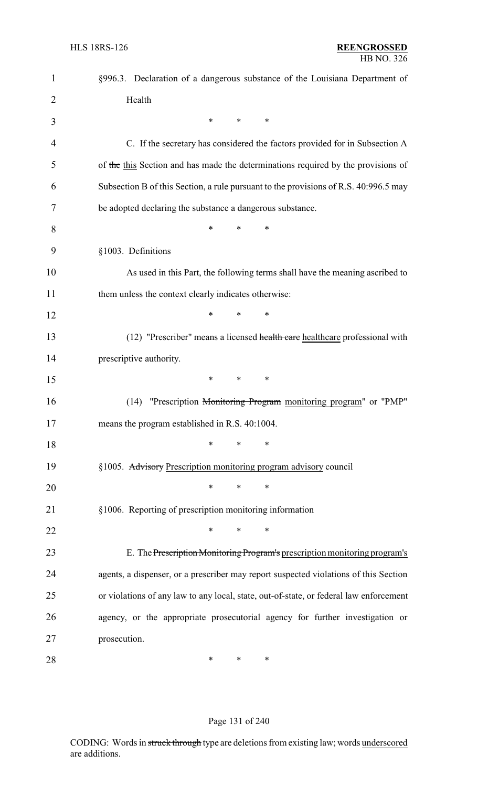| 1              | §996.3. Declaration of a dangerous substance of the Louisiana Department of            |
|----------------|----------------------------------------------------------------------------------------|
| $\overline{2}$ | Health                                                                                 |
| 3              | $\ast$<br>∗<br>$\ast$                                                                  |
| 4              | C. If the secretary has considered the factors provided for in Subsection A            |
| 5              | of the this Section and has made the determinations required by the provisions of      |
| 6              | Subsection B of this Section, a rule pursuant to the provisions of R.S. 40:996.5 may   |
| 7              | be adopted declaring the substance a dangerous substance.                              |
| 8              | *<br>∗<br>*                                                                            |
| 9              | §1003. Definitions                                                                     |
| 10             | As used in this Part, the following terms shall have the meaning ascribed to           |
| 11             | them unless the context clearly indicates otherwise:                                   |
| 12             | *<br>*<br>∗                                                                            |
| 13             | (12) "Prescriber" means a licensed health care healthcare professional with            |
| 14             | prescriptive authority.                                                                |
| 15             | *<br>$\ast$<br>∗                                                                       |
| 16             | "Prescription Monitoring Program monitoring program" or "PMP"<br>(14)                  |
| 17             | means the program established in R.S. 40:1004.                                         |
| 18             | ∗<br>*<br>*                                                                            |
| 19             | §1005. Advisory Prescription monitoring program advisory council                       |
| 20             | ∗<br>∗<br>∗                                                                            |
| 21             | §1006. Reporting of prescription monitoring information                                |
| 22             | ∗<br>*<br>∗                                                                            |
| 23             | E. The Prescription Monitoring Program's prescription monitoring program's             |
| 24             | agents, a dispenser, or a prescriber may report suspected violations of this Section   |
| 25             | or violations of any law to any local, state, out-of-state, or federal law enforcement |
| 26             | agency, or the appropriate prosecutorial agency for further investigation or           |
| 27             | prosecution.                                                                           |
| 28             | ∗<br>∗<br>∗                                                                            |

## Page 131 of 240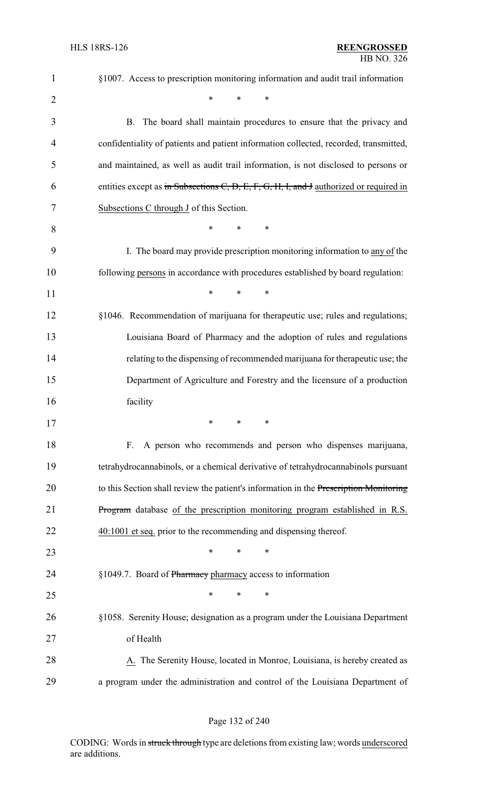| $\mathbf{1}$   | §1007. Access to prescription monitoring information and audit trail information       |
|----------------|----------------------------------------------------------------------------------------|
| $\overline{2}$ | $\ast$<br>$\ast$<br>*                                                                  |
| 3              | B. The board shall maintain procedures to ensure that the privacy and                  |
| 4              | confidentiality of patients and patient information collected, recorded, transmitted,  |
| 5              | and maintained, as well as audit trail information, is not disclosed to persons or     |
| 6              | entities except as in Subsections C, D, E, F, G, H, I, and J authorized or required in |
| 7              | Subsections C through J of this Section.                                               |
| 8              | $\ast$<br>∗<br>*                                                                       |
| 9              | I. The board may provide prescription monitoring information to any of the             |
| 10             | following persons in accordance with procedures established by board regulation:       |
| 11             | *<br>$\ast$<br>$\ast$                                                                  |
| 12             | §1046. Recommendation of marijuana for therapeutic use; rules and regulations;         |
| 13             | Louisiana Board of Pharmacy and the adoption of rules and regulations                  |
| 14             | relating to the dispensing of recommended marijuana for therapeutic use; the           |
| 15             | Department of Agriculture and Forestry and the licensure of a production               |
| 16             | facility                                                                               |
| 17             | ∗<br>∗<br>∗                                                                            |
| 18             | A person who recommends and person who dispenses marijuana,<br>F.                      |
| 19             | tetrahydrocannabinols, or a chemical derivative of tetrahydrocannabinols pursuant      |
| 20             | to this Section shall review the patient's information in the Prescription Monitoring  |
| 21             | Program database of the prescription monitoring program established in R.S.            |
| 22             | 40:1001 et seq. prior to the recommending and dispensing thereof.                      |
| 23             | $\ast$<br>∗<br>∗                                                                       |
| 24             | §1049.7. Board of Pharmacy pharmacy access to information                              |
| 25             | ∗<br>∗<br>*                                                                            |
| 26             | §1058. Serenity House; designation as a program under the Louisiana Department         |
| 27             | of Health                                                                              |
| 28             | A. The Serenity House, located in Monroe, Louisiana, is hereby created as              |
| 29             | a program under the administration and control of the Louisiana Department of          |

# Page 132 of 240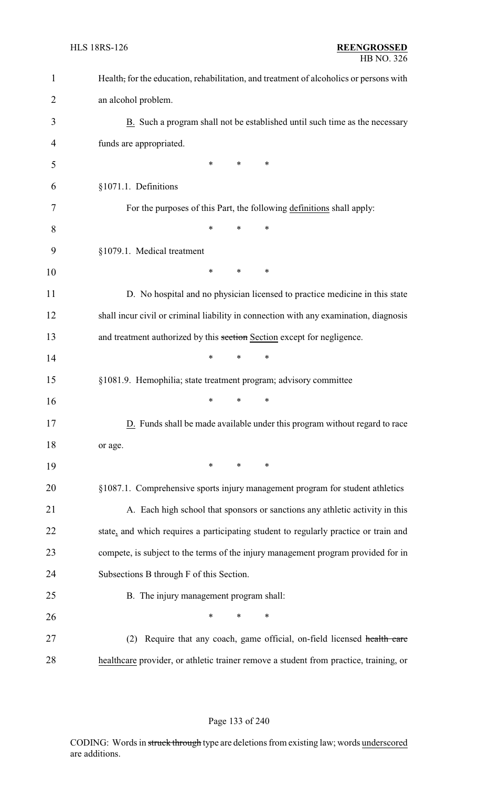| $\mathbf{1}$   | Health, for the education, rehabilitation, and treatment of alcoholics or persons with |
|----------------|----------------------------------------------------------------------------------------|
| $\overline{2}$ | an alcohol problem.                                                                    |
| 3              | B. Such a program shall not be established until such time as the necessary            |
| 4              | funds are appropriated.                                                                |
| 5              | *<br>∗<br>∗                                                                            |
| 6              | §1071.1. Definitions                                                                   |
| 7              | For the purposes of this Part, the following definitions shall apply:                  |
| 8              | $\ast$<br>*<br>*                                                                       |
| 9              | §1079.1. Medical treatment                                                             |
| 10             | *<br>*<br>∗                                                                            |
| 11             | D. No hospital and no physician licensed to practice medicine in this state            |
| 12             | shall incur civil or criminal liability in connection with any examination, diagnosis  |
| 13             | and treatment authorized by this section Section except for negligence.                |
| 14             | $\ast$<br>$\ast$<br>*                                                                  |
| 15             | §1081.9. Hemophilia; state treatment program; advisory committee                       |
| 16             | $\ast$<br>∗<br>*                                                                       |
| 17             | D. Funds shall be made available under this program without regard to race             |
| 18             | or age.                                                                                |
| 19             | $\ast$<br>$\ast$<br>∗                                                                  |
| 20             | §1087.1. Comprehensive sports injury management program for student athletics          |
| 21             | A. Each high school that sponsors or sanctions any athletic activity in this           |
| 22             | state, and which requires a participating student to regularly practice or train and   |
| 23             | compete, is subject to the terms of the injury management program provided for in      |
| 24             | Subsections B through F of this Section.                                               |
| 25             | B. The injury management program shall:                                                |
| 26             | $\ast$<br>∗<br>∗                                                                       |
| 27             | Require that any coach, game official, on-field licensed health care<br>(2)            |
| 28             | healthcare provider, or athletic trainer remove a student from practice, training, or  |

## Page 133 of 240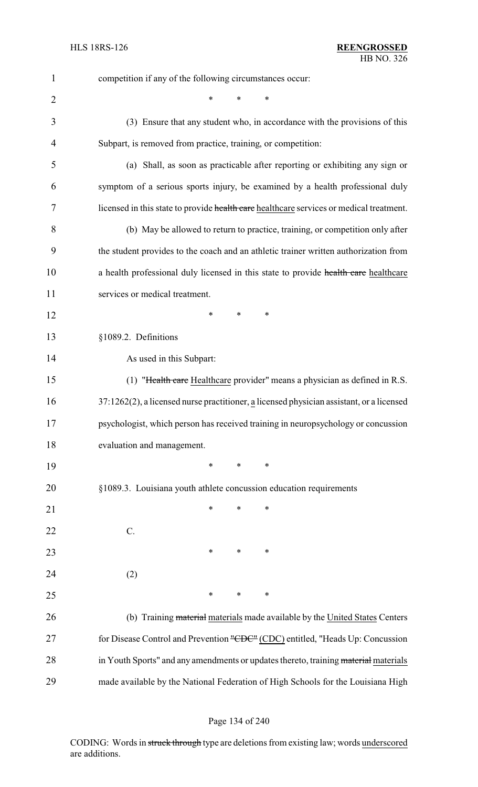| $\mathbf{1}$   | competition if any of the following circumstances occur:                                 |
|----------------|------------------------------------------------------------------------------------------|
| $\overline{2}$ | *<br>∗                                                                                   |
| 3              | (3) Ensure that any student who, in accordance with the provisions of this               |
| 4              | Subpart, is removed from practice, training, or competition:                             |
| 5              | (a) Shall, as soon as practicable after reporting or exhibiting any sign or              |
| 6              | symptom of a serious sports injury, be examined by a health professional duly            |
| 7              | licensed in this state to provide health care healthcare services or medical treatment.  |
| 8              | (b) May be allowed to return to practice, training, or competition only after            |
| 9              | the student provides to the coach and an athletic trainer written authorization from     |
| 10             | a health professional duly licensed in this state to provide health care healthcare      |
| 11             | services or medical treatment.                                                           |
| 12             | $\ast$<br>∗<br>∗                                                                         |
| 13             | §1089.2. Definitions                                                                     |
| 14             | As used in this Subpart:                                                                 |
| 15             | (1) "Health care Healthcare provider" means a physician as defined in R.S.               |
| 16             | 37:1262(2), a licensed nurse practitioner, a licensed physician assistant, or a licensed |
| 17             | psychologist, which person has received training in neuropsychology or concussion        |
| 18             | evaluation and management.                                                               |
| 19             | *<br>*<br>∗                                                                              |
| 20             | §1089.3. Louisiana youth athlete concussion education requirements                       |
| 21             | $\ast$<br>∗<br>∗                                                                         |
| 22             | C.                                                                                       |
| 23             | $\ast$<br>∗<br>∗                                                                         |
| 24             | (2)                                                                                      |
| 25             | $\ast$<br>$\ast$<br>∗                                                                    |
| 26             | (b) Training material materials made available by the United States Centers              |
| 27             | for Disease Control and Prevention "CDC" (CDC) entitled, "Heads Up: Concussion           |
| 28             | in Youth Sports" and any amendments or updates thereto, training material materials      |
| 29             | made available by the National Federation of High Schools for the Louisiana High         |

# Page 134 of 240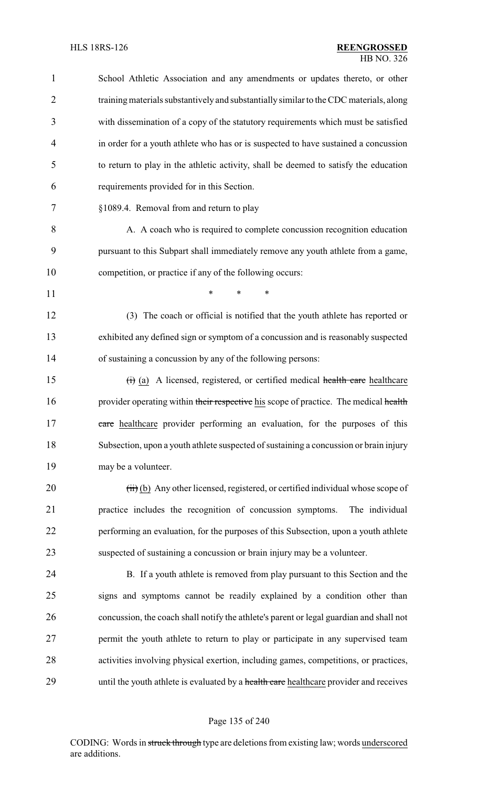| $\mathbf{1}$ | School Athletic Association and any amendments or updates thereto, or other             |
|--------------|-----------------------------------------------------------------------------------------|
| 2            | training materials substantively and substantially similar to the CDC materials, along  |
| 3            | with dissemination of a copy of the statutory requirements which must be satisfied      |
| 4            | in order for a youth athlete who has or is suspected to have sustained a concussion     |
| 5            | to return to play in the athletic activity, shall be deemed to satisfy the education    |
| 6            | requirements provided for in this Section.                                              |
| 7            | §1089.4. Removal from and return to play                                                |
| 8            | A. A coach who is required to complete concussion recognition education                 |
| 9            | pursuant to this Subpart shall immediately remove any youth athlete from a game,        |
| 10           | competition, or practice if any of the following occurs:                                |
| 11           | *<br>*<br>$\ast$                                                                        |
| 12           | (3) The coach or official is notified that the youth athlete has reported or            |
| 13           | exhibited any defined sign or symptom of a concussion and is reasonably suspected       |
| 14           | of sustaining a concussion by any of the following persons:                             |
| 15           | (i) (a) A licensed, registered, or certified medical health care healthcare             |
| 16           | provider operating within their respective his scope of practice. The medical health    |
| 17           | eare healthcare provider performing an evaluation, for the purposes of this             |
| 18           | Subsection, upon a youth athlete suspected of sustaining a concussion or brain injury   |
| 19           | may be a volunteer.                                                                     |
| 20           | $(ii)$ (b) Any other licensed, registered, or certified individual whose scope of       |
| 21           | practice includes the recognition of concussion symptoms.<br>The individual             |
| 22           | performing an evaluation, for the purposes of this Subsection, upon a youth athlete     |
| 23           | suspected of sustaining a concussion or brain injury may be a volunteer.                |
| 24           | B. If a youth athlete is removed from play pursuant to this Section and the             |
| 25           | signs and symptoms cannot be readily explained by a condition other than                |
| 26           | concussion, the coach shall notify the athlete's parent or legal guardian and shall not |
| 27           | permit the youth athlete to return to play or participate in any supervised team        |
| 28           | activities involving physical exertion, including games, competitions, or practices,    |
| 29           | until the youth athlete is evaluated by a health care healthcare provider and receives  |
|              |                                                                                         |

# Page 135 of 240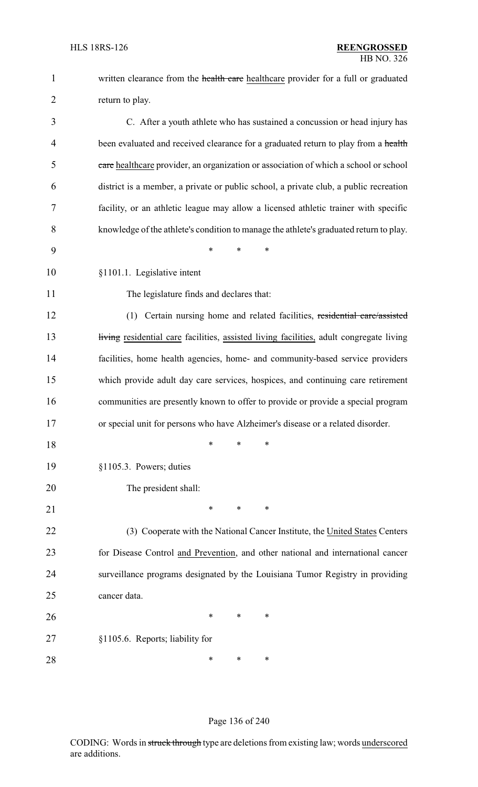| $\mathbf{1}$   | written clearance from the health care healthcare provider for a full or graduated      |
|----------------|-----------------------------------------------------------------------------------------|
| $\overline{2}$ | return to play.                                                                         |
| 3              | C. After a youth athlete who has sustained a concussion or head injury has              |
| 4              | been evaluated and received clearance for a graduated return to play from a health      |
| 5              | eare healthcare provider, an organization or association of which a school or school    |
| 6              | district is a member, a private or public school, a private club, a public recreation   |
| 7              | facility, or an athletic league may allow a licensed athletic trainer with specific     |
| 8              | knowledge of the athlete's condition to manage the athlete's graduated return to play.  |
| 9              | $\ast$<br>*<br>*                                                                        |
| 10             | §1101.1. Legislative intent                                                             |
| 11             | The legislature finds and declares that:                                                |
| 12             | (1) Certain nursing home and related facilities, residential care/assisted              |
| 13             | living residential care facilities, assisted living facilities, adult congregate living |
| 14             | facilities, home health agencies, home- and community-based service providers           |
| 15             | which provide adult day care services, hospices, and continuing care retirement         |
| 16             | communities are presently known to offer to provide or provide a special program        |
| 17             | or special unit for persons who have Alzheimer's disease or a related disorder.         |
| 18             | ∗<br>∗<br>∗                                                                             |
| 19             | §1105.3. Powers; duties                                                                 |
| 20             | The president shall:                                                                    |
| 21             | $\ast$<br>*<br>*                                                                        |
| 22             | (3) Cooperate with the National Cancer Institute, the United States Centers             |
| 23             | for Disease Control and Prevention, and other national and international cancer         |
| 24             | surveillance programs designated by the Louisiana Tumor Registry in providing           |
| 25             | cancer data.                                                                            |
| 26             | ∗<br>*<br>$\ast$                                                                        |
| 27             | §1105.6. Reports; liability for                                                         |
| 28             | ∗<br>∗<br>∗                                                                             |

# Page 136 of 240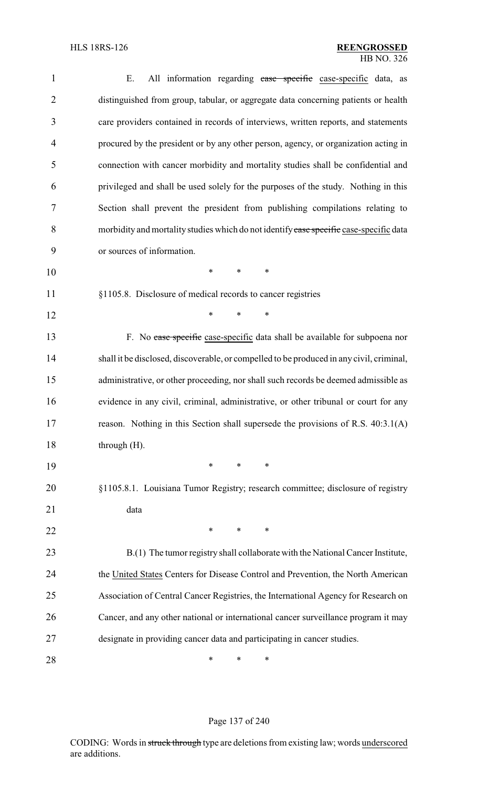| $\mathbf{1}$   | All information regarding case specific case-specific data, as<br>Ε.                     |
|----------------|------------------------------------------------------------------------------------------|
| $\overline{2}$ | distinguished from group, tabular, or aggregate data concerning patients or health       |
| 3              | care providers contained in records of interviews, written reports, and statements       |
| $\overline{4}$ | procured by the president or by any other person, agency, or organization acting in      |
| 5              | connection with cancer morbidity and mortality studies shall be confidential and         |
| 6              | privileged and shall be used solely for the purposes of the study. Nothing in this       |
| 7              | Section shall prevent the president from publishing compilations relating to             |
| 8              | morbidity and mortality studies which do not identify case specific case-specific data   |
| 9              | or sources of information.                                                               |
| 10             | *<br>$\ast$<br>∗                                                                         |
| 11             | §1105.8. Disclosure of medical records to cancer registries                              |
| 12             | *<br>$\ast$<br>$\ast$                                                                    |
| 13             | F. No case specific case-specific data shall be available for subpoena nor               |
| 14             | shall it be disclosed, discoverable, or compelled to be produced in any civil, criminal, |
| 15             | administrative, or other proceeding, nor shall such records be deemed admissible as      |
| 16             | evidence in any civil, criminal, administrative, or other tribunal or court for any      |
| 17             | reason. Nothing in this Section shall supersede the provisions of R.S. 40:3.1(A)         |
| 18             | through $(H)$ .                                                                          |
| 19             | ∗<br>*<br>*                                                                              |
| 20             | §1105.8.1. Louisiana Tumor Registry; research committee; disclosure of registry          |
| 21             | data                                                                                     |
| 22             | $\ast$<br>*<br>*                                                                         |
| 23             | B.(1) The tumor registry shall collaborate with the National Cancer Institute,           |
| 24             | the United States Centers for Disease Control and Prevention, the North American         |
| 25             | Association of Central Cancer Registries, the International Agency for Research on       |
| 26             | Cancer, and any other national or international cancer surveillance program it may       |
| 27             | designate in providing cancer data and participating in cancer studies.                  |
| 28             | ∗<br>∗<br>∗                                                                              |

# Page 137 of 240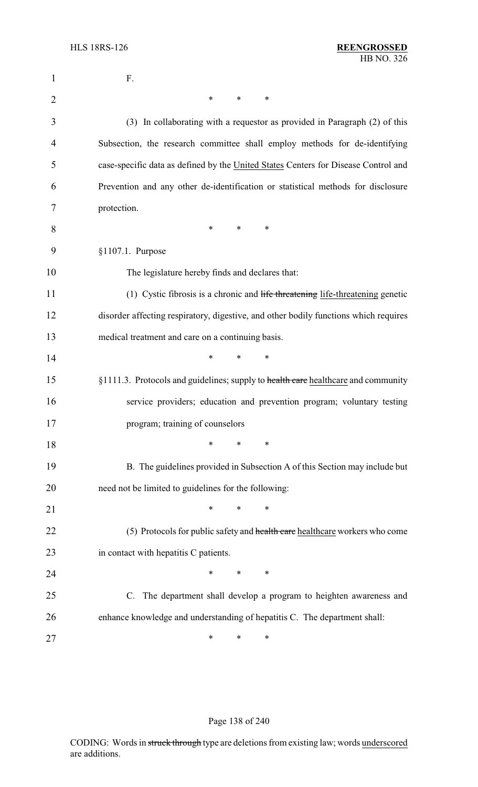| 1              | F.                                                                                   |
|----------------|--------------------------------------------------------------------------------------|
| $\overline{2}$ | $\ast$<br>$\ast$<br>∗                                                                |
| 3              | (3) In collaborating with a requestor as provided in Paragraph (2) of this           |
| 4              | Subsection, the research committee shall employ methods for de-identifying           |
| 5              | case-specific data as defined by the United States Centers for Disease Control and   |
| 6              | Prevention and any other de-identification or statistical methods for disclosure     |
| 7              | protection.                                                                          |
| 8              | $\ast$<br>$\ast$<br>$\ast$                                                           |
| 9              | §1107.1. Purpose                                                                     |
| 10             | The legislature hereby finds and declares that:                                      |
| 11             | (1) Cystic fibrosis is a chronic and life threatening life-threatening genetic       |
| 12             | disorder affecting respiratory, digestive, and other bodily functions which requires |
| 13             | medical treatment and care on a continuing basis.                                    |
| 14             | $\ast$<br>*<br>$\ast$                                                                |
| 15             | §1111.3. Protocols and guidelines; supply to health care healthcare and community    |
| 16             | service providers; education and prevention program; voluntary testing               |
| 17             | program; training of counselors                                                      |
| 18             | $\ast$<br>$\ast$<br>∗                                                                |
| 19             | B. The guidelines provided in Subsection A of this Section may include but           |
| 20             | need not be limited to guidelines for the following:                                 |
| 21             | $\ast$<br>$\ast$<br>*                                                                |
| 22             | (5) Protocols for public safety and health care healthcare workers who come          |
| 23             | in contact with hepatitis C patients.                                                |
| 24             | $\ast$<br>*<br>$\ast$                                                                |
| 25             | C. The department shall develop a program to heighten awareness and                  |
| 26             | enhance knowledge and understanding of hepatitis C. The department shall:            |
| 27             | ∗<br>∗<br>∗                                                                          |

# Page 138 of 240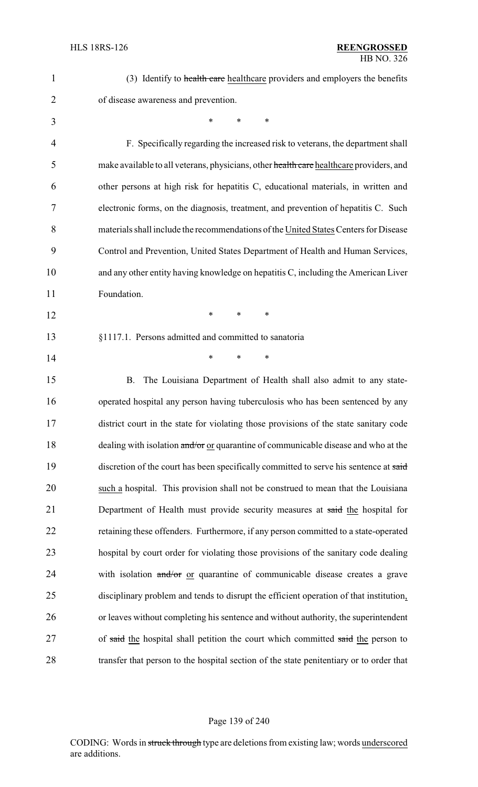| $\mathbf{1}$   | (3) Identify to health care healthcare providers and employers the benefits             |
|----------------|-----------------------------------------------------------------------------------------|
| $\overline{2}$ | of disease awareness and prevention.                                                    |
| 3              | $\ast$<br>*<br>$\ast$                                                                   |
| 4              | F. Specifically regarding the increased risk to veterans, the department shall          |
| 5              | make available to all veterans, physicians, other health care healthcare providers, and |
| 6              | other persons at high risk for hepatitis C, educational materials, in written and       |
| 7              | electronic forms, on the diagnosis, treatment, and prevention of hepatitis C. Such      |
| 8              | materials shall include the recommendations of the United States Centers for Disease    |
| 9              | Control and Prevention, United States Department of Health and Human Services,          |
| 10             | and any other entity having knowledge on hepatitis C, including the American Liver      |
| 11             | Foundation.                                                                             |
| 12             | $\ast$<br>*<br>∗                                                                        |
| 13             | §1117.1. Persons admitted and committed to sanatoria                                    |
| 14             | $\ast$<br>∗<br>∗                                                                        |
| 15             | The Louisiana Department of Health shall also admit to any state-<br>B.                 |
| 16             | operated hospital any person having tuberculosis who has been sentenced by any          |
| 17             | district court in the state for violating those provisions of the state sanitary code   |
| 18             | dealing with isolation and/or or quarantine of communicable disease and who at the      |
| 19             | discretion of the court has been specifically committed to serve his sentence at said   |
| 20             | such a hospital. This provision shall not be construed to mean that the Louisiana       |
| 21             | Department of Health must provide security measures at said the hospital for            |
| 22             | retaining these offenders. Furthermore, if any person committed to a state-operated     |
| 23             | hospital by court order for violating those provisions of the sanitary code dealing     |
| 24             | with isolation and/or or quarantine of communicable disease creates a grave             |
| 25             | disciplinary problem and tends to disrupt the efficient operation of that institution,  |
| 26             | or leaves without completing his sentence and without authority, the superintendent     |
| 27             | of said the hospital shall petition the court which committed said the person to        |
| 28             | transfer that person to the hospital section of the state penitentiary or to order that |

# Page 139 of 240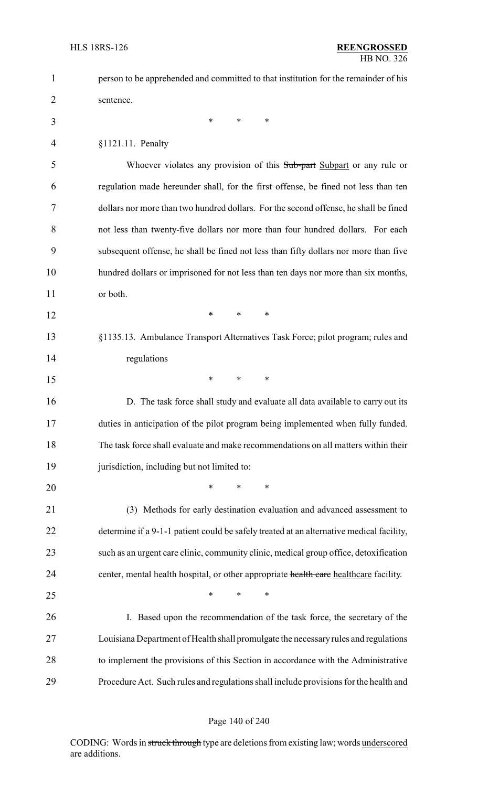| $\mathbf{1}$   | person to be apprehended and committed to that institution for the remainder of his      |
|----------------|------------------------------------------------------------------------------------------|
| $\overline{2}$ | sentence.                                                                                |
| 3              | $\ast$<br>∗<br>$\ast$                                                                    |
| 4              | §1121.11. Penalty                                                                        |
| 5              | Whoever violates any provision of this Sub-part Subpart or any rule or                   |
| 6              | regulation made hereunder shall, for the first offense, be fined not less than ten       |
| 7              | dollars nor more than two hundred dollars. For the second offense, he shall be fined     |
| 8              | not less than twenty-five dollars nor more than four hundred dollars. For each           |
| 9              | subsequent offense, he shall be fined not less than fifty dollars nor more than five     |
| 10             | hundred dollars or imprisoned for not less than ten days nor more than six months,       |
| 11             | or both.                                                                                 |
| 12             | $\ast$<br>$\ast$<br>*                                                                    |
| 13             | §1135.13. Ambulance Transport Alternatives Task Force; pilot program; rules and          |
| 14             | regulations                                                                              |
| 15             | $\ast$<br>*<br>∗                                                                         |
| 16             | D. The task force shall study and evaluate all data available to carry out its           |
| 17             | duties in anticipation of the pilot program being implemented when fully funded.         |
| 18             | The task force shall evaluate and make recommendations on all matters within their       |
| 19             | jurisdiction, including but not limited to:                                              |
| 20             | $\ast$<br>*<br>*                                                                         |
| 21             | (3) Methods for early destination evaluation and advanced assessment to                  |
| 22             | determine if a 9-1-1 patient could be safely treated at an alternative medical facility, |
| 23             | such as an urgent care clinic, community clinic, medical group office, detoxification    |
| 24             | center, mental health hospital, or other appropriate health care healthcare facility.    |
| 25             | $\ast$<br>*<br>*                                                                         |
| 26             | I. Based upon the recommendation of the task force, the secretary of the                 |
| 27             | Louisiana Department of Health shall promulgate the necessary rules and regulations      |
| 28             | to implement the provisions of this Section in accordance with the Administrative        |
| 29             | Procedure Act. Such rules and regulations shall include provisions for the health and    |

## Page 140 of 240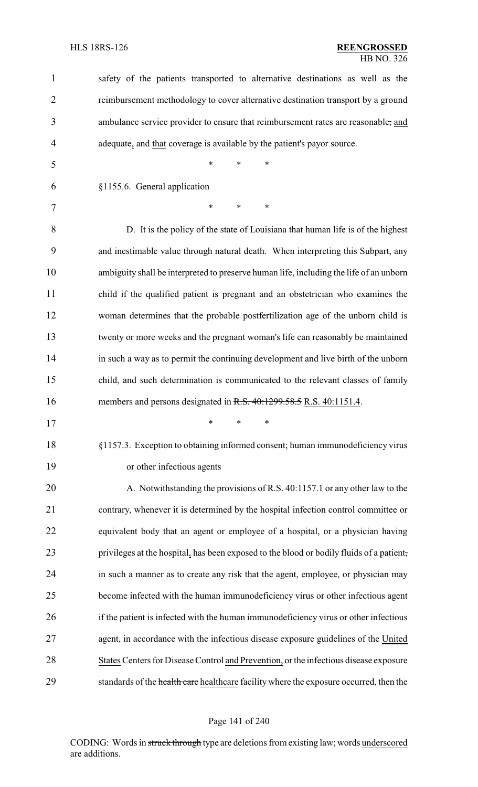| $\mathbf{1}$   | safety of the patients transported to alternative destinations as well as the            |
|----------------|------------------------------------------------------------------------------------------|
| $\overline{2}$ | reimbursement methodology to cover alternative destination transport by a ground         |
| 3              | ambulance service provider to ensure that reimbursement rates are reasonable, and        |
| $\overline{4}$ | adequate, and that coverage is available by the patient's payor source.                  |
| 5              | $\ast$<br>*<br>$\ast$                                                                    |
| 6              | §1155.6. General application                                                             |
| $\tau$         | $\ast$<br>*<br>$\ast$                                                                    |
| 8              | D. It is the policy of the state of Louisiana that human life is of the highest          |
| 9              | and inestimable value through natural death. When interpreting this Subpart, any         |
| 10             | ambiguity shall be interpreted to preserve human life, including the life of an unborn   |
| 11             | child if the qualified patient is pregnant and an obstetrician who examines the          |
| 12             | woman determines that the probable postfertilization age of the unborn child is          |
| 13             | twenty or more weeks and the pregnant woman's life can reasonably be maintained          |
| 14             | in such a way as to permit the continuing development and live birth of the unborn       |
| 15             | child, and such determination is communicated to the relevant classes of family          |
| 16             | members and persons designated in R.S. 40:1299.58.5 R.S. 40:1151.4.                      |
| 17             | $*$ * *                                                                                  |
| 18             | §1157.3. Exception to obtaining informed consent; human immunodeficiency virus           |
| 19             | or other infectious agents                                                               |
| 20             | A. Notwithstanding the provisions of R.S. 40:1157.1 or any other law to the              |
| 21             | contrary, whenever it is determined by the hospital infection control committee or       |
| 22             | equivalent body that an agent or employee of a hospital, or a physician having           |
| 23             | privileges at the hospital, has been exposed to the blood or bodily fluids of a patient, |
| 24             | in such a manner as to create any risk that the agent, employee, or physician may        |
| 25             | become infected with the human immunodeficiency virus or other infectious agent          |
| 26             | if the patient is infected with the human immunodeficiency virus or other infectious     |
| 27             | agent, in accordance with the infectious disease exposure guidelines of the United       |
|                |                                                                                          |
| 28             | States Centers for Disease Control and Prevention, or the infectious disease exposure    |

# Page 141 of 240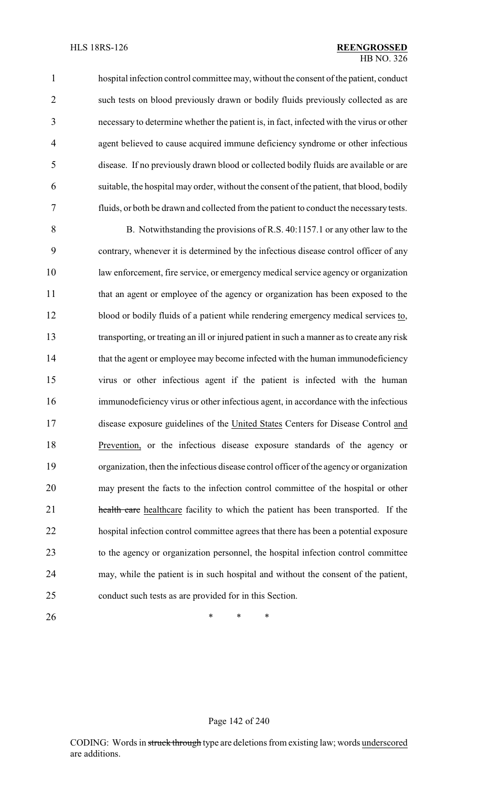hospital infection control committee may, without the consent of the patient, conduct such tests on blood previously drawn or bodily fluids previously collected as are necessary to determine whether the patient is, in fact, infected with the virus or other agent believed to cause acquired immune deficiency syndrome or other infectious disease. If no previously drawn blood or collected bodily fluids are available or are suitable, the hospital may order, without the consent of the patient, that blood, bodily fluids, or both be drawn and collected from the patient to conduct the necessarytests.

 B. Notwithstanding the provisions of R.S. 40:1157.1 or any other law to the contrary, whenever it is determined by the infectious disease control officer of any law enforcement, fire service, or emergency medical service agency or organization that an agent or employee of the agency or organization has been exposed to the blood or bodily fluids of a patient while rendering emergency medical services to, transporting, or treating an ill or injured patient in such a manner as to create any risk 14 that the agent or employee may become infected with the human immunodeficiency virus or other infectious agent if the patient is infected with the human immunodeficiency virus or other infectious agent, in accordance with the infectious disease exposure guidelines of the United States Centers for Disease Control and Prevention, or the infectious disease exposure standards of the agency or organization, then the infectious disease control officer of the agency or organization may present the facts to the infection control committee of the hospital or other **health care** healthcare facility to which the patient has been transported. If the hospital infection control committee agrees that there has been a potential exposure to the agency or organization personnel, the hospital infection control committee may, while the patient is in such hospital and without the consent of the patient, conduct such tests as are provided for in this Section.

**\*** \* \* \*

### Page 142 of 240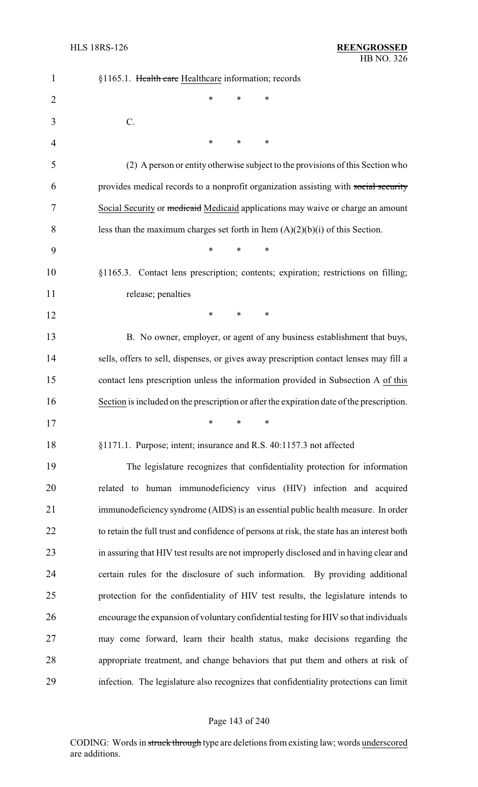| $\mathbf{1}$   | §1165.1. Health care Healthcare information; records                                       |
|----------------|--------------------------------------------------------------------------------------------|
| $\overline{2}$ | *<br>*<br>∗                                                                                |
| 3              | C.                                                                                         |
| 4              | *<br>*<br>∗                                                                                |
| 5              | (2) A person or entity otherwise subject to the provisions of this Section who             |
| 6              | provides medical records to a nonprofit organization assisting with social security        |
| 7              | Social Security or <i>medicaid</i> Medicaid applications may waive or charge an amount     |
| 8              | less than the maximum charges set forth in Item $(A)(2)(b)(i)$ of this Section.            |
| 9              | *<br>*<br>*                                                                                |
| 10             | §1165.3. Contact lens prescription; contents; expiration; restrictions on filling;         |
| 11             | release; penalties                                                                         |
| 12             | $\ast$<br>∗<br>∗                                                                           |
| 13             | B. No owner, employer, or agent of any business establishment that buys,                   |
| 14             | sells, offers to sell, dispenses, or gives away prescription contact lenses may fill a     |
| 15             | contact lens prescription unless the information provided in Subsection A of this          |
| 16             | Section is included on the prescription or after the expiration date of the prescription.  |
| 17             | ∗<br>∗<br>∗                                                                                |
| 18             | §1171.1. Purpose; intent; insurance and R.S. 40:1157.3 not affected                        |
| 19             | The legislature recognizes that confidentiality protection for information                 |
| 20             | related to human immunodeficiency virus (HIV) infection and acquired                       |
| 21             | immunodeficiency syndrome (AIDS) is an essential public health measure. In order           |
| 22             | to retain the full trust and confidence of persons at risk, the state has an interest both |
| 23             | in assuring that HIV test results are not improperly disclosed and in having clear and     |
| 24             | certain rules for the disclosure of such information. By providing additional              |
| 25             | protection for the confidentiality of HIV test results, the legislature intends to         |
| 26             | encourage the expansion of voluntary confidential testing for HIV so that individuals      |
| 27             | may come forward, learn their health status, make decisions regarding the                  |
| 28             | appropriate treatment, and change behaviors that put them and others at risk of            |
| 29             | infection. The legislature also recognizes that confidentiality protections can limit      |

# Page 143 of 240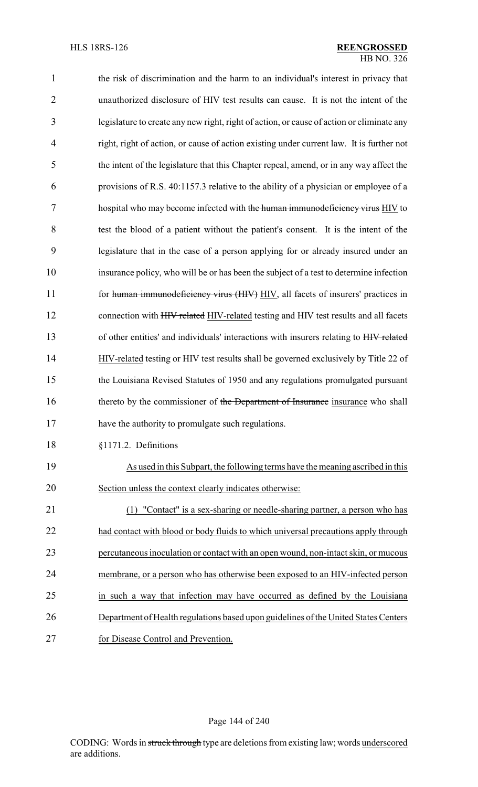| $\mathbf{1}$ | the risk of discrimination and the harm to an individual's interest in privacy that       |
|--------------|-------------------------------------------------------------------------------------------|
| 2            | unauthorized disclosure of HIV test results can cause. It is not the intent of the        |
| 3            | legislature to create any new right, right of action, or cause of action or eliminate any |
| 4            | right, right of action, or cause of action existing under current law. It is further not  |
| 5            | the intent of the legislature that this Chapter repeal, amend, or in any way affect the   |
| 6            | provisions of R.S. 40:1157.3 relative to the ability of a physician or employee of a      |
| 7            | hospital who may become infected with the human immunodeficiency virus HIV to             |
| 8            | test the blood of a patient without the patient's consent. It is the intent of the        |
| 9            | legislature that in the case of a person applying for or already insured under an         |
| 10           | insurance policy, who will be or has been the subject of a test to determine infection    |
| 11           | for human immunodeficiency virus (HIV) HIV, all facets of insurers' practices in          |
| 12           | connection with HIV related HIV-related testing and HIV test results and all facets       |
| 13           | of other entities' and individuals' interactions with insurers relating to HIV related    |
| 14           | HIV-related testing or HIV test results shall be governed exclusively by Title 22 of      |
| 15           | the Louisiana Revised Statutes of 1950 and any regulations promulgated pursuant           |
| 16           | thereto by the commissioner of the Department of Insurance insurance who shall            |
| 17           | have the authority to promulgate such regulations.                                        |
| 18           | §1171.2. Definitions                                                                      |
| 19           | As used in this Subpart, the following terms have the meaning ascribed in this            |
| 20           | Section unless the context clearly indicates otherwise:                                   |
| 21           | "Contact" is a sex-sharing or needle-sharing partner, a person who has<br>(1)             |
| 22           | had contact with blood or body fluids to which universal precautions apply through        |
| 23           | percutaneous inoculation or contact with an open wound, non-intact skin, or mucous        |
| 24           | membrane, or a person who has otherwise been exposed to an HIV-infected person            |
| 25           | in such a way that infection may have occurred as defined by the Louisiana                |
| 26           | Department of Health regulations based upon guidelines of the United States Centers       |
| 27           | for Disease Control and Prevention.                                                       |

# Page 144 of 240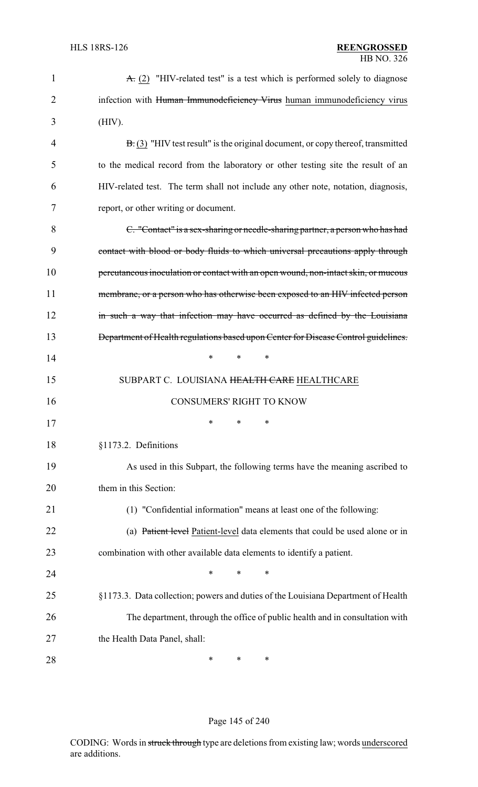| $\mathbf{1}$ | $\overline{A}$ . (2) "HIV-related test" is a test which is performed solely to diagnose |
|--------------|-----------------------------------------------------------------------------------------|
| 2            | infection with Human Immunodeficiency Virus human immunodeficiency virus                |
| 3            | (HIV).                                                                                  |
| 4            | $B(3)$ "HIV test result" is the original document, or copy thereof, transmitted         |
| 5            | to the medical record from the laboratory or other testing site the result of an        |
| 6            | HIV-related test. The term shall not include any other note, notation, diagnosis,       |
| 7            | report, or other writing or document.                                                   |
| 8            | C. "Contact" is a sex-sharing or needle-sharing partner, a person who has had           |
| 9            | contact with blood or body fluids to which universal precautions apply through          |
| 10           | percutaneous inoculation or contact with an open wound, non-intact skin, or mucous      |
| 11           | membrane, or a person who has otherwise been exposed to an HIV infected person          |
| 12           | in such a way that infection may have occurred as defined by the Louisiana              |
| 13           | Department of Health regulations based upon Center for Disease Control guidelines.      |
| 14           | *<br>*<br>$\ast$                                                                        |
| 15           | SUBPART C. LOUISIANA HEALTH CARE HEALTHCARE                                             |
| 16           | <b>CONSUMERS' RIGHT TO KNOW</b>                                                         |
| 17           | ∗<br>∗<br>*                                                                             |
| 18           | §1173.2. Definitions                                                                    |
| 19           | As used in this Subpart, the following terms have the meaning ascribed to               |
| 20           | them in this Section:                                                                   |
| 21           | (1) "Confidential information" means at least one of the following:                     |
| 22           | (a) Patient level Patient-level data elements that could be used alone or in            |
| 23           | combination with other available data elements to identify a patient.                   |
| 24           | *<br>*<br>*                                                                             |
| 25           | §1173.3. Data collection; powers and duties of the Louisiana Department of Health       |
| 26           | The department, through the office of public health and in consultation with            |
| 27           | the Health Data Panel, shall:                                                           |
| 28           | ∗<br>∗<br>*                                                                             |

## Page 145 of 240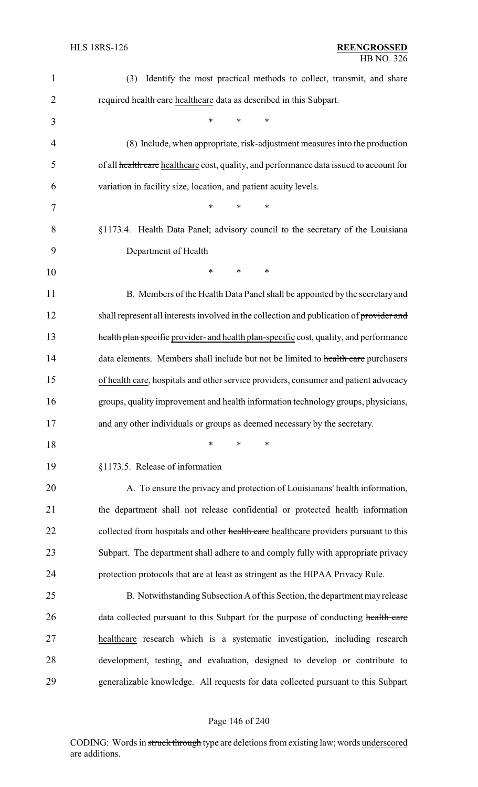| $\mathbf{1}$   | Identify the most practical methods to collect, transmit, and share<br>(3)               |
|----------------|------------------------------------------------------------------------------------------|
| $\overline{2}$ | required health care healthcare data as described in this Subpart.                       |
| 3              | $\ast$<br>$\ast$<br>*                                                                    |
| 4              | (8) Include, when appropriate, risk-adjustment measures into the production              |
| 5              | of all health care healthcare cost, quality, and performance data issued to account for  |
| 6              | variation in facility size, location, and patient acuity levels.                         |
| 7              | $\ast$<br>*<br>∗                                                                         |
| 8              | §1173.4. Health Data Panel; advisory council to the secretary of the Louisiana           |
| 9              | Department of Health                                                                     |
| 10             | $\ast$<br>$\ast$<br>*                                                                    |
| 11             | B. Members of the Health Data Panel shall be appointed by the secretary and              |
| 12             | shall represent all interests involved in the collection and publication of provider and |
| 13             | health plan specific provider- and health plan-specific cost, quality, and performance   |
| 14             | data elements. Members shall include but not be limited to health care purchasers        |
| 15             | of health care, hospitals and other service providers, consumer and patient advocacy     |
| 16             | groups, quality improvement and health information technology groups, physicians,        |
| 17             | and any other individuals or groups as deemed necessary by the secretary.                |
| 18             | *<br>$\ast$<br>*                                                                         |
| 19             | §1173.5. Release of information                                                          |
| 20             | A. To ensure the privacy and protection of Louisianans' health information,              |
| 21             | the department shall not release confidential or protected health information            |
| 22             | collected from hospitals and other health care healthcare providers pursuant to this     |
| 23             | Subpart. The department shall adhere to and comply fully with appropriate privacy        |
| 24             | protection protocols that are at least as stringent as the HIPAA Privacy Rule.           |
| 25             | B. Notwithstanding Subsection A of this Section, the department may release              |
| 26             | data collected pursuant to this Subpart for the purpose of conducting health care        |
| 27             | healthcare research which is a systematic investigation, including research              |
| 28             | development, testing, and evaluation, designed to develop or contribute to               |
| 29             | generalizable knowledge. All requests for data collected pursuant to this Subpart        |

# Page 146 of 240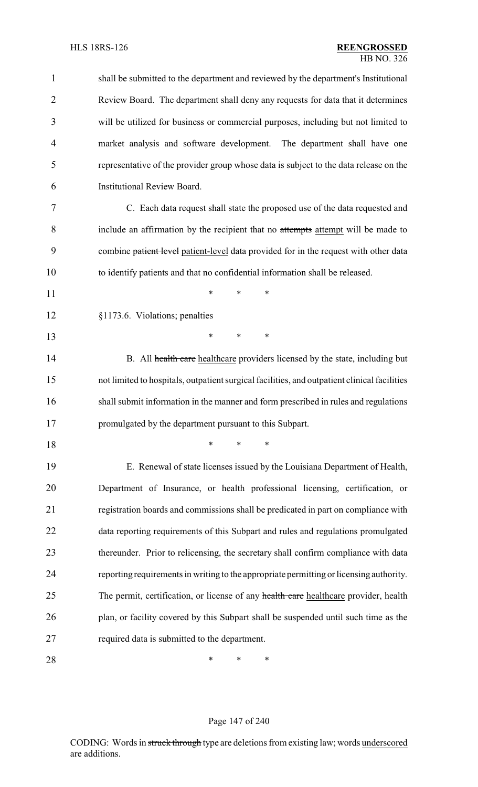| $\mathbf{1}$   | shall be submitted to the department and reviewed by the department's Institutional          |
|----------------|----------------------------------------------------------------------------------------------|
| 2              | Review Board. The department shall deny any requests for data that it determines             |
| 3              | will be utilized for business or commercial purposes, including but not limited to           |
| $\overline{4}$ | market analysis and software development. The department shall have one                      |
| 5              | representative of the provider group whose data is subject to the data release on the        |
| 6              | Institutional Review Board.                                                                  |
| 7              | C. Each data request shall state the proposed use of the data requested and                  |
| 8              | include an affirmation by the recipient that no attempts attempt will be made to             |
| 9              | combine patient level patient-level data provided for in the request with other data         |
| 10             | to identify patients and that no confidential information shall be released.                 |
| 11             | $\ast$<br>*<br>*                                                                             |
| 12             | §1173.6. Violations; penalties                                                               |
| 13             | *<br>*<br>*                                                                                  |
| 14             | B. All health care healthcare providers licensed by the state, including but                 |
| 15             | not limited to hospitals, outpatient surgical facilities, and outpatient clinical facilities |
| 16             | shall submit information in the manner and form prescribed in rules and regulations          |
| 17             | promulgated by the department pursuant to this Subpart.                                      |
| 18             | *<br>*<br>∗                                                                                  |
| 19             | E. Renewal of state licenses issued by the Louisiana Department of Health,                   |
| 20             | Department of Insurance, or health professional licensing, certification, or                 |
| 21             | registration boards and commissions shall be predicated in part on compliance with           |
| 22             | data reporting requirements of this Subpart and rules and regulations promulgated            |
| 23             | thereunder. Prior to relicensing, the secretary shall confirm compliance with data           |
| 24             | reporting requirements in writing to the appropriate permitting or licensing authority.      |
| 25             | The permit, certification, or license of any health care healthcare provider, health         |
| 26             | plan, or facility covered by this Subpart shall be suspended until such time as the          |
| 27             | required data is submitted to the department.                                                |
| 28             | ∗<br>*<br>∗                                                                                  |

# Page 147 of 240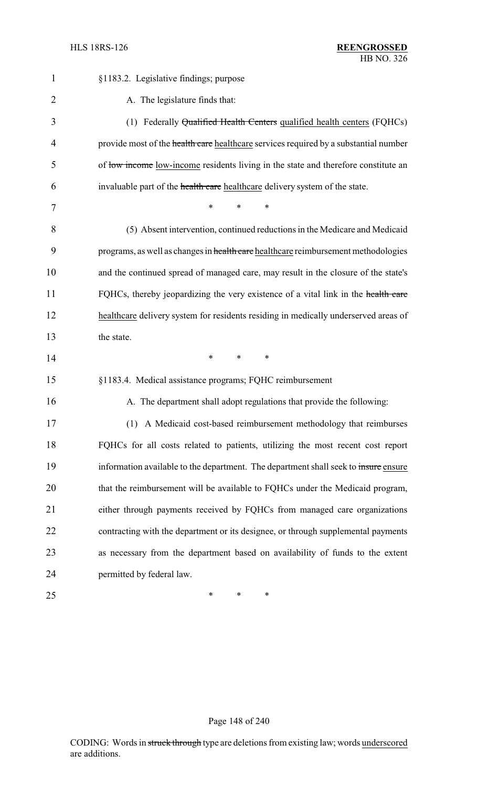| $\mathbf{1}$   | §1183.2. Legislative findings; purpose                                               |
|----------------|--------------------------------------------------------------------------------------|
| $\overline{2}$ | A. The legislature finds that:                                                       |
| 3              | (1) Federally Qualified Health Centers qualified health centers (FQHCs)              |
| 4              | provide most of the health care healthcare services required by a substantial number |
| 5              | of low income low-income residents living in the state and therefore constitute an   |
| 6              | invaluable part of the health care healthcare delivery system of the state.          |
| 7              | *<br>*<br>∗                                                                          |
| 8              | (5) Absent intervention, continued reductions in the Medicare and Medicaid           |
| 9              | programs, as well as changes in health care healthcare reimbursement methodologies   |
| 10             | and the continued spread of managed care, may result in the closure of the state's   |
| 11             | FQHCs, thereby jeopardizing the very existence of a vital link in the health care    |
| 12             | healthcare delivery system for residents residing in medically underserved areas of  |
| 13             | the state.                                                                           |
| 14             | *<br>$\ast$<br>∗                                                                     |
| 15             | §1183.4. Medical assistance programs; FQHC reimbursement                             |
| 16             | A. The department shall adopt regulations that provide the following:                |
| 17             | (1) A Medicaid cost-based reimbursement methodology that reimburses                  |
| 18             | FQHCs for all costs related to patients, utilizing the most recent cost report       |
| 19             | information available to the department. The department shall seek to insure ensure  |
| 20             | that the reimbursement will be available to FQHCs under the Medicaid program,        |
| 21             | either through payments received by FQHCs from managed care organizations            |
| 22             | contracting with the department or its designee, or through supplemental payments    |
| 23             | as necessary from the department based on availability of funds to the extent        |
| 24             | permitted by federal law.                                                            |
| 25             | ∗<br>*<br>∗                                                                          |

## Page 148 of 240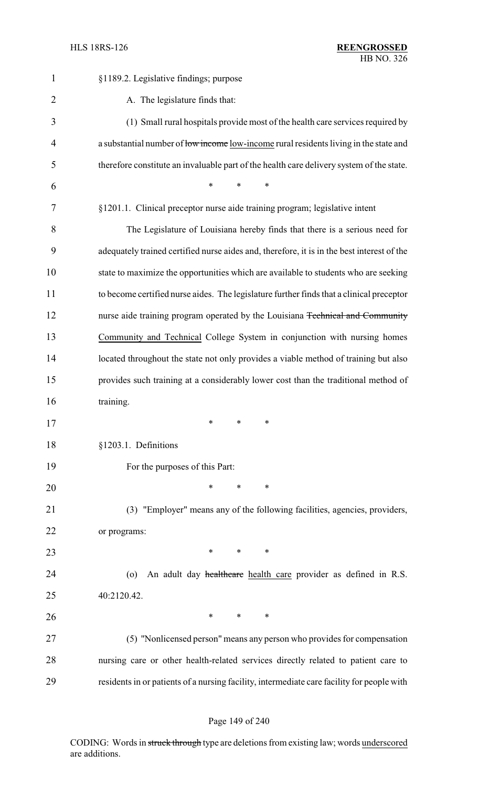| $\mathbf{1}$   | §1189.2. Legislative findings; purpose                                                     |
|----------------|--------------------------------------------------------------------------------------------|
| $\overline{2}$ | A. The legislature finds that:                                                             |
| 3              | (1) Small rural hospitals provide most of the health care services required by             |
| $\overline{4}$ | a substantial number of low income low-income rural residents living in the state and      |
| 5              | therefore constitute an invaluable part of the health care delivery system of the state.   |
| 6              | $\ast$<br>$\ast$<br>*                                                                      |
| 7              | §1201.1. Clinical preceptor nurse aide training program; legislative intent                |
| 8              | The Legislature of Louisiana hereby finds that there is a serious need for                 |
| 9              | adequately trained certified nurse aides and, therefore, it is in the best interest of the |
| 10             | state to maximize the opportunities which are available to students who are seeking        |
| 11             | to become certified nurse aides. The legislature further finds that a clinical preceptor   |
| 12             | nurse aide training program operated by the Louisiana Technical and Community              |
| 13             | Community and Technical College System in conjunction with nursing homes                   |
| 14             | located throughout the state not only provides a viable method of training but also        |
| 15             | provides such training at a considerably lower cost than the traditional method of         |
| 16             | training.                                                                                  |
| 17             | $\stackrel{\star}{\ast}$ $\stackrel{\star}{\ast}$ $\stackrel{\star}{\ast}$                 |
| 18             | §1203.1. Definitions                                                                       |
| 19             | For the purposes of this Part:                                                             |
| 20             | $*$ $*$<br>$\ast$<br>*                                                                     |
| 21             | (3) "Employer" means any of the following facilities, agencies, providers,                 |
| 22             | or programs:                                                                               |
| 23             | $\ast$<br>$*$ *                                                                            |
| 24             | An adult day healthcare health care provider as defined in R.S.<br>$\circ$                 |
| 25             | 40:2120.42.                                                                                |
| 26             | $*$ and $*$<br>$\ast$<br>$\ast$                                                            |
| 27             | (5) "Nonlicensed person" means any person who provides for compensation                    |
| 28             | nursing care or other health-related services directly related to patient care to          |
| 29             | residents in or patients of a nursing facility, intermediate care facility for people with |

## Page 149 of 240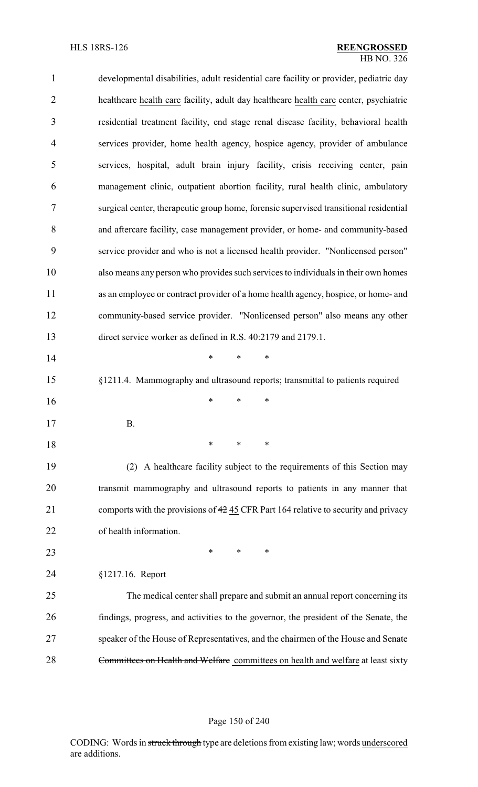| $\mathbf{1}$   | developmental disabilities, adult residential care facility or provider, pediatric day |
|----------------|----------------------------------------------------------------------------------------|
| $\overline{2}$ | healthcare health care facility, adult day healthcare health care center, psychiatric  |
| 3              | residential treatment facility, end stage renal disease facility, behavioral health    |
| 4              | services provider, home health agency, hospice agency, provider of ambulance           |
| 5              | services, hospital, adult brain injury facility, crisis receiving center, pain         |
| 6              | management clinic, outpatient abortion facility, rural health clinic, ambulatory       |
| 7              | surgical center, therapeutic group home, forensic supervised transitional residential  |
| 8              | and aftercare facility, case management provider, or home- and community-based         |
| 9              | service provider and who is not a licensed health provider. "Nonlicensed person"       |
| 10             | also means any person who provides such services to individuals in their own homes     |
| 11             | as an employee or contract provider of a home health agency, hospice, or home- and     |
| 12             | community-based service provider. "Nonlicensed person" also means any other            |
| 13             | direct service worker as defined in R.S. 40:2179 and 2179.1.                           |
| 14             | $\ast$<br>*<br>∗                                                                       |
| 15             | §1211.4. Mammography and ultrasound reports; transmittal to patients required          |
| 16             | *<br>$\ast$<br>∗                                                                       |
| 17             | В.                                                                                     |
| 18             | $\ast$<br>*<br>∗                                                                       |
| 19             | (2) A healthcare facility subject to the requirements of this Section may              |
| 20             | transmit mammography and ultrasound reports to patients in any manner that             |
| 21             | comports with the provisions of 42 45 CFR Part 164 relative to security and privacy    |
| 22             | of health information.                                                                 |
| 23             | $\ast$<br>*<br>∗                                                                       |
| 24             | §1217.16. Report                                                                       |
| 25             | The medical center shall prepare and submit an annual report concerning its            |
| 26             | findings, progress, and activities to the governor, the president of the Senate, the   |
| 27             | speaker of the House of Representatives, and the chairmen of the House and Senate      |
| 28             | Committees on Health and Welfare committees on health and welfare at least sixty       |

## Page 150 of 240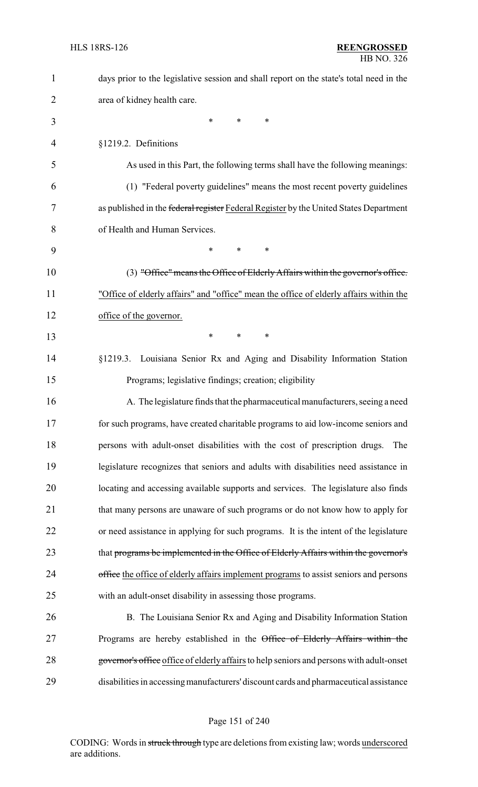| $\mathbf{1}$   | days prior to the legislative session and shall report on the state's total need in the  |
|----------------|------------------------------------------------------------------------------------------|
| $\overline{2}$ | area of kidney health care.                                                              |
| 3              | $\ast$<br>*<br>$\ast$                                                                    |
| $\overline{4}$ | §1219.2. Definitions                                                                     |
| 5              | As used in this Part, the following terms shall have the following meanings:             |
| 6              | (1) "Federal poverty guidelines" means the most recent poverty guidelines                |
| 7              | as published in the federal register Federal Register by the United States Department    |
| 8              | of Health and Human Services.                                                            |
| 9              | $\ast$<br>*<br>*                                                                         |
| 10             | (3) "Office" means the Office of Elderly Affairs within the governor's office.           |
| 11             | "Office of elderly affairs" and "office" mean the office of elderly affairs within the   |
| 12             | office of the governor.                                                                  |
| 13             | $\ast$<br>$\ast$<br>*                                                                    |
| 14             | §1219.3. Louisiana Senior Rx and Aging and Disability Information Station                |
| 15             | Programs; legislative findings; creation; eligibility                                    |
| 16             | A. The legislature finds that the pharmaceutical manufacturers, seeing a need            |
| 17             | for such programs, have created charitable programs to aid low-income seniors and        |
| 18             | persons with adult-onset disabilities with the cost of prescription drugs.<br>The        |
| 19             | legislature recognizes that seniors and adults with disabilities need assistance in      |
| 20             | locating and accessing available supports and services. The legislature also finds       |
| 21             | that many persons are unaware of such programs or do not know how to apply for           |
| 22             | or need assistance in applying for such programs. It is the intent of the legislature    |
| 23             | that programs be implemented in the Office of Elderly Affairs within the governor's      |
| 24             | office the office of elderly affairs implement programs to assist seniors and persons    |
| 25             | with an adult-onset disability in assessing those programs.                              |
| 26             | B. The Louisiana Senior Rx and Aging and Disability Information Station                  |
| 27             | Programs are hereby established in the Office of Elderly Affairs within the              |
| 28             | governor's office office of elderly affairs to help seniors and persons with adult-onset |
| 29             | disabilities in accessing manufacturers' discount cards and pharmaceutical assistance    |

## Page 151 of 240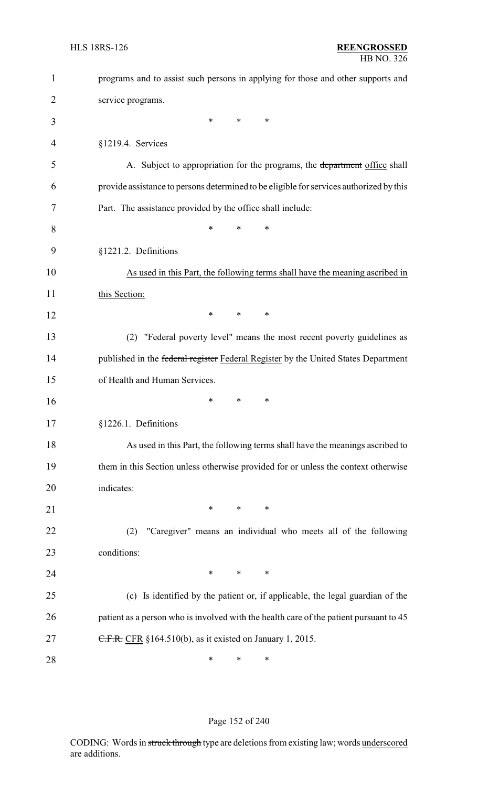| $\mathbf{1}$ | programs and to assist such persons in applying for those and other supports and        |
|--------------|-----------------------------------------------------------------------------------------|
| 2            | service programs.                                                                       |
| 3            | $\ast$<br>$\ast$<br>$\ast$                                                              |
| 4            | §1219.4. Services                                                                       |
| 5            | A. Subject to appropriation for the programs, the department office shall               |
| 6            | provide assistance to persons determined to be eligible for services authorized by this |
| 7            | Part. The assistance provided by the office shall include:                              |
| 8            | *<br>$\ast$<br>*                                                                        |
| 9            | §1221.2. Definitions                                                                    |
| 10           | As used in this Part, the following terms shall have the meaning ascribed in            |
| 11           | this Section:                                                                           |
| 12           | *<br>∗<br>∗                                                                             |
| 13           | "Federal poverty level" means the most recent poverty guidelines as<br>(2)              |
| 14           | published in the federal register Federal Register by the United States Department      |
| 15           | of Health and Human Services.                                                           |
| 16           | ∗<br>∗<br>∗                                                                             |
| 17           | §1226.1. Definitions                                                                    |
| 18           | As used in this Part, the following terms shall have the meanings ascribed to           |
| 19           | them in this Section unless otherwise provided for or unless the context otherwise      |
| 20           | indicates:                                                                              |
| 21           | $\ast$<br>$\ast$<br>$\ast$                                                              |
| 22           | "Caregiver" means an individual who meets all of the following<br>(2)                   |
| 23           | conditions:                                                                             |
| 24           | $\ast$<br>∗<br>∗                                                                        |
| 25           | (c) Is identified by the patient or, if applicable, the legal guardian of the           |
| 26           | patient as a person who is involved with the health care of the patient pursuant to 45  |
| 27           | C.F.R. CFR §164.510(b), as it existed on January 1, 2015.                               |
| 28           | ∗<br>∗<br>∗                                                                             |

## Page 152 of 240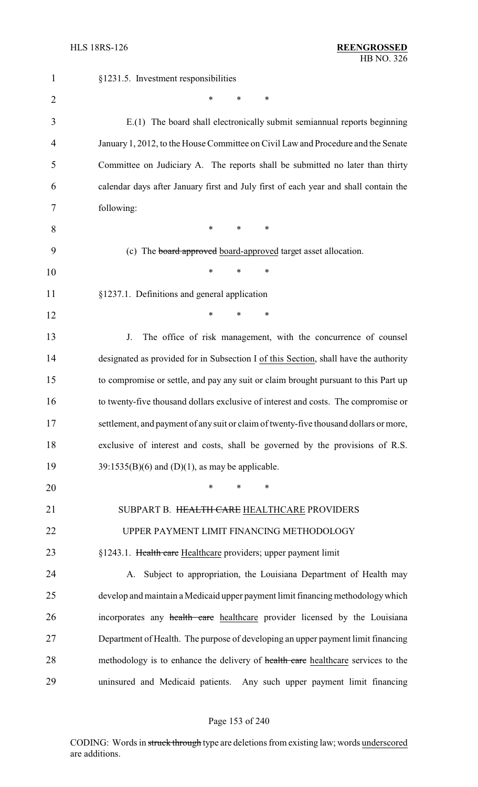| $\mathbf{1}$   | §1231.5. Investment responsibilities                                                  |
|----------------|---------------------------------------------------------------------------------------|
| $\overline{2}$ | *<br>*<br>∗                                                                           |
| 3              | E.(1) The board shall electronically submit semiannual reports beginning              |
| 4              | January 1, 2012, to the House Committee on Civil Law and Procedure and the Senate     |
| 5              | Committee on Judiciary A. The reports shall be submitted no later than thirty         |
| 6              | calendar days after January first and July first of each year and shall contain the   |
| 7              | following:                                                                            |
| 8              | $\ast$<br>*<br>∗                                                                      |
| 9              | (c) The board approved board-approved target asset allocation.                        |
| 10             | *<br>∗<br>∗                                                                           |
| 11             | §1237.1. Definitions and general application                                          |
| 12             | *<br>$\ast$<br>$\ast$                                                                 |
| 13             | The office of risk management, with the concurrence of counsel<br>J.                  |
| 14             | designated as provided for in Subsection I of this Section, shall have the authority  |
| 15             | to compromise or settle, and pay any suit or claim brought pursuant to this Part up   |
| 16             | to twenty-five thousand dollars exclusive of interest and costs. The compromise or    |
| 17             | settlement, and payment of any suit or claim of twenty-five thousand dollars or more, |
| 18             | exclusive of interest and costs, shall be governed by the provisions of R.S.          |
| 19             | $39:1535(B)(6)$ and (D)(1), as may be applicable.                                     |
| 20             | *<br>*<br>$\ast$                                                                      |
| 21             | SUBPART B. HEALTH CARE HEALTHCARE PROVIDERS                                           |
| 22             | UPPER PAYMENT LIMIT FINANCING METHODOLOGY                                             |
| 23             | §1243.1. Health care Healthcare providers; upper payment limit                        |
| 24             | A. Subject to appropriation, the Louisiana Department of Health may                   |
| 25             | develop and maintain a Medicaid upper payment limit financing methodology which       |
| 26             | incorporates any health care healthcare provider licensed by the Louisiana            |
| 27             | Department of Health. The purpose of developing an upper payment limit financing      |
| 28             | methodology is to enhance the delivery of health care healthcare services to the      |
| 29             | uninsured and Medicaid patients.<br>Any such upper payment limit financing            |

## Page 153 of 240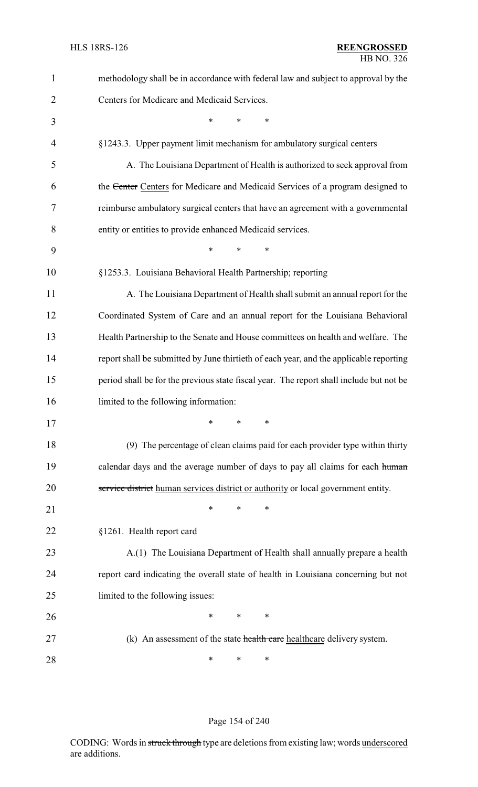| 1              | methodology shall be in accordance with federal law and subject to approval by the      |
|----------------|-----------------------------------------------------------------------------------------|
| $\overline{2}$ | Centers for Medicare and Medicaid Services.                                             |
| 3              | $\ast$<br>*<br>∗                                                                        |
| $\overline{4}$ | §1243.3. Upper payment limit mechanism for ambulatory surgical centers                  |
| 5              | A. The Louisiana Department of Health is authorized to seek approval from               |
| 6              | the Center Centers for Medicare and Medicaid Services of a program designed to          |
| 7              | reimburse ambulatory surgical centers that have an agreement with a governmental        |
| 8              | entity or entities to provide enhanced Medicaid services.                               |
| 9              | $\ast$<br>$\ast$<br>$\ast$                                                              |
| 10             | §1253.3. Louisiana Behavioral Health Partnership; reporting                             |
| 11             | A. The Louisiana Department of Health shall submit an annual report for the             |
| 12             | Coordinated System of Care and an annual report for the Louisiana Behavioral            |
| 13             | Health Partnership to the Senate and House committees on health and welfare. The        |
| 14             | report shall be submitted by June thirtieth of each year, and the applicable reporting  |
| 15             | period shall be for the previous state fiscal year. The report shall include but not be |
| 16             | limited to the following information:                                                   |
| 17             |                                                                                         |
| 18             | (9) The percentage of clean claims paid for each provider type within thirty            |
| 19             | calendar days and the average number of days to pay all claims for each human           |
| 20             | service district human services district or authority or local government entity.       |
| 21             | $\ast$<br>$\ast$<br>∗                                                                   |
| 22             | §1261. Health report card                                                               |
| 23             | A.(1) The Louisiana Department of Health shall annually prepare a health                |
| 24             | report card indicating the overall state of health in Louisiana concerning but not      |
| 25             | limited to the following issues:                                                        |
| 26             | $\ast$<br>∗<br>∗                                                                        |
| 27             | (k) An assessment of the state health care healthcare delivery system.                  |
| 28             | ∗<br>∗<br>∗                                                                             |

## Page 154 of 240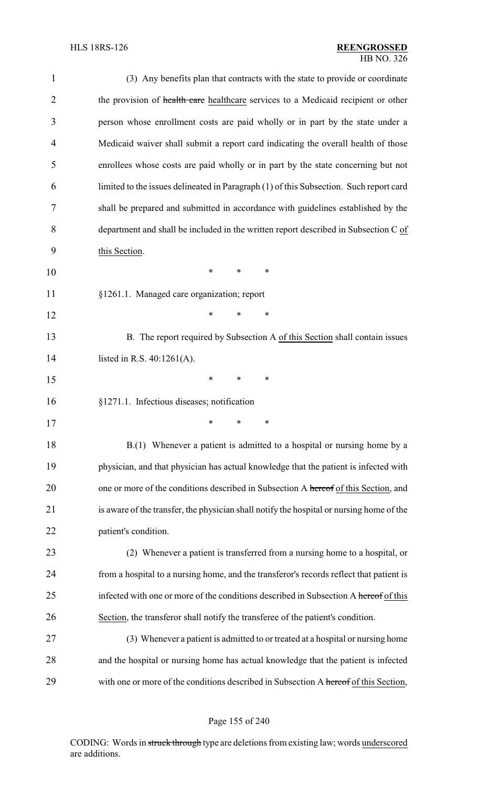| $\mathbf{1}$   | (3) Any benefits plan that contracts with the state to provide or coordinate             |
|----------------|------------------------------------------------------------------------------------------|
| $\overline{2}$ | the provision of health care healthcare services to a Medicaid recipient or other        |
| 3              | person whose enrollment costs are paid wholly or in part by the state under a            |
| 4              | Medicaid waiver shall submit a report card indicating the overall health of those        |
| 5              | enrollees whose costs are paid wholly or in part by the state concerning but not         |
| 6              | limited to the issues delineated in Paragraph (1) of this Subsection. Such report card   |
| 7              | shall be prepared and submitted in accordance with guidelines established by the         |
| 8              | department and shall be included in the written report described in Subsection C of      |
| 9              | this Section.                                                                            |
| 10             | $\ast$<br>∗<br>∗                                                                         |
| 11             | §1261.1. Managed care organization; report                                               |
| 12             | *<br>*<br>$\ast$                                                                         |
| 13             | B. The report required by Subsection A of this Section shall contain issues              |
| 14             | listed in R.S. $40:1261(A)$ .                                                            |
| 15             | *<br>∗<br>∗                                                                              |
| 16             | §1271.1. Infectious diseases; notification                                               |
| 17             | ∗<br>∗<br>∗                                                                              |
| 18             | B.(1) Whenever a patient is admitted to a hospital or nursing home by a                  |
| 19             | physician, and that physician has actual knowledge that the patient is infected with     |
| 20             | one or more of the conditions described in Subsection A hereof of this Section, and      |
| 21             | is aware of the transfer, the physician shall notify the hospital or nursing home of the |
| 22             | patient's condition.                                                                     |
| 23             | (2) Whenever a patient is transferred from a nursing home to a hospital, or              |
| 24             | from a hospital to a nursing home, and the transferor's records reflect that patient is  |
| 25             | infected with one or more of the conditions described in Subsection A hereof of this     |
| 26             | Section, the transferor shall notify the transferee of the patient's condition.          |
| 27             | (3) Whenever a patient is admitted to or treated at a hospital or nursing home           |
| 28             | and the hospital or nursing home has actual knowledge that the patient is infected       |
| 29             | with one or more of the conditions described in Subsection A hereof of this Section,     |

Page 155 of 240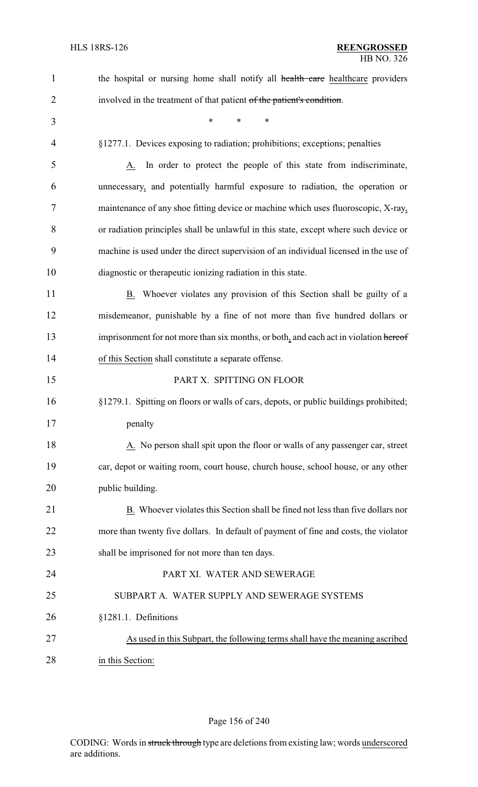| $\mathbf{1}$   | the hospital or nursing home shall notify all health care healthcare providers        |
|----------------|---------------------------------------------------------------------------------------|
| $\overline{2}$ | involved in the treatment of that patient of the patient's condition.                 |
| 3              | $\ast$<br>*<br>$\ast$                                                                 |
| 4              | §1277.1. Devices exposing to radiation; prohibitions; exceptions; penalties           |
| 5              | In order to protect the people of this state from indiscriminate,<br>A.               |
| 6              | unnecessary, and potentially harmful exposure to radiation, the operation or          |
| 7              | maintenance of any shoe fitting device or machine which uses fluoroscopic, X-ray,     |
| 8              | or radiation principles shall be unlawful in this state, except where such device or  |
| 9              | machine is used under the direct supervision of an individual licensed in the use of  |
| 10             | diagnostic or therapeutic ionizing radiation in this state.                           |
| 11             | B. Whoever violates any provision of this Section shall be guilty of a                |
| 12             | misdemeanor, punishable by a fine of not more than five hundred dollars or            |
| 13             | imprisonment for not more than six months, or both, and each act in violation hereof  |
| 14             | of this Section shall constitute a separate offense.                                  |
| 15             | PART X. SPITTING ON FLOOR                                                             |
| 16             | §1279.1. Spitting on floors or walls of cars, depots, or public buildings prohibited; |
| 17             | penalty                                                                               |
| 18             | A. No person shall spit upon the floor or walls of any passenger car, street          |
| 19             | car, depot or waiting room, court house, church house, school house, or any other     |
| 20             | public building.                                                                      |
| 21             | B. Whoever violates this Section shall be fined not less than five dollars nor        |
| 22             | more than twenty five dollars. In default of payment of fine and costs, the violator  |
| 23             | shall be imprisoned for not more than ten days.                                       |
| 24             | PART XI. WATER AND SEWERAGE                                                           |
| 25             | SUBPART A. WATER SUPPLY AND SEWERAGE SYSTEMS                                          |
| 26             | §1281.1. Definitions                                                                  |
| 27             | As used in this Subpart, the following terms shall have the meaning ascribed          |
| 28             | in this Section:                                                                      |

# Page 156 of 240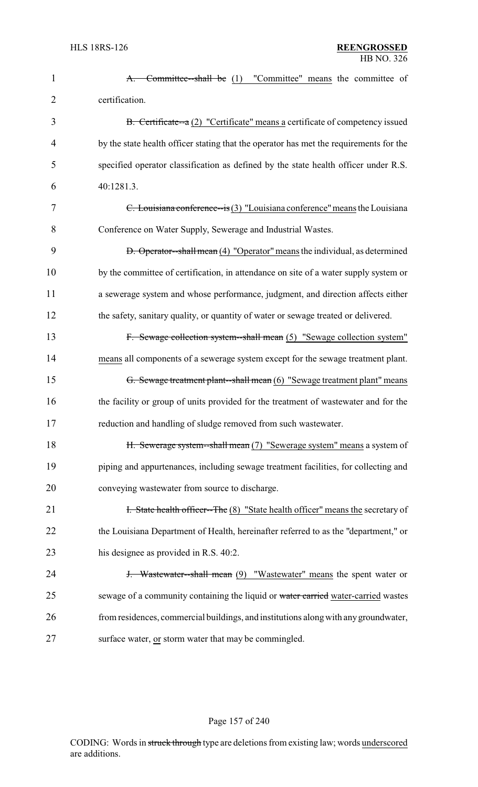| $\mathbf{1}$   | Committee-shall be (1) "Committee" means the committee of<br><del>A.</del>             |
|----------------|----------------------------------------------------------------------------------------|
| $\overline{2}$ | certification.                                                                         |
| 3              | B. Certificate--a (2) "Certificate" means a certificate of competency issued           |
| $\overline{4}$ | by the state health officer stating that the operator has met the requirements for the |
| 5              | specified operator classification as defined by the state health officer under R.S.    |
| 6              | 40:1281.3.                                                                             |
| 7              | $C.$ Louisiana conference—is $(3)$ "Louisiana conference" means the Louisiana          |
| 8              | Conference on Water Supply, Sewerage and Industrial Wastes.                            |
| 9              | <b>D.</b> Operator—shall mean (4) "Operator" means the individual, as determined       |
| 10             | by the committee of certification, in attendance on site of a water supply system or   |
| 11             | a sewerage system and whose performance, judgment, and direction affects either        |
| 12             | the safety, sanitary quality, or quantity of water or sewage treated or delivered.     |
| 13             | F. Sewage collection system--shall mean (5) "Sewage collection system"                 |
| 14             | means all components of a sewerage system except for the sewage treatment plant.       |
| 15             | G. Sewage treatment plant--shall mean (6) "Sewage treatment plant" means               |
| 16             | the facility or group of units provided for the treatment of wastewater and for the    |
| 17             | reduction and handling of sludge removed from such wastewater.                         |
| 18             | H. Sewerage system--shall mean (7) "Sewerage system" means a system of                 |
| 19             | piping and appurtenances, including sewage treatment facilities, for collecting and    |
| 20             | conveying wastewater from source to discharge.                                         |
| 21             | <b>F.</b> State health officer--The (8) "State health officer" means the secretary of  |
| 22             | the Louisiana Department of Health, hereinafter referred to as the "department," or    |
| 23             | his designee as provided in R.S. 40:2.                                                 |
| 24             | <b>J.</b> Wastewater-shall mean (9) "Wastewater" means the spent water or              |
| 25             | sewage of a community containing the liquid or water carried water-carried wastes      |
| 26             | from residences, commercial buildings, and institutions along with any groundwater,    |
| 27             | surface water, or storm water that may be commingled.                                  |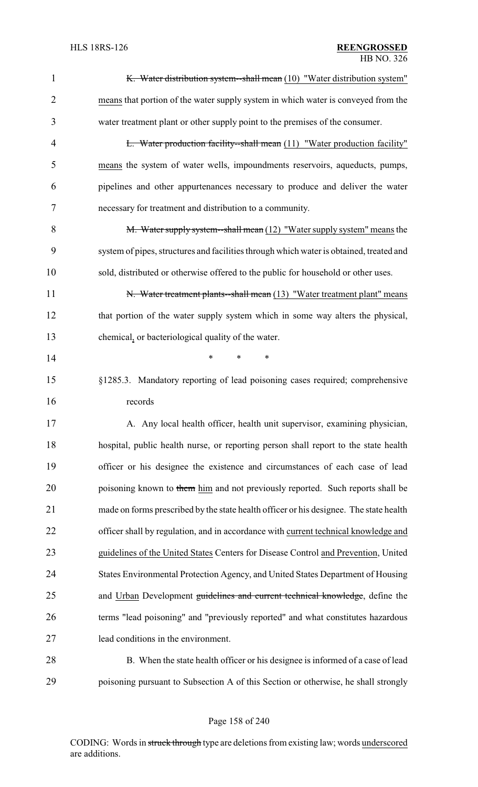| $\mathbf{1}$   | K. Water distribution system—shall mean (10) "Water distribution system"                |
|----------------|-----------------------------------------------------------------------------------------|
| $\overline{2}$ | means that portion of the water supply system in which water is conveyed from the       |
| 3              | water treatment plant or other supply point to the premises of the consumer.            |
| $\overline{4}$ | <b>L.</b> Water production facility-shall mean (11) "Water production facility"         |
| 5              | means the system of water wells, impoundments reservoirs, aqueducts, pumps,             |
| 6              | pipelines and other appurtenances necessary to produce and deliver the water            |
| 7              | necessary for treatment and distribution to a community.                                |
| 8              | M. Water supply system--shall mean $(12)$ "Water supply system" means the               |
| 9              | system of pipes, structures and facilities through which water is obtained, treated and |
| 10             | sold, distributed or otherwise offered to the public for household or other uses.       |
| 11             | N. Water treatment plants--shall mean (13) "Water treatment plant" means                |
| 12             | that portion of the water supply system which in some way alters the physical,          |
| 13             | chemical, or bacteriological quality of the water.                                      |
| 14             | *<br>$\ast$<br>∗                                                                        |
| 15             | §1285.3. Mandatory reporting of lead poisoning cases required; comprehensive            |
| 16             | records                                                                                 |
| 17             | A. Any local health officer, health unit supervisor, examining physician,               |
| 18             | hospital, public health nurse, or reporting person shall report to the state health     |
| 19             | officer or his designee the existence and circumstances of each case of lead            |
| 20             | poisoning known to them him and not previously reported. Such reports shall be          |
| 21             | made on forms prescribed by the state health officer or his designee. The state health  |
| 22             | officer shall by regulation, and in accordance with current technical knowledge and     |
| 23             | guidelines of the United States Centers for Disease Control and Prevention, United      |
| 24             | States Environmental Protection Agency, and United States Department of Housing         |
| 25             | and Urban Development guidelines and current technical knowledge, define the            |
| 26             | terms "lead poisoning" and "previously reported" and what constitutes hazardous         |
| 27             | lead conditions in the environment.                                                     |
| 28             | B. When the state health officer or his designee is informed of a case of lead          |
| 29             | poisoning pursuant to Subsection A of this Section or otherwise, he shall strongly      |

Page 158 of 240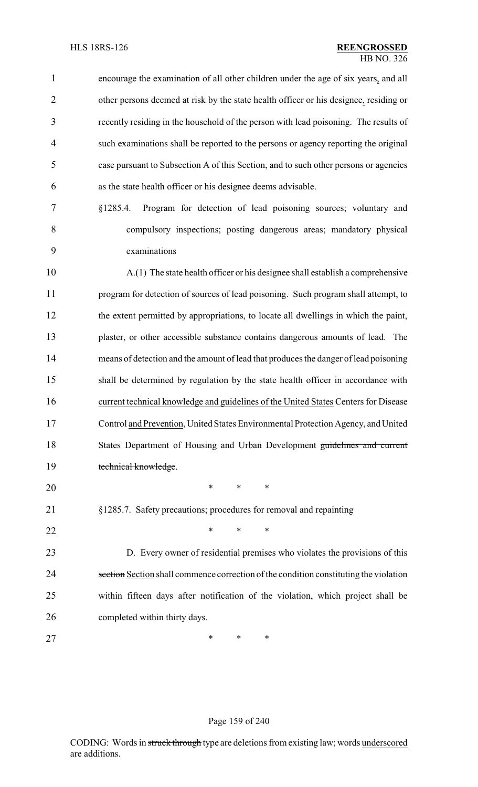| $\mathbf{1}$   | encourage the examination of all other children under the age of six years, and all   |
|----------------|---------------------------------------------------------------------------------------|
| $\overline{2}$ | other persons deemed at risk by the state health officer or his designee, residing or |
| 3              | recently residing in the household of the person with lead poisoning. The results of  |
| 4              | such examinations shall be reported to the persons or agency reporting the original   |
| 5              | case pursuant to Subsection A of this Section, and to such other persons or agencies  |
| 6              | as the state health officer or his designee deems advisable.                          |
| 7              | §1285.4. Program for detection of lead poisoning sources; voluntary and               |
| 8              | compulsory inspections; posting dangerous areas; mandatory physical                   |
| 9              | examinations                                                                          |
| 10             | A.(1) The state health officer or his designee shall establish a comprehensive        |
| 11             | program for detection of sources of lead poisoning. Such program shall attempt, to    |
| 12             | the extent permitted by appropriations, to locate all dwellings in which the paint,   |
| 13             | plaster, or other accessible substance contains dangerous amounts of lead. The        |
| 14             | means of detection and the amount of lead that produces the danger of lead poisoning  |
| 15             | shall be determined by regulation by the state health officer in accordance with      |
| 16             | current technical knowledge and guidelines of the United States Centers for Disease   |
| 17             | Control and Prevention, United States Environmental Protection Agency, and United     |
| 18             | States Department of Housing and Urban Development guidelines and current             |
| 19             | technical knowledge.                                                                  |
| 20             | $\ast$<br>*<br>∗                                                                      |
| 21             | §1285.7. Safety precautions; procedures for removal and repainting                    |
| 22             | $\ast$<br>$\ast$<br>$\ast$                                                            |
| 23             | D. Every owner of residential premises who violates the provisions of this            |
| 24             | section Section shall commence correction of the condition constituting the violation |
| 25             | within fifteen days after notification of the violation, which project shall be       |
| 26             | completed within thirty days.                                                         |
| 27             | $\ast$<br>∗<br>∗                                                                      |

## Page 159 of 240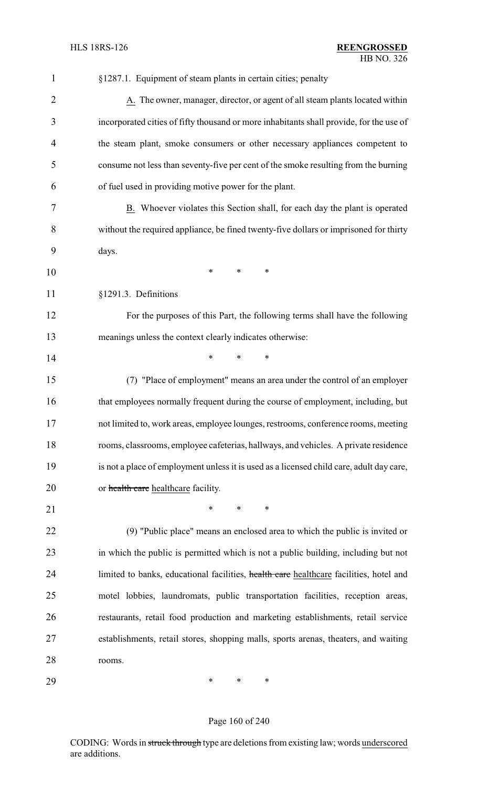| 1              | §1287.1. Equipment of steam plants in certain cities; penalty                            |
|----------------|------------------------------------------------------------------------------------------|
| $\overline{2}$ | A. The owner, manager, director, or agent of all steam plants located within             |
| 3              | incorporated cities of fifty thousand or more inhabitants shall provide, for the use of  |
| $\overline{4}$ | the steam plant, smoke consumers or other necessary appliances competent to              |
| 5              | consume not less than seventy-five per cent of the smoke resulting from the burning      |
| 6              | of fuel used in providing motive power for the plant.                                    |
| 7              | B. Whoever violates this Section shall, for each day the plant is operated               |
| 8              | without the required appliance, be fined twenty-five dollars or imprisoned for thirty    |
| 9              | days.                                                                                    |
| 10             | ∗<br>∗<br>*                                                                              |
| 11             | §1291.3. Definitions                                                                     |
| 12             | For the purposes of this Part, the following terms shall have the following              |
| 13             | meanings unless the context clearly indicates otherwise:                                 |
| 14             | *<br>*<br>∗                                                                              |
| 15             | (7) "Place of employment" means an area under the control of an employer                 |
| 16             | that employees normally frequent during the course of employment, including, but         |
| 17             | not limited to, work areas, employee lounges, restrooms, conference rooms, meeting       |
| 18             | rooms, classrooms, employee cafeterias, hallways, and vehicles. A private residence      |
| 19             | is not a place of employment unless it is used as a licensed child care, adult day care, |
| 20             | or health care healthcare facility.                                                      |
| 21             | *<br>*<br>∗                                                                              |
| 22             | (9) "Public place" means an enclosed area to which the public is invited or              |
| 23             | in which the public is permitted which is not a public building, including but not       |
| 24             | limited to banks, educational facilities, health care healthcare facilities, hotel and   |
| 25             | motel lobbies, laundromats, public transportation facilities, reception areas,           |
| 26             | restaurants, retail food production and marketing establishments, retail service         |
| 27             | establishments, retail stores, shopping malls, sports arenas, theaters, and waiting      |
| 28             | rooms.                                                                                   |
| 29             | ∗<br>∗<br>∗                                                                              |

## Page 160 of 240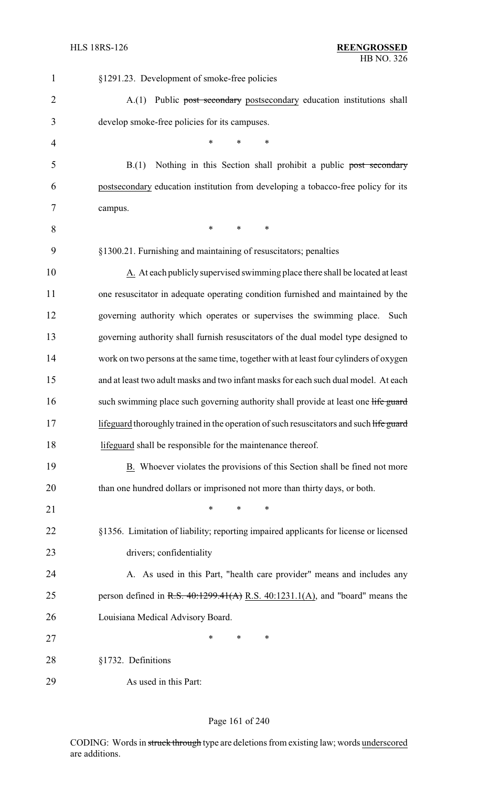| $\mathbf{1}$   | §1291.23. Development of smoke-free policies                                            |
|----------------|-----------------------------------------------------------------------------------------|
| $\overline{2}$ | Public post secondary postsecondary education institutions shall<br>A(1)                |
| 3              | develop smoke-free policies for its campuses.                                           |
| 4              | *<br>*<br>*                                                                             |
| 5              | Nothing in this Section shall prohibit a public post secondary<br>B(1)                  |
| 6              | postsecondary education institution from developing a tobacco-free policy for its       |
| 7              | campus.                                                                                 |
| 8              | ∗<br>$\ast$<br>$\ast$                                                                   |
| 9              | §1300.21. Furnishing and maintaining of resuscitators; penalties                        |
| 10             | A. At each publicly supervised swimming place there shall be located at least           |
| 11             | one resuscitator in adequate operating condition furnished and maintained by the        |
| 12             | governing authority which operates or supervises the swimming place.<br>Such            |
| 13             | governing authority shall furnish resuscitators of the dual model type designed to      |
| 14             | work on two persons at the same time, together with at least four cylinders of oxygen   |
| 15             | and at least two adult masks and two infant masks for each such dual model. At each     |
| 16             | such swimming place such governing authority shall provide at least one life guard      |
| 17             | lifeguard thoroughly trained in the operation of such resuscitators and such life guard |
| 18             | lifeguard shall be responsible for the maintenance thereof.                             |
| 19             | B. Whoever violates the provisions of this Section shall be fined not more              |
| 20             | than one hundred dollars or imprisoned not more than thirty days, or both.              |
| 21             | *<br>*<br>*                                                                             |
| 22             | §1356. Limitation of liability; reporting impaired applicants for license or licensed   |
| 23             | drivers; confidentiality                                                                |
| 24             | A. As used in this Part, "health care provider" means and includes any                  |
| 25             | person defined in R.S. $40:1299.41(A)$ R.S. $40:1231.1(A)$ , and "board" means the      |
| 26             | Louisiana Medical Advisory Board.                                                       |
| 27             | *<br>*<br>∗                                                                             |
| 28             | §1732. Definitions                                                                      |
| 29             | As used in this Part:                                                                   |

## Page 161 of 240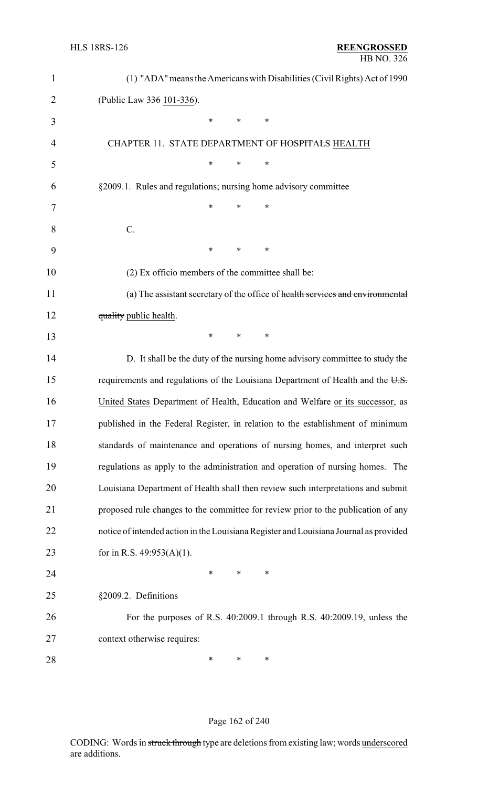| $\mathbf{1}$   | (1) "ADA" means the Americans with Disabilities (Civil Rights) Act of 1990            |
|----------------|---------------------------------------------------------------------------------------|
| $\overline{2}$ | (Public Law 336 101-336).                                                             |
| 3              | $\ast$<br>*<br>$\ast$                                                                 |
| 4              | CHAPTER 11. STATE DEPARTMENT OF HOSPITALS HEALTH                                      |
| 5              | *<br>*<br>*                                                                           |
| 6              | §2009.1. Rules and regulations; nursing home advisory committee                       |
| 7              | *<br>*<br>∗                                                                           |
| 8              | $\mathcal{C}$ .                                                                       |
| 9              | $\ast$<br>*<br>$\ast$                                                                 |
| 10             | (2) Ex officio members of the committee shall be:                                     |
| 11             | (a) The assistant secretary of the office of health services and environmental        |
| 12             | quality public health.                                                                |
| 13             | ∗<br>$\ast$<br>∗                                                                      |
| 14             | D. It shall be the duty of the nursing home advisory committee to study the           |
| 15             | requirements and regulations of the Louisiana Department of Health and the U.S.       |
| 16             | United States Department of Health, Education and Welfare or its successor, as        |
| 17             | published in the Federal Register, in relation to the establishment of minimum        |
| 18             | standards of maintenance and operations of nursing homes, and interpret such          |
| 19             | regulations as apply to the administration and operation of nursing homes. The        |
| 20             | Louisiana Department of Health shall then review such interpretations and submit      |
| 21             | proposed rule changes to the committee for review prior to the publication of any     |
| 22             | notice of intended action in the Louisiana Register and Louisiana Journal as provided |
| 23             | for in R.S. $49:953(A)(1)$ .                                                          |
| 24             | *<br>$\ast$<br>$\ast$                                                                 |
| 25             | §2009.2. Definitions                                                                  |
| 26             | For the purposes of R.S. 40:2009.1 through R.S. 40:2009.19, unless the                |
| 27             | context otherwise requires:                                                           |
| 28             | ∗<br>$\ast$<br>$\ast$                                                                 |

## Page 162 of 240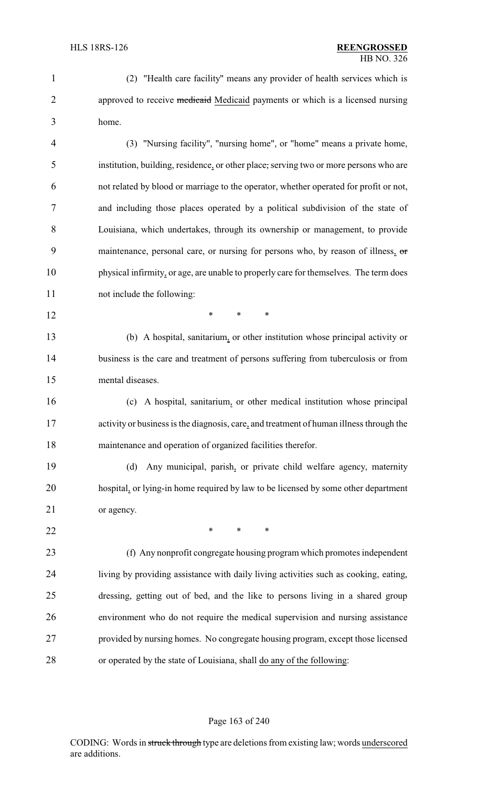(2) "Health care facility" means any provider of health services which is 2 approved to receive medicaid Medicaid payments or which is a licensed nursing home.

 (3) "Nursing facility", "nursing home", or "home" means a private home, institution, building, residence, or other place, serving two or more persons who are not related by blood or marriage to the operator, whether operated for profit or not, and including those places operated by a political subdivision of the state of Louisiana, which undertakes, through its ownership or management, to provide 9 maintenance, personal care, or nursing for persons who, by reason of illness, or physical infirmity, or age, are unable to properly care for themselves. The term does not include the following:

**\*** \* \* \*

 (b) A hospital, sanitarium, or other institution whose principal activity or business is the care and treatment of persons suffering from tuberculosis or from mental diseases.

 (c) A hospital, sanitarium, or other medical institution whose principal activity or business is the diagnosis, care, and treatment of human illness through the maintenance and operation of organized facilities therefor.

 (d) Any municipal, parish, or private child welfare agency, maternity hospital, or lying-in home required by law to be licensed by some other department or agency.

**\*** \* \* \*

 (f) Any nonprofit congregate housing program which promotes independent living by providing assistance with daily living activities such as cooking, eating, dressing, getting out of bed, and the like to persons living in a shared group environment who do not require the medical supervision and nursing assistance provided by nursing homes. No congregate housing program, except those licensed or operated by the state of Louisiana, shall do any of the following:

#### Page 163 of 240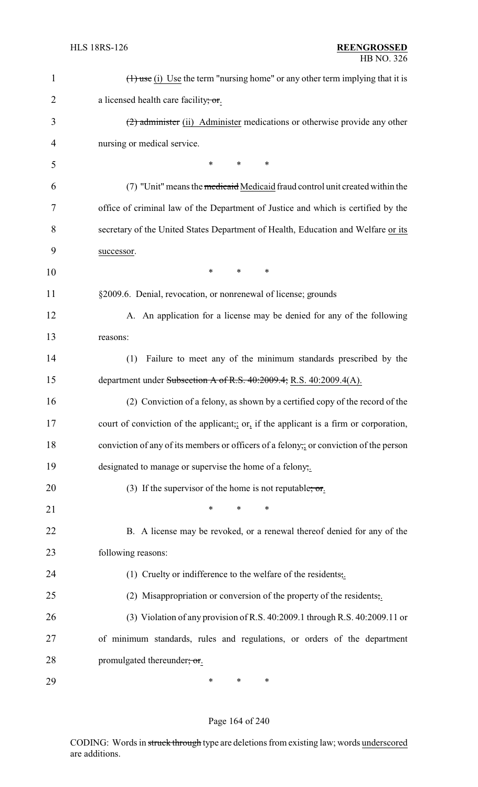| 1              | $(1)$ use (i) Use the term "nursing home" or any other term implying that it is       |
|----------------|---------------------------------------------------------------------------------------|
| $\overline{2}$ | a licensed health care facility; or.                                                  |
| 3              | (2) administer (ii) Administer medications or otherwise provide any other             |
| $\overline{4}$ | nursing or medical service.                                                           |
| 5              | *<br>∗<br>∗                                                                           |
| 6              | (7) "Unit" means the medicated Medical fraud control unit created within the          |
| 7              | office of criminal law of the Department of Justice and which is certified by the     |
| 8              | secretary of the United States Department of Health, Education and Welfare or its     |
| 9              | successor.                                                                            |
| 10             | *<br>*<br>*                                                                           |
| 11             | §2009.6. Denial, revocation, or nonrenewal of license; grounds                        |
| 12             | A. An application for a license may be denied for any of the following                |
| 13             | reasons:                                                                              |
| 14             | Failure to meet any of the minimum standards prescribed by the<br>(1)                 |
| 15             | department under Subsection A of R.S. $40:2009.4$ ; R.S. $40:2009.4(A)$ .             |
| 16             | (2) Conviction of a felony, as shown by a certified copy of the record of the         |
| 17             | court of conviction of the applicant, or, if the applicant is a firm or corporation,  |
| 18             | conviction of any of its members or officers of a felony, or conviction of the person |
| 19             | designated to manage or supervise the home of a felony,.                              |
| 20             | (3) If the supervisor of the home is not reputable; or.                               |
| 21             | $\ast$<br>$\ast$                                                                      |
| 22             | B. A license may be revoked, or a renewal thereof denied for any of the               |
| 23             | following reasons:                                                                    |
| 24             | (1) Cruelty or indifference to the welfare of the residents;                          |
| 25             | (2) Misappropriation or conversion of the property of the residents;                  |
| 26             | (3) Violation of any provision of R.S. 40:2009.1 through R.S. 40:2009.11 or           |
| 27             | of minimum standards, rules and regulations, or orders of the department              |
| 28             | promulgated thereunder; or.                                                           |
| 29             | ∗<br>∗<br>∗                                                                           |

## Page 164 of 240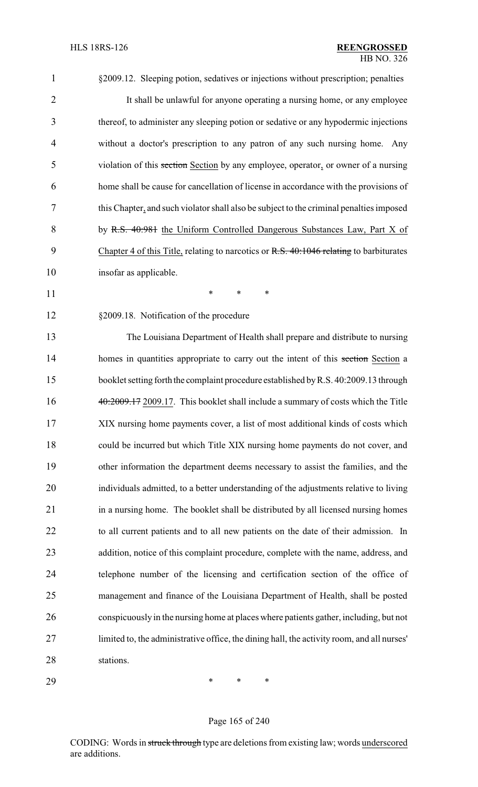| $\mathbf{1}$   | §2009.12. Sleeping potion, sedatives or injections without prescription; penalties         |
|----------------|--------------------------------------------------------------------------------------------|
| $\overline{2}$ | It shall be unlawful for anyone operating a nursing home, or any employee                  |
| 3              | thereof, to administer any sleeping potion or sedative or any hypodermic injections        |
| $\overline{4}$ | without a doctor's prescription to any patron of any such nursing home. Any                |
| 5              | violation of this section Section by any employee, operator, or owner of a nursing         |
| 6              | home shall be cause for cancellation of license in accordance with the provisions of       |
| 7              | this Chapter, and such violator shall also be subject to the criminal penalties imposed    |
| 8              | by R.S. 40:981 the Uniform Controlled Dangerous Substances Law, Part X of                  |
| 9              | Chapter 4 of this Title, relating to narcotics or R.S. 40:1046 relating to barbiturates    |
| 10             | insofar as applicable.                                                                     |
| 11             | $\ast$<br>*<br>$\ast$                                                                      |
| 12             | §2009.18. Notification of the procedure                                                    |
| 13             | The Louisiana Department of Health shall prepare and distribute to nursing                 |
| 14             | homes in quantities appropriate to carry out the intent of this section Section a          |
| 15             | booklet setting forth the complaint procedure established by R.S. 40:2009.13 through       |
| 16             | 40:2009.17 2009.17. This booklet shall include a summary of costs which the Title          |
| 17             | XIX nursing home payments cover, a list of most additional kinds of costs which            |
| 18             | could be incurred but which Title XIX nursing home payments do not cover, and              |
| 19             | other information the department deems necessary to assist the families, and the           |
| 20             | individuals admitted, to a better understanding of the adjustments relative to living      |
| 21             | in a nursing home. The booklet shall be distributed by all licensed nursing homes          |
| 22             | to all current patients and to all new patients on the date of their admission. In         |
| 23             | addition, notice of this complaint procedure, complete with the name, address, and         |
| 24             | telephone number of the licensing and certification section of the office of               |
| 25             | management and finance of the Louisiana Department of Health, shall be posted              |
| 26             | conspicuously in the nursing home at places where patients gather, including, but not      |
| 27             | limited to, the administrative office, the dining hall, the activity room, and all nurses' |
| 28             | stations.                                                                                  |
| 29             | ∗<br>$\ast$<br>∗                                                                           |

## Page 165 of 240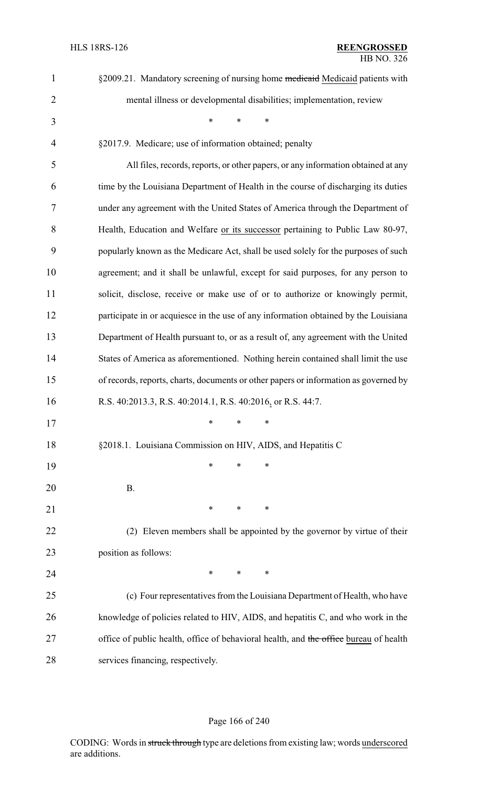| $\mathbf{1}$   | §2009.21. Mandatory screening of nursing home medicaid Medicaid patients with         |
|----------------|---------------------------------------------------------------------------------------|
| $\overline{2}$ | mental illness or developmental disabilities; implementation, review                  |
| 3              | $\ast$<br>*<br>$\ast$                                                                 |
| $\overline{4}$ | §2017.9. Medicare; use of information obtained; penalty                               |
| 5              | All files, records, reports, or other papers, or any information obtained at any      |
| 6              | time by the Louisiana Department of Health in the course of discharging its duties    |
| 7              | under any agreement with the United States of America through the Department of       |
| 8              | Health, Education and Welfare or its successor pertaining to Public Law 80-97,        |
| 9              | popularly known as the Medicare Act, shall be used solely for the purposes of such    |
| 10             | agreement; and it shall be unlawful, except for said purposes, for any person to      |
| 11             | solicit, disclose, receive or make use of or to authorize or knowingly permit,        |
| 12             | participate in or acquiesce in the use of any information obtained by the Louisiana   |
| 13             | Department of Health pursuant to, or as a result of, any agreement with the United    |
| 14             | States of America as aforementioned. Nothing herein contained shall limit the use     |
| 15             | of records, reports, charts, documents or other papers or information as governed by  |
| 16             | R.S. 40:2013.3, R.S. 40:2014.1, R.S. 40:2016, or R.S. 44:7.                           |
| 17             | $*$ * *                                                                               |
| 18             | §2018.1. Louisiana Commission on HIV, AIDS, and Hepatitis C                           |
| 19             | ∗<br>∗<br>∗                                                                           |
| 20             | <b>B.</b>                                                                             |
| 21             | ∗<br>∗<br>∗                                                                           |
| 22             | (2) Eleven members shall be appointed by the governor by virtue of their              |
| 23             | position as follows:                                                                  |
| 24             | ∗<br>$\ast$<br>∗                                                                      |
| 25             | (c) Four representatives from the Louisiana Department of Health, who have            |
| 26             | knowledge of policies related to HIV, AIDS, and hepatitis C, and who work in the      |
| 27             | office of public health, office of behavioral health, and the office bureau of health |
| 28             | services financing, respectively.                                                     |

## Page 166 of 240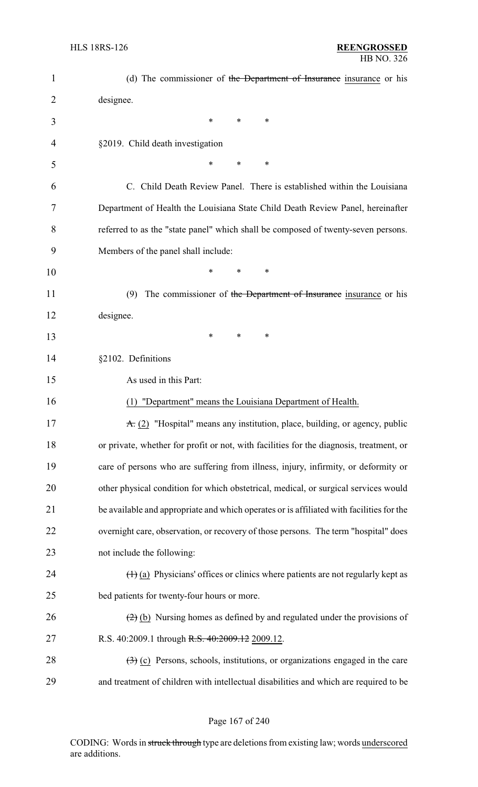| 1  | (d) The commissioner of the Department of Insurance insurance or his                                |
|----|-----------------------------------------------------------------------------------------------------|
| 2  | designee.                                                                                           |
| 3  | *<br>$\ast$<br>*                                                                                    |
| 4  | §2019. Child death investigation                                                                    |
| 5  | *<br>*<br>∗                                                                                         |
| 6  | C. Child Death Review Panel. There is established within the Louisiana                              |
| 7  | Department of Health the Louisiana State Child Death Review Panel, hereinafter                      |
| 8  | referred to as the "state panel" which shall be composed of twenty-seven persons.                   |
| 9  | Members of the panel shall include:                                                                 |
| 10 | $\ast$<br>*<br>*                                                                                    |
| 11 | The commissioner of the Department of Insurance insurance or his<br>(9)                             |
| 12 | designee.                                                                                           |
| 13 | *<br>$\ast$<br>*                                                                                    |
| 14 | §2102. Definitions                                                                                  |
| 15 | As used in this Part:                                                                               |
| 16 | (1) "Department" means the Louisiana Department of Health.                                          |
| 17 | $\overline{A}$ . (2) "Hospital" means any institution, place, building, or agency, public           |
| 18 | or private, whether for profit or not, with facilities for the diagnosis, treatment, or             |
| 19 | care of persons who are suffering from illness, injury, infirmity, or deformity or                  |
| 20 | other physical condition for which obstetrical, medical, or surgical services would                 |
| 21 | be available and appropriate and which operates or is affiliated with facilities for the            |
| 22 | overnight care, observation, or recovery of those persons. The term "hospital" does                 |
| 23 | not include the following:                                                                          |
| 24 | $(1)$ (a) Physicians' offices or clinics where patients are not regularly kept as                   |
| 25 | bed patients for twenty-four hours or more.                                                         |
| 26 | $\left(\frac{2}{2}\right)$ (b) Nursing homes as defined by and regulated under the provisions of    |
| 27 | R.S. 40:2009.1 through R.S. 40:2009.12 2009.12.                                                     |
| 28 | $\left(\frac{1}{2}\right)$ (c) Persons, schools, institutions, or organizations engaged in the care |
| 29 | and treatment of children with intellectual disabilities and which are required to be               |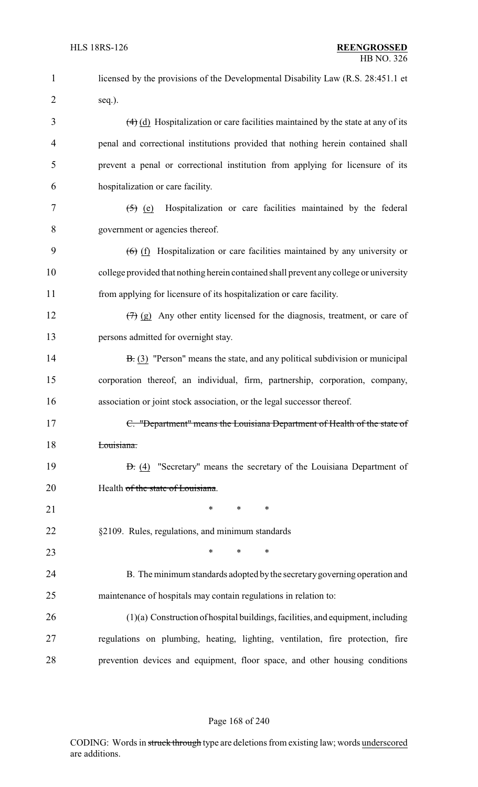| 1              | licensed by the provisions of the Developmental Disability Law (R.S. 28:451.1 et                        |
|----------------|---------------------------------------------------------------------------------------------------------|
| $\overline{2}$ | seq.).                                                                                                  |
| 3              | $\left(\frac{4}{9}\right)$ (d) Hospitalization or care facilities maintained by the state at any of its |
| $\overline{4}$ | penal and correctional institutions provided that nothing herein contained shall                        |
| 5              | prevent a penal or correctional institution from applying for licensure of its                          |
| 6              | hospitalization or care facility.                                                                       |
| 7              | Hospitalization or care facilities maintained by the federal<br>$\left( 5 \right)$ (e)                  |
| 8              | government or agencies thereof.                                                                         |
| 9              | $(6)$ (f) Hospitalization or care facilities maintained by any university or                            |
| 10             | college provided that nothing herein contained shall prevent any college or university                  |
| 11             | from applying for licensure of its hospitalization or care facility.                                    |
| 12             | $(7)$ (g) Any other entity licensed for the diagnosis, treatment, or care of                            |
| 13             | persons admitted for overnight stay.                                                                    |
| 14             | $\overline{B}$ . (3) "Person" means the state, and any political subdivision or municipal               |
| 15             | corporation thereof, an individual, firm, partnership, corporation, company,                            |
| 16             | association or joint stock association, or the legal successor thereof.                                 |
| 17             | C. "Department" means the Louisiana Department of Health of the state of                                |
| 18             | Louisiana.                                                                                              |
| 19             | $\Theta$ . (4) "Secretary" means the secretary of the Louisiana Department of                           |
| 20             | Health of the state of Louisiana.                                                                       |
| 21             | $\ast$<br>$\ast$<br>$\ast$                                                                              |
| 22             | §2109. Rules, regulations, and minimum standards                                                        |
| 23             | $\ast$<br>$\ast$<br>$\ast$                                                                              |
| 24             | B. The minimum standards adopted by the secretary governing operation and                               |
| 25             | maintenance of hospitals may contain regulations in relation to:                                        |
| 26             | (1)(a) Construction of hospital buildings, facilities, and equipment, including                         |
| 27             | regulations on plumbing, heating, lighting, ventilation, fire protection, fire                          |
| 28             | prevention devices and equipment, floor space, and other housing conditions                             |

#### Page 168 of 240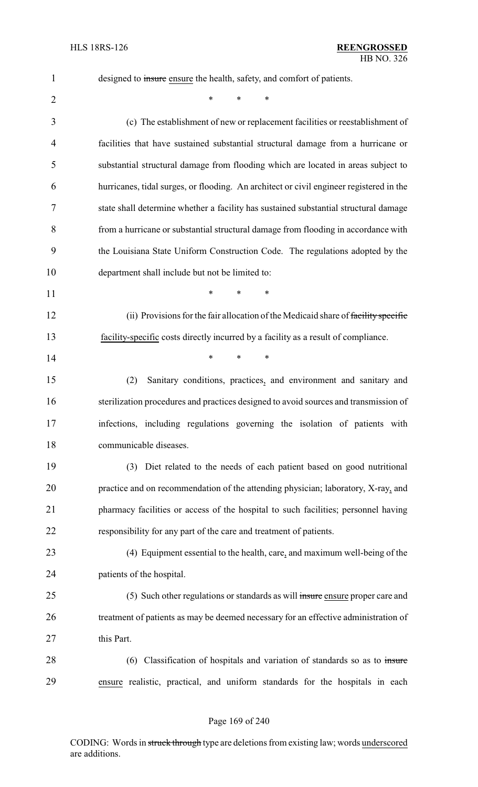1 designed to insure ensure the health, safety, and comfort of patients.  $*$  \* \* \* (c) The establishment of new or replacement facilities or reestablishment of facilities that have sustained substantial structural damage from a hurricane or substantial structural damage from flooding which are located in areas subject to hurricanes, tidal surges, or flooding. An architect or civil engineer registered in the state shall determine whether a facility has sustained substantial structural damage from a hurricane or substantial structural damage from flooding in accordance with the Louisiana State Uniform Construction Code. The regulations adopted by the department shall include but not be limited to: **\*** \* \* \* 12 (ii) Provisions for the fair allocation of the Medicaid share of facility specific facility-specific costs directly incurred by a facility as a result of compliance. **\*** \* \* \* (2) Sanitary conditions, practices, and environment and sanitary and sterilization procedures and practices designed to avoid sources and transmission of infections, including regulations governing the isolation of patients with communicable diseases. (3) Diet related to the needs of each patient based on good nutritional practice and on recommendation of the attending physician; laboratory, X-ray, and pharmacy facilities or access of the hospital to such facilities; personnel having responsibility for any part of the care and treatment of patients. (4) Equipment essential to the health, care, and maximum well-being of the patients of the hospital. 25 (5) Such other regulations or standards as will insure ensure proper care and

- 26 treatment of patients as may be deemed necessary for an effective administration of 27 this Part.
- 28 (6) Classification of hospitals and variation of standards so as to insure ensure realistic, practical, and uniform standards for the hospitals in each

#### Page 169 of 240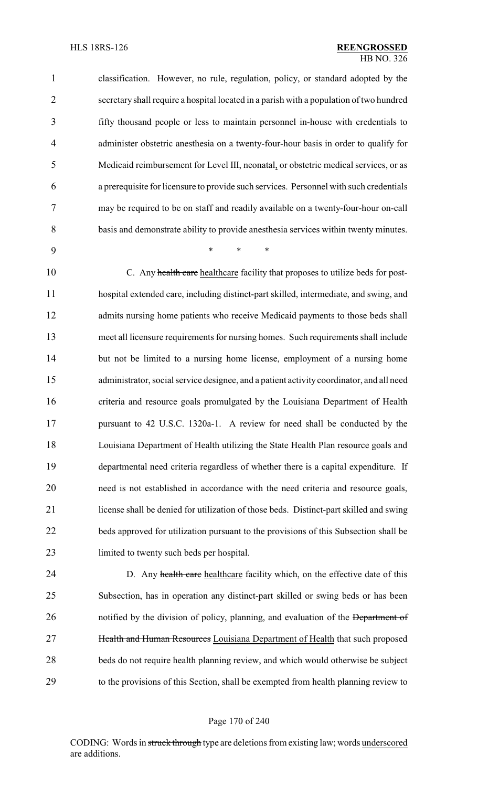#### HLS 18RS-126 **REENGROSSED** HB NO. 326

| $\mathbf{1}$    | classification. However, no rule, regulation, policy, or standard adopted by the        |
|-----------------|-----------------------------------------------------------------------------------------|
| 2               | secretary shall require a hospital located in a parish with a population of two hundred |
| 3               | fifty thousand people or less to maintain personnel in-house with credentials to        |
| $\overline{4}$  | administer obstetric anesthesia on a twenty-four-hour basis in order to qualify for     |
| $5\overline{)}$ | Medicaid reimbursement for Level III, neonatal, or obstetric medical services, or as    |
| 6               | a prerequisite for licensure to provide such services. Personnel with such credentials  |
| 7               | may be required to be on staff and readily available on a twenty-four-hour on-call      |
| 8               | basis and demonstrate ability to provide anesthesia services within twenty minutes.     |

\* \* \*

10 C. Any health care healthcare facility that proposes to utilize beds for post- hospital extended care, including distinct-part skilled, intermediate, and swing, and 12 admits nursing home patients who receive Medicaid payments to those beds shall meet all licensure requirements for nursing homes. Such requirements shall include but not be limited to a nursing home license, employment of a nursing home administrator, social service designee, and a patient activity coordinator, and all need criteria and resource goals promulgated by the Louisiana Department of Health pursuant to 42 U.S.C. 1320a-1. A review for need shall be conducted by the Louisiana Department of Health utilizing the State Health Plan resource goals and departmental need criteria regardless of whether there is a capital expenditure. If need is not established in accordance with the need criteria and resource goals, license shall be denied for utilization of those beds. Distinct-part skilled and swing beds approved for utilization pursuant to the provisions of this Subsection shall be limited to twenty such beds per hospital.

24 D. Any health care healthcare facility which, on the effective date of this Subsection, has in operation any distinct-part skilled or swing beds or has been 26 notified by the division of policy, planning, and evaluation of the Department of **Health and Human Resources** Louisiana Department of Health that such proposed beds do not require health planning review, and which would otherwise be subject to the provisions of this Section, shall be exempted from health planning review to

#### Page 170 of 240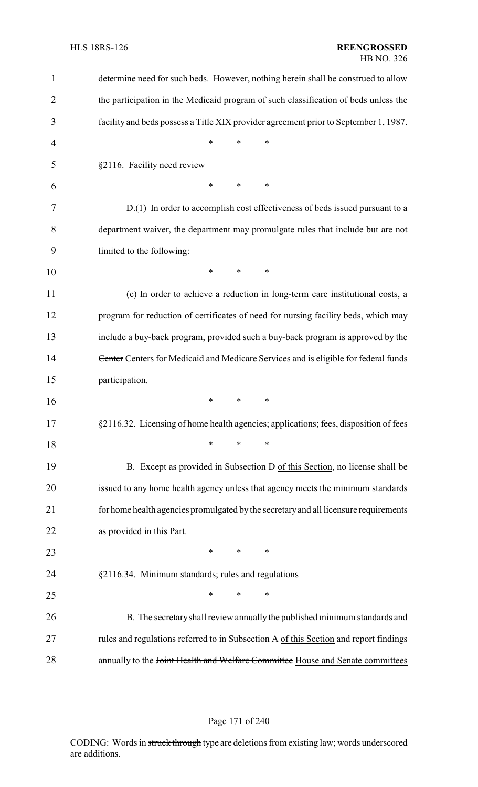| $\mathbf{1}$   | determine need for such beds. However, nothing herein shall be construed to allow     |
|----------------|---------------------------------------------------------------------------------------|
| $\overline{2}$ | the participation in the Medicaid program of such classification of beds unless the   |
| 3              | facility and beds possess a Title XIX provider agreement prior to September 1, 1987.  |
| 4              | *<br>*<br>*                                                                           |
| 5              | §2116. Facility need review                                                           |
| 6              | *<br>*<br>*                                                                           |
| 7              | D.(1) In order to accomplish cost effectiveness of beds issued pursuant to a          |
| 8              | department waiver, the department may promulgate rules that include but are not       |
| 9              | limited to the following:                                                             |
| 10             | $\ast$<br>*<br>*                                                                      |
| 11             | (c) In order to achieve a reduction in long-term care institutional costs, a          |
| 12             | program for reduction of certificates of need for nursing facility beds, which may    |
| 13             | include a buy-back program, provided such a buy-back program is approved by the       |
| 14             | Center Centers for Medicaid and Medicare Services and is eligible for federal funds   |
| 15             | participation.                                                                        |
| 16             | *<br>*<br>*                                                                           |
| 17             | §2116.32. Licensing of home health agencies; applications; fees, disposition of fees  |
| 18             | *<br>*<br>∗                                                                           |
| 19             | B. Except as provided in Subsection D of this Section, no license shall be            |
| 20             | issued to any home health agency unless that agency meets the minimum standards       |
| 21             | for home health agencies promulgated by the secretary and all licensure requirements  |
| 22             | as provided in this Part.                                                             |
| 23             | $\ast$<br>$\ast$<br>$\ast$                                                            |
| 24             | §2116.34. Minimum standards; rules and regulations                                    |
| 25             | $\ast$<br>*<br>∗                                                                      |
| 26             | B. The secretary shall review annually the published minimum standards and            |
| 27             | rules and regulations referred to in Subsection A of this Section and report findings |
| 28             | annually to the Joint Health and Welfare Committee House and Senate committees        |

## Page 171 of 240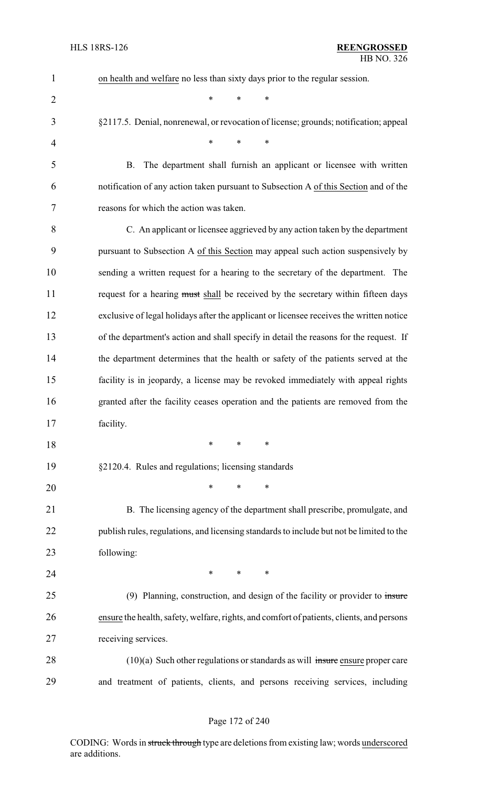| $\mathbf{1}$   | on health and welfare no less than sixty days prior to the regular session.               |
|----------------|-------------------------------------------------------------------------------------------|
| $\overline{2}$ | $\ast$<br>$\ast$<br>$\ast$                                                                |
| 3              | §2117.5. Denial, nonrenewal, or revocation of license; grounds; notification; appeal      |
| 4              | $\ast$<br>$\ast$<br>$\ast$                                                                |
| 5              | The department shall furnish an applicant or licensee with written<br>B.                  |
| 6              | notification of any action taken pursuant to Subsection A of this Section and of the      |
| 7              | reasons for which the action was taken.                                                   |
| 8              | C. An applicant or licensee aggrieved by any action taken by the department               |
| 9              | pursuant to Subsection A of this Section may appeal such action suspensively by           |
| 10             | sending a written request for a hearing to the secretary of the department. The           |
| 11             | request for a hearing must shall be received by the secretary within fifteen days         |
| 12             | exclusive of legal holidays after the applicant or licensee receives the written notice   |
| 13             | of the department's action and shall specify in detail the reasons for the request. If    |
| 14             | the department determines that the health or safety of the patients served at the         |
| 15             | facility is in jeopardy, a license may be revoked immediately with appeal rights          |
| 16             | granted after the facility ceases operation and the patients are removed from the         |
| 17             | facility.                                                                                 |
| 18             | $\ast$<br>∗<br>∗                                                                          |
| 19             | §2120.4. Rules and regulations; licensing standards                                       |
| 20             | *<br>∗<br>∗                                                                               |
| 21             | B. The licensing agency of the department shall prescribe, promulgate, and                |
| 22             | publish rules, regulations, and licensing standards to include but not be limited to the  |
| 23             | following:                                                                                |
| 24             | $*$ $*$<br>$\ast$<br>$\ast$                                                               |
| 25             | $(9)$ Planning, construction, and design of the facility or provider to insure            |
| 26             | ensure the health, safety, welfare, rights, and comfort of patients, clients, and persons |
| 27             | receiving services.                                                                       |
| 28             | $(10)(a)$ Such other regulations or standards as will insure ensure proper care           |
| 29             | and treatment of patients, clients, and persons receiving services, including             |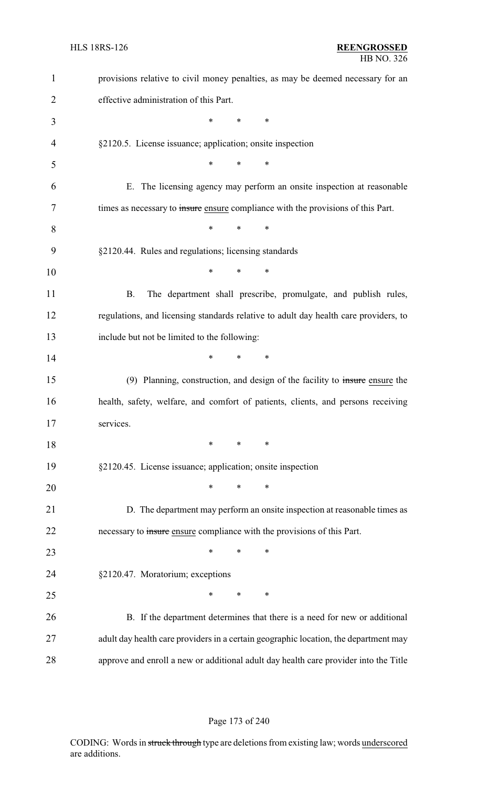| $\mathbf{1}$   | provisions relative to civil money penalties, as may be deemed necessary for an      |
|----------------|--------------------------------------------------------------------------------------|
| $\overline{2}$ | effective administration of this Part.                                               |
| 3              | $\ast$<br>*<br>*                                                                     |
| 4              | §2120.5. License issuance; application; onsite inspection                            |
| 5              | ∗<br>$\ast$<br>∗                                                                     |
| 6              | E. The licensing agency may perform an onsite inspection at reasonable               |
| 7              | times as necessary to insure ensure compliance with the provisions of this Part.     |
| 8              | $\ast$<br>∗<br>∗                                                                     |
| 9              | §2120.44. Rules and regulations; licensing standards                                 |
| 10             | *<br>*<br>∗                                                                          |
| 11             | <b>B.</b><br>The department shall prescribe, promulgate, and publish rules,          |
| 12             | regulations, and licensing standards relative to adult day health care providers, to |
| 13             | include but not be limited to the following:                                         |
| 14             | ∗<br>*<br>∗                                                                          |
| 15             | (9) Planning, construction, and design of the facility to insure ensure the          |
| 16             | health, safety, welfare, and comfort of patients, clients, and persons receiving     |
| 17             | services.                                                                            |
| 18             | ∗<br>$\ast$<br>∗                                                                     |
| 19             | §2120.45. License issuance; application; onsite inspection                           |
| 20             | $\ast$<br>*<br>$\ast$                                                                |
| 21             | D. The department may perform an onsite inspection at reasonable times as            |
| 22             | necessary to insure ensure compliance with the provisions of this Part.              |
| 23             | $\ast$<br>∗<br>∗                                                                     |
| 24             | §2120.47. Moratorium; exceptions                                                     |
| 25             | *<br>$\ast$<br>∗                                                                     |
| 26             | B. If the department determines that there is a need for new or additional           |
| 27             | adult day health care providers in a certain geographic location, the department may |
| 28             | approve and enroll a new or additional adult day health care provider into the Title |

#### Page 173 of 240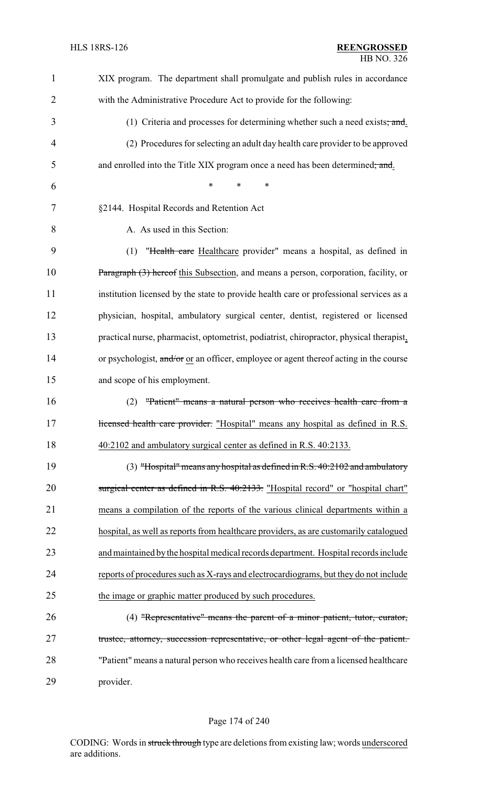| 1              | XIX program. The department shall promulgate and publish rules in accordance            |
|----------------|-----------------------------------------------------------------------------------------|
| $\overline{2}$ | with the Administrative Procedure Act to provide for the following:                     |
| 3              | (1) Criteria and processes for determining whether such a need exists; and.             |
| 4              | (2) Procedures for selecting an adult day health care provider to be approved           |
| 5              | and enrolled into the Title XIX program once a need has been determined; and.           |
| 6              | $\ast$<br>$\ast$<br>*                                                                   |
| 7              | §2144. Hospital Records and Retention Act                                               |
| 8              | A. As used in this Section:                                                             |
| 9              | "Health care Healthcare provider" means a hospital, as defined in<br>(1)                |
| 10             | Paragraph (3) hereof this Subsection, and means a person, corporation, facility, or     |
| 11             | institution licensed by the state to provide health care or professional services as a  |
| 12             | physician, hospital, ambulatory surgical center, dentist, registered or licensed        |
| 13             | practical nurse, pharmacist, optometrist, podiatrist, chiropractor, physical therapist, |
| 14             | or psychologist, and/or or an officer, employee or agent thereof acting in the course   |
| 15             | and scope of his employment.                                                            |
| 16             | "Patient" means a natural person who receives health care from a<br>(2)                 |
| 17             | licensed health care provider. "Hospital" means any hospital as defined in R.S.         |
| 18             | 40:2102 and ambulatory surgical center as defined in R.S. 40:2133.                      |
| 19             | $(3)$ "Hospital" means any hospital as defined in R.S. 40:2102 and ambulatory           |
| 20             | surgical center as defined in R.S. 40:2133. "Hospital record" or "hospital chart"       |
| 21             | means a compilation of the reports of the various clinical departments within a         |
| 22             | hospital, as well as reports from healthcare providers, as are customarily catalogued   |
| 23             | and maintained by the hospital medical records department. Hospital records include     |
| 24             | reports of procedures such as X-rays and electrocardiograms, but they do not include    |
| 25             | the image or graphic matter produced by such procedures.                                |
| 26             | (4) "Representative" means the parent of a minor patient, tutor, curator,               |
| 27             | trustee, attorney, succession representative, or other legal agent of the patient.      |
| 28             | "Patient" means a natural person who receives health care from a licensed healthcare    |
| 29             | provider.                                                                               |

## Page 174 of 240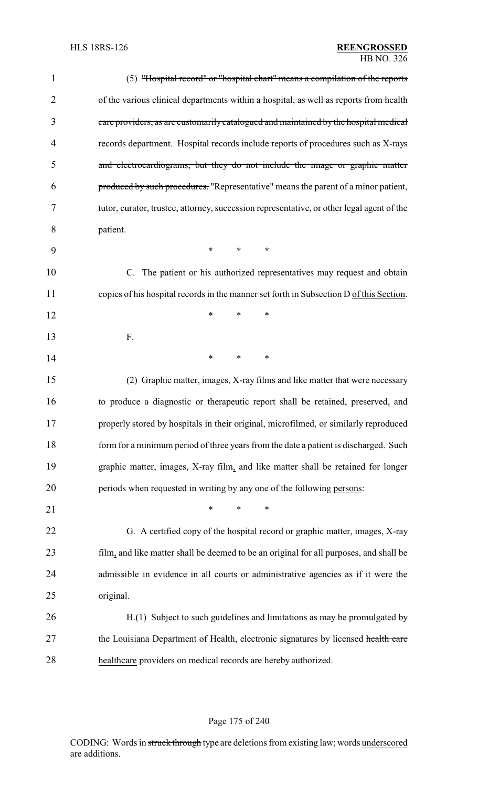| $\mathbf{1}$ | (5) "Hospital record" or "hospital chart" means a compilation of the reports              |
|--------------|-------------------------------------------------------------------------------------------|
| 2            | of the various clinical departments within a hospital, as well as reports from health     |
| 3            | care providers, as are customarily catalogued and maintained by the hospital medical      |
| 4            | records department. Hospital records include reports of procedures such as X-rays         |
| 5            | and electrocardiograms, but they do not include the image or graphic matter               |
| 6            | produced by such procedures. "Representative" means the parent of a minor patient,        |
| 7            | tutor, curator, trustee, attorney, succession representative, or other legal agent of the |
| 8            | patient.                                                                                  |
| 9            | $\ast$<br>$\ast$<br>$\ast$                                                                |
| 10           | C. The patient or his authorized representatives may request and obtain                   |
| 11           | copies of his hospital records in the manner set forth in Subsection D of this Section.   |
| 12           | *<br>*<br>*                                                                               |
| 13           | F.                                                                                        |
| 14           | *<br>*<br>*                                                                               |
| 15           | (2) Graphic matter, images, X-ray films and like matter that were necessary               |
| 16           | to produce a diagnostic or therapeutic report shall be retained, preserved, and           |
| 17           | properly stored by hospitals in their original, microfilmed, or similarly reproduced      |
| 18           | form for a minimum period of three years from the date a patient is discharged. Such      |
| 19           | graphic matter, images, X-ray film, and like matter shall be retained for longer          |
| 20           | periods when requested in writing by any one of the following persons:                    |
| 21           | *<br>*<br>*                                                                               |
| 22           | G. A certified copy of the hospital record or graphic matter, images, X-ray               |
| 23           | film, and like matter shall be deemed to be an original for all purposes, and shall be    |
| 24           | admissible in evidence in all courts or administrative agencies as if it were the         |
| 25           | original.                                                                                 |
| 26           | H.(1) Subject to such guidelines and limitations as may be promulgated by                 |
| 27           | the Louisiana Department of Health, electronic signatures by licensed health care         |
| 28           | healthcare providers on medical records are hereby authorized.                            |

## Page 175 of 240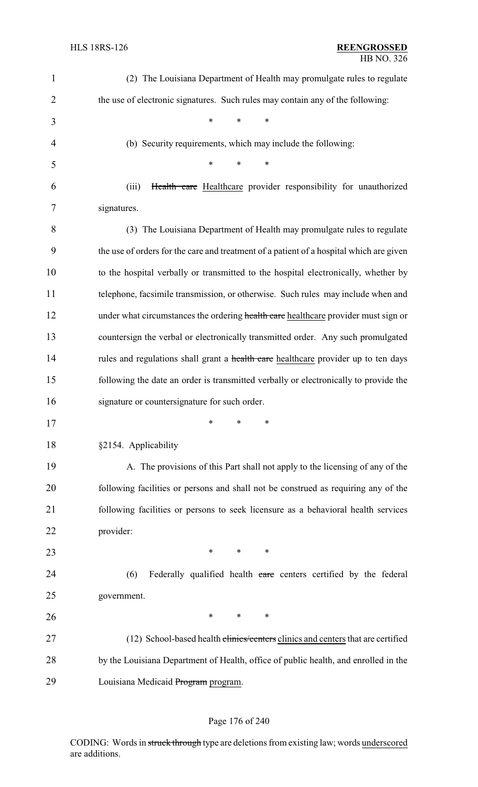| $\mathbf{1}$   | (2) The Louisiana Department of Health may promulgate rules to regulate                 |
|----------------|-----------------------------------------------------------------------------------------|
| $\overline{2}$ | the use of electronic signatures. Such rules may contain any of the following:          |
| 3              | $\ast$<br>$\ast$<br>*                                                                   |
| 4              | (b) Security requirements, which may include the following:                             |
| 5              | $\ast$<br>*<br>$\ast$                                                                   |
| 6              | Health care Healthcare provider responsibility for unauthorized<br>(iii)                |
| 7              | signatures.                                                                             |
| 8              | (3) The Louisiana Department of Health may promulgate rules to regulate                 |
| 9              | the use of orders for the care and treatment of a patient of a hospital which are given |
| 10             | to the hospital verbally or transmitted to the hospital electronically, whether by      |
| 11             | telephone, facsimile transmission, or otherwise. Such rules may include when and        |
| 12             | under what circumstances the ordering health care healthcare provider must sign or      |
| 13             | countersign the verbal or electronically transmitted order. Any such promulgated        |
| 14             | rules and regulations shall grant a health care healthcare provider up to ten days      |
| 15             | following the date an order is transmitted verbally or electronically to provide the    |
| 16             | signature or countersignature for such order.                                           |
| 17             | *<br>∗<br>*                                                                             |
| 18             | §2154. Applicability                                                                    |
| 19             | A. The provisions of this Part shall not apply to the licensing of any of the           |
| 20             | following facilities or persons and shall not be construed as requiring any of the      |
| 21             | following facilities or persons to seek licensure as a behavioral health services       |
| 22             | provider:                                                                               |
| 23             | *<br>*<br>*                                                                             |
| 24             | (6)<br>Federally qualified health care centers certified by the federal                 |
| 25             | government.                                                                             |
| 26             | ∗<br>*<br>∗                                                                             |
| 27             | (12) School-based health clinics/centers clinics and centers that are certified         |
| $28\,$         | by the Louisiana Department of Health, office of public health, and enrolled in the     |
| 29             | Louisiana Medicaid Program program.                                                     |

## Page 176 of 240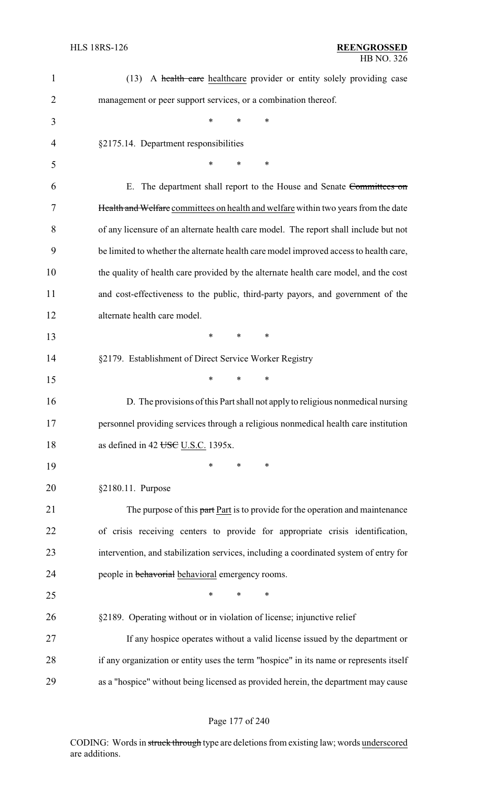| $\mathbf{1}$   | A health care healthcare provider or entity solely providing case<br>(13)              |
|----------------|----------------------------------------------------------------------------------------|
| $\overline{2}$ | management or peer support services, or a combination thereof.                         |
| 3              | $\ast$<br>∗<br>$\ast$                                                                  |
| 4              | §2175.14. Department responsibilities                                                  |
| 5              | *<br>*<br>∗                                                                            |
| 6              | E. The department shall report to the House and Senate Committees on                   |
| 7              | Health and Welfare committees on health and welfare within two years from the date     |
| 8              | of any licensure of an alternate health care model. The report shall include but not   |
| 9              | be limited to whether the alternate health care model improved access to health care,  |
| 10             | the quality of health care provided by the alternate health care model, and the cost   |
| 11             | and cost-effectiveness to the public, third-party payors, and government of the        |
| 12             | alternate health care model.                                                           |
| 13             | *<br>*<br>$\ast$                                                                       |
| 14             | §2179. Establishment of Direct Service Worker Registry                                 |
| 15             | $\ast$<br>*<br>*                                                                       |
| 16             | D. The provisions of this Part shall not apply to religious nonmedical nursing         |
| 17             | personnel providing services through a religious nonmedical health care institution    |
| 18             | as defined in 42 USC U.S.C. 1395x.                                                     |
| 19             | $\ast$<br>$\ast$<br>*                                                                  |
| 20             | §2180.11. Purpose                                                                      |
| 21             | The purpose of this part Part is to provide for the operation and maintenance          |
| 22             | of crisis receiving centers to provide for appropriate crisis identification,          |
| 23             | intervention, and stabilization services, including a coordinated system of entry for  |
| 24             | people in behavorial behavioral emergency rooms.                                       |
| 25             | ∗<br>∗<br>$\ast$                                                                       |
| 26             | §2189. Operating without or in violation of license; injunctive relief                 |
| 27             | If any hospice operates without a valid license issued by the department or            |
| 28             | if any organization or entity uses the term "hospice" in its name or represents itself |
| 29             | as a "hospice" without being licensed as provided herein, the department may cause     |

## Page 177 of 240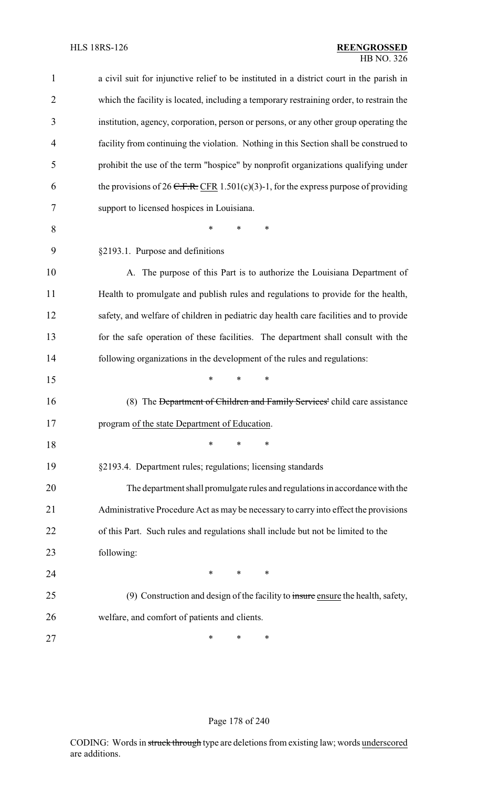| $\mathbf{1}$   | a civil suit for injunctive relief to be instituted in a district court in the parish in |
|----------------|------------------------------------------------------------------------------------------|
| $\overline{2}$ | which the facility is located, including a temporary restraining order, to restrain the  |
| 3              | institution, agency, corporation, person or persons, or any other group operating the    |
| $\overline{4}$ | facility from continuing the violation. Nothing in this Section shall be construed to    |
| 5              | prohibit the use of the term "hospice" by nonprofit organizations qualifying under       |
| 6              | the provisions of 26 C.F.R. CFR 1.501(c)(3)-1, for the express purpose of providing      |
| 7              | support to licensed hospices in Louisiana.                                               |
| 8              | *<br>*<br>*                                                                              |
| 9              | §2193.1. Purpose and definitions                                                         |
| 10             | A. The purpose of this Part is to authorize the Louisiana Department of                  |
| 11             | Health to promulgate and publish rules and regulations to provide for the health,        |
| 12             | safety, and welfare of children in pediatric day health care facilities and to provide   |
| 13             | for the safe operation of these facilities. The department shall consult with the        |
| 14             | following organizations in the development of the rules and regulations:                 |
| 15             | *<br>*<br>*                                                                              |
| 16             | (8) The <del>Department of Children and Family Services'</del> child care assistance     |
| 17             | program of the state Department of Education.                                            |
| 18             | *<br>∗<br>*                                                                              |
| 19             | §2193.4. Department rules; regulations; licensing standards                              |
| 20             | The department shall promulgate rules and regulations in accordance with the             |
| 21             | Administrative Procedure Act as may be necessary to carry into effect the provisions     |
| 22             | of this Part. Such rules and regulations shall include but not be limited to the         |
| 23             | following:                                                                               |
| 24             | $\ast$<br>$\ast$<br>∗                                                                    |
| 25             | (9) Construction and design of the facility to insure ensure the health, safety,         |
| 26             | welfare, and comfort of patients and clients.                                            |
| 27             | *<br>∗<br>∗                                                                              |

## Page 178 of 240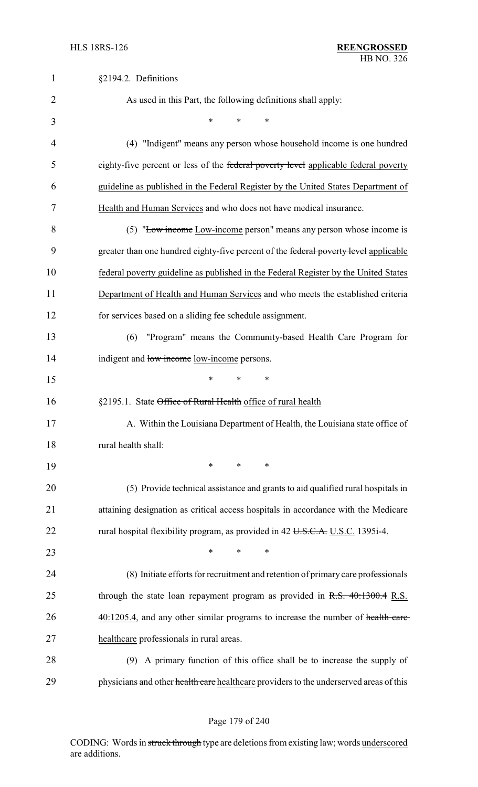| $\mathbf{1}$   | §2194.2. Definitions                                                                   |
|----------------|----------------------------------------------------------------------------------------|
| $\overline{2}$ | As used in this Part, the following definitions shall apply:                           |
| 3              | $\ast$<br>*<br>*                                                                       |
| 4              | (4) "Indigent" means any person whose household income is one hundred                  |
| 5              | eighty-five percent or less of the federal poverty level applicable federal poverty    |
| 6              | guideline as published in the Federal Register by the United States Department of      |
| 7              | Health and Human Services and who does not have medical insurance.                     |
| 8              | (5) "Low income Low-income person" means any person whose income is                    |
| 9              | greater than one hundred eighty-five percent of the federal poverty level applicable   |
| 10             | federal poverty guideline as published in the Federal Register by the United States    |
| 11             | Department of Health and Human Services and who meets the established criteria         |
| 12             | for services based on a sliding fee schedule assignment.                               |
| 13             | "Program" means the Community-based Health Care Program for<br>(6)                     |
| 14             | indigent and low income low-income persons.                                            |
| 15             | *<br>∗<br>*                                                                            |
| 16             | §2195.1. State Office of Rural Health office of rural health                           |
| 17             | A. Within the Louisiana Department of Health, the Louisiana state office of            |
| 18             | rural health shall:                                                                    |
| 19             | $\ast$<br>*<br>∗                                                                       |
| 20             | (5) Provide technical assistance and grants to aid qualified rural hospitals in        |
| 21             | attaining designation as critical access hospitals in accordance with the Medicare     |
| 22             | rural hospital flexibility program, as provided in 42 U.S.C.A. U.S.C. 1395i-4.         |
| 23             | $\ast$<br>$\ast$<br>$\ast$                                                             |
| 24             | (8) Initiate efforts for recruitment and retention of primary care professionals       |
| 25             | through the state loan repayment program as provided in $R.S. 40:1300.4 R.S.$          |
| 26             | 40:1205.4, and any other similar programs to increase the number of health care        |
| 27             | healthcare professionals in rural areas.                                               |
| 28             | (9) A primary function of this office shall be to increase the supply of               |
| 29             | physicians and other health care healthcare providers to the underserved areas of this |

Page 179 of 240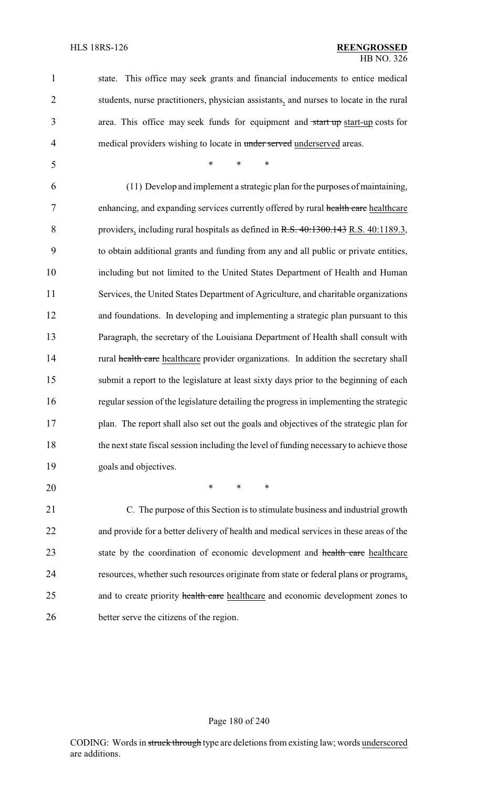| $\mathbf{1}$   | state. This office may seek grants and financial inducements to entice medical          |
|----------------|-----------------------------------------------------------------------------------------|
| $\overline{2}$ | students, nurse practitioners, physician assistants, and nurses to locate in the rural  |
| 3              | area. This office may seek funds for equipment and start up start-up costs for          |
| 4              | medical providers wishing to locate in under served underserved areas.                  |
| 5              | $\ast$<br>$\ast$<br>$\ast$                                                              |
| 6              | (11) Develop and implement a strategic plan for the purposes of maintaining,            |
| 7              | enhancing, and expanding services currently offered by rural health care healthcare     |
| 8              | providers, including rural hospitals as defined in R.S. 40:1300.143 R.S. 40:1189.3,     |
| 9              | to obtain additional grants and funding from any and all public or private entities,    |
| 10             | including but not limited to the United States Department of Health and Human           |
| 11             | Services, the United States Department of Agriculture, and charitable organizations     |
| 12             | and foundations. In developing and implementing a strategic plan pursuant to this       |
| 13             | Paragraph, the secretary of the Louisiana Department of Health shall consult with       |
| 14             | rural health care healthcare provider organizations. In addition the secretary shall    |
| 15             | submit a report to the legislature at least sixty days prior to the beginning of each   |
| 16             | regular session of the legislature detailing the progress in implementing the strategic |
| 17             | plan. The report shall also set out the goals and objectives of the strategic plan for  |
| 18             | the next state fiscal session including the level of funding necessary to achieve those |
| 19             | goals and objectives.                                                                   |
| 20             | $\ast$<br>$\ast$<br>∗                                                                   |
| 21             | C. The purpose of this Section is to stimulate business and industrial growth           |
| 22             | and provide for a better delivery of health and medical services in these areas of the  |
| 23             | state by the coordination of economic development and health care healthcare            |
| 24             | resources, whether such resources originate from state or federal plans or programs,    |
| 25             | and to create priority health care healthcare and economic development zones to         |
|                |                                                                                         |

26 better serve the citizens of the region.

#### Page 180 of 240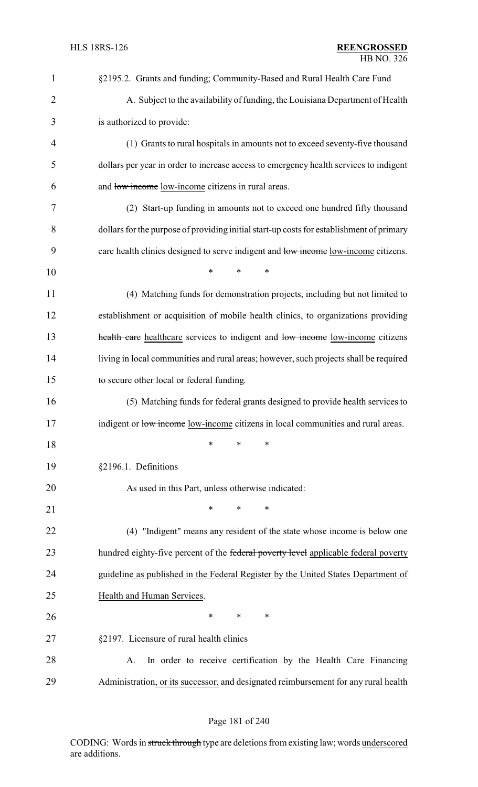| $\mathbf{1}$   | §2195.2. Grants and funding; Community-Based and Rural Health Care Fund                  |
|----------------|------------------------------------------------------------------------------------------|
| $\overline{2}$ | A. Subject to the availability of funding, the Louisiana Department of Health            |
| 3              | is authorized to provide:                                                                |
| $\overline{4}$ | (1) Grants to rural hospitals in amounts not to exceed seventy-five thousand             |
| 5              | dollars per year in order to increase access to emergency health services to indigent    |
| 6              | and low income low-income citizens in rural areas.                                       |
| 7              | (2) Start-up funding in amounts not to exceed one hundred fifty thousand                 |
| 8              | dollars for the purpose of providing initial start-up costs for establishment of primary |
| 9              | care health clinics designed to serve indigent and low income low-income citizens.       |
| 10             | *<br>*<br>$\ast$                                                                         |
| 11             | (4) Matching funds for demonstration projects, including but not limited to              |
| 12             | establishment or acquisition of mobile health clinics, to organizations providing        |
| 13             | health care healthcare services to indigent and low income low-income citizens           |
| 14             | living in local communities and rural areas; however, such projects shall be required    |
| 15             | to secure other local or federal funding.                                                |
| 16             | (5) Matching funds for federal grants designed to provide health services to             |
| 17             | indigent or low income low-income citizens in local communities and rural areas.         |
| 18             | *<br>*<br>∗                                                                              |
| 19             | §2196.1. Definitions                                                                     |
| 20             | As used in this Part, unless otherwise indicated:                                        |
| 21             | *<br>*<br>*                                                                              |
| 22             | (4) "Indigent" means any resident of the state whose income is below one                 |
| 23             | hundred eighty-five percent of the federal poverty level applicable federal poverty      |
| 24             | guideline as published in the Federal Register by the United States Department of        |
| 25             | Health and Human Services.                                                               |
| 26             | *<br>∗<br>∗                                                                              |
| 27             | §2197. Licensure of rural health clinics                                                 |
| 28             | In order to receive certification by the Health Care Financing<br>A.                     |
| 29             | Administration, or its successor, and designated reimbursement for any rural health      |

# Page 181 of 240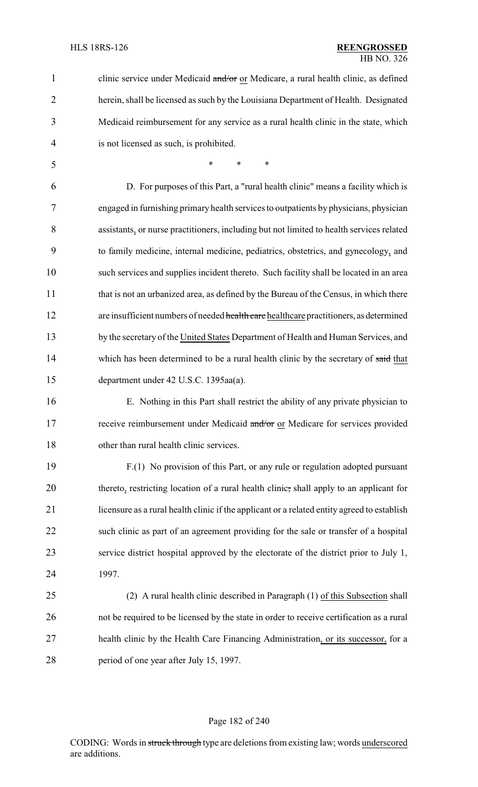| 1              | clinic service under Medicaid and/or or Medicare, a rural health clinic, as defined         |
|----------------|---------------------------------------------------------------------------------------------|
| $\overline{2}$ | herein, shall be licensed as such by the Louisiana Department of Health. Designated         |
| 3              | Medicaid reimbursement for any service as a rural health clinic in the state, which         |
| 4              | is not licensed as such, is prohibited.                                                     |
| 5              | $\ast$<br>$\ast$<br>$\ast$                                                                  |
| 6              | D. For purposes of this Part, a "rural health clinic" means a facility which is             |
| 7              | engaged in furnishing primary health services to outpatients by physicians, physician       |
| 8              | assistants, or nurse practitioners, including but not limited to health services related    |
| 9              | to family medicine, internal medicine, pediatrics, obstetrics, and gynecology, and          |
| 10             | such services and supplies incident thereto. Such facility shall be located in an area      |
| 11             | that is not an urbanized area, as defined by the Bureau of the Census, in which there       |
| 12             | are insufficient numbers of needed health care healthcare practitioners, as determined      |
| 13             | by the secretary of the United States Department of Health and Human Services, and          |
| 14             | which has been determined to be a rural health clinic by the secretary of said that         |
| 15             | department under 42 U.S.C. 1395aa(a).                                                       |
| 16             | E. Nothing in this Part shall restrict the ability of any private physician to              |
| 17             | receive reimbursement under Medicaid and/or or Medicare for services provided               |
| 18             | other than rural health clinic services.                                                    |
| 19             | F.(1) No provision of this Part, or any rule or regulation adopted pursuant                 |
| 20             | thereto, restricting location of a rural health clinic, shall apply to an applicant for     |
| 21             | licensure as a rural health clinic if the applicant or a related entity agreed to establish |
| 22             | such clinic as part of an agreement providing for the sale or transfer of a hospital        |
| 23             | service district hospital approved by the electorate of the district prior to July 1,       |
| 24             | 1997.                                                                                       |
| 25             | (2) A rural health clinic described in Paragraph (1) of this Subsection shall               |
| 26             | not be required to be licensed by the state in order to receive certification as a rural    |
| 27             | health clinic by the Health Care Financing Administration, or its successor, for a          |
| 28             | period of one year after July 15, 1997.                                                     |

# Page 182 of 240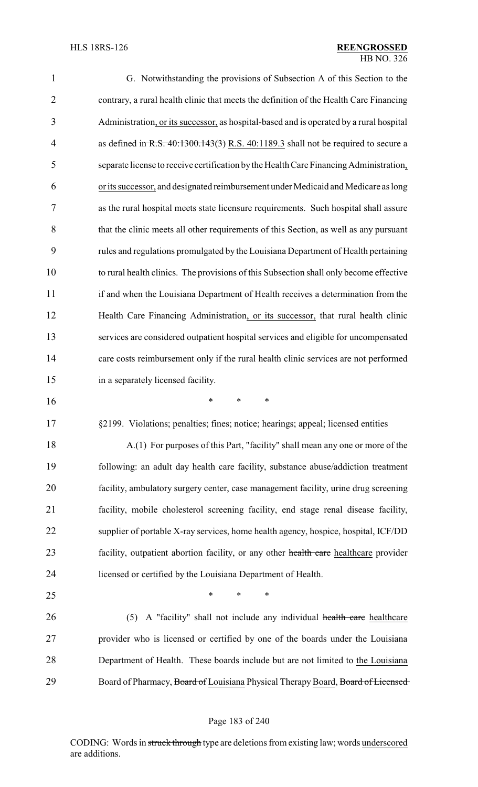| 1                          | G. Notwithstanding the provisions of Subsection A of this Section to the                |
|----------------------------|-----------------------------------------------------------------------------------------|
| $\overline{2}$             | contrary, a rural health clinic that meets the definition of the Health Care Financing  |
| 3                          | Administration, or its successor, as hospital-based and is operated by a rural hospital |
| 4                          | as defined in R.S. $40:1300.143(3)$ R.S. $40:1189.3$ shall not be required to secure a  |
| 5                          | separate license to receive certification by the Health Care Financing Administration,  |
| 6                          | or its successor, and designated reimbursement under Medicaid and Medicare as long      |
| 7                          | as the rural hospital meets state licensure requirements. Such hospital shall assure    |
| 8                          | that the clinic meets all other requirements of this Section, as well as any pursuant   |
| 9                          | rules and regulations promulgated by the Louisiana Department of Health pertaining      |
| 10                         | to rural health clinics. The provisions of this Subsection shall only become effective  |
| 11                         | if and when the Louisiana Department of Health receives a determination from the        |
| 12                         | Health Care Financing Administration, or its successor, that rural health clinic        |
| 13                         | services are considered outpatient hospital services and eligible for uncompensated     |
| 14                         | care costs reimbursement only if the rural health clinic services are not performed     |
| 15                         | in a separately licensed facility.                                                      |
| 16                         | $\ast$<br>*<br>∗                                                                        |
| 17                         | §2199. Violations; penalties; fines; notice; hearings; appeal; licensed entities        |
| 18                         | A.(1) For purposes of this Part, "facility" shall mean any one or more of the           |
| 19                         | following: an adult day health care facility, substance abuse/addiction treatment       |
| 20                         | facility, ambulatory surgery center, case management facility, urine drug screening     |
| 21                         |                                                                                         |
|                            | facility, mobile cholesterol screening facility, end stage renal disease facility,      |
|                            | supplier of portable X-ray services, home health agency, hospice, hospital, ICF/DD      |
|                            | facility, outpatient abortion facility, or any other health care healthcare provider    |
|                            | licensed or certified by the Louisiana Department of Health.                            |
|                            | $\ast$<br>∗<br>∗                                                                        |
| 22<br>23<br>24<br>25<br>26 | A "facility" shall not include any individual health care healthcare<br>(5)             |
| 27                         | provider who is licensed or certified by one of the boards under the Louisiana          |
| 28                         | Department of Health. These boards include but are not limited to the Louisiana         |

# Page 183 of 240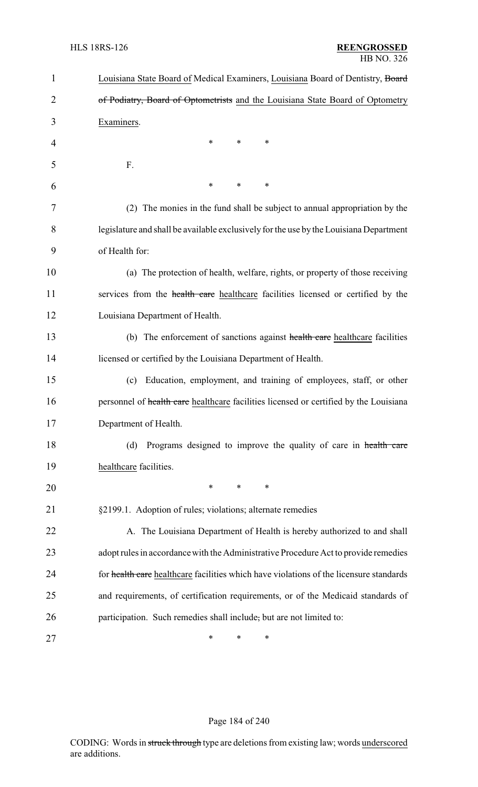| $\mathbf{1}$ | Louisiana State Board of Medical Examiners, Louisiana Board of Dentistry, Board        |
|--------------|----------------------------------------------------------------------------------------|
| 2            | of Podiatry, Board of Optometrists and the Louisiana State Board of Optometry          |
| 3            | Examiners.                                                                             |
| 4            | ∗<br>*<br>∗                                                                            |
| 5            | F.                                                                                     |
| 6            | ∗<br>*<br>$\ast$                                                                       |
| 7            | (2) The monies in the fund shall be subject to annual appropriation by the             |
| 8            | legislature and shall be available exclusively for the use by the Louisiana Department |
| 9            | of Health for:                                                                         |
| 10           | (a) The protection of health, welfare, rights, or property of those receiving          |
| 11           | services from the health care healthcare facilities licensed or certified by the       |
| 12           | Louisiana Department of Health.                                                        |
| 13           | (b) The enforcement of sanctions against health care healthcare facilities             |
| 14           | licensed or certified by the Louisiana Department of Health.                           |
| 15           | Education, employment, and training of employees, staff, or other<br>(c)               |
| 16           | personnel of health care healthcare facilities licensed or certified by the Louisiana  |
| 17           | Department of Health.                                                                  |
| 18           | Programs designed to improve the quality of care in health care<br>(d)                 |
| 19           | healthcare facilities.                                                                 |
| 20           | *<br>*<br>∗                                                                            |
| 21           | §2199.1. Adoption of rules; violations; alternate remedies                             |
| 22           | A. The Louisiana Department of Health is hereby authorized to and shall                |
| 23           | adopt rules in accordance with the Administrative Procedure Act to provide remedies    |
| 24           | for health care healthcare facilities which have violations of the licensure standards |
| 25           | and requirements, of certification requirements, or of the Medicaid standards of       |
| 26           | participation. Such remedies shall include, but are not limited to:                    |
| 27           | *<br>∗<br>∗                                                                            |

# Page 184 of 240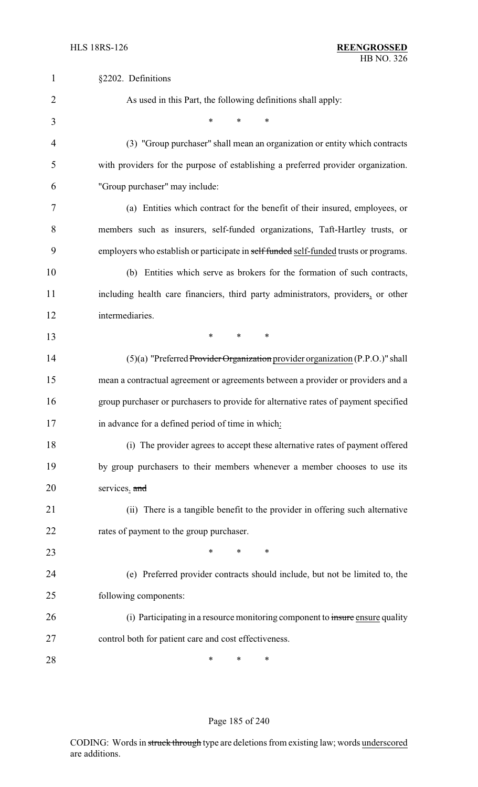| 1              | §2202. Definitions                                                                    |
|----------------|---------------------------------------------------------------------------------------|
| $\overline{2}$ | As used in this Part, the following definitions shall apply:                          |
| 3              | $\ast$<br>*<br>*                                                                      |
| $\overline{4}$ | (3) "Group purchaser" shall mean an organization or entity which contracts            |
| 5              | with providers for the purpose of establishing a preferred provider organization.     |
| 6              | "Group purchaser" may include:                                                        |
| 7              | (a) Entities which contract for the benefit of their insured, employees, or           |
| 8              | members such as insurers, self-funded organizations, Taft-Hartley trusts, or          |
| 9              | employers who establish or participate in self funded self-funded trusts or programs. |
| 10             | (b) Entities which serve as brokers for the formation of such contracts,              |
| 11             | including health care financiers, third party administrators, providers, or other     |
| 12             | intermediaries.                                                                       |
| 13             | $\ast$<br>*<br>*                                                                      |
| 14             | (5)(a) "Preferred Provider Organization provider organization (P.P.O.)" shall         |
| 15             | mean a contractual agreement or agreements between a provider or providers and a      |
| 16             | group purchaser or purchasers to provide for alternative rates of payment specified   |
| 17             | in advance for a defined period of time in which:                                     |
| 18             | (i) The provider agrees to accept these alternative rates of payment offered          |
| 19             | by group purchasers to their members whenever a member chooses to use its             |
| 20             | services. and                                                                         |
| 21             | (ii) There is a tangible benefit to the provider in offering such alternative         |
| 22             | rates of payment to the group purchaser.                                              |
| 23             | *<br>$\ast$<br>∗                                                                      |
| 24             | (e) Preferred provider contracts should include, but not be limited to, the           |
| 25             | following components:                                                                 |
| 26             | (i) Participating in a resource monitoring component to insure ensure quality         |
| 27             | control both for patient care and cost effectiveness.                                 |
| 28             | ∗<br>∗<br>∗                                                                           |

# Page 185 of 240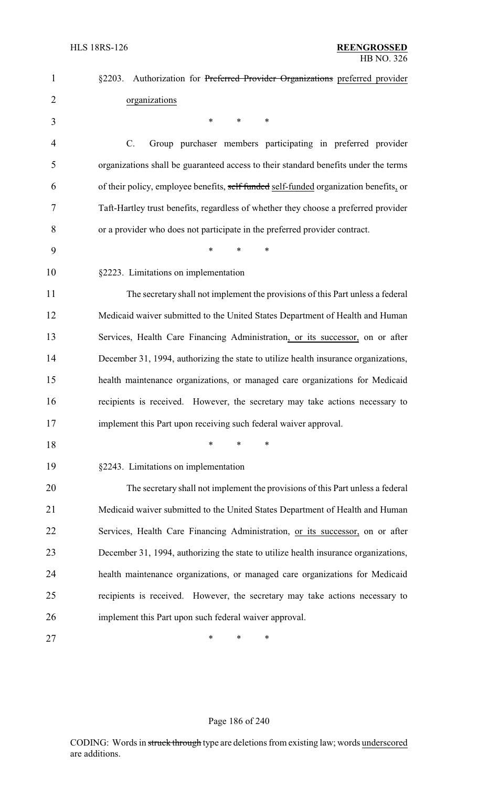| $\mathbf{1}$   | §2203. Authorization for Preferred Provider Organizations preferred provider          |
|----------------|---------------------------------------------------------------------------------------|
| $\overline{2}$ | organizations                                                                         |
| 3              | *<br>$\ast$<br>$\ast$                                                                 |
| 4              | $C$ .<br>Group purchaser members participating in preferred provider                  |
| 5              | organizations shall be guaranteed access to their standard benefits under the terms   |
| 6              | of their policy, employee benefits, self funded self-funded organization benefits, or |
| 7              | Taft-Hartley trust benefits, regardless of whether they choose a preferred provider   |
| 8              | or a provider who does not participate in the preferred provider contract.            |
| 9              | $\ast$<br>*                                                                           |
| 10             | §2223. Limitations on implementation                                                  |
| 11             | The secretary shall not implement the provisions of this Part unless a federal        |
| 12             | Medicaid waiver submitted to the United States Department of Health and Human         |
| 13             | Services, Health Care Financing Administration, or its successor, on or after         |
| 14             | December 31, 1994, authorizing the state to utilize health insurance organizations,   |
| 15             | health maintenance organizations, or managed care organizations for Medicaid          |
| 16             | recipients is received. However, the secretary may take actions necessary to          |
| 17             | implement this Part upon receiving such federal waiver approval.                      |
| 18             | $\ast$<br>*                                                                           |
| 19             | §2243. Limitations on implementation                                                  |
| 20             | The secretary shall not implement the provisions of this Part unless a federal        |
| 21             | Medicaid waiver submitted to the United States Department of Health and Human         |
| 22             | Services, Health Care Financing Administration, or its successor, on or after         |
| 23             | December 31, 1994, authorizing the state to utilize health insurance organizations,   |
| 24             | health maintenance organizations, or managed care organizations for Medicaid          |
| 25             | recipients is received. However, the secretary may take actions necessary to          |
| 26             | implement this Part upon such federal waiver approval.                                |
| 27             | ∗<br>∗<br>*                                                                           |

# Page 186 of 240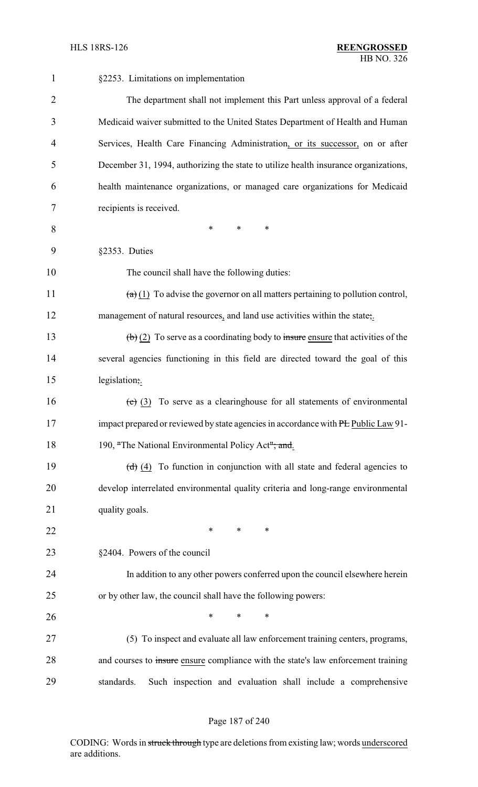| 1              | §2253. Limitations on implementation                                                                   |
|----------------|--------------------------------------------------------------------------------------------------------|
| $\overline{2}$ | The department shall not implement this Part unless approval of a federal                              |
| 3              | Medicaid waiver submitted to the United States Department of Health and Human                          |
| 4              | Services, Health Care Financing Administration, or its successor, on or after                          |
| 5              | December 31, 1994, authorizing the state to utilize health insurance organizations,                    |
| 6              | health maintenance organizations, or managed care organizations for Medicaid                           |
| 7              | recipients is received.                                                                                |
| 8              | $\ast$<br>$\ast$<br>*                                                                                  |
| 9              | §2353. Duties                                                                                          |
| 10             | The council shall have the following duties:                                                           |
| 11             | $\left(\frac{a}{b}\right)$ To advise the governor on all matters pertaining to pollution control,      |
| 12             | management of natural resources, and land use activities within the state;                             |
| 13             | $\left(\frac{b}{c}\right)$ (2) To serve as a coordinating body to insure ensure that activities of the |
| 14             | several agencies functioning in this field are directed toward the goal of this                        |
| 15             | legislation;.                                                                                          |
| 16             | $\overline{(e)}$ (3) To serve as a clearinghouse for all statements of environmental                   |
| 17             | impact prepared or reviewed by state agencies in accordance with PE Public Law 91-                     |
| 18             | 190, "The National Environmental Policy Act"; and.                                                     |
| 19             | $(d)$ (4) To function in conjunction with all state and federal agencies to                            |
| 20             | develop interrelated environmental quality criteria and long-range environmental                       |
| 21             | quality goals.                                                                                         |
| 22             | ∗<br>∗<br>∗                                                                                            |
| 23             | §2404. Powers of the council                                                                           |
| 24             | In addition to any other powers conferred upon the council elsewhere herein                            |
| 25             | or by other law, the council shall have the following powers:                                          |
| 26             | $\ast$<br>*<br>*                                                                                       |
| 27             | (5) To inspect and evaluate all law enforcement training centers, programs,                            |
| 28             | and courses to insure ensure compliance with the state's law enforcement training                      |
| 29             | Such inspection and evaluation shall include a comprehensive<br>standards.                             |

# Page 187 of 240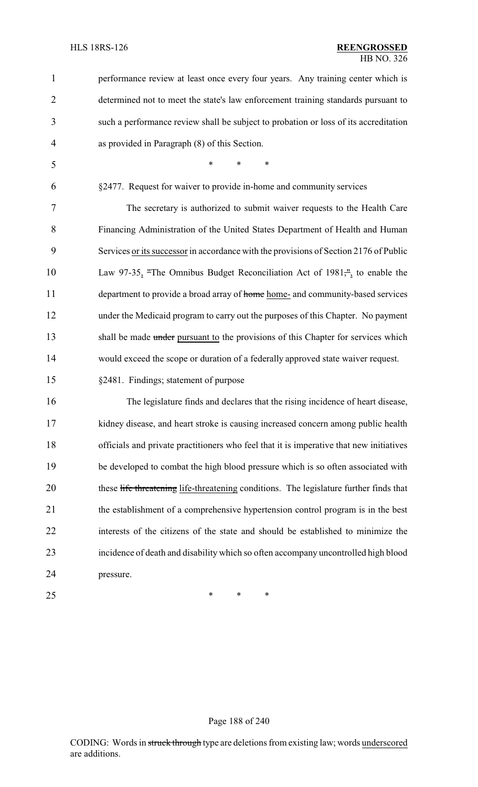| -1             | performance review at least once every four years. Any training center which is       |
|----------------|---------------------------------------------------------------------------------------|
| 2              | determined not to meet the state's law enforcement training standards pursuant to     |
| $\overline{3}$ | such a performance review shall be subject to probation or loss of its accreditation  |
| $\overline{4}$ | as provided in Paragraph (8) of this Section.                                         |
| 5              | $\ast$<br>$\ast$<br>$\ast$                                                            |
| 6              | §2477. Request for waiver to provide in-home and community services                   |
| 7              | The secretary is authorized to submit waiver requests to the Health Care              |
| 8              | Financing Administration of the United States Department of Health and Human          |
| 9              | Services or its successor in accordance with the provisions of Section 2176 of Public |

10 Law 97-35, "The Omnibus Budget Reconciliation Act of 1981,", to enable the 11 department to provide a broad array of home home- and community-based services under the Medicaid program to carry out the purposes of this Chapter. No payment 13 shall be made under pursuant to the provisions of this Chapter for services which would exceed the scope or duration of a federally approved state waiver request.

§2481. Findings; statement of purpose

 The legislature finds and declares that the rising incidence of heart disease, kidney disease, and heart stroke is causing increased concern among public health officials and private practitioners who feel that it is imperative that new initiatives be developed to combat the high blood pressure which is so often associated with 20 these life threatening life-threatening conditions. The legislature further finds that the establishment of a comprehensive hypertension control program is in the best interests of the citizens of the state and should be established to minimize the incidence of death and disability which so often accompany uncontrolled high blood pressure.

 $*$  \* \* \*

#### Page 188 of 240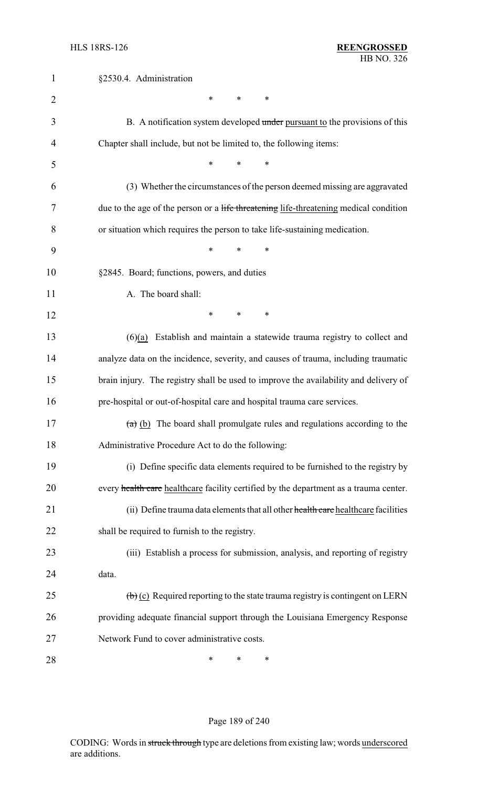| $\mathbf{1}$   | §2530.4. Administration                                                                              |
|----------------|------------------------------------------------------------------------------------------------------|
| $\overline{2}$ | *<br>*<br>∗                                                                                          |
| 3              | B. A notification system developed under pursuant to the provisions of this                          |
| 4              | Chapter shall include, but not be limited to, the following items:                                   |
| 5              | *<br>$\ast$<br>$\ast$                                                                                |
| 6              | (3) Whether the circumstances of the person deemed missing are aggravated                            |
| 7              | due to the age of the person or a life threatening life-threatening medical condition                |
| 8              | or situation which requires the person to take life-sustaining medication.                           |
| 9              | $\ast$<br>*<br>∗                                                                                     |
| 10             | §2845. Board; functions, powers, and duties                                                          |
| 11             | A. The board shall:                                                                                  |
| 12             | *<br>$\ast$<br>∗                                                                                     |
| 13             | $(6)(a)$ Establish and maintain a statewide trauma registry to collect and                           |
| 14             | analyze data on the incidence, severity, and causes of trauma, including traumatic                   |
| 15             | brain injury. The registry shall be used to improve the availability and delivery of                 |
| 16             | pre-hospital or out-of-hospital care and hospital trauma care services.                              |
| 17             | $(a)$ (b) The board shall promulgate rules and regulations according to the                          |
| 18             | Administrative Procedure Act to do the following:                                                    |
| 19             | (i) Define specific data elements required to be furnished to the registry by                        |
| 20             | every health care healthcare facility certified by the department as a trauma center.                |
| 21             | (ii) Define trauma data elements that all other health care healthcare facilities                    |
| 22             | shall be required to furnish to the registry.                                                        |
| 23             | (iii) Establish a process for submission, analysis, and reporting of registry                        |
| 24             | data.                                                                                                |
| 25             | $\left(\frac{b}{c}\right)$ (c) Required reporting to the state trauma registry is contingent on LERN |
| 26             | providing adequate financial support through the Louisiana Emergency Response                        |
| 27             | Network Fund to cover administrative costs.                                                          |
| 28             | ∗<br>*<br>*                                                                                          |

# Page 189 of 240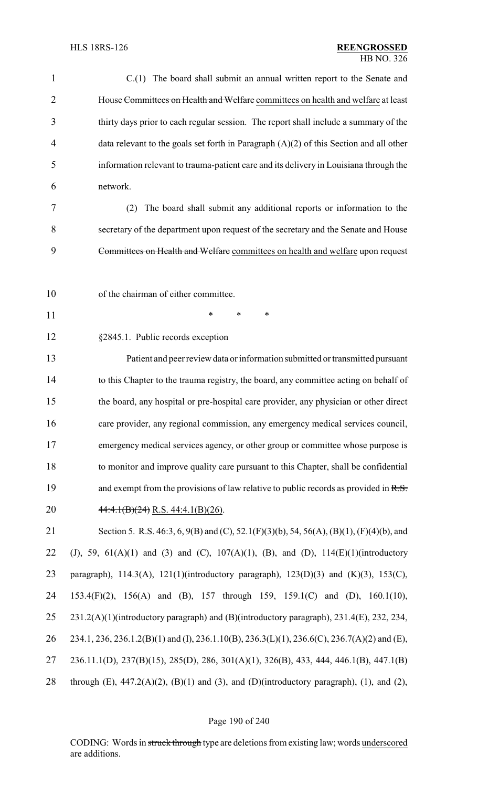| $\mathbf{1}$   | C.(1) The board shall submit an annual written report to the Senate and                       |
|----------------|-----------------------------------------------------------------------------------------------|
| $\overline{2}$ | House Committees on Health and Welfare committees on health and welfare at least              |
| 3              | thirty days prior to each regular session. The report shall include a summary of the          |
| 4              | data relevant to the goals set forth in Paragraph $(A)(2)$ of this Section and all other      |
| 5              | information relevant to trauma-patient care and its delivery in Louisiana through the         |
| 6              | network.                                                                                      |
| 7              | The board shall submit any additional reports or information to the<br>(2)                    |
| 8              | secretary of the department upon request of the secretary and the Senate and House            |
| 9              | Committees on Health and Welfare committees on health and welfare upon request                |
|                |                                                                                               |
| 10             | of the chairman of either committee.                                                          |
| 11             | ∗<br>*<br>∗                                                                                   |
| 12             | §2845.1. Public records exception                                                             |
| 13             | Patient and peer review data or information submitted or transmitted pursuant                 |
| 14             | to this Chapter to the trauma registry, the board, any committee acting on behalf of          |
| 15             | the board, any hospital or pre-hospital care provider, any physician or other direct          |
| 16             | care provider, any regional commission, any emergency medical services council,               |
| 17             | emergency medical services agency, or other group or committee whose purpose is               |
| 18             | to monitor and improve quality care pursuant to this Chapter, shall be confidential           |
| 19             | and exempt from the provisions of law relative to public records as provided in $R.S.$        |
| 20             | $44:4.1(B)(24)$ R.S. 44:4.1(B)(26).                                                           |
| 21             | Section 5. R.S. 46:3, 6, 9(B) and (C), 52.1(F)(3)(b), 54, 56(A), (B)(1), (F)(4)(b), and       |
| 22             | (J), 59, 61(A)(1) and (3) and (C), 107(A)(1), (B), and (D), 114(E)(1)(introductory            |
| 23             | paragraph), 114.3(A), 121(1)(introductory paragraph), 123(D)(3) and (K)(3), 153(C),           |
| 24             | 153.4(F)(2), 156(A) and (B), 157 through 159, 159.1(C) and (D), 160.1(10),                    |
| 25             | 231.2(A)(1)(introductory paragraph) and (B)(introductory paragraph), 231.4(E), 232, 234,      |
| 26             | 234.1, 236, 236.1.2(B)(1) and (I), 236.1.10(B), 236.3(L)(1), 236.6(C), 236.7(A)(2) and (E),   |
| 27             | 236.11.1(D), 237(B)(15), 285(D), 286, 301(A)(1), 326(B), 433, 444, 446.1(B), 447.1(B)         |
| 28             | through $(E)$ , 447.2(A)(2), $(B)(1)$ and (3), and (D)(introductory paragraph), (1), and (2), |

# Page 190 of 240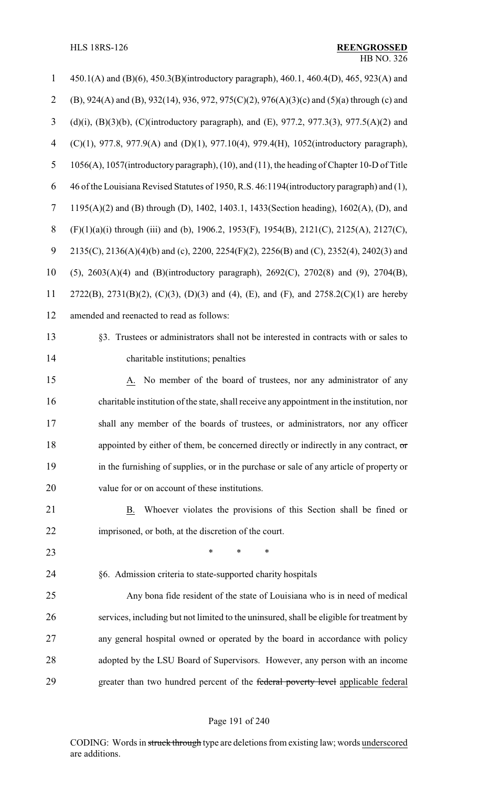| $\mathbf{1}$   | 450.1(A) and (B)(6), 450.3(B)(introductory paragraph), 460.1, 460.4(D), 465, 923(A) and     |
|----------------|---------------------------------------------------------------------------------------------|
| $\overline{2}$ | (B), 924(A) and (B), 932(14), 936, 972, 975(C)(2), 976(A)(3)(c) and (5)(a) through (c) and  |
| 3              | (d)(i), (B)(3)(b), (C)(introductory paragraph), and (E), 977.2, 977.3(3), 977.5(A)(2) and   |
| 4              | $(C)(1)$ , 977.8, 977.9(A) and (D)(1), 977.10(4), 979.4(H), 1052(introductory paragraph),   |
| 5              | 1056(A), 1057(introductory paragraph), (10), and (11), the heading of Chapter 10-D of Title |
| 6              | 46 of the Louisiana Revised Statutes of 1950, R.S. 46:1194(introductory paragraph) and (1), |
| 7              | 1195(A)(2) and (B) through (D), 1402, 1403.1, 1433(Section heading), 1602(A), (D), and      |
| $8\,$          | (F)(1)(a)(i) through (iii) and (b), 1906.2, 1953(F), 1954(B), 2121(C), 2125(A), 2127(C),    |
| 9              | 2135(C), 2136(A)(4)(b) and (c), 2200, 2254(F)(2), 2256(B) and (C), 2352(4), 2402(3) and     |
| 10             | (5), 2603(A)(4) and (B)(introductory paragraph), 2692(C), 2702(8) and (9), 2704(B),         |
| 11             | 2722(B), 2731(B)(2), (C)(3), (D)(3) and (4), (E), and (F), and 2758.2(C)(1) are hereby      |
| 12             | amended and reenacted to read as follows:                                                   |
| 13             | §3. Trustees or administrators shall not be interested in contracts with or sales to        |
| 14             | charitable institutions; penalties                                                          |
| 15             | A. No member of the board of trustees, nor any administrator of any                         |
| 16             | charitable institution of the state, shall receive any appointment in the institution, nor  |
| 17             | shall any member of the boards of trustees, or administrators, nor any officer              |
| 18             | appointed by either of them, be concerned directly or indirectly in any contract, $\sigma$  |
| 19             | in the furnishing of supplies, or in the purchase or sale of any article of property or     |
| 20             | value for or on account of these institutions.                                              |
| 21             | Whoever violates the provisions of this Section shall be fined or<br>B.                     |
| 22             | imprisoned, or both, at the discretion of the court.                                        |
| 23             | *<br>∗                                                                                      |
| 24             | §6. Admission criteria to state-supported charity hospitals                                 |
| 25             | Any bona fide resident of the state of Louisiana who is in need of medical                  |
| 26             | services, including but not limited to the uninsured, shall be eligible for treatment by    |
| 27             | any general hospital owned or operated by the board in accordance with policy               |
| 28             | adopted by the LSU Board of Supervisors. However, any person with an income                 |
| 29             | greater than two hundred percent of the federal poverty level applicable federal            |

# Page 191 of 240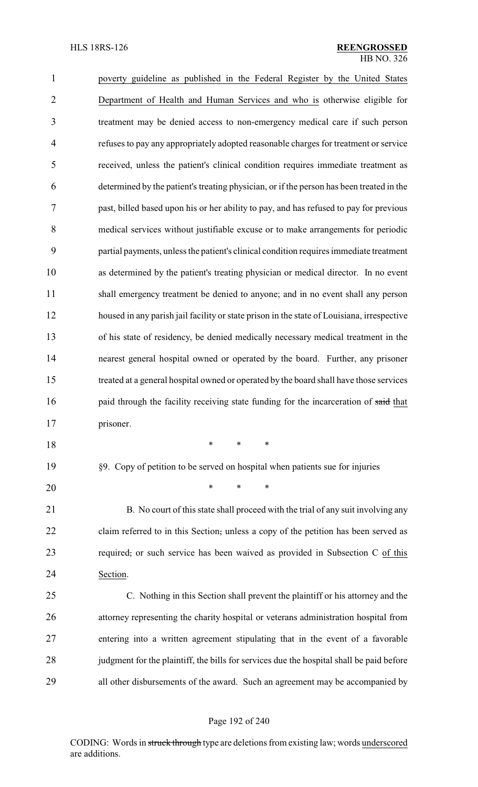| $\mathbf{1}$   | poverty guideline as published in the Federal Register by the United States                |
|----------------|--------------------------------------------------------------------------------------------|
| $\overline{2}$ | Department of Health and Human Services and who is otherwise eligible for                  |
| 3              | treatment may be denied access to non-emergency medical care if such person                |
| $\overline{4}$ | refuses to pay any appropriately adopted reasonable charges for treatment or service       |
| 5              | received, unless the patient's clinical condition requires immediate treatment as          |
| 6              | determined by the patient's treating physician, or if the person has been treated in the   |
| 7              | past, billed based upon his or her ability to pay, and has refused to pay for previous     |
| 8              | medical services without justifiable excuse or to make arrangements for periodic           |
| 9              | partial payments, unless the patient's clinical condition requires immediate treatment     |
| 10             | as determined by the patient's treating physician or medical director. In no event         |
| 11             | shall emergency treatment be denied to anyone; and in no event shall any person            |
| 12             | housed in any parish jail facility or state prison in the state of Louisiana, irrespective |
| 13             | of his state of residency, be denied medically necessary medical treatment in the          |
| 14             | nearest general hospital owned or operated by the board. Further, any prisoner             |
| 15             | treated at a general hospital owned or operated by the board shall have those services     |
| 16             | paid through the facility receiving state funding for the incarceration of said that       |
| 17             | prisoner.                                                                                  |
| 18             | *<br>∗<br>*                                                                                |
| 19             | §9. Copy of petition to be served on hospital when patients sue for injuries               |
| 20             | $\ast$<br>*                                                                                |
| 21             | B. No court of this state shall proceed with the trial of any suit involving any           |
| 22             | claim referred to in this Section, unless a copy of the petition has been served as        |
| 23             | required, or such service has been waived as provided in Subsection C of this              |
| 24             | Section.                                                                                   |
|                |                                                                                            |

 C. Nothing in this Section shall prevent the plaintiff or his attorney and the attorney representing the charity hospital or veterans administration hospital from entering into a written agreement stipulating that in the event of a favorable judgment for the plaintiff, the bills for services due the hospital shall be paid before all other disbursements of the award. Such an agreement may be accompanied by

#### Page 192 of 240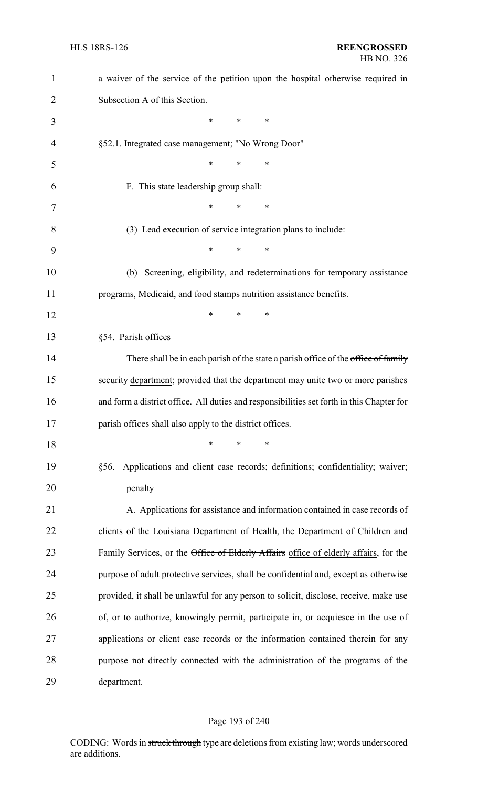| $\mathbf{1}$ | a waiver of the service of the petition upon the hospital otherwise required in           |
|--------------|-------------------------------------------------------------------------------------------|
| 2            | Subsection A of this Section.                                                             |
| 3            | *<br>*<br>∗                                                                               |
| 4            | §52.1. Integrated case management; "No Wrong Door"                                        |
| 5            | $\ast$<br>*<br>*                                                                          |
| 6            | F. This state leadership group shall:                                                     |
| 7            | *<br>*<br>∗                                                                               |
| 8            | (3) Lead execution of service integration plans to include:                               |
| 9            | *<br>$\ast$<br>*                                                                          |
| 10           | (b) Screening, eligibility, and redeterminations for temporary assistance                 |
| 11           | programs, Medicaid, and food stamps nutrition assistance benefits.                        |
| 12           | *<br>*<br>*                                                                               |
| 13           | §54. Parish offices                                                                       |
| 14           | There shall be in each parish of the state a parish office of the office of family        |
| 15           | security department; provided that the department may unite two or more parishes          |
| 16           | and form a district office. All duties and responsibilities set forth in this Chapter for |
| 17           | parish offices shall also apply to the district offices.                                  |
| 18           | $\ast$<br>*<br>*                                                                          |
| 19           | Applications and client case records; definitions; confidentiality; waiver;<br>§56.       |
| 20           | penalty                                                                                   |
| 21           | A. Applications for assistance and information contained in case records of               |
| 22           | clients of the Louisiana Department of Health, the Department of Children and             |
| 23           | Family Services, or the Office of Elderly Affairs office of elderly affairs, for the      |
| 24           | purpose of adult protective services, shall be confidential and, except as otherwise      |
| 25           | provided, it shall be unlawful for any person to solicit, disclose, receive, make use     |
| 26           | of, or to authorize, knowingly permit, participate in, or acquiesce in the use of         |
| 27           | applications or client case records or the information contained therein for any          |
| 28           | purpose not directly connected with the administration of the programs of the             |
| 29           | department.                                                                               |

# Page 193 of 240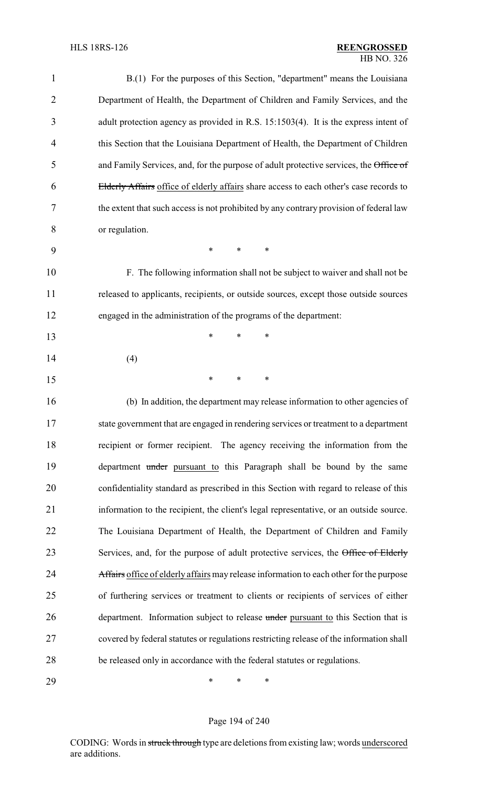| $\mathbf{1}$   | B.(1) For the purposes of this Section, "department" means the Louisiana                |
|----------------|-----------------------------------------------------------------------------------------|
| $\overline{2}$ | Department of Health, the Department of Children and Family Services, and the           |
| 3              | adult protection agency as provided in R.S. 15:1503(4). It is the express intent of     |
| $\overline{4}$ | this Section that the Louisiana Department of Health, the Department of Children        |
| 5              | and Family Services, and, for the purpose of adult protective services, the Office of   |
| 6              | Elderly Affairs office of elderly affairs share access to each other's case records to  |
| 7              | the extent that such access is not prohibited by any contrary provision of federal law  |
| 8              | or regulation.                                                                          |
| 9              | *<br>$\ast$<br>∗                                                                        |
| 10             | F. The following information shall not be subject to waiver and shall not be            |
| 11             | released to applicants, recipients, or outside sources, except those outside sources    |
| 12             | engaged in the administration of the programs of the department:                        |
| 13             | *<br>*<br>∗                                                                             |
| 14             | (4)                                                                                     |
| 15             | *<br>∗<br>∗                                                                             |
| 16             | (b) In addition, the department may release information to other agencies of            |
| 17             | state government that are engaged in rendering services or treatment to a department    |
| 18             | recipient or former recipient. The agency receiving the information from the            |
| 19             | department under pursuant to this Paragraph shall be bound by the same                  |
| 20             | confidentiality standard as prescribed in this Section with regard to release of this   |
| 21             | information to the recipient, the client's legal representative, or an outside source.  |
| 22             | The Louisiana Department of Health, the Department of Children and Family               |
| 23             | Services, and, for the purpose of adult protective services, the Office of Elderly      |
| 24             | Affairs office of elderly affairs may release information to each other for the purpose |
| 25             | of furthering services or treatment to clients or recipients of services of either      |
| 26             | department. Information subject to release under pursuant to this Section that is       |
| 27             | covered by federal statutes or regulations restricting release of the information shall |
| 28             | be released only in accordance with the federal statutes or regulations.                |
| 29             | ∗<br>∗<br>∗                                                                             |

Page 194 of 240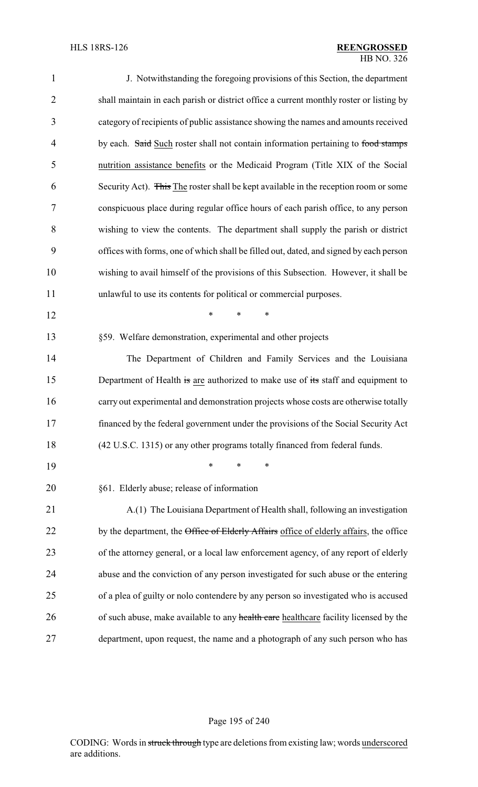| $\mathbf{1}$   | J. Notwithstanding the foregoing provisions of this Section, the department             |
|----------------|-----------------------------------------------------------------------------------------|
| $\overline{2}$ | shall maintain in each parish or district office a current monthly roster or listing by |
| 3              | category of recipients of public assistance showing the names and amounts received      |
| $\overline{4}$ | by each. Said Such roster shall not contain information pertaining to food stamps       |
| 5              | nutrition assistance benefits or the Medicaid Program (Title XIX of the Social          |
| 6              | Security Act). This The roster shall be kept available in the reception room or some    |
| 7              | conspicuous place during regular office hours of each parish office, to any person      |
| 8              | wishing to view the contents. The department shall supply the parish or district        |
| 9              | offices with forms, one of which shall be filled out, dated, and signed by each person  |
| 10             | wishing to avail himself of the provisions of this Subsection. However, it shall be     |
| 11             | unlawful to use its contents for political or commercial purposes.                      |
| 12             | *<br>$\ast$<br>$\ast$                                                                   |
| 13             | §59. Welfare demonstration, experimental and other projects                             |
| 14             | The Department of Children and Family Services and the Louisiana                        |
| 15             | Department of Health is are authorized to make use of its staff and equipment to        |
| 16             | carry out experimental and demonstration projects whose costs are otherwise totally     |
| 17             | financed by the federal government under the provisions of the Social Security Act      |
| 18             | (42 U.S.C. 1315) or any other programs totally financed from federal funds.             |
| 19             | $\ast$<br>∗<br>∗                                                                        |
| 20             | §61. Elderly abuse; release of information                                              |
| 21             | A.(1) The Louisiana Department of Health shall, following an investigation              |
| 22             | by the department, the Office of Elderly Affairs office of elderly affairs, the office  |
| 23             | of the attorney general, or a local law enforcement agency, of any report of elderly    |
| 24             | abuse and the conviction of any person investigated for such abuse or the entering      |
| 25             | of a plea of guilty or nolo contendere by any person so investigated who is accused     |
| 26             | of such abuse, make available to any health care healthcare facility licensed by the    |
| 27             | department, upon request, the name and a photograph of any such person who has          |

# Page 195 of 240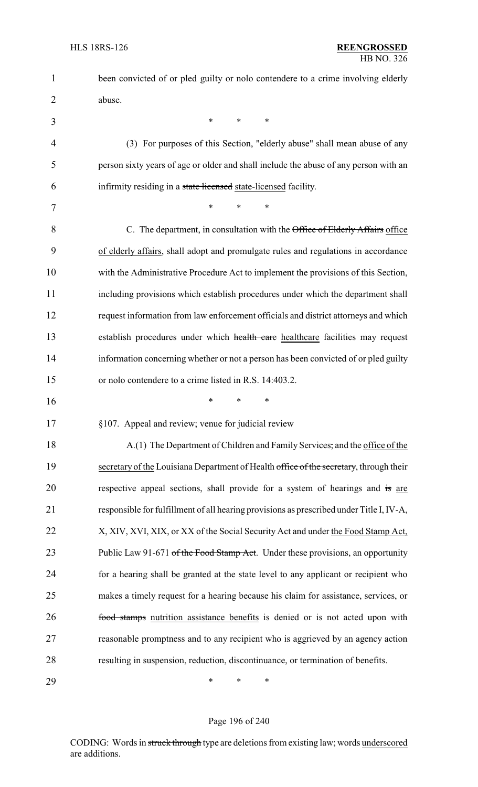- 1 been convicted of or pled guilty or nolo contendere to a crime involving elderly 2 abuse.
- $3$  \* \* \* 4 (3) For purposes of this Section, "elderly abuse" shall mean abuse of any 5 person sixty years of age or older and shall include the abuse of any person with an 6 infirmity residing in a state licensed state-licensed facility. 7 \* \* \* \* 8 C. The department, in consultation with the Office of Elderly Affairs office 9 of elderly affairs, shall adopt and promulgate rules and regulations in accordance 10 with the Administrative Procedure Act to implement the provisions of this Section, 11 including provisions which establish procedures under which the department shall 12 request information from law enforcement officials and district attorneys and which 13 establish procedures under which health care healthcare facilities may request 14 information concerning whether or not a person has been convicted of or pled guilty 15 or nolo contendere to a crime listed in R.S. 14:403.2. 16 \* \* \* 17 §107. Appeal and review; venue for judicial review 18 A.(1) The Department of Children and Family Services, and the office of the 19 secretary of the Louisiana Department of Health office of the secretary, through their 20 respective appeal sections, shall provide for a system of hearings and is are 21 responsible for fulfillment of all hearing provisions as prescribed under Title I, IV-A, 22 X, XIV, XVI, XIX, or XX of the Social Security Act and under the Food Stamp Act, 23 Public Law 91-671 of the Food Stamp Act. Under these provisions, an opportunity 24 for a hearing shall be granted at the state level to any applicant or recipient who 25 makes a timely request for a hearing because his claim for assistance, services, or 26 **food stamps** nutrition assistance benefits is denied or is not acted upon with 27 reasonable promptness and to any recipient who is aggrieved by an agency action 28 resulting in suspension, reduction, discontinuance, or termination of benefits.

29 \* \* \*

#### Page 196 of 240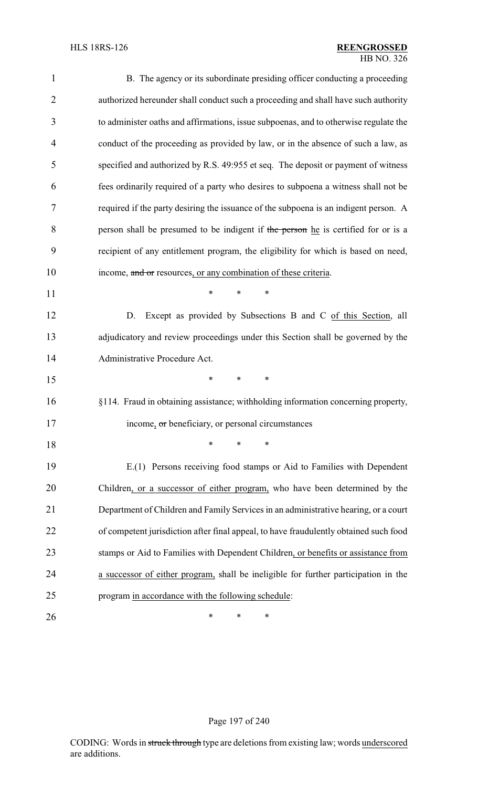| 1              | B. The agency or its subordinate presiding officer conducting a proceeding            |
|----------------|---------------------------------------------------------------------------------------|
| $\overline{2}$ | authorized hereunder shall conduct such a proceeding and shall have such authority    |
| 3              | to administer oaths and affirmations, issue subpoenas, and to otherwise regulate the  |
| 4              | conduct of the proceeding as provided by law, or in the absence of such a law, as     |
| 5              | specified and authorized by R.S. 49:955 et seq. The deposit or payment of witness     |
| 6              | fees ordinarily required of a party who desires to subpoena a witness shall not be    |
| 7              | required if the party desiring the issuance of the subpoena is an indigent person. A  |
| 8              | person shall be presumed to be indigent if the person he is certified for or is a     |
| 9              | recipient of any entitlement program, the eligibility for which is based on need,     |
| 10             | income, and or resources, or any combination of these criteria.                       |
| 11             | $\ast$<br>$\ast$<br>$\ast$                                                            |
| 12             | Except as provided by Subsections B and C of this Section, all<br>D.                  |
| 13             | adjudicatory and review proceedings under this Section shall be governed by the       |
| 14             | Administrative Procedure Act.                                                         |
| 15             | $\ast$<br>∗<br>∗                                                                      |
| 16             | §114. Fraud in obtaining assistance; withholding information concerning property,     |
| 17             | income, or beneficiary, or personal circumstances                                     |
| 18             | *<br>*<br>*                                                                           |
| 19             | E.(1) Persons receiving food stamps or Aid to Families with Dependent                 |
| 20             | Children, or a successor of either program, who have been determined by the           |
| 21             | Department of Children and Family Services in an administrative hearing, or a court   |
| 22             | of competent jurisdiction after final appeal, to have fraudulently obtained such food |
| 23             | stamps or Aid to Families with Dependent Children, or benefits or assistance from     |
| 24             | a successor of either program, shall be ineligible for further participation in the   |
| 25             | program in accordance with the following schedule:                                    |
| 26             | ∗<br>∗<br>∗                                                                           |

# Page 197 of 240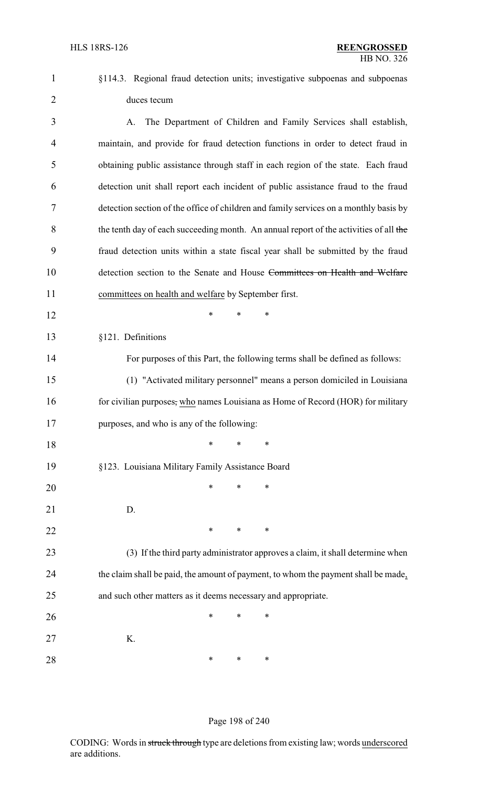§114.3. Regional fraud detection units; investigative subpoenas and subpoenas duces tecum

 A. The Department of Children and Family Services shall establish, maintain, and provide for fraud detection functions in order to detect fraud in obtaining public assistance through staff in each region of the state. Each fraud detection unit shall report each incident of public assistance fraud to the fraud detection section of the office of children and family services on a monthly basis by 8 the tenth day of each succeeding month. An annual report of the activities of all the fraud detection units within a state fiscal year shall be submitted by the fraud 10 detection section to the Senate and House Committees on Health and Welfare committees on health and welfare by September first.

§121. Definitions

For purposes of this Part, the following terms shall be defined as follows:

 (1) "Activated military personnel" means a person domiciled in Louisiana 16 for civilian purposes, who names Louisiana as Home of Record (HOR) for military purposes, and who is any of the following:

 \* \* \* §123. Louisiana Military Family Assistance Board

**\*** \* \* \*

 \* \* \* D. **\*** \* \* \*

 (3) If the third party administrator approves a claim, it shall determine when the claim shall be paid, the amount of payment, to whom the payment shall be made, and such other matters as it deems necessary and appropriate.

**\*** \* \* \* K. **\*** \* \* \*

#### Page 198 of 240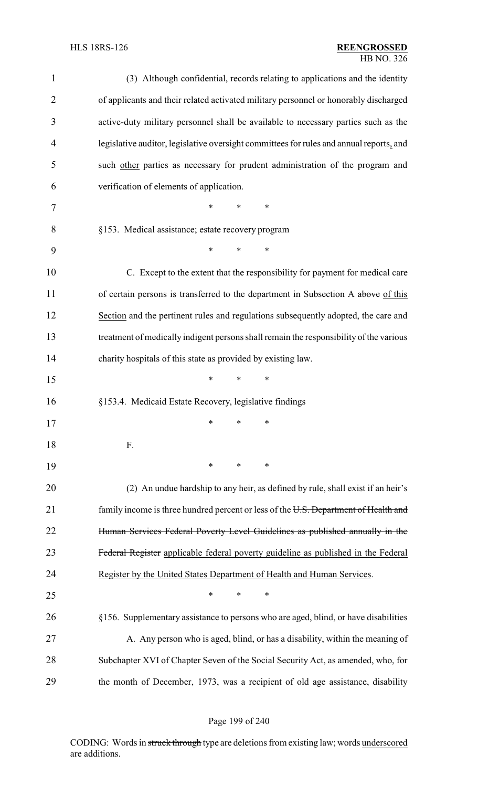| $\mathbf{1}$   | (3) Although confidential, records relating to applications and the identity            |
|----------------|-----------------------------------------------------------------------------------------|
| $\overline{2}$ | of applicants and their related activated military personnel or honorably discharged    |
| 3              | active-duty military personnel shall be available to necessary parties such as the      |
| 4              | legislative auditor, legislative oversight committees for rules and annual reports, and |
| 5              | such other parties as necessary for prudent administration of the program and           |
| 6              | verification of elements of application.                                                |
| 7              | $\ast$<br>*<br>∗                                                                        |
| 8              | §153. Medical assistance; estate recovery program                                       |
| 9              | $\ast$<br>$\ast$<br>$\ast$                                                              |
| 10             | C. Except to the extent that the responsibility for payment for medical care            |
| 11             | of certain persons is transferred to the department in Subsection A above of this       |
| 12             | Section and the pertinent rules and regulations subsequently adopted, the care and      |
| 13             | treatment of medically indigent persons shall remain the responsibility of the various  |
| 14             | charity hospitals of this state as provided by existing law.                            |
| 15             | $\ast$<br>$*$<br>$\ast$                                                                 |
| 16             | §153.4. Medicaid Estate Recovery, legislative findings                                  |
| 17             | $*$ $*$<br>∗                                                                            |
| 18             | F.                                                                                      |
| 19             | ∗<br>∗<br>∗                                                                             |
| 20             | (2) An undue hardship to any heir, as defined by rule, shall exist if an heir's         |
| 21             | family income is three hundred percent or less of the U.S. Department of Health and     |
| 22             | Human Services Federal Poverty Level Guidelines as published annually in the            |
| 23             | Federal Register applicable federal poverty guideline as published in the Federal       |
| 24             | Register by the United States Department of Health and Human Services.                  |
| 25             | ∗<br>∗<br>∗                                                                             |
| 26             | §156. Supplementary assistance to persons who are aged, blind, or have disabilities     |
| 27             | A. Any person who is aged, blind, or has a disability, within the meaning of            |
| 28             | Subchapter XVI of Chapter Seven of the Social Security Act, as amended, who, for        |
| 29             | the month of December, 1973, was a recipient of old age assistance, disability          |

# Page 199 of 240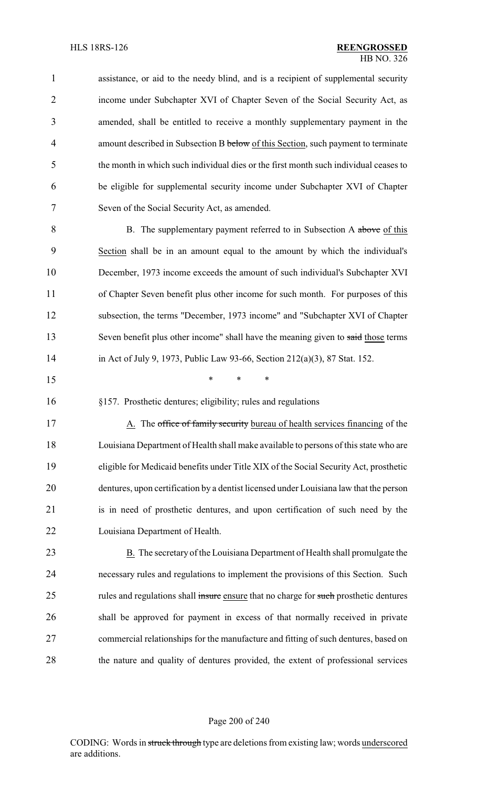| $\mathbf{1}$ | assistance, or aid to the needy blind, and is a recipient of supplemental security     |
|--------------|----------------------------------------------------------------------------------------|
| 2            | income under Subchapter XVI of Chapter Seven of the Social Security Act, as            |
| 3            | amended, shall be entitled to receive a monthly supplementary payment in the           |
| 4            | amount described in Subsection B below of this Section, such payment to terminate      |
| 5            | the month in which such individual dies or the first month such individual ceases to   |
| 6            | be eligible for supplemental security income under Subchapter XVI of Chapter           |
| 7            | Seven of the Social Security Act, as amended.                                          |
| 8            | B. The supplementary payment referred to in Subsection A above of this                 |
| 9            | Section shall be in an amount equal to the amount by which the individual's            |
| 10           | December, 1973 income exceeds the amount of such individual's Subchapter XVI           |
| 11           | of Chapter Seven benefit plus other income for such month. For purposes of this        |
| 12           | subsection, the terms "December, 1973 income" and "Subchapter XVI of Chapter           |
| 13           | Seven benefit plus other income" shall have the meaning given to said those terms      |
| 14           | in Act of July 9, 1973, Public Law 93-66, Section 212(a)(3), 87 Stat. 152.             |
| 15           | ∗<br>∗<br>∗                                                                            |
| 16           | §157. Prosthetic dentures; eligibility; rules and regulations                          |
| 17           | A. The office of family security bureau of health services financing of the            |
| 18           | Louisiana Department of Health shall make available to persons of this state who are   |
| 19           | eligible for Medicaid benefits under Title XIX of the Social Security Act, prosthetic  |
| 20           | dentures, upon certification by a dentist licensed under Louisiana law that the person |
| 21           | is in need of prosthetic dentures, and upon certification of such need by the          |
| 22           | Louisiana Department of Health.                                                        |
| 23           | B. The secretary of the Louisiana Department of Health shall promulgate the            |
| 24           | necessary rules and regulations to implement the provisions of this Section. Such      |
|              |                                                                                        |
| 25           | rules and regulations shall insure ensure that no charge for such prosthetic dentures  |
| 26           | shall be approved for payment in excess of that normally received in private           |
| 27           | commercial relationships for the manufacture and fitting of such dentures, based on    |

# Page 200 of 240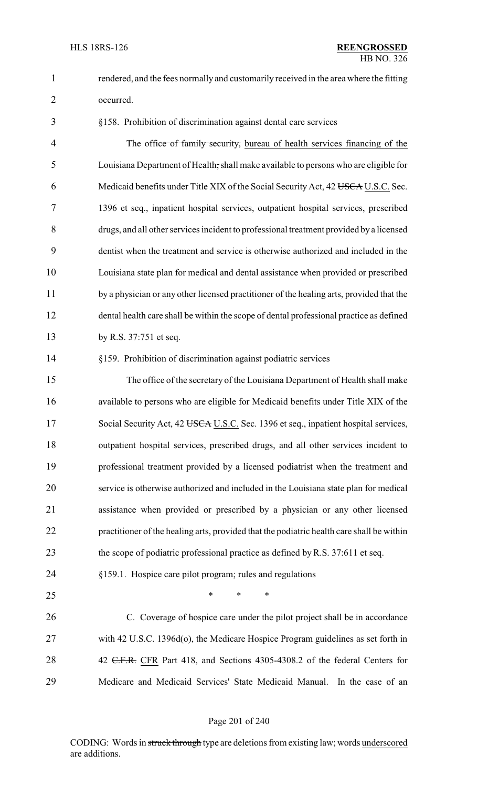rendered, and the fees normally and customarily received in the area where the fitting

occurred.

§158. Prohibition of discrimination against dental care services

4 The office of family security, bureau of health services financing of the Louisiana Department of Health, shall make available to persons who are eligible for 6 Medicaid benefits under Title XIX of the Social Security Act, 42 USCA U.S.C. Sec. 1396 et seq., inpatient hospital services, outpatient hospital services, prescribed drugs, and all other services incident to professional treatment provided by a licensed dentist when the treatment and service is otherwise authorized and included in the Louisiana state plan for medical and dental assistance when provided or prescribed by a physician or any other licensed practitioner of the healing arts, provided that the dental health care shall be within the scope of dental professional practice as defined by R.S. 37:751 et seq.

§159. Prohibition of discrimination against podiatric services

 The office of the secretary of the Louisiana Department of Health shall make available to persons who are eligible for Medicaid benefits under Title XIX of the 17 Social Security Act, 42 USCA U.S.C. Sec. 1396 et seq., inpatient hospital services, outpatient hospital services, prescribed drugs, and all other services incident to professional treatment provided by a licensed podiatrist when the treatment and service is otherwise authorized and included in the Louisiana state plan for medical assistance when provided or prescribed by a physician or any other licensed practitioner of the healing arts, provided that the podiatric health care shall be within 23 the scope of podiatric professional practice as defined by R.S. 37:611 et seq.

- §159.1. Hospice care pilot program; rules and regulations
- 

 $*$  \* \* \*

 C. Coverage of hospice care under the pilot project shall be in accordance with 42 U.S.C. 1396d(o), the Medicare Hospice Program guidelines as set forth in 28 42 C.F.R. CFR Part 418, and Sections 4305-4308.2 of the federal Centers for Medicare and Medicaid Services' State Medicaid Manual. In the case of an

#### Page 201 of 240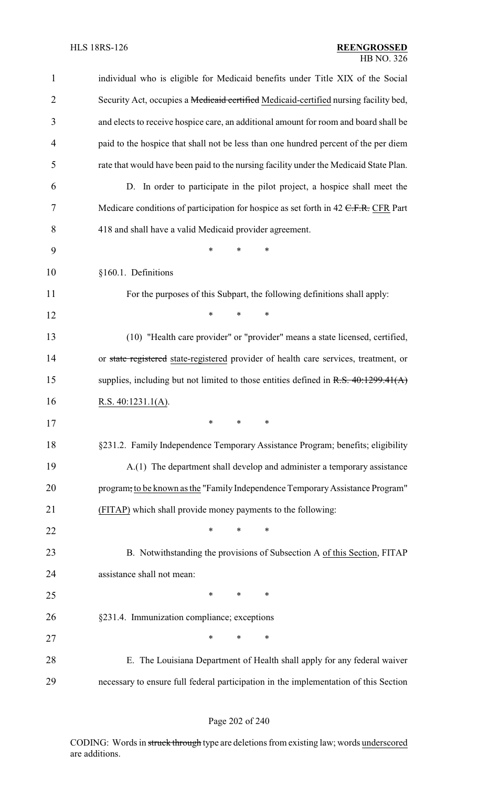| $\mathbf{1}$   | individual who is eligible for Medicaid benefits under Title XIX of the Social        |
|----------------|---------------------------------------------------------------------------------------|
| $\overline{2}$ | Security Act, occupies a Medicaid certified Medicaid-certified nursing facility bed,  |
| 3              | and elects to receive hospice care, an additional amount for room and board shall be  |
| $\overline{4}$ | paid to the hospice that shall not be less than one hundred percent of the per diem   |
| 5              | rate that would have been paid to the nursing facility under the Medicaid State Plan. |
| 6              | D. In order to participate in the pilot project, a hospice shall meet the             |
| 7              | Medicare conditions of participation for hospice as set forth in 42 C.F.R. CFR Part   |
| 8              | 418 and shall have a valid Medicaid provider agreement.                               |
| 9              | *<br>*<br>∗                                                                           |
| 10             | §160.1. Definitions                                                                   |
| 11             | For the purposes of this Subpart, the following definitions shall apply:              |
| 12             | ∗<br>*<br>∗                                                                           |
| 13             | (10) "Health care provider" or "provider" means a state licensed, certified,          |
| 14             | or state registered state-registered provider of health care services, treatment, or  |
| 15             | supplies, including but not limited to those entities defined in $R.S. 40:1299.41(A)$ |
| 16             | R.S. $40:1231.1(A)$ .                                                                 |
| 17             | *                                                                                     |
| 18             | §231.2. Family Independence Temporary Assistance Program; benefits; eligibility       |
| 19             | A.(1) The department shall develop and administer a temporary assistance              |
| 20             | program, to be known as the "Family Independence Temporary Assistance Program"        |
| 21             | (FITAP) which shall provide money payments to the following:                          |
| 22             | *<br>$\ast$<br>∗                                                                      |
| 23             | B. Notwithstanding the provisions of Subsection A of this Section, FITAP              |
| 24             | assistance shall not mean:                                                            |
| 25             | $\ast$<br>$*$ and $*$<br>$\ast$                                                       |
| 26             | §231.4. Immunization compliance; exceptions                                           |
| 27             | *<br>*<br>∗                                                                           |
| 28             | E. The Louisiana Department of Health shall apply for any federal waiver              |
| 29             | necessary to ensure full federal participation in the implementation of this Section  |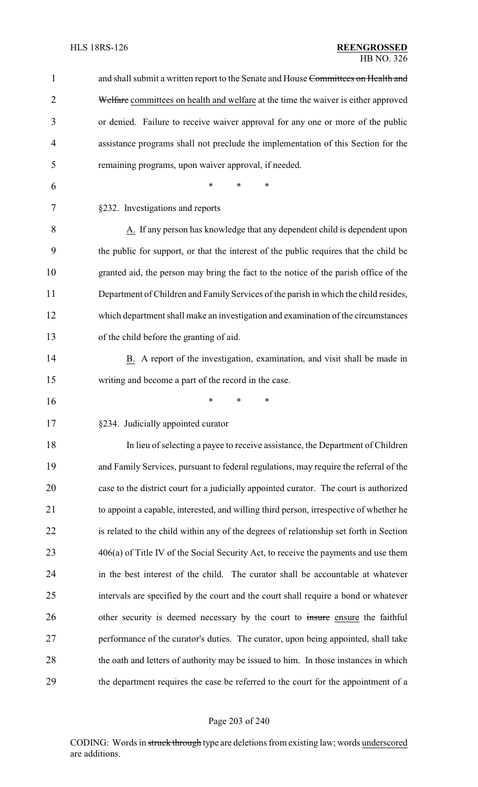| $\mathbf{1}$ | and shall submit a written report to the Senate and House Committees on Health and     |
|--------------|----------------------------------------------------------------------------------------|
| 2            | Welfare committees on health and welfare at the time the waiver is either approved     |
| 3            | or denied. Failure to receive waiver approval for any one or more of the public        |
| 4            | assistance programs shall not preclude the implementation of this Section for the      |
| 5            | remaining programs, upon waiver approval, if needed.                                   |
| 6            | $\ast$<br>*<br>*                                                                       |
| 7            | §232. Investigations and reports                                                       |
| 8            | A. If any person has knowledge that any dependent child is dependent upon              |
| 9            | the public for support, or that the interest of the public requires that the child be  |
| 10           | granted aid, the person may bring the fact to the notice of the parish office of the   |
| 11           | Department of Children and Family Services of the parish in which the child resides,   |
| 12           | which department shall make an investigation and examination of the circumstances      |
| 13           | of the child before the granting of aid.                                               |
| 14           | B. A report of the investigation, examination, and visit shall be made in              |
| 15           | writing and become a part of the record in the case.                                   |
| 16           | ∗<br>∗<br>*                                                                            |
| 17           | §234. Judicially appointed curator                                                     |
| 18           | In lieu of selecting a payee to receive assistance, the Department of Children         |
| 19           | and Family Services, pursuant to federal regulations, may require the referral of the  |
| 20           | case to the district court for a judicially appointed curator. The court is authorized |
| 21           | to appoint a capable, interested, and willing third person, irrespective of whether he |
| 22           | is related to the child within any of the degrees of relationship set forth in Section |
| 23           | 406(a) of Title IV of the Social Security Act, to receive the payments and use them    |
| 24           | in the best interest of the child. The curator shall be accountable at whatever        |
| 25           | intervals are specified by the court and the court shall require a bond or whatever    |
| 26           | other security is deemed necessary by the court to insure ensure the faithful          |
| 27           | performance of the curator's duties. The curator, upon being appointed, shall take     |
| 28           | the oath and letters of authority may be issued to him. In those instances in which    |
| 29           | the department requires the case be referred to the court for the appointment of a     |

# Page 203 of 240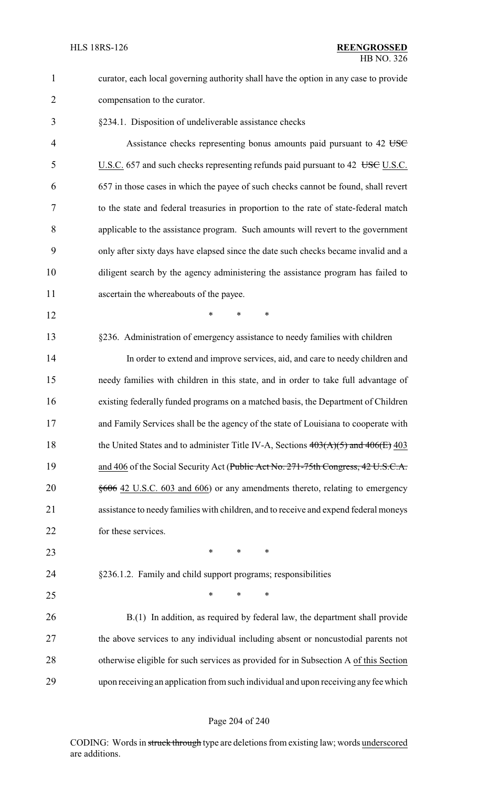curator, each local governing authority shall have the option in any case to provide compensation to the curator.

§234.1. Disposition of undeliverable assistance checks

4 Assistance checks representing bonus amounts paid pursuant to 42 USC 5 U.S.C. 657 and such checks representing refunds paid pursuant to 42 USC U.S.C. 657 in those cases in which the payee of such checks cannot be found, shall revert to the state and federal treasuries in proportion to the rate of state-federal match applicable to the assistance program. Such amounts will revert to the government only after sixty days have elapsed since the date such checks became invalid and a diligent search by the agency administering the assistance program has failed to ascertain the whereabouts of the payee.

**\*** \* \* \*

§236. Administration of emergency assistance to needy families with children

 In order to extend and improve services, aid, and care to needy children and needy families with children in this state, and in order to take full advantage of existing federally funded programs on a matched basis, the Department of Children and Family Services shall be the agency of the state of Louisiana to cooperate with 18 the United States and to administer Title IV-A, Sections  $403(A)(5)$  and  $406(E)$  403 19 and 406 of the Social Security Act (Public Act No. 271-75th Congress, 42 U.S.C.A. 20 §606 42 U.S.C. 603 and 606) or any amendments thereto, relating to emergency assistance to needy families with children, and to receive and expend federal moneys for these services.

- **\*** \* \* \*
- 

§236.1.2. Family and child support programs; responsibilities

 $*$  \* \* \*

 B.(1) In addition, as required by federal law, the department shall provide the above services to any individual including absent or noncustodial parents not otherwise eligible for such services as provided for in Subsection A of this Section upon receiving an application from such individual and upon receiving any fee which

#### Page 204 of 240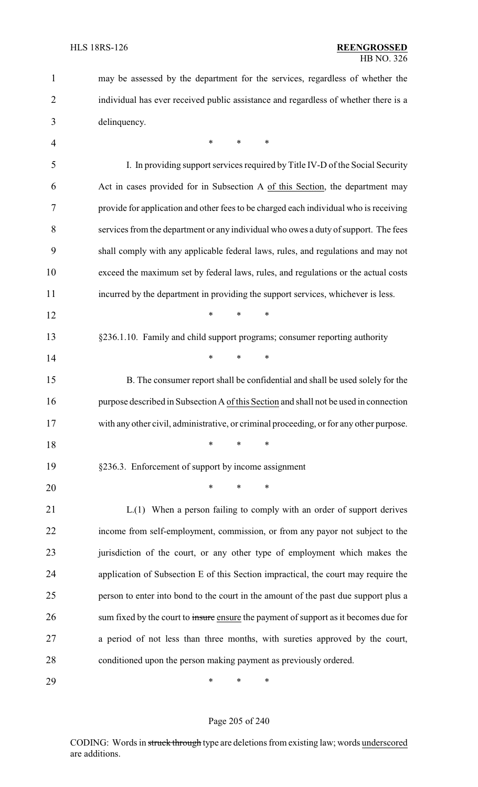| $\mathbf{1}$   | may be assessed by the department for the services, regardless of whether the           |
|----------------|-----------------------------------------------------------------------------------------|
| $\overline{2}$ | individual has ever received public assistance and regardless of whether there is a     |
| 3              | delinquency.                                                                            |
| 4              | $\ast$<br>*<br>∗                                                                        |
| 5              | I. In providing support services required by Title IV-D of the Social Security          |
| 6              | Act in cases provided for in Subsection A of this Section, the department may           |
| 7              | provide for application and other fees to be charged each individual who is receiving   |
| 8              | services from the department or any individual who owes a duty of support. The fees     |
| 9              | shall comply with any applicable federal laws, rules, and regulations and may not       |
| 10             | exceed the maximum set by federal laws, rules, and regulations or the actual costs      |
| 11             | incurred by the department in providing the support services, whichever is less.        |
| 12             | $\ast$<br>$\ast$<br>$\ast$                                                              |
| 13             | §236.1.10. Family and child support programs; consumer reporting authority              |
| 14             | $*$ $*$<br>*<br>$\ast$                                                                  |
| 15             | B. The consumer report shall be confidential and shall be used solely for the           |
| 16             | purpose described in Subsection A of this Section and shall not be used in connection   |
| 17             | with any other civil, administrative, or criminal proceeding, or for any other purpose. |
| 18             | $\ast$<br>$\ast$<br>*                                                                   |
| 19             | §236.3. Enforcement of support by income assignment                                     |
| 20             | $\ast$<br>$\ast$<br>*                                                                   |
| 21             | L.(1) When a person failing to comply with an order of support derives                  |
| 22             | income from self-employment, commission, or from any payor not subject to the           |
| 23             | jurisdiction of the court, or any other type of employment which makes the              |
| 24             | application of Subsection E of this Section impractical, the court may require the      |
| 25             | person to enter into bond to the court in the amount of the past due support plus a     |
| 26             | sum fixed by the court to insure ensure the payment of support as it becomes due for    |
| 27             | a period of not less than three months, with sureties approved by the court,            |
| 28             | conditioned upon the person making payment as previously ordered.                       |
| 29             | ∗<br>∗<br>∗                                                                             |

# Page 205 of 240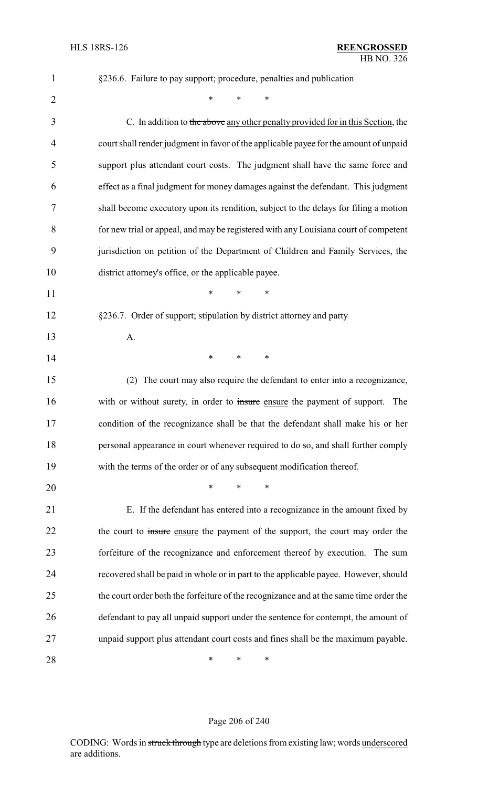| $\mathbf{1}$   | §236.6. Failure to pay support; procedure, penalties and publication                   |
|----------------|----------------------------------------------------------------------------------------|
| $\overline{2}$ | *<br>*<br>∗                                                                            |
| 3              | C. In addition to the above any other penalty provided for in this Section, the        |
| 4              | court shall render judgment in favor of the applicable payee for the amount of unpaid  |
| 5              | support plus attendant court costs. The judgment shall have the same force and         |
| 6              | effect as a final judgment for money damages against the defendant. This judgment      |
| 7              | shall become executory upon its rendition, subject to the delays for filing a motion   |
| 8              | for new trial or appeal, and may be registered with any Louisiana court of competent   |
| 9              | jurisdiction on petition of the Department of Children and Family Services, the        |
| 10             | district attorney's office, or the applicable payee.                                   |
| 11             | *<br>*<br>*                                                                            |
| 12             | §236.7. Order of support; stipulation by district attorney and party                   |
| 13             | A.                                                                                     |
| 14             | ∗<br>*<br>$\ast$                                                                       |
| 15             | (2) The court may also require the defendant to enter into a recognizance,             |
| 16             | with or without surety, in order to insure ensure the payment of support. The          |
| 17             | condition of the recognizance shall be that the defendant shall make his or her        |
| 18             | personal appearance in court whenever required to do so, and shall further comply      |
| 19             | with the terms of the order or of any subsequent modification thereof.                 |
| 20             | $\ast$<br>*<br>*                                                                       |
| 21             | E. If the defendant has entered into a recognizance in the amount fixed by             |
| 22             | the court to insure ensure the payment of the support, the court may order the         |
| 23             | forfeiture of the recognizance and enforcement thereof by execution. The sum           |
| 24             | recovered shall be paid in whole or in part to the applicable payee. However, should   |
| 25             | the court order both the forfeiture of the recognizance and at the same time order the |
| 26             | defendant to pay all unpaid support under the sentence for contempt, the amount of     |
| 27             | unpaid support plus attendant court costs and fines shall be the maximum payable.      |
| 28             | ∗<br>∗<br>∗                                                                            |

# Page 206 of 240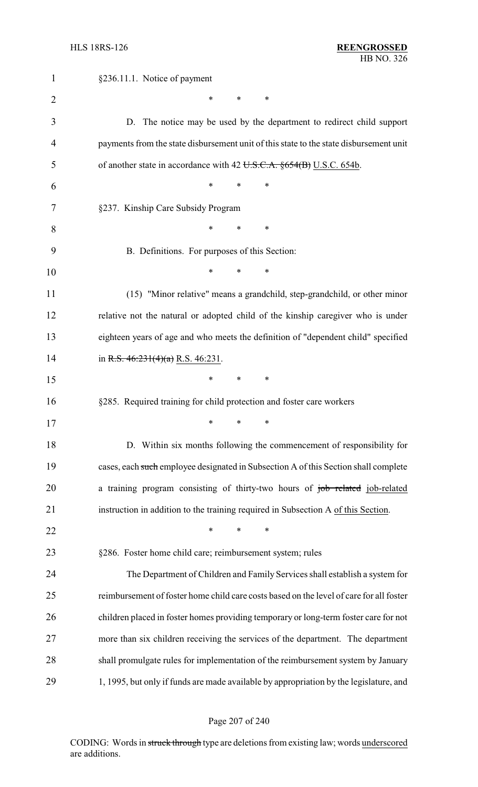| $\mathbf{1}$   | §236.11.1. Notice of payment                                                            |
|----------------|-----------------------------------------------------------------------------------------|
| $\overline{2}$ | $\ast$<br>*<br>∗                                                                        |
| 3              | D. The notice may be used by the department to redirect child support                   |
| 4              | payments from the state disbursement unit of this state to the state disbursement unit  |
| 5              | of another state in accordance with 42 U.S.C.A. $\S 654(B)$ U.S.C. 654b.                |
| 6              | $\ast$<br>∗<br>*                                                                        |
| 7              | §237. Kinship Care Subsidy Program                                                      |
| 8              | $\ast$<br>*<br>∗                                                                        |
| 9              | B. Definitions. For purposes of this Section:                                           |
| 10             | $\ast$<br>∗<br>∗                                                                        |
| 11             | (15) "Minor relative" means a grandchild, step-grandchild, or other minor               |
| 12             | relative not the natural or adopted child of the kinship caregiver who is under         |
| 13             | eighteen years of age and who meets the definition of "dependent child" specified       |
| 14             | in R.S. $46:231(4)(a)$ R.S. $46:231$ .                                                  |
| 15             | *<br>*<br>∗                                                                             |
| 16             | §285. Required training for child protection and foster care workers                    |
| 17             | $\ast$<br>*<br>$\ast$                                                                   |
| 18             | D. Within six months following the commencement of responsibility for                   |
| 19             | cases, each such employee designated in Subsection A of this Section shall complete     |
| 20             | a training program consisting of thirty-two hours of job related job-related            |
| 21             | instruction in addition to the training required in Subsection A of this Section.       |
| 22             | *<br>$\ast$<br>*                                                                        |
| 23             | §286. Foster home child care; reimbursement system; rules                               |
| 24             | The Department of Children and Family Services shall establish a system for             |
| 25             | reimbursement of foster home child care costs based on the level of care for all foster |
| 26             | children placed in foster homes providing temporary or long-term foster care for not    |
| 27             | more than six children receiving the services of the department. The department         |
| 28             | shall promulgate rules for implementation of the reimbursement system by January        |
| 29             | 1, 1995, but only if funds are made available by appropriation by the legislature, and  |

# Page 207 of 240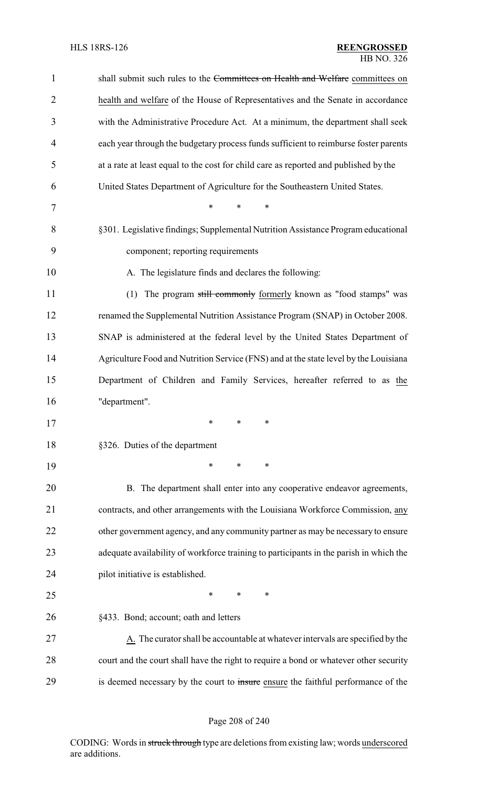| $\mathbf{1}$   | shall submit such rules to the Committees on Health and Welfare committees on                 |
|----------------|-----------------------------------------------------------------------------------------------|
| $\overline{2}$ | health and welfare of the House of Representatives and the Senate in accordance               |
| 3              | with the Administrative Procedure Act. At a minimum, the department shall seek                |
| 4              | each year through the budgetary process funds sufficient to reimburse foster parents          |
| 5              | at a rate at least equal to the cost for child care as reported and published by the          |
| 6              | United States Department of Agriculture for the Southeastern United States.                   |
| 7              | $\ast$<br>*<br>*                                                                              |
| 8              | §301. Legislative findings; Supplemental Nutrition Assistance Program educational             |
| 9              | component; reporting requirements                                                             |
| 10             | A. The legislature finds and declares the following:                                          |
| 11             | The program still commonly formerly known as "food stamps" was<br>(1)                         |
| 12             | renamed the Supplemental Nutrition Assistance Program (SNAP) in October 2008.                 |
| 13             | SNAP is administered at the federal level by the United States Department of                  |
| 14             | Agriculture Food and Nutrition Service (FNS) and at the state level by the Louisiana          |
| 15             | Department of Children and Family Services, hereafter referred to as the                      |
| 16             | "department".                                                                                 |
| 17             | $\ast$ $\ast$<br>∗<br>∗                                                                       |
| 18             | §326. Duties of the department                                                                |
| 19             | ∗<br>∗<br>$\ast$                                                                              |
| 20             | B. The department shall enter into any cooperative endeavor agreements,                       |
| 21             | contracts, and other arrangements with the Louisiana Workforce Commission, any                |
| 22             | other government agency, and any community partner as may be necessary to ensure              |
| 23             | adequate availability of workforce training to participants in the parish in which the        |
| 24             | pilot initiative is established.                                                              |
| 25             | *<br>∗<br>*                                                                                   |
| 26             | §433. Bond; account; oath and letters                                                         |
| 27             | $\underline{A}$ . The curator shall be accountable at whatever intervals are specified by the |
| 28             | court and the court shall have the right to require a bond or whatever other security         |
| 29             | is deemed necessary by the court to insure ensure the faithful performance of the             |

# Page 208 of 240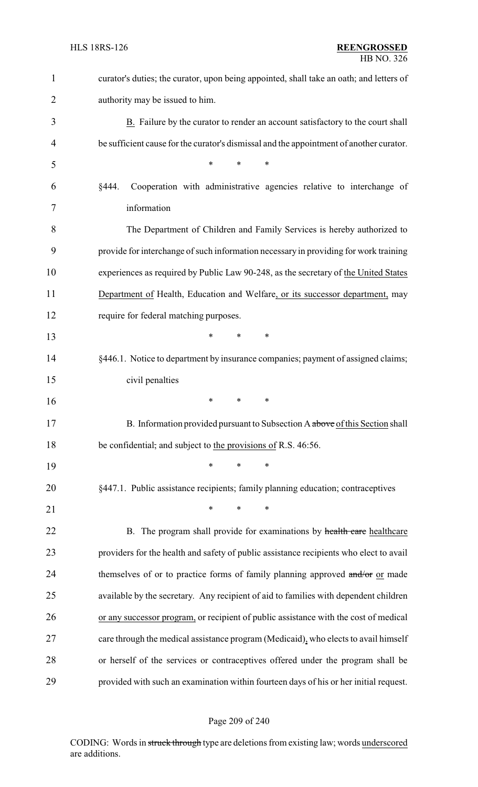| $\mathbf{1}$ | curator's duties; the curator, upon being appointed, shall take an oath; and letters of |
|--------------|-----------------------------------------------------------------------------------------|
| 2            | authority may be issued to him.                                                         |
| 3            | B. Failure by the curator to render an account satisfactory to the court shall          |
| 4            | be sufficient cause for the curator's dismissal and the appointment of another curator. |
| 5            | $\ast$<br>*<br>*                                                                        |
| 6            | Cooperation with administrative agencies relative to interchange of<br>§444.            |
| 7            | information                                                                             |
| 8            | The Department of Children and Family Services is hereby authorized to                  |
| 9            | provide for interchange of such information necessary in providing for work training    |
| 10           | experiences as required by Public Law 90-248, as the secretary of the United States     |
| 11           | Department of Health, Education and Welfare, or its successor department, may           |
| 12           | require for federal matching purposes.                                                  |
| 13           | $\ast$<br>$\ast$<br>*                                                                   |
| 14           | §446.1. Notice to department by insurance companies; payment of assigned claims;        |
| 15           | civil penalties                                                                         |
| 16           | $\ast$<br>$\ast$<br>$\ast$                                                              |
| 17           | B. Information provided pursuant to Subsection A above of this Section shall            |
| 18           | be confidential, and subject to the provisions of R.S. 46:56.                           |
| 19           | $\ast$<br>$\ast$<br>$\ast$                                                              |
| 20           | §447.1. Public assistance recipients; family planning education; contraceptives         |
| 21           | $\ast$<br>*<br>$\ast$                                                                   |
| 22           | B. The program shall provide for examinations by health care healthcare                 |
| 23           | providers for the health and safety of public assistance recipients who elect to avail  |
| 24           | themselves of or to practice forms of family planning approved and/or or made           |
| 25           | available by the secretary. Any recipient of aid to families with dependent children    |
| 26           | or any successor program, or recipient of public assistance with the cost of medical    |
| 27           | care through the medical assistance program (Medicaid), who elects to avail himself     |
| 28           | or herself of the services or contraceptives offered under the program shall be         |
| 29           | provided with such an examination within fourteen days of his or her initial request.   |

# Page 209 of 240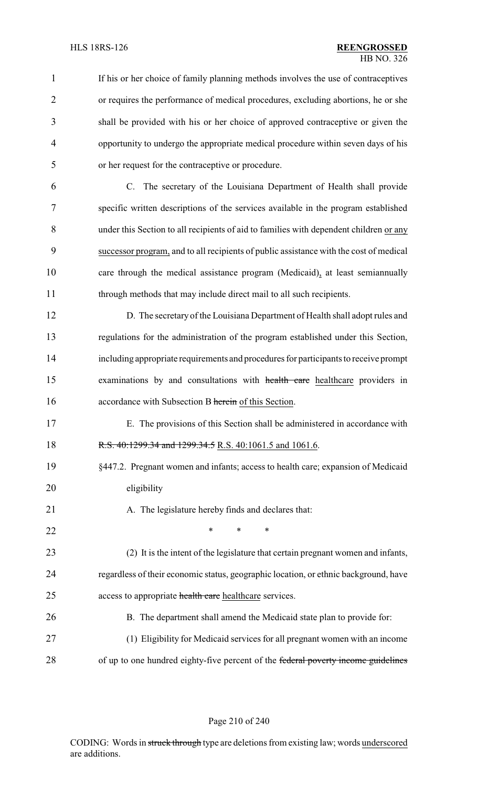| $\mathbf{1}$   | If his or her choice of family planning methods involves the use of contraceptives     |
|----------------|----------------------------------------------------------------------------------------|
| $\overline{2}$ | or requires the performance of medical procedures, excluding abortions, he or she      |
| 3              | shall be provided with his or her choice of approved contraceptive or given the        |
| $\overline{4}$ | opportunity to undergo the appropriate medical procedure within seven days of his      |
| 5              | or her request for the contraceptive or procedure.                                     |
| 6              | C. The secretary of the Louisiana Department of Health shall provide                   |
| 7              | specific written descriptions of the services available in the program established     |
| 8              | under this Section to all recipients of aid to families with dependent children or any |
| 9              | successor program, and to all recipients of public assistance with the cost of medical |
| 10             | care through the medical assistance program (Medicaid), at least semiannually          |
| 11             | through methods that may include direct mail to all such recipients.                   |
| 12             | D. The secretary of the Louisiana Department of Health shall adopt rules and           |
| 13             | regulations for the administration of the program established under this Section,      |
| 14             | including appropriate requirements and procedures for participants to receive prompt   |
| 15             | examinations by and consultations with health care healthcare providers in             |
| 16             | accordance with Subsection B herein of this Section.                                   |
| 17             | E. The provisions of this Section shall be administered in accordance with             |
| 18             | R.S. 40:1299.34 and 1299.34.5 R.S. 40:1061.5 and 1061.6.                               |
| 19             | §447.2. Pregnant women and infants; access to health care; expansion of Medicaid       |
| 20             | eligibility                                                                            |
| 21             | A. The legislature hereby finds and declares that:                                     |
| 22             | $\ast$<br>*<br>*                                                                       |
| 23             | (2) It is the intent of the legislature that certain pregnant women and infants,       |
| 24             | regardless of their economic status, geographic location, or ethnic background, have   |
| 25             | access to appropriate health care healthcare services.                                 |
| 26             | B. The department shall amend the Medicaid state plan to provide for:                  |
| 27             | (1) Eligibility for Medicaid services for all pregnant women with an income            |
| 28             | of up to one hundred eighty-five percent of the federal poverty income guidelines      |

Page 210 of 240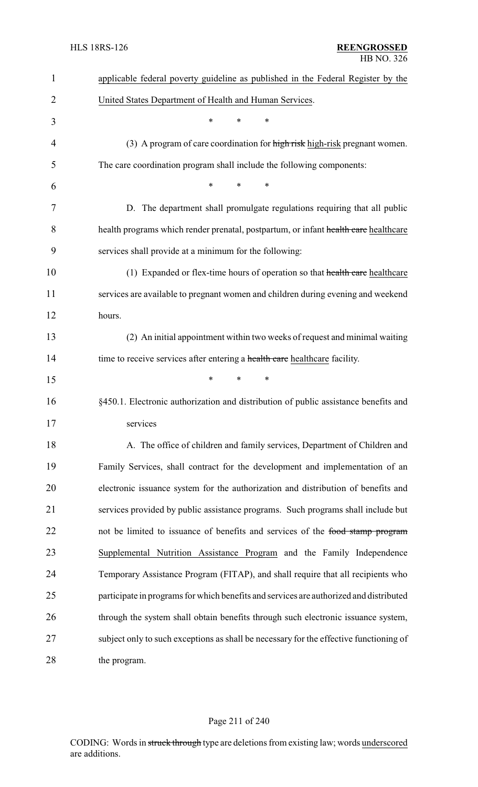| $\mathbf{1}$   | applicable federal poverty guideline as published in the Federal Register by the       |
|----------------|----------------------------------------------------------------------------------------|
| $\overline{2}$ | United States Department of Health and Human Services.                                 |
| 3              | *<br>*<br>∗                                                                            |
| 4              | (3) A program of care coordination for high risk high-risk pregnant women.             |
| 5              | The care coordination program shall include the following components:                  |
| 6              | $\ast$<br>*<br>*                                                                       |
| 7              | D. The department shall promulgate regulations requiring that all public               |
| 8              | health programs which render prenatal, postpartum, or infant health care healthcare    |
| 9              | services shall provide at a minimum for the following:                                 |
| 10             | (1) Expanded or flex-time hours of operation so that health care healthcare            |
| 11             | services are available to pregnant women and children during evening and weekend       |
| 12             | hours.                                                                                 |
| 13             | (2) An initial appointment within two weeks of request and minimal waiting             |
| 14             | time to receive services after entering a health care healthcare facility.             |
| 15             | *<br>$\ast$<br>*                                                                       |
| 16             | §450.1. Electronic authorization and distribution of public assistance benefits and    |
| 17             | services                                                                               |
| 18             | A. The office of children and family services, Department of Children and              |
| 19             | Family Services, shall contract for the development and implementation of an           |
| 20             | electronic issuance system for the authorization and distribution of benefits and      |
| 21             | services provided by public assistance programs. Such programs shall include but       |
| 22             | not be limited to issuance of benefits and services of the food stamp program          |
| 23             | Supplemental Nutrition Assistance Program and the Family Independence                  |
| 24             | Temporary Assistance Program (FITAP), and shall require that all recipients who        |
| 25             | participate in programs for which benefits and services are authorized and distributed |
| 26             | through the system shall obtain benefits through such electronic issuance system,      |
| 27             | subject only to such exceptions as shall be necessary for the effective functioning of |
| 28             | the program.                                                                           |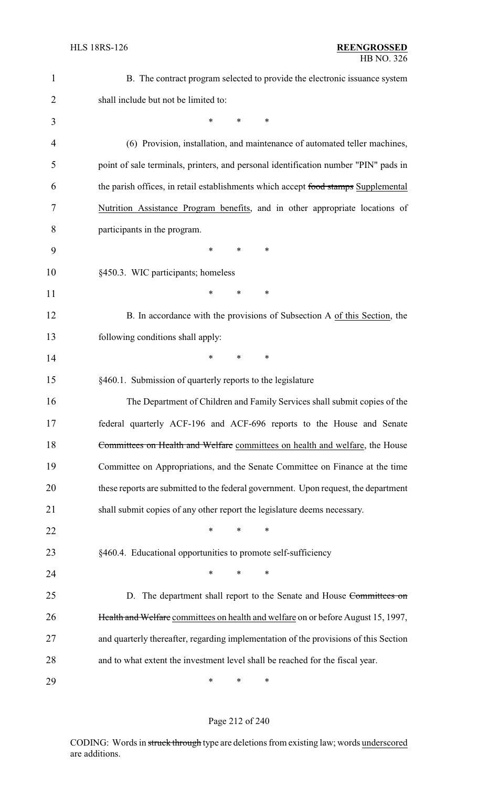| $\mathbf{1}$   | B. The contract program selected to provide the electronic issuance system           |
|----------------|--------------------------------------------------------------------------------------|
| $\overline{2}$ | shall include but not be limited to:                                                 |
| 3              | $\ast$<br>*<br>∗                                                                     |
| $\overline{4}$ | (6) Provision, installation, and maintenance of automated teller machines,           |
| 5              | point of sale terminals, printers, and personal identification number "PIN" pads in  |
| 6              | the parish offices, in retail establishments which accept food stamps Supplemental   |
| 7              | Nutrition Assistance Program benefits, and in other appropriate locations of         |
| 8              | participants in the program.                                                         |
| 9              | ∗<br>∗<br>$\ast$                                                                     |
| 10             | §450.3. WIC participants; homeless                                                   |
| 11             | *<br>∗<br>∗                                                                          |
| 12             | B. In accordance with the provisions of Subsection A of this Section, the            |
| 13             | following conditions shall apply:                                                    |
| 14             | $\ast$<br>*<br>∗                                                                     |
| 15             | §460.1. Submission of quarterly reports to the legislature                           |
| 16             | The Department of Children and Family Services shall submit copies of the            |
| 17             | federal quarterly ACF-196 and ACF-696 reports to the House and Senate                |
| 18             | Committees on Health and Welfare committees on health and welfare, the House         |
| 19             | Committee on Appropriations, and the Senate Committee on Finance at the time         |
| 20             | these reports are submitted to the federal government. Upon request, the department  |
| 21             | shall submit copies of any other report the legislature deems necessary.             |
| 22             | *<br>$\ast$<br>$\ast$                                                                |
| 23             | §460.4. Educational opportunities to promote self-sufficiency                        |
| 24             | $\ast$<br>$\ast$<br>$\ast$                                                           |
| 25             | D. The department shall report to the Senate and House Committees on                 |
| 26             | Health and Welfare committees on health and welfare on or before August 15, 1997,    |
| 27             | and quarterly thereafter, regarding implementation of the provisions of this Section |
| 28             | and to what extent the investment level shall be reached for the fiscal year.        |
|                |                                                                                      |

Page 212 of 240

\* \* \*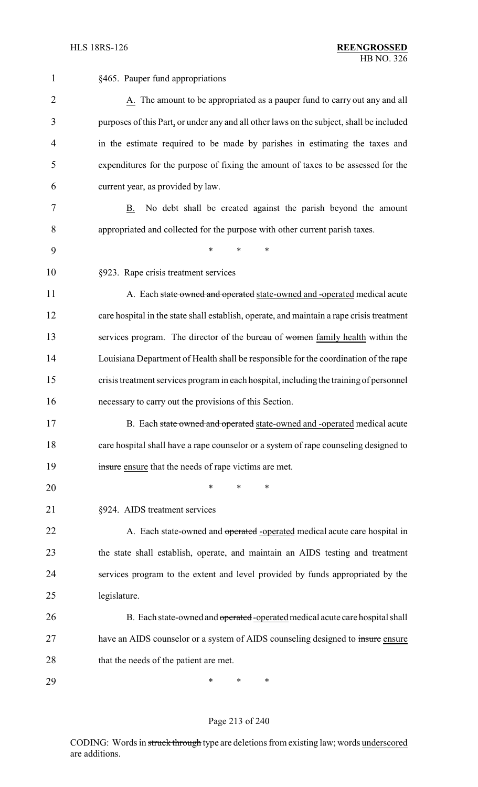| 1              | §465. Pauper fund appropriations                                                          |
|----------------|-------------------------------------------------------------------------------------------|
| $\overline{2}$ | A. The amount to be appropriated as a pauper fund to carry out any and all                |
| 3              | purposes of this Part, or under any and all other laws on the subject, shall be included  |
| 4              | in the estimate required to be made by parishes in estimating the taxes and               |
| 5              | expenditures for the purpose of fixing the amount of taxes to be assessed for the         |
| 6              | current year, as provided by law.                                                         |
| 7              | No debt shall be created against the parish beyond the amount<br>B.                       |
| 8              | appropriated and collected for the purpose with other current parish taxes.               |
| 9              | $\ast$<br>$\ast$<br>$\ast$                                                                |
| 10             | §923. Rape crisis treatment services                                                      |
| 11             | A. Each state owned and operated state-owned and -operated medical acute                  |
| 12             | care hospital in the state shall establish, operate, and maintain a rape crisis treatment |
| 13             | services program. The director of the bureau of women family health within the            |
| 14             | Louisiana Department of Health shall be responsible for the coordination of the rape      |
| 15             | crisis treatment services program in each hospital, including the training of personnel   |
| 16             | necessary to carry out the provisions of this Section.                                    |
| 17             | B. Each state owned and operated state-owned and -operated medical acute                  |
| 18             | care hospital shall have a rape counselor or a system of rape counseling designed to      |
| 19             | insure ensure that the needs of rape victims are met.                                     |
| 20             | *<br>*<br>*                                                                               |
| 21             | §924. AIDS treatment services                                                             |
| 22             | A. Each state-owned and operated -operated medical acute care hospital in                 |
| 23             | the state shall establish, operate, and maintain an AIDS testing and treatment            |
| 24             | services program to the extent and level provided by funds appropriated by the            |
| 25             | legislature.                                                                              |
| 26             | B. Each state-owned and operated-operated medical acute care hospital shall               |
| 27             | have an AIDS counselor or a system of AIDS counseling designed to insure ensure           |
| 28             | that the needs of the patient are met.                                                    |
| 29             | ∗<br>∗<br>∗                                                                               |

# Page 213 of 240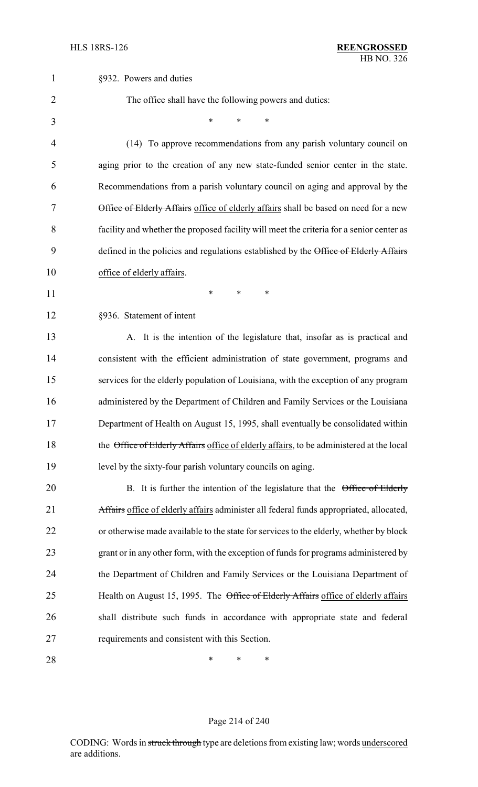| 1              | §932. Powers and duties                                                                  |
|----------------|------------------------------------------------------------------------------------------|
| $\overline{2}$ | The office shall have the following powers and duties:                                   |
| 3              | *<br>*                                                                                   |
| 4              | (14) To approve recommendations from any parish voluntary council on                     |
| 5              | aging prior to the creation of any new state-funded senior center in the state.          |
| 6              | Recommendations from a parish voluntary council on aging and approval by the             |
| 7              | Office of Elderly Affairs office of elderly affairs shall be based on need for a new     |
| 8              | facility and whether the proposed facility will meet the criteria for a senior center as |
| 9              | defined in the policies and regulations established by the Office of Elderly Affairs     |
| 10             | office of elderly affairs.                                                               |
| 11             | *<br>$\ast$<br>*                                                                         |
| 12             | §936. Statement of intent                                                                |
| 13             | A. It is the intention of the legislature that, insofar as is practical and              |
| 14             | consistent with the efficient administration of state government, programs and           |
| 15             | services for the elderly population of Louisiana, with the exception of any program      |
| 16             | administered by the Department of Children and Family Services or the Louisiana          |
| 17             | Department of Health on August 15, 1995, shall eventually be consolidated within         |
| 18             | the Office of Elderly Affairs office of elderly affairs, to be administered at the local |
| 19             | level by the sixty-four parish voluntary councils on aging.                              |
| 20             | B. It is further the intention of the legislature that the Office of Elderly             |
| 21             | Affairs office of elderly affairs administer all federal funds appropriated, allocated,  |
| 22             | or otherwise made available to the state for services to the elderly, whether by block   |
| 23             | grant or in any other form, with the exception of funds for programs administered by     |
| 24             | the Department of Children and Family Services or the Louisiana Department of            |
| 25             | Health on August 15, 1995. The Office of Elderly Affairs office of elderly affairs       |
| 26             | shall distribute such funds in accordance with appropriate state and federal             |
| 27             | requirements and consistent with this Section.                                           |
| 28             | ∗<br>∗<br>∗                                                                              |

# Page 214 of 240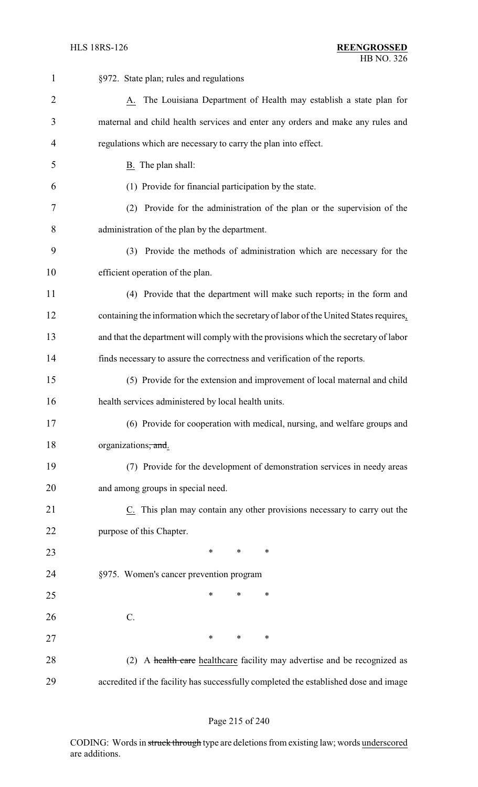| $\mathbf{1}$   | §972. State plan; rules and regulations                                                |
|----------------|----------------------------------------------------------------------------------------|
| $\overline{2}$ | A. The Louisiana Department of Health may establish a state plan for                   |
| 3              | maternal and child health services and enter any orders and make any rules and         |
| 4              | regulations which are necessary to carry the plan into effect.                         |
| 5              | B. The plan shall:                                                                     |
| 6              | (1) Provide for financial participation by the state.                                  |
| 7              | (2) Provide for the administration of the plan or the supervision of the               |
| 8              | administration of the plan by the department.                                          |
| 9              | (3) Provide the methods of administration which are necessary for the                  |
| 10             | efficient operation of the plan.                                                       |
| 11             | (4) Provide that the department will make such reports, in the form and                |
| 12             | containing the information which the secretary of labor of the United States requires, |
| 13             | and that the department will comply with the provisions which the secretary of labor   |
| 14             | finds necessary to assure the correctness and verification of the reports.             |
| 15             | (5) Provide for the extension and improvement of local maternal and child              |
| 16             | health services administered by local health units.                                    |
| 17             | (6) Provide for cooperation with medical, nursing, and welfare groups and              |
| 18             | organizations, and.                                                                    |
| 19             | (7) Provide for the development of demonstration services in needy areas               |
| 20             | and among groups in special need.                                                      |
| 21             | C. This plan may contain any other provisions necessary to carry out the               |
| 22             | purpose of this Chapter.                                                               |
| 23             | $\ast$<br>$\ast$<br>∗                                                                  |
| 24             | §975. Women's cancer prevention program                                                |
| 25             | ∗<br>∗<br>*                                                                            |
| 26             | $C$ .                                                                                  |
| 27             | $\ast$<br>$\ast$<br>$\ast$                                                             |
| 28             | A health care healthcare facility may advertise and be recognized as<br>(2)            |
| 29             | accredited if the facility has successfully completed the established dose and image   |

#### Page 215 of 240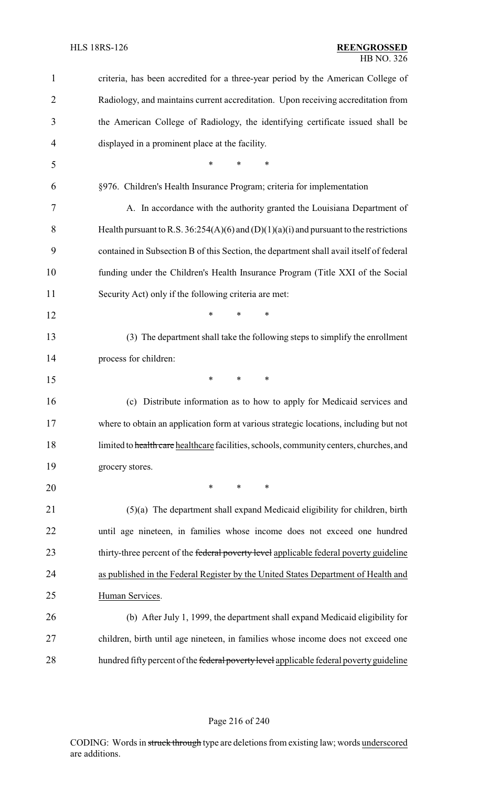| $\mathbf{1}$   | criteria, has been accredited for a three-year period by the American College of           |
|----------------|--------------------------------------------------------------------------------------------|
| $\overline{2}$ | Radiology, and maintains current accreditation. Upon receiving accreditation from          |
| 3              | the American College of Radiology, the identifying certificate issued shall be             |
| 4              | displayed in a prominent place at the facility.                                            |
| 5              | *<br>$\ast$<br>*                                                                           |
| 6              | §976. Children's Health Insurance Program; criteria for implementation                     |
| 7              | A. In accordance with the authority granted the Louisiana Department of                    |
| 8              | Health pursuant to R.S. $36:254(A)(6)$ and $(D)(1)(a)(i)$ and pursuant to the restrictions |
| 9              | contained in Subsection B of this Section, the department shall avail itself of federal    |
| 10             | funding under the Children's Health Insurance Program (Title XXI of the Social             |
| 11             | Security Act) only if the following criteria are met:                                      |
| 12             | *<br>$\ast$<br>$\ast$                                                                      |
| 13             | (3) The department shall take the following steps to simplify the enrollment               |
| 14             | process for children:                                                                      |
| 15             | *<br>$\ast$<br>∗                                                                           |
| 16             | (c) Distribute information as to how to apply for Medicaid services and                    |
| 17             | where to obtain an application form at various strategic locations, including but not      |
| 18             | limited to health care healthcare facilities, schools, community centers, churches, and    |
| 19             | grocery stores.                                                                            |
| 20             | $\ast$<br>$\ast$<br>$\ast$                                                                 |
| 21             | $(5)(a)$ The department shall expand Medicaid eligibility for children, birth              |
| 22             | until age nineteen, in families whose income does not exceed one hundred                   |
| 23             | thirty-three percent of the federal poverty level applicable federal poverty guideline     |
| 24             | as published in the Federal Register by the United States Department of Health and         |
| 25             | Human Services.                                                                            |
| 26             | (b) After July 1, 1999, the department shall expand Medicaid eligibility for               |
| 27             | children, birth until age nineteen, in families whose income does not exceed one           |
| 28             | hundred fifty percent of the federal poverty level applicable federal poverty guideline    |

# Page 216 of 240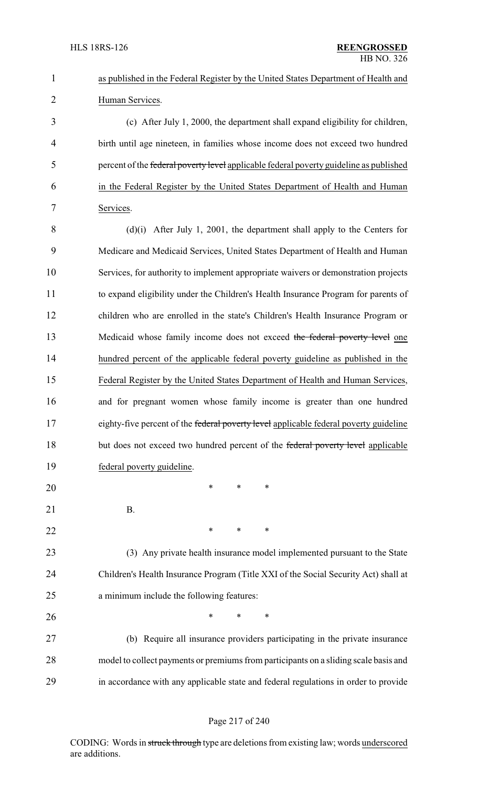| $\mathbf{1}$   | as published in the Federal Register by the United States Department of Health and     |
|----------------|----------------------------------------------------------------------------------------|
| $\overline{2}$ | Human Services.                                                                        |
| 3              | (c) After July 1, 2000, the department shall expand eligibility for children,          |
| 4              | birth until age nineteen, in families whose income does not exceed two hundred         |
| 5              | percent of the federal poverty level applicable federal poverty guideline as published |
| 6              | in the Federal Register by the United States Department of Health and Human            |
| 7              | Services.                                                                              |
| 8              | $(d)(i)$ After July 1, 2001, the department shall apply to the Centers for             |
| 9              | Medicare and Medicaid Services, United States Department of Health and Human           |
| 10             | Services, for authority to implement appropriate waivers or demonstration projects     |
| 11             | to expand eligibility under the Children's Health Insurance Program for parents of     |
| 12             | children who are enrolled in the state's Children's Health Insurance Program or        |
| 13             | Medicaid whose family income does not exceed the federal poverty level one             |
| 14             | hundred percent of the applicable federal poverty guideline as published in the        |
| 15             | Federal Register by the United States Department of Health and Human Services,         |
| 16             | and for pregnant women whose family income is greater than one hundred                 |
| 17             | eighty-five percent of the federal poverty level applicable federal poverty guideline  |
| 18             | but does not exceed two hundred percent of the federal poverty level applicable        |
| 19             | federal poverty guideline.                                                             |
| 20             | $\ast$<br>∗<br>∗                                                                       |
| 21             | <b>B.</b>                                                                              |
| 22             | ∗<br>$\ast$<br>∗                                                                       |
| 23             | (3) Any private health insurance model implemented pursuant to the State               |
| 24             | Children's Health Insurance Program (Title XXI of the Social Security Act) shall at    |
| 25             | a minimum include the following features:                                              |
| 26             | *<br>$\ast$<br>∗                                                                       |
| 27             | (b) Require all insurance providers participating in the private insurance             |
| 28             | model to collect payments or premiums from participants on a sliding scale basis and   |
| 29             | in accordance with any applicable state and federal regulations in order to provide    |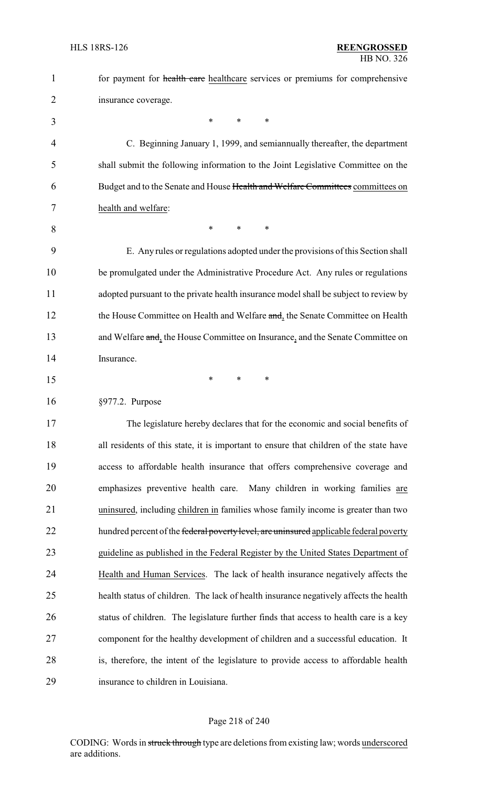| $\mathbf{1}$   | for payment for health care healthcare services or premiums for comprehensive          |
|----------------|----------------------------------------------------------------------------------------|
| $\overline{2}$ | insurance coverage.                                                                    |
| 3              | $\ast$<br>$\ast$<br>∗                                                                  |
| 4              | C. Beginning January 1, 1999, and semian mually thereafter, the department             |
| 5              | shall submit the following information to the Joint Legislative Committee on the       |
| 6              | Budget and to the Senate and House Health and Welfare Committees committees on         |
| 7              | health and welfare:                                                                    |
| 8              | $\ast$<br>$\ast$<br>*                                                                  |
| 9              | E. Any rules or regulations adopted under the provisions of this Section shall         |
| 10             | be promulgated under the Administrative Procedure Act. Any rules or regulations        |
| 11             | adopted pursuant to the private health insurance model shall be subject to review by   |
| 12             | the House Committee on Health and Welfare and, the Senate Committee on Health          |
| 13             | and Welfare and, the House Committee on Insurance, and the Senate Committee on         |
| 14             | Insurance.                                                                             |
| 15             | ∗<br>*<br>∗                                                                            |
| 16             | §977.2. Purpose                                                                        |
| 17             | The legislature hereby declares that for the economic and social benefits of           |
| 18             | all residents of this state, it is important to ensure that children of the state have |
| 19             | access to affordable health insurance that offers comprehensive coverage and           |
| 20             | emphasizes preventive health care.<br>Many children in working families are            |
| 21             | uninsured, including children in families whose family income is greater than two      |
| 22             | hundred percent of the federal poverty level, are uninsured applicable federal poverty |
| 23             | guideline as published in the Federal Register by the United States Department of      |
| 24             | Health and Human Services. The lack of health insurance negatively affects the         |
| 25             | health status of children. The lack of health insurance negatively affects the health  |
| 26             | status of children. The legislature further finds that access to health care is a key  |
| 27             | component for the healthy development of children and a successful education. It       |
| 28             | is, therefore, the intent of the legislature to provide access to affordable health    |
| 29             | insurance to children in Louisiana.                                                    |

#### Page 218 of 240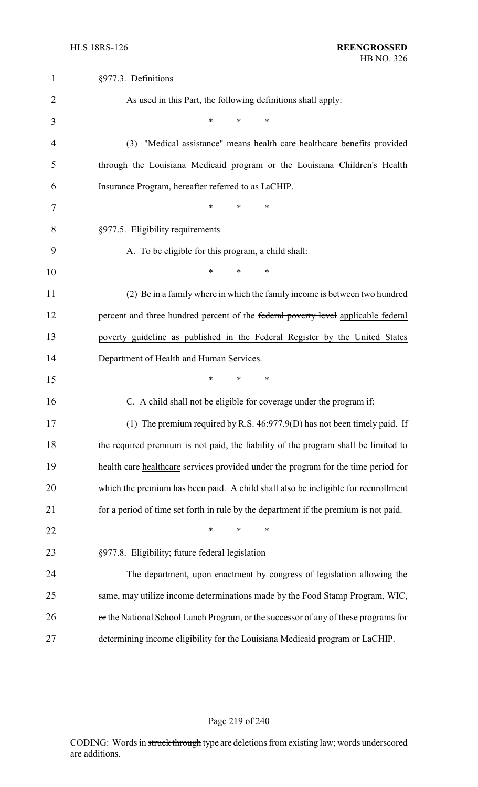| $\mathbf{1}$   | §977.3. Definitions                                                                  |
|----------------|--------------------------------------------------------------------------------------|
| $\overline{2}$ | As used in this Part, the following definitions shall apply:                         |
| 3              | *<br>*<br>*                                                                          |
| 4              | (3) "Medical assistance" means health care healthcare benefits provided              |
| 5              | through the Louisiana Medicaid program or the Louisiana Children's Health            |
| 6              | Insurance Program, hereafter referred to as LaCHIP.                                  |
| 7              | *<br>*<br>*                                                                          |
| 8              | §977.5. Eligibility requirements                                                     |
| 9              | A. To be eligible for this program, a child shall:                                   |
| 10             | *<br>∗<br>∗                                                                          |
| 11             | (2) Be in a family where in which the family income is between two hundred           |
| 12             | percent and three hundred percent of the federal poverty level applicable federal    |
| 13             | poverty guideline as published in the Federal Register by the United States          |
|                |                                                                                      |
| 14             | Department of Health and Human Services.                                             |
| 15             | *<br>*<br>∗                                                                          |
| 16             | C. A child shall not be eligible for coverage under the program if:                  |
| 17             | (1) The premium required by R.S. 46:977.9(D) has not been timely paid. If            |
| 18             | the required premium is not paid, the liability of the program shall be limited to   |
| 19             | health care healthcare services provided under the program for the time period for   |
| 20             | which the premium has been paid. A child shall also be ineligible for reenrollment   |
| 21             | for a period of time set forth in rule by the department if the premium is not paid. |
| 22             | *<br>$\ast$                                                                          |
| 23             | §977.8. Eligibility; future federal legislation                                      |
| 24             | The department, upon enactment by congress of legislation allowing the               |
| 25             | same, may utilize income determinations made by the Food Stamp Program, WIC,         |
| 26             | or the National School Lunch Program, or the successor of any of these programs for  |

# Page 219 of 240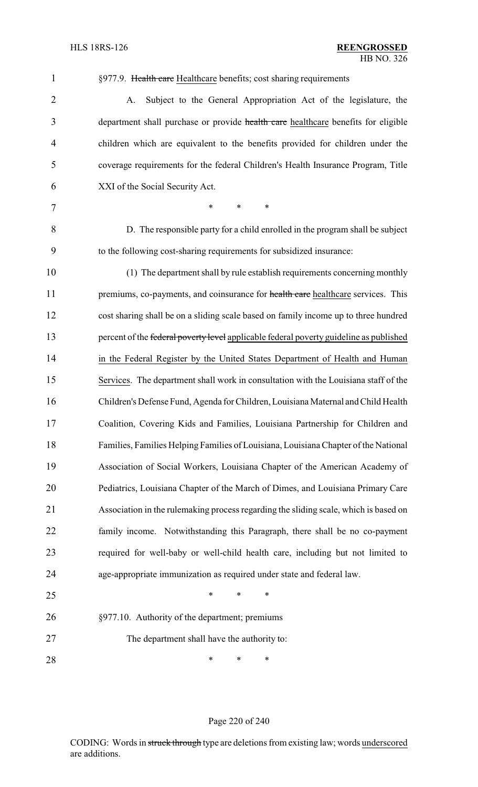| $\overline{2}$ | Subject to the General Appropriation Act of the legislature, the<br>A.                 |
|----------------|----------------------------------------------------------------------------------------|
| 3              | department shall purchase or provide health care healthcare benefits for eligible      |
| $\overline{4}$ | children which are equivalent to the benefits provided for children under the          |
| 5              | coverage requirements for the federal Children's Health Insurance Program, Title       |
| 6              | XXI of the Social Security Act.                                                        |
| $\overline{7}$ | $\ast$<br>$\ast$<br>*                                                                  |
| 8              | D. The responsible party for a child enrolled in the program shall be subject          |
| 9              | to the following cost-sharing requirements for subsidized insurance:                   |
| 10             | (1) The department shall by rule establish requirements concerning monthly             |
| 11             | premiums, co-payments, and coinsurance for health care healthcare services. This       |
| 12             | cost sharing shall be on a sliding scale based on family income up to three hundred    |
| 13             | percent of the federal poverty level applicable federal poverty guideline as published |
| 14             | in the Federal Register by the United States Department of Health and Human            |
| 15             | Services. The department shall work in consultation with the Louisiana staff of the    |
| 16             | Children's Defense Fund, Agenda for Children, Louisiana Maternal and Child Health      |
| 17             | Coalition, Covering Kids and Families, Louisiana Partnership for Children and          |
| 18             | Families, Families Helping Families of Louisiana, Louisiana Chapter of the National    |
| 19             | Association of Social Workers, Louisiana Chapter of the American Academy of            |
| 20             | Pediatrics, Louisiana Chapter of the March of Dimes, and Louisiana Primary Care        |
| 21             | Association in the rulemaking process regarding the sliding scale, which is based on   |
| 22             | family income. Notwithstanding this Paragraph, there shall be no co-payment            |
| 23             | required for well-baby or well-child health care, including but not limited to         |
| 24             | age-appropriate immunization as required under state and federal law.                  |
| 25             | *<br>*<br>∗                                                                            |
| 26             | §977.10. Authority of the department; premiums                                         |
| 27             | The department shall have the authority to:                                            |
| 28             | ∗<br>∗<br>∗                                                                            |

1 §977.9. Health care Healthcare benefits; cost sharing requirements

#### Page 220 of 240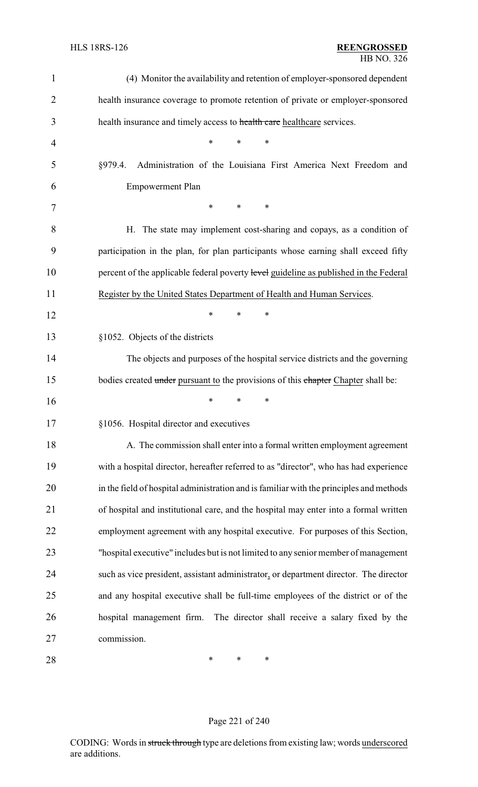| 1              | (4) Monitor the availability and retention of employer-sponsored dependent              |
|----------------|-----------------------------------------------------------------------------------------|
| $\overline{2}$ | health insurance coverage to promote retention of private or employer-sponsored         |
| 3              | health insurance and timely access to health care healthcare services.                  |
| $\overline{4}$ | *<br>*<br>∗                                                                             |
| 5              | Administration of the Louisiana First America Next Freedom and<br>§979.4.               |
| 6              | <b>Empowerment Plan</b>                                                                 |
| 7              | $\ast$<br>∗<br>∗                                                                        |
| 8              | H. The state may implement cost-sharing and copays, as a condition of                   |
| 9              | participation in the plan, for plan participants whose earning shall exceed fifty       |
| 10             | percent of the applicable federal poverty level guideline as published in the Federal   |
| 11             | Register by the United States Department of Health and Human Services.                  |
| 12             | ∗<br>*<br>∗                                                                             |
| 13             | §1052. Objects of the districts                                                         |
| 14             | The objects and purposes of the hospital service districts and the governing            |
| 15             | bodies created under pursuant to the provisions of this chapter Chapter shall be:       |
| 16             | ∗<br>*<br>∗                                                                             |
| 17             | §1056. Hospital director and executives                                                 |
| 18             | A. The commission shall enter into a formal written employment agreement                |
| 19             | with a hospital director, hereafter referred to as "director", who has had experience   |
| 20             | in the field of hospital administration and is familiar with the principles and methods |
| 21             | of hospital and institutional care, and the hospital may enter into a formal written    |
| 22             | employment agreement with any hospital executive. For purposes of this Section,         |
| 23             | "hospital executive" includes but is not limited to any senior member of management     |
| 24             | such as vice president, assistant administrator, or department director. The director   |
| 25             | and any hospital executive shall be full-time employees of the district or of the       |
| 26             | hospital management firm. The director shall receive a salary fixed by the              |
| 27             | commission.                                                                             |
| 28             | *<br>∗<br>∗                                                                             |

# Page 221 of 240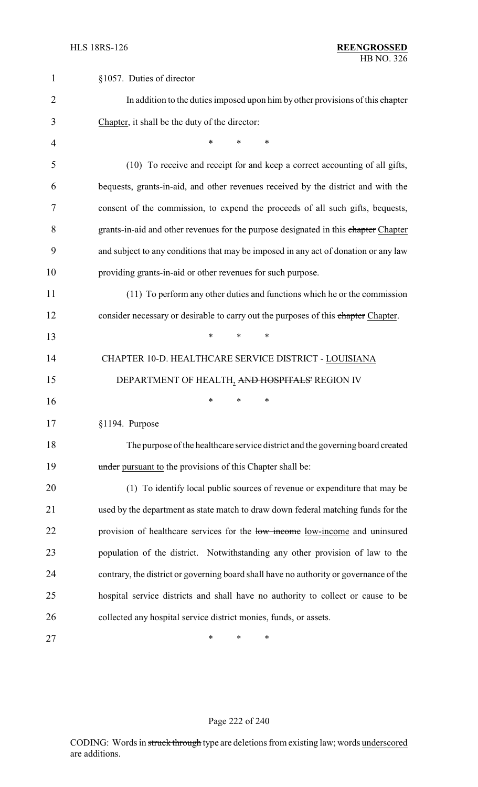| $\mathbf{1}$   | §1057. Duties of director                                                              |
|----------------|----------------------------------------------------------------------------------------|
| $\overline{2}$ | In addition to the duties imposed upon him by other provisions of this chapter         |
| 3              | Chapter, it shall be the duty of the director:                                         |
| 4              | $\ast$<br>*<br>∗                                                                       |
| 5              | (10) To receive and receipt for and keep a correct accounting of all gifts,            |
| 6              | bequests, grants-in-aid, and other revenues received by the district and with the      |
| 7              | consent of the commission, to expend the proceeds of all such gifts, bequests,         |
| 8              | grants-in-aid and other revenues for the purpose designated in this chapter Chapter    |
| 9              | and subject to any conditions that may be imposed in any act of donation or any law    |
| 10             | providing grants-in-aid or other revenues for such purpose.                            |
| 11             | (11) To perform any other duties and functions which he or the commission              |
| 12             | consider necessary or desirable to carry out the purposes of this chapter Chapter.     |
| 13             | *<br>*<br>$\ast$                                                                       |
| 14             | CHAPTER 10-D. HEALTHCARE SERVICE DISTRICT - LOUISIANA                                  |
| 15             | DEPARTMENT OF HEALTH, AND HOSPITALS' REGION IV                                         |
| 16             | *<br>*<br>∗                                                                            |
| 17             | §1194. Purpose                                                                         |
| 18             | The purpose of the healthcare service district and the governing board created         |
| 19             | under pursuant to the provisions of this Chapter shall be:                             |
| 20             | (1) To identify local public sources of revenue or expenditure that may be             |
| 21             | used by the department as state match to draw down federal matching funds for the      |
| 22             | provision of healthcare services for the low income low-income and uninsured           |
| 23             | population of the district. Notwithstanding any other provision of law to the          |
| 24             | contrary, the district or governing board shall have no authority or governance of the |
| 25             | hospital service districts and shall have no authority to collect or cause to be       |
| 26             | collected any hospital service district monies, funds, or assets.                      |
| 27             | ∗<br>*<br>∗                                                                            |

# Page 222 of 240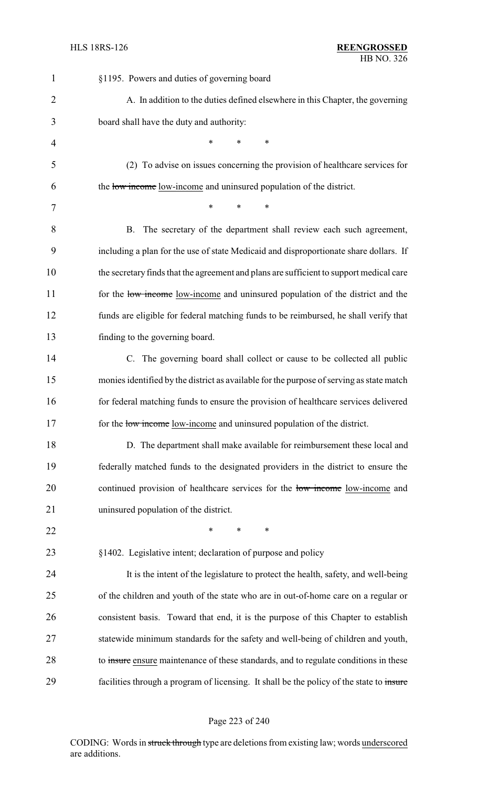| $\mathbf{1}$   | §1195. Powers and duties of governing board                                              |
|----------------|------------------------------------------------------------------------------------------|
| $\overline{2}$ | A. In addition to the duties defined elsewhere in this Chapter, the governing            |
| 3              | board shall have the duty and authority:                                                 |
| 4              | $\ast$<br>$\ast$<br>$\ast$                                                               |
| 5              | (2) To advise on issues concerning the provision of healthcare services for              |
| 6              | the low income low-income and uninsured population of the district.                      |
| 7              | *<br>*<br>∗                                                                              |
| 8              | B. The secretary of the department shall review each such agreement,                     |
| 9              | including a plan for the use of state Medicaid and disproportionate share dollars. If    |
| 10             | the secretary finds that the agreement and plans are sufficient to support medical care  |
| 11             | for the low-income low-income and uninsured population of the district and the           |
| 12             | funds are eligible for federal matching funds to be reimbursed, he shall verify that     |
| 13             | finding to the governing board.                                                          |
| 14             | C. The governing board shall collect or cause to be collected all public                 |
| 15             | monies identified by the district as available for the purpose of serving as state match |
| 16             | for federal matching funds to ensure the provision of healthcare services delivered      |
| 17             | for the low-income low-income and uninsured population of the district.                  |
| 18             | D. The department shall make available for reimbursement these local and                 |
| 19             | federally matched funds to the designated providers in the district to ensure the        |
| 20             | continued provision of healthcare services for the low-income low-income and             |
| 21             | uninsured population of the district.                                                    |
| 22             | $\ast$<br>*<br>∗                                                                         |
| 23             | §1402. Legislative intent; declaration of purpose and policy                             |
| 24             | It is the intent of the legislature to protect the health, safety, and well-being        |
| 25             | of the children and youth of the state who are in out-of-home care on a regular or       |
| 26             | consistent basis. Toward that end, it is the purpose of this Chapter to establish        |
| 27             | statewide minimum standards for the safety and well-being of children and youth,         |
| 28             | to insure ensure maintenance of these standards, and to regulate conditions in these     |
| 29             | facilities through a program of licensing. It shall be the policy of the state to insure |

# Page 223 of 240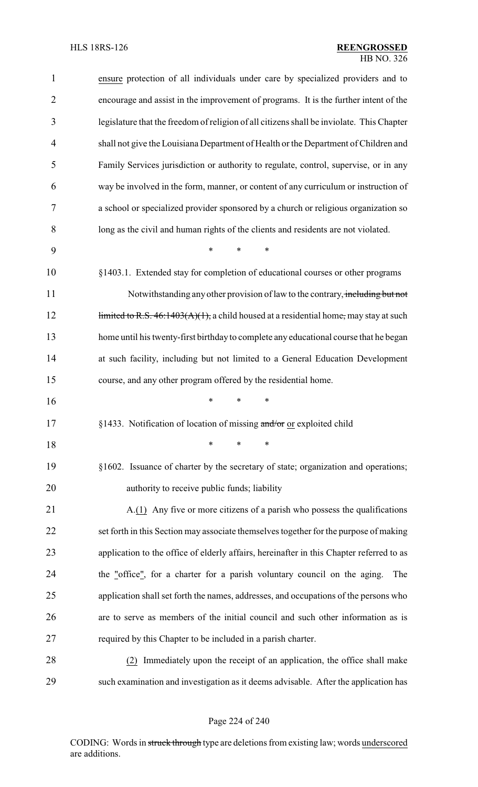| 1              | ensure protection of all individuals under care by specialized providers and to           |
|----------------|-------------------------------------------------------------------------------------------|
| $\overline{2}$ | encourage and assist in the improvement of programs. It is the further intent of the      |
| 3              | legislature that the freedom of religion of all citizens shall be inviolate. This Chapter |
| $\overline{4}$ | shall not give the Louisiana Department of Health or the Department of Children and       |
| 5              | Family Services jurisdiction or authority to regulate, control, supervise, or in any      |
| 6              | way be involved in the form, manner, or content of any curriculum or instruction of       |
| 7              | a school or specialized provider sponsored by a church or religious organization so       |
| 8              | long as the civil and human rights of the clients and residents are not violated.         |
| 9              | *<br>$\ast$<br>∗                                                                          |
| 10             | §1403.1. Extended stay for completion of educational courses or other programs            |
| 11             | Notwithstanding any other provision of law to the contrary, including but not             |
| 12             | limited to R.S. $46:1403(A)(1)$ , a child housed at a residential home, may stay at such  |
| 13             | home until his twenty-first birthday to complete any educational course that he began     |
| 14             | at such facility, including but not limited to a General Education Development            |
| 15             | course, and any other program offered by the residential home.                            |
| 16             | *<br>∗                                                                                    |
| 17             | §1433. Notification of location of missing and/or or exploited child                      |
| 18             | *<br>*<br>∗                                                                               |
| 19             | §1602. Issuance of charter by the secretary of state; organization and operations;        |
| 20             | authority to receive public funds; liability                                              |
| 21             | A.(1) Any five or more citizens of a parish who possess the qualifications                |
| 22             | set forth in this Section may associate themselves together for the purpose of making     |
| 23             | application to the office of elderly affairs, hereinafter in this Chapter referred to as  |
| 24             | the "office", for a charter for a parish voluntary council on the aging.<br>The           |
| 25             | application shall set forth the names, addresses, and occupations of the persons who      |
| 26             | are to serve as members of the initial council and such other information as is           |
| 27             | required by this Chapter to be included in a parish charter.                              |
| 28             | (2) Immediately upon the receipt of an application, the office shall make                 |
| 29             | such examination and investigation as it deems advisable. After the application has       |

Page 224 of 240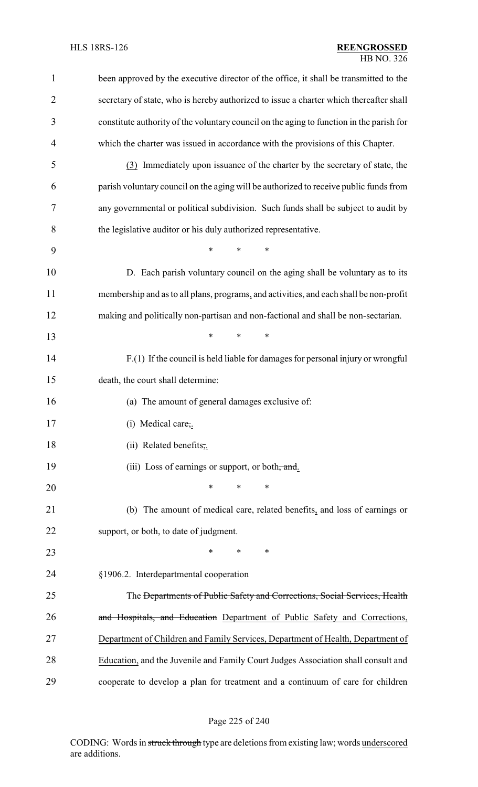| $\mathbf{1}$   | been approved by the executive director of the office, it shall be transmitted to the    |
|----------------|------------------------------------------------------------------------------------------|
| $\overline{2}$ | secretary of state, who is hereby authorized to issue a charter which thereafter shall   |
| 3              | constitute authority of the voluntary council on the aging to function in the parish for |
| 4              | which the charter was issued in accordance with the provisions of this Chapter.          |
| 5              | (3) Immediately upon issuance of the charter by the secretary of state, the              |
| 6              | parish voluntary council on the aging will be authorized to receive public funds from    |
| 7              | any governmental or political subdivision. Such funds shall be subject to audit by       |
| 8              | the legislative auditor or his duly authorized representative.                           |
| 9              | $\ast$<br>*<br>*                                                                         |
| 10             | D. Each parish voluntary council on the aging shall be voluntary as to its               |
| 11             | membership and as to all plans, programs, and activities, and each shall be non-profit   |
| 12             | making and politically non-partisan and non-factional and shall be non-sectarian.        |
| 13             | *<br>*<br>∗                                                                              |
| 14             | F.(1) If the council is held liable for damages for personal injury or wrongful          |
| 15             | death, the court shall determine:                                                        |
| 16             | (a) The amount of general damages exclusive of:                                          |
| 17             | (i) Medical care,.                                                                       |
| 18             | (ii) Related benefits,.                                                                  |
| 19             | (iii) Loss of earnings or support, or both, and.                                         |
| 20             | *<br>*<br>∗                                                                              |
| 21             | (b) The amount of medical care, related benefits, and loss of earnings or                |
| 22             | support, or both, to date of judgment.                                                   |
| 23             | ∗<br>$\ast$<br>∗                                                                         |
| 24             | §1906.2. Interdepartmental cooperation                                                   |
| 25             | The <del>Departments of Public Safety and Corrections, Social Services, Health</del>     |
| 26             | and Hospitals, and Education Department of Public Safety and Corrections,                |
| 27             | Department of Children and Family Services, Department of Health, Department of          |
| 28             | Education, and the Juvenile and Family Court Judges Association shall consult and        |
| 29             | cooperate to develop a plan for treatment and a continuum of care for children           |

# Page 225 of 240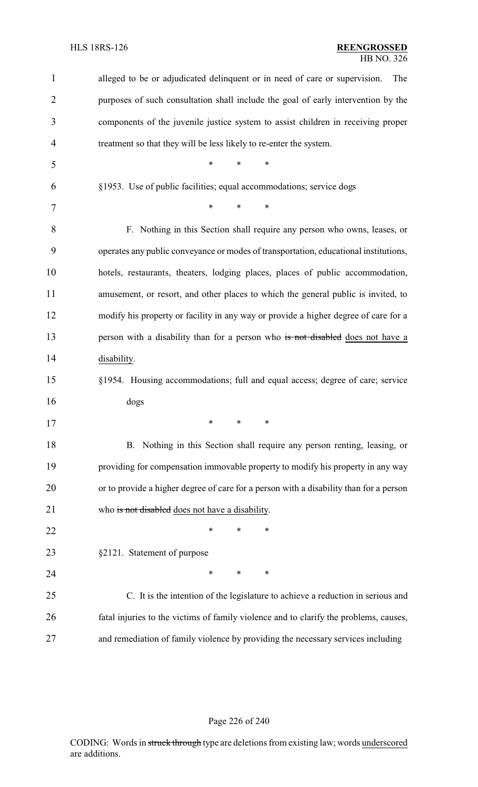| 1  | alleged to be or adjudicated delinquent or in need of care or supervision.<br>The      |
|----|----------------------------------------------------------------------------------------|
| 2  | purposes of such consultation shall include the goal of early intervention by the      |
| 3  | components of the juvenile justice system to assist children in receiving proper       |
| 4  | treatment so that they will be less likely to re-enter the system.                     |
| 5  | $\ast$<br>$\ast$<br>$\ast$                                                             |
| 6  | §1953. Use of public facilities; equal accommodations; service dogs                    |
| 7  | $\ast$<br>$\ast$<br>$\ast$                                                             |
| 8  | F. Nothing in this Section shall require any person who owns, leases, or               |
| 9  | operates any public conveyance or modes of transportation, educational institutions,   |
| 10 | hotels, restaurants, theaters, lodging places, places of public accommodation,         |
| 11 | amusement, or resort, and other places to which the general public is invited, to      |
| 12 | modify his property or facility in any way or provide a higher degree of care for a    |
| 13 | person with a disability than for a person who is not disabled does not have a         |
| 14 | disability.                                                                            |
| 15 | §1954. Housing accommodations; full and equal access; degree of care; service          |
| 16 | dogs                                                                                   |
| 17 |                                                                                        |
| 18 | B. Nothing in this Section shall require any person renting, leasing, or               |
| 19 | providing for compensation immovable property to modify his property in any way        |
| 20 | or to provide a higher degree of care for a person with a disability than for a person |
| 21 | who is not disabled does not have a disability.                                        |
| 22 | $\ast$<br>$\ast$<br>∗                                                                  |
| 23 | §2121. Statement of purpose                                                            |
| 24 | $\ast$<br>∗<br>∗                                                                       |
| 25 | C. It is the intention of the legislature to achieve a reduction in serious and        |
| 26 | fatal injuries to the victims of family violence and to clarify the problems, causes,  |
| 27 | and remediation of family violence by providing the necessary services including       |

# Page 226 of 240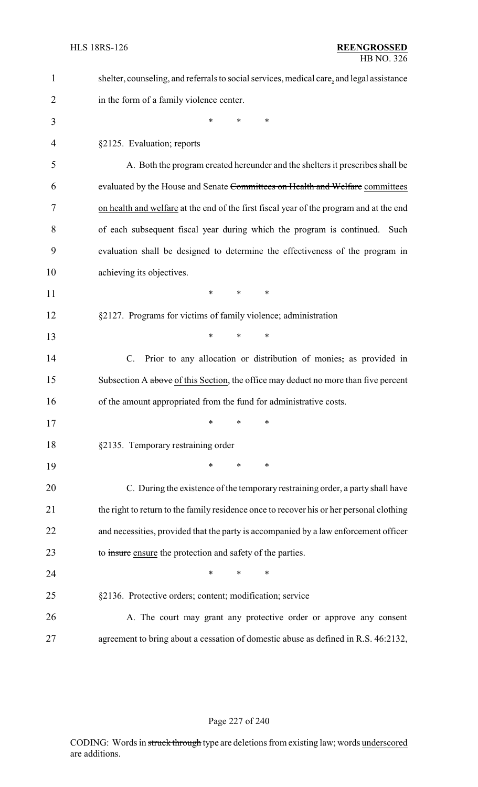| $\mathbf{1}$ | shelter, counseling, and referrals to social services, medical care, and legal assistance |
|--------------|-------------------------------------------------------------------------------------------|
| 2            | in the form of a family violence center.                                                  |
| 3            | *<br>*<br>$\ast$                                                                          |
| 4            | §2125. Evaluation; reports                                                                |
| 5            | A. Both the program created hereunder and the shelters it prescribes shall be             |
| 6            | evaluated by the House and Senate Committees on Health and Welfare committees             |
| 7            | on health and welfare at the end of the first fiscal year of the program and at the end   |
| 8            | of each subsequent fiscal year during which the program is continued. Such                |
| 9            | evaluation shall be designed to determine the effectiveness of the program in             |
| 10           | achieving its objectives.                                                                 |
| 11           | *<br>*<br>$\ast$                                                                          |
| 12           | §2127. Programs for victims of family violence; administration                            |
| 13           | $\ast$<br>*<br>*                                                                          |
| 14           | Prior to any allocation or distribution of monies, as provided in<br>$\mathbf{C}$ .       |
| 15           | Subsection A above of this Section, the office may deduct no more than five percent       |
| 16           | of the amount appropriated from the fund for administrative costs.                        |
| 17           | ∗<br>*<br>∗                                                                               |
| 18           | §2135. Temporary restraining order                                                        |
| 19           | *<br>*<br>∗                                                                               |
| 20           | C. During the existence of the temporary restraining order, a party shall have            |
| 21           | the right to return to the family residence once to recover his or her personal clothing  |
| 22           | and necessities, provided that the party is accompanied by a law enforcement officer      |
| 23           | to insure ensure the protection and safety of the parties.                                |
| 24           | *<br>∗<br>*                                                                               |
| 25           | §2136. Protective orders; content; modification; service                                  |
| 26           | A. The court may grant any protective order or approve any consent                        |
| 27           | agreement to bring about a cessation of domestic abuse as defined in R.S. 46:2132,        |

# Page 227 of 240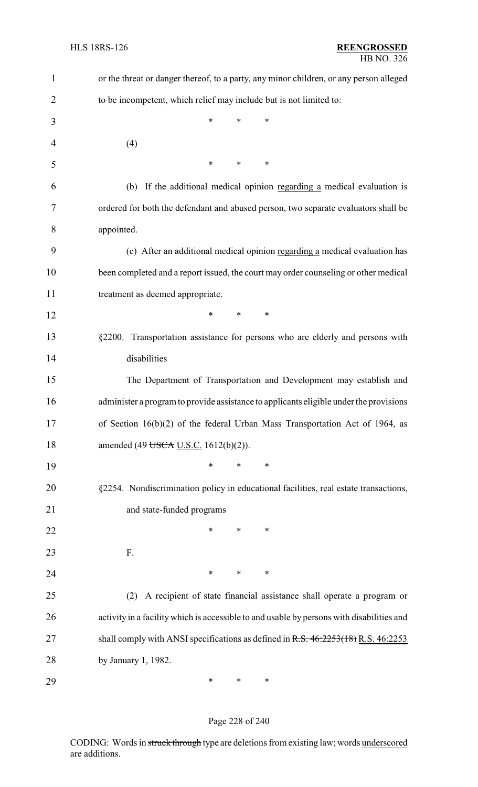| $\mathbf{1}$   | or the threat or danger thereof, to a party, any minor children, or any person alleged    |
|----------------|-------------------------------------------------------------------------------------------|
| $\overline{2}$ | to be incompetent, which relief may include but is not limited to:                        |
| 3              | *<br>*<br>∗                                                                               |
| 4              | (4)                                                                                       |
| 5              | $\ast$<br>$\ast$<br>$\ast$                                                                |
| 6              | If the additional medical opinion regarding a medical evaluation is<br>(b)                |
| 7              | ordered for both the defendant and abused person, two separate evaluators shall be        |
| 8              | appointed.                                                                                |
| 9              | (c) After an additional medical opinion regarding a medical evaluation has                |
| 10             | been completed and a report issued, the court may order counseling or other medical       |
| 11             | treatment as deemed appropriate.                                                          |
| 12             | *<br>$\ast$<br>∗                                                                          |
| 13             | §2200. Transportation assistance for persons who are elderly and persons with             |
| 14             | disabilities                                                                              |
| 15             | The Department of Transportation and Development may establish and                        |
| 16             | administer a program to provide assistance to applicants eligible under the provisions    |
| 17             | of Section 16(b)(2) of the federal Urban Mass Transportation Act of 1964, as              |
| 18             | amended (49 USCA U.S.C. 1612(b)(2)).                                                      |
| 19             | ∗<br>*<br>∗                                                                               |
| 20             | §2254. Nondiscrimination policy in educational facilities, real estate transactions,      |
| 21             | and state-funded programs                                                                 |
| 22             | ∗<br>∗<br>∗                                                                               |
| 23             | F.                                                                                        |
| 24             | ∗<br>∗<br>∗                                                                               |
| 25             | A recipient of state financial assistance shall operate a program or<br>(2)               |
| 26             | activity in a facility which is accessible to and usable by persons with disabilities and |
| 27             | shall comply with ANSI specifications as defined in R.S. 46:2253(18) R.S. 46:2253         |
| 28             | by January 1, 1982.                                                                       |
| 29             | ∗<br>∗<br>∗                                                                               |

# Page 228 of 240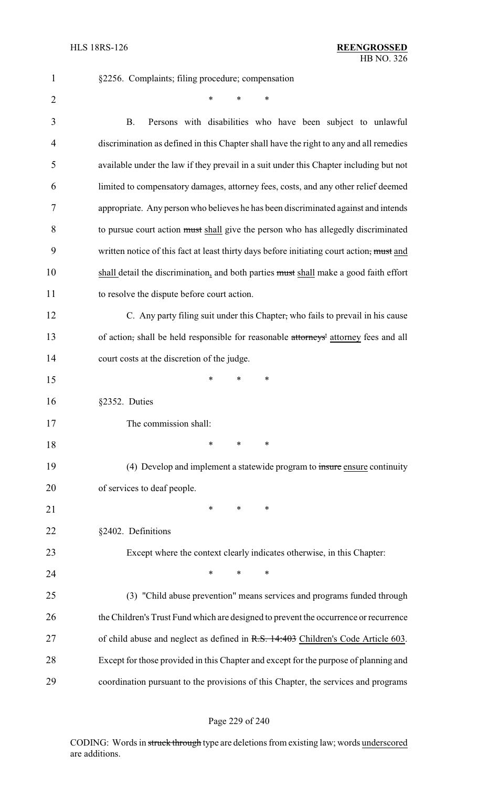| $\mathbf{1}$   | §2256. Complaints; filing procedure; compensation                                         |
|----------------|-------------------------------------------------------------------------------------------|
| $\overline{2}$ | $\ast$<br>$\ast$<br>*                                                                     |
| 3              | <b>B.</b><br>Persons with disabilities who have been subject to unlawful                  |
| 4              | discrimination as defined in this Chapter shall have the right to any and all remedies    |
| 5              | available under the law if they prevail in a suit under this Chapter including but not    |
| 6              | limited to compensatory damages, attorney fees, costs, and any other relief deemed        |
| 7              | appropriate. Any person who believes he has been discriminated against and intends        |
| 8              | to pursue court action must shall give the person who has allegedly discriminated         |
| 9              | written notice of this fact at least thirty days before initiating court action, must and |
| 10             | shall detail the discrimination, and both parties must shall make a good faith effort     |
| 11             | to resolve the dispute before court action.                                               |
| 12             | C. Any party filing suit under this Chapter, who fails to prevail in his cause            |
| 13             | of action, shall be held responsible for reasonable attorneys' attorney fees and all      |
| 14             | court costs at the discretion of the judge.                                               |
| 15             | $\ast$<br>∗<br>∗                                                                          |
| 16             | §2352. Duties                                                                             |
| 17             | The commission shall:                                                                     |
| 18             | $\ast$<br>∗<br>∗                                                                          |
| 19             | (4) Develop and implement a statewide program to insure ensure continuity                 |
| 20             | of services to deaf people.                                                               |
| 21             | *<br>$\ast$<br>∗                                                                          |
| 22             | §2402. Definitions                                                                        |
| 23             | Except where the context clearly indicates otherwise, in this Chapter:                    |
| 24             | *<br>$\ast$<br>∗                                                                          |
| 25             | (3) "Child abuse prevention" means services and programs funded through                   |
| 26             | the Children's Trust Fund which are designed to prevent the occurrence or recurrence      |
| 27             | of child abuse and neglect as defined in R.S. 14:403 Children's Code Article 603.         |
| 28             | Except for those provided in this Chapter and except for the purpose of planning and      |
| 29             | coordination pursuant to the provisions of this Chapter, the services and programs        |

# Page 229 of 240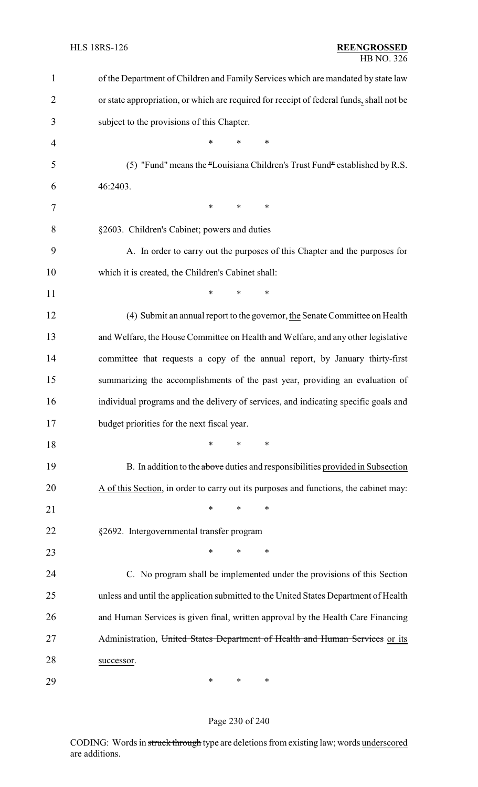| $\mathbf{1}$   | of the Department of Children and Family Services which are mandated by state law        |  |  |
|----------------|------------------------------------------------------------------------------------------|--|--|
| $\overline{2}$ | or state appropriation, or which are required for receipt of federal funds, shall not be |  |  |
| 3              | subject to the provisions of this Chapter.                                               |  |  |
| $\overline{4}$ | $\ast$<br>$\ast$<br>*                                                                    |  |  |
| 5              | (5) "Fund" means the "Louisiana Children's Trust Fund" established by R.S.               |  |  |
| 6              | 46:2403.                                                                                 |  |  |
| 7              | ∗<br>$\ast$<br>$\ast$                                                                    |  |  |
| 8              | §2603. Children's Cabinet; powers and duties                                             |  |  |
| 9              | A. In order to carry out the purposes of this Chapter and the purposes for               |  |  |
| 10             | which it is created, the Children's Cabinet shall:                                       |  |  |
| 11             | $\ast$<br>$\ast$<br>*                                                                    |  |  |
| 12             | (4) Submit an annual report to the governor, the Senate Committee on Health              |  |  |
| 13             | and Welfare, the House Committee on Health and Welfare, and any other legislative        |  |  |
| 14             | committee that requests a copy of the annual report, by January thirty-first             |  |  |
| 15             | summarizing the accomplishments of the past year, providing an evaluation of             |  |  |
| 16             | individual programs and the delivery of services, and indicating specific goals and      |  |  |
| 17             | budget priorities for the next fiscal year.                                              |  |  |
| 18             | *<br>*<br>∗                                                                              |  |  |
| 19             | B. In addition to the above duties and responsibilities provided in Subsection           |  |  |
| 20             | A of this Section, in order to carry out its purposes and functions, the cabinet may:    |  |  |
| 21             | $\ast$<br>∗<br>*                                                                         |  |  |
| 22             | §2692. Intergovernmental transfer program                                                |  |  |
| 23             | *<br>$\ast$<br>∗                                                                         |  |  |
| 24             | C. No program shall be implemented under the provisions of this Section                  |  |  |
| 25             | unless and until the application submitted to the United States Department of Health     |  |  |
| 26             | and Human Services is given final, written approval by the Health Care Financing         |  |  |
| 27             | Administration, United States Department of Health and Human Services or its             |  |  |
| 28             | successor.                                                                               |  |  |
| 29             | $\ast$<br>∗<br>∗                                                                         |  |  |

# Page 230 of 240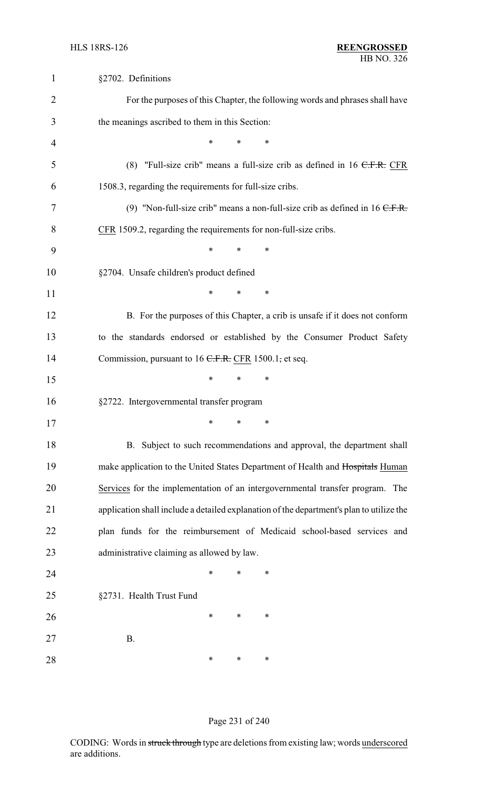| $\mathbf{1}$   | §2702. Definitions                                                                       |
|----------------|------------------------------------------------------------------------------------------|
| $\overline{2}$ | For the purposes of this Chapter, the following words and phrases shall have             |
| 3              | the meanings ascribed to them in this Section:                                           |
| 4              | *<br>*<br>∗                                                                              |
| 5              | (8) "Full-size crib" means a full-size crib as defined in $16$ C.F.R. CFR                |
| 6              | 1508.3, regarding the requirements for full-size cribs.                                  |
| 7              | (9) "Non-full-size crib" means a non-full-size crib as defined in $16$ C.F.R.            |
| 8              | CFR 1509.2, regarding the requirements for non-full-size cribs.                          |
| 9              | *<br>*<br>∗                                                                              |
| 10             | §2704. Unsafe children's product defined                                                 |
| 11             | *<br>*<br>∗                                                                              |
| 12             | B. For the purposes of this Chapter, a crib is unsafe if it does not conform             |
| 13             | to the standards endorsed or established by the Consumer Product Safety                  |
| 14             | Commission, pursuant to $16$ C.F.R. CFR 1500.1, et seq.                                  |
| 15             | $\ast$<br>$\ast$<br>∗                                                                    |
| 16             | §2722. Intergovernmental transfer program                                                |
| 17             | $\ast$<br>$\ast$<br>∗                                                                    |
| 18             | B. Subject to such recommendations and approval, the department shall                    |
| 19             | make application to the United States Department of Health and Hospitals Human           |
| 20             | Services for the implementation of an intergovernmental transfer program. The            |
| 21             | application shall include a detailed explanation of the department's plan to utilize the |
| 22             | plan funds for the reimbursement of Medicaid school-based services and                   |
| 23             | administrative claiming as allowed by law.                                               |
| 24             | *<br>*<br>∗                                                                              |
| 25             | §2731. Health Trust Fund                                                                 |
| 26             | $\ast$<br>∗<br>∗                                                                         |
| 27             | <b>B.</b>                                                                                |
| 28             | ∗<br>∗<br>∗                                                                              |

# Page 231 of 240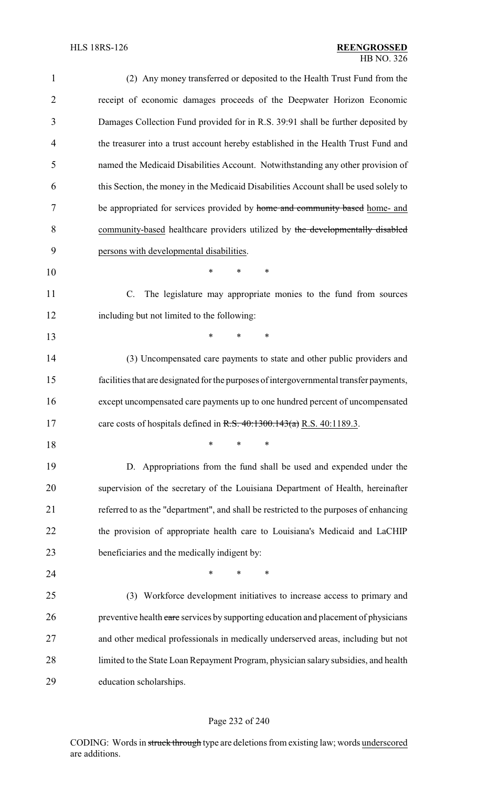| $\mathbf{1}$   | (2) Any money transferred or deposited to the Health Trust Fund from the                |
|----------------|-----------------------------------------------------------------------------------------|
| $\overline{2}$ | receipt of economic damages proceeds of the Deepwater Horizon Economic                  |
| 3              | Damages Collection Fund provided for in R.S. 39:91 shall be further deposited by        |
| $\overline{4}$ | the treasurer into a trust account hereby established in the Health Trust Fund and      |
| 5              | named the Medicaid Disabilities Account. Notwithstanding any other provision of         |
| 6              | this Section, the money in the Medicaid Disabilities Account shall be used solely to    |
| 7              | be appropriated for services provided by home and community based home- and             |
| 8              | community-based healthcare providers utilized by the developmentally disabled           |
| 9              | persons with developmental disabilities.                                                |
| 10             | *<br>*<br>*                                                                             |
| 11             | $C_{\cdot}$<br>The legislature may appropriate monies to the fund from sources          |
| 12             | including but not limited to the following:                                             |
| 13             | *<br>*<br>*                                                                             |
| 14             | (3) Uncompensated care payments to state and other public providers and                 |
| 15             | facilities that are designated for the purposes of intergovernmental transfer payments, |
| 16             | except uncompensated care payments up to one hundred percent of uncompensated           |
| 17             | care costs of hospitals defined in R.S. $40:1300.143(a)$ R.S. $40:1189.3$ .             |
| 18             | ∗<br>*<br>∗                                                                             |
| 19             | D. Appropriations from the fund shall be used and expended under the                    |
| 20             | supervision of the secretary of the Louisiana Department of Health, hereinafter         |
| 21             | referred to as the "department", and shall be restricted to the purposes of enhancing   |
| 22             | the provision of appropriate health care to Louisiana's Medicaid and LaCHIP             |
| 23             | beneficiaries and the medically indigent by:                                            |
| 24             | $\ast$<br>*<br>*                                                                        |
| 25             | (3) Workforce development initiatives to increase access to primary and                 |
| 26             | preventive health care services by supporting education and placement of physicians     |
| 27             | and other medical professionals in medically underserved areas, including but not       |
| 28             | limited to the State Loan Repayment Program, physician salary subsidies, and health     |
| 29             | education scholarships.                                                                 |

# Page 232 of 240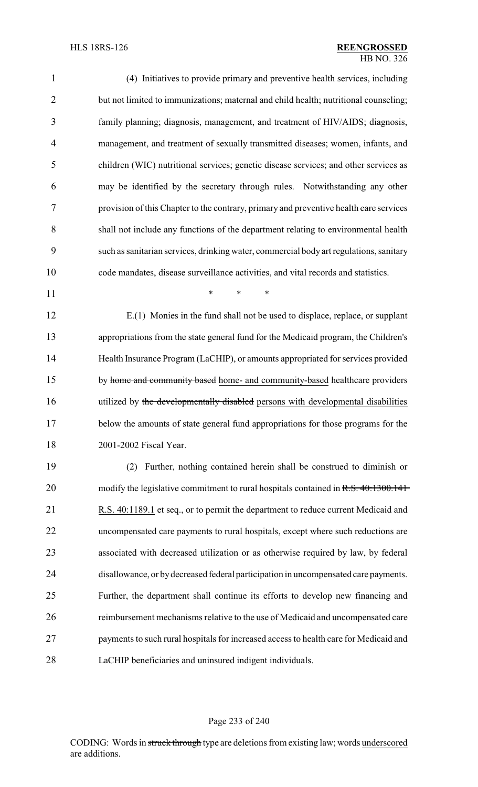| 1              | (4) Initiatives to provide primary and preventive health services, including           |
|----------------|----------------------------------------------------------------------------------------|
| $\overline{2}$ | but not limited to immunizations; maternal and child health; nutritional counseling;   |
| 3              | family planning; diagnosis, management, and treatment of HIV/AIDS; diagnosis,          |
| 4              | management, and treatment of sexually transmitted diseases; women, infants, and        |
| 5              | children (WIC) nutritional services; genetic disease services; and other services as   |
| 6              | may be identified by the secretary through rules. Notwithstanding any other            |
| 7              | provision of this Chapter to the contrary, primary and preventive health care services |
| 8              | shall not include any functions of the department relating to environmental health     |
| 9              | such as sanitarian services, drinking water, commercial body art regulations, sanitary |
| 10             | code mandates, disease surveillance activities, and vital records and statistics.      |
| 11             | $\ast$<br>$\ast$<br>$\ast$                                                             |
| 12             | E.(1) Monies in the fund shall not be used to displace, replace, or supplant           |
| 13             | appropriations from the state general fund for the Medicaid program, the Children's    |
| 14             | Health Insurance Program (LaCHIP), or amounts appropriated for services provided       |
| 15             | by home and community based home- and community-based healthcare providers             |
| 16             | utilized by the developmentally disabled persons with developmental disabilities       |
| 17             | below the amounts of state general fund appropriations for those programs for the      |
| 18             | 2001-2002 Fiscal Year.                                                                 |
| 19             | Further, nothing contained herein shall be construed to diminish or<br>(2)             |
| 20             | modify the legislative commitment to rural hospitals contained in R.S. 40:1300.141     |
| 21             | R.S. 40:1189.1 et seq., or to permit the department to reduce current Medicaid and     |
| 22             | uncompensated care payments to rural hospitals, except where such reductions are       |
| 23             | associated with decreased utilization or as otherwise required by law, by federal      |
| 24             | disallowance, or by decreased federal participation in uncompensated care payments.    |
| 25             | Further, the department shall continue its efforts to develop new financing and        |
| 26             | reimbursement mechanisms relative to the use of Medicaid and uncompensated care        |
| 27             | payments to such rural hospitals for increased access to health care for Medicaid and  |
| 28             | LaCHIP beneficiaries and uninsured indigent individuals.                               |

# Page 233 of 240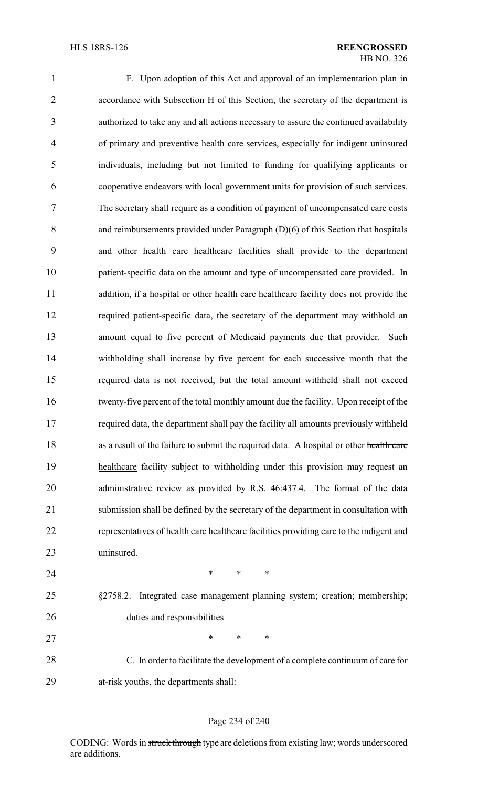| 1              | F. Upon adoption of this Act and approval of an implementation plan in                  |
|----------------|-----------------------------------------------------------------------------------------|
| $\overline{2}$ | accordance with Subsection H of this Section, the secretary of the department is        |
| 3              | authorized to take any and all actions necessary to assure the continued availability   |
| $\overline{4}$ | of primary and preventive health care services, especially for indigent uninsured       |
| 5              | individuals, including but not limited to funding for qualifying applicants or          |
| 6              | cooperative endeavors with local government units for provision of such services.       |
| 7              | The secretary shall require as a condition of payment of uncompensated care costs       |
| 8              | and reimbursements provided under Paragraph $(D)(6)$ of this Section that hospitals     |
| 9              | and other health care healthcare facilities shall provide to the department             |
| 10             | patient-specific data on the amount and type of uncompensated care provided. In         |
| 11             | addition, if a hospital or other health care healthcare facility does not provide the   |
| 12             | required patient-specific data, the secretary of the department may withhold an         |
| 13             | amount equal to five percent of Medicaid payments due that provider. Such               |
| 14             | withholding shall increase by five percent for each successive month that the           |
| 15             | required data is not received, but the total amount withheld shall not exceed           |
| 16             | twenty-five percent of the total monthly amount due the facility. Upon receipt of the   |
| 17             | required data, the department shall pay the facility all amounts previously withheld    |
| 18             | as a result of the failure to submit the required data. A hospital or other health care |
| 19             | healthcare facility subject to withholding under this provision may request an          |
| 20             | administrative review as provided by R.S. 46:437.4. The format of the data              |
| 21             | submission shall be defined by the secretary of the department in consultation with     |
| 22             | representatives of health care healthcare facilities providing care to the indigent and |
| 23             | uninsured.                                                                              |
| 24             | $\ast$<br>$\ast$<br>$\ast$                                                              |
| 25             | §2758.2. Integrated case management planning system; creation; membership;              |
| 26             | duties and responsibilities                                                             |
| 27             | $\ast$<br>∗<br>$\ast$                                                                   |
| 28             | C. In order to facilitate the development of a complete continuum of care for           |

29 at-risk youths, the departments shall:

#### Page 234 of 240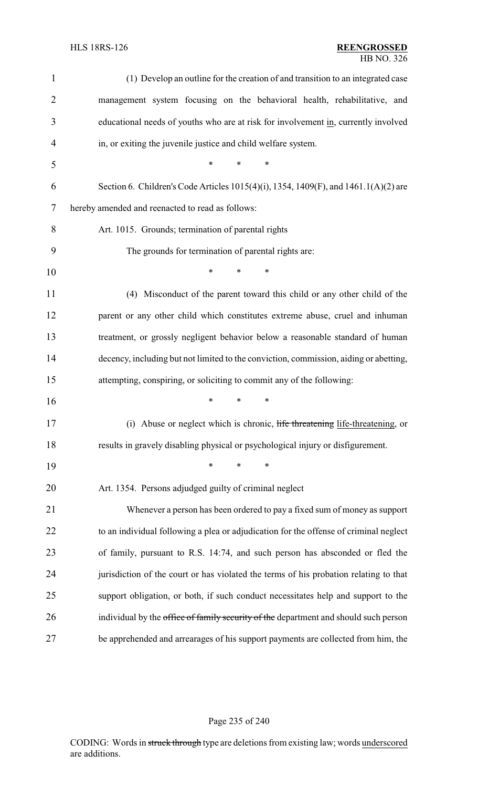| 1              | (1) Develop an outline for the creation of and transition to an integrated case       |  |
|----------------|---------------------------------------------------------------------------------------|--|
| $\overline{2}$ | management system focusing on the behavioral health, rehabilitative, and              |  |
| 3              | educational needs of youths who are at risk for involvement in, currently involved    |  |
| 4              | in, or exiting the juvenile justice and child welfare system.                         |  |
| 5              | *<br>$\ast$<br>$\ast$                                                                 |  |
| 6              | Section 6. Children's Code Articles 1015(4)(i), 1354, 1409(F), and 1461.1(A)(2) are   |  |
| 7              | hereby amended and reenacted to read as follows:                                      |  |
| 8              | Art. 1015. Grounds; termination of parental rights                                    |  |
| 9              | The grounds for termination of parental rights are:                                   |  |
| 10             | $\ast$<br>*<br>*                                                                      |  |
| 11             | (4) Misconduct of the parent toward this child or any other child of the              |  |
| 12             | parent or any other child which constitutes extreme abuse, cruel and inhuman          |  |
| 13             | treatment, or grossly negligent behavior below a reasonable standard of human         |  |
| 14             | decency, including but not limited to the conviction, commission, aiding or abetting, |  |
| 15             | attempting, conspiring, or soliciting to commit any of the following:                 |  |
| 16             | *<br>*<br>∗                                                                           |  |
| 17             | (i) Abuse or neglect which is chronic, life threatening life-threatening, or          |  |
| 18             | results in gravely disabling physical or psychological injury or disfigurement.       |  |
| 19             | $\ast$<br>∗<br>*                                                                      |  |
| 20             | Art. 1354. Persons adjudged guilty of criminal neglect                                |  |
| 21             | Whenever a person has been ordered to pay a fixed sum of money as support             |  |
| 22             | to an individual following a plea or adjudication for the offense of criminal neglect |  |
| 23             | of family, pursuant to R.S. 14:74, and such person has absconded or fled the          |  |
| 24             | jurisdiction of the court or has violated the terms of his probation relating to that |  |
| 25             | support obligation, or both, if such conduct necessitates help and support to the     |  |
| 26             | individual by the office of family security of the department and should such person  |  |
| 27             | be apprehended and arrearages of his support payments are collected from him, the     |  |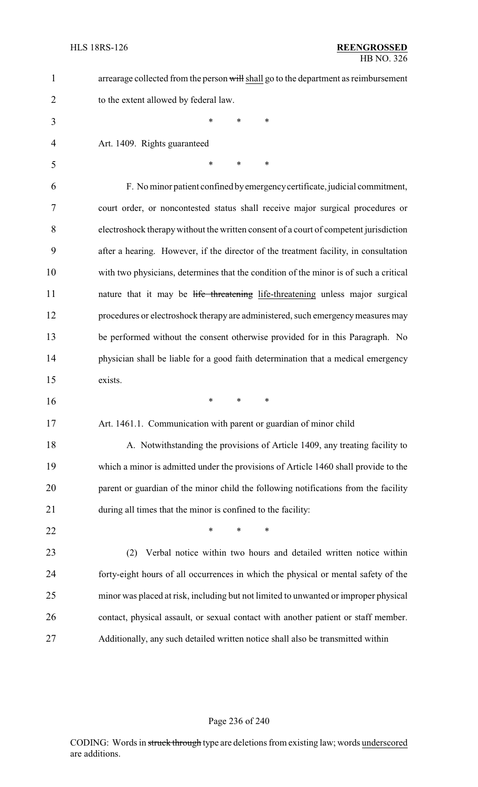| 1              | arrearage collected from the person will shall go to the department as reimbursement  |
|----------------|---------------------------------------------------------------------------------------|
| $\overline{2}$ | to the extent allowed by federal law.                                                 |
| 3              | $\ast$<br>*<br>∗                                                                      |
| 4              | Art. 1409. Rights guaranteed                                                          |
| 5              | $\ast$<br>*<br>$\ast$                                                                 |
| 6              | F. No minor patient confined by emergency certificate, judicial commitment,           |
| 7              | court order, or noncontested status shall receive major surgical procedures or        |
| 8              | electroshock therapy without the written consent of a court of competent jurisdiction |
| 9              | after a hearing. However, if the director of the treatment facility, in consultation  |
| 10             | with two physicians, determines that the condition of the minor is of such a critical |
| 11             | nature that it may be life threatening life-threatening unless major surgical         |
| 12             | procedures or electroshock therapy are administered, such emergency measures may      |
| 13             | be performed without the consent otherwise provided for in this Paragraph. No         |
| 14             | physician shall be liable for a good faith determination that a medical emergency     |
| 15             | exists.                                                                               |
| 16             | *<br>∗<br>∗                                                                           |
| 17             | Art. 1461.1. Communication with parent or guardian of minor child                     |
| 18             | A. Notwithstanding the provisions of Article 1409, any treating facility to           |
| 19             | which a minor is admitted under the provisions of Article 1460 shall provide to the   |
| 20             | parent or guardian of the minor child the following notifications from the facility   |
| 21             | during all times that the minor is confined to the facility:                          |
| 22             | *<br>*<br>∗                                                                           |
| 23             | Verbal notice within two hours and detailed written notice within<br>(2)              |
| 24             | forty-eight hours of all occurrences in which the physical or mental safety of the    |
| 25             | minor was placed at risk, including but not limited to unwanted or improper physical  |
| 26             | contact, physical assault, or sexual contact with another patient or staff member.    |
| 27             | Additionally, any such detailed written notice shall also be transmitted within       |

# Page 236 of 240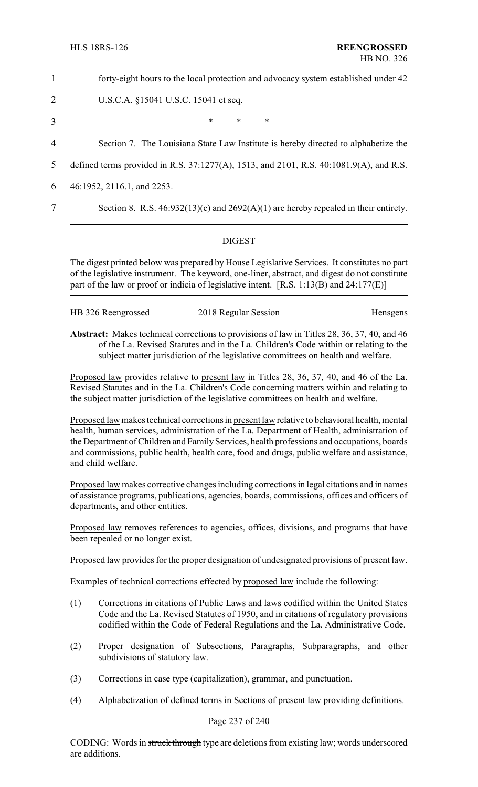1 forty-eight hours to the local protection and advocacy system established under 42

2 **U.S.C.A.** 
$$
\$15041
$$
 **U.S.C.**  $15041$  et seq.

 $3$  \* \* \*

4 Section 7. The Louisiana State Law Institute is hereby directed to alphabetize the

5 defined terms provided in R.S. 37:1277(A), 1513, and 2101, R.S. 40:1081.9(A), and R.S.

6 46:1952, 2116.1, and 2253.

7 Section 8. R.S. 46:932(13)(c) and 2692(A)(1) are hereby repealed in their entirety.

#### DIGEST

The digest printed below was prepared by House Legislative Services. It constitutes no part of the legislative instrument. The keyword, one-liner, abstract, and digest do not constitute part of the law or proof or indicia of legislative intent. [R.S. 1:13(B) and 24:177(E)]

| HB 326 Reengrossed | 2018 Regular Session |          |
|--------------------|----------------------|----------|
|                    |                      | Hensgens |
|                    |                      |          |

**Abstract:** Makes technical corrections to provisions of law in Titles 28, 36, 37, 40, and 46 of the La. Revised Statutes and in the La. Children's Code within or relating to the subject matter jurisdiction of the legislative committees on health and welfare.

Proposed law provides relative to present law in Titles 28, 36, 37, 40, and 46 of the La. Revised Statutes and in the La. Children's Code concerning matters within and relating to the subject matter jurisdiction of the legislative committees on health and welfare.

Proposed law makes technical corrections in present law relative to behavioral health, mental health, human services, administration of the La. Department of Health, administration of the Department of Children and Family Services, health professions and occupations, boards and commissions, public health, health care, food and drugs, public welfare and assistance, and child welfare.

Proposed law makes corrective changes including corrections in legal citations and in names of assistance programs, publications, agencies, boards, commissions, offices and officers of departments, and other entities.

Proposed law removes references to agencies, offices, divisions, and programs that have been repealed or no longer exist.

Proposed law provides for the proper designation of undesignated provisions of present law.

Examples of technical corrections effected by proposed law include the following:

- (1) Corrections in citations of Public Laws and laws codified within the United States Code and the La. Revised Statutes of 1950, and in citations of regulatory provisions codified within the Code of Federal Regulations and the La. Administrative Code.
- (2) Proper designation of Subsections, Paragraphs, Subparagraphs, and other subdivisions of statutory law.
- (3) Corrections in case type (capitalization), grammar, and punctuation.
- (4) Alphabetization of defined terms in Sections of present law providing definitions.

#### Page 237 of 240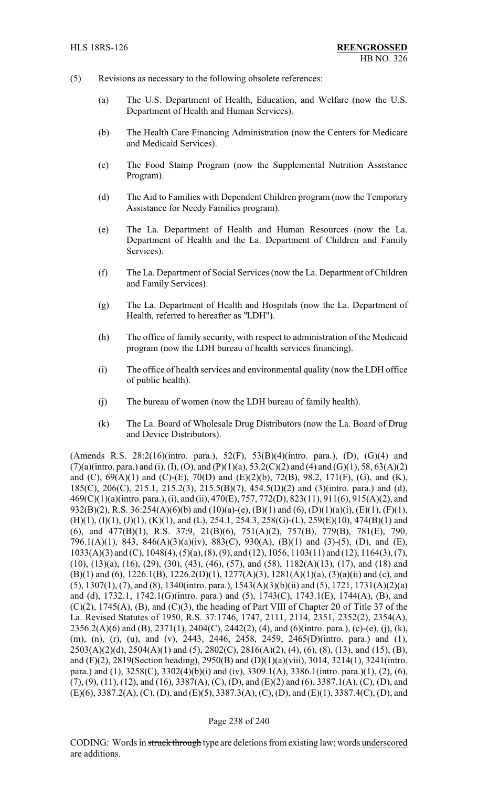- (5) Revisions as necessary to the following obsolete references:
	- (a) The U.S. Department of Health, Education, and Welfare (now the U.S. Department of Health and Human Services).
	- (b) The Health Care Financing Administration (now the Centers for Medicare and Medicaid Services).
	- (c) The Food Stamp Program (now the Supplemental Nutrition Assistance Program).
	- (d) The Aid to Families with Dependent Children program (now the Temporary Assistance for Needy Families program).
	- (e) The La. Department of Health and Human Resources (now the La. Department of Health and the La. Department of Children and Family Services).
	- (f) The La. Department of Social Services (now the La. Department of Children and Family Services).
	- (g) The La. Department of Health and Hospitals (now the La. Department of Health, referred to hereafter as "LDH").
	- (h) The office of family security, with respect to administration of the Medicaid program (now the LDH bureau of health services financing).
	- (i) The office of health services and environmental quality (now the LDH office of public health).
	- (j) The bureau of women (now the LDH bureau of family health).
	- (k) The La. Board of Wholesale Drug Distributors (now the La. Board of Drug and Device Distributors).

(Amends R.S. 28:2(16)(intro. para.), 52(F), 53(B)(4)(intro. para.), (D), (G)(4) and  $(7)(a)$ (intro. para.) and (i), (I), (O), and (P)(1)(a), 53.2(C)(2) and (4) and (G)(1), 58, 63(A)(2) and (C), 69(A)(1) and (C)-(E), 70(D) and (E)(2)(b), 72(B), 98.2, 171(F), (G), and (K), 185(C), 206(C), 215.1, 215.2(3), 215.5(B)(7), 454.5(D)(2) and (3)(intro. para.) and (d), 469(C)(1)(a)(intro. para.), (i), and (ii), 470(E), 757, 772(D), 823(11), 911(6), 915(A)(2), and 932(B)(2), R.S. 36:254(A)(6)(b) and (10)(a)-(e), (B)(1) and (6), (D)(1)(a)(i), (E)(1), (F)(1), (H)(1), (I)(1), (J)(1), (K)(1), and (L), 254.1, 254.3, 258(G)-(L), 259(E)(10), 474(B)(1) and (6), and 477(B)(1), R.S. 37:9, 21(B)(6), 751(A)(2), 757(B), 779(B), 781(E), 790, 796.1(A)(1), 843, 846(A)(3)(a)(iv), 883(C), 930(A), (B)(1) and (3)-(5), (D), and (E), 1033(A)(3) and (C), 1048(4), (5)(a), (8), (9), and (12), 1056, 1103(11) and (12), 1164(3), (7), (10), (13)(a), (16), (29), (30), (43), (46), (57), and (58), 1182(A)(13), (17), and (18) and  $(B)(1)$  and  $(6)$ , 1226.1 $(B)$ , 1226.2 $(D)(1)$ , 1277 $(A)(3)$ , 1281 $(A)(1)(a)$ ,  $(3)(a)(ii)$  and (c), and (5), 1307(1), (7), and (8), 1340(intro. para.), 1543(A)(3)(b)(ii) and (5), 1721, 1731(A)(2)(a) and (d), 1732.1, 1742.1(G)(intro. para.) and (5), 1743(C), 1743.1(E), 1744(A), (B), and  $(C)(2)$ , 1745(A), (B), and  $(C)(3)$ , the heading of Part VIII of Chapter 20 of Title 37 of the La. Revised Statutes of 1950, R.S. 37:1746, 1747, 2111, 2114, 2351, 2352(2), 2354(A),  $2356.2(A)(6)$  and (B),  $2371(1)$ ,  $2404(C)$ ,  $2442(2)$ , (4), and (6)(intro. para.), (c)-(e), (j), (k), (m), (n), (r), (u), and (v), 2443, 2446, 2458, 2459, 2465(D)(intro. para.) and (1),  $2503(A)(2)(d)$ ,  $2504(A)(1)$  and (5),  $2802(C)$ ,  $2816(A)(2)$ , (4), (6), (8), (13), and (15), (B), and (F)(2), 2819(Section heading), 2950(B) and (D)(1)(a)(viii), 3014, 3214(1), 3241(intro. para.) and (1), 3258(C), 3302(4)(b)(i) and (iv), 3309.1(A), 3386.1(intro. para.)(1), (2), (6), (7), (9), (11), (12), and (16), 3387(A), (C), (D), and (E)(2) and (6), 3387.1(A), (C), (D), and (E)(6), 3387.2(A), (C), (D), and (E)(5), 3387.3(A), (C), (D), and (E)(1), 3387.4(C), (D), and

#### Page 238 of 240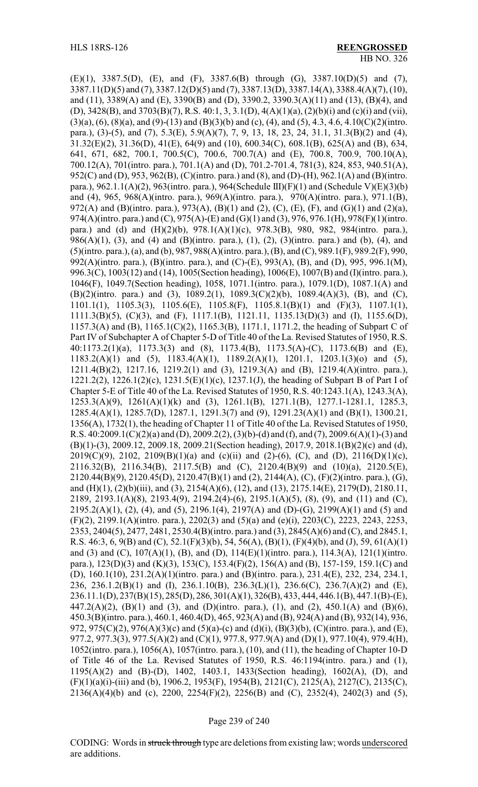(E)(1), 3387.5(D), (E), and (F), 3387.6(B) through (G), 3387.10(D)(5) and (7), 3387.11(D)(5) and (7), 3387.12(D)(5) and (7), 3387.13(D), 3387.14(A), 3388.4(A)(7), (10), and (11), 3389(A) and (E), 3390(B) and (D), 3390.2, 3390.3(A)(11) and (13), (B)(4), and (D), 3428(B), and 3703(B)(7), R.S. 40:1, 3, 3.1(D), 4(A)(1)(a), (2)(b)(i) and (c)(i) and (vii),  $(3)(a)$ ,  $(6)$ ,  $(8)(a)$ , and  $(9)-(13)$  and  $(B)(3)(b)$  and  $(c)$ ,  $(4)$ , and  $(5)$ , 4.3, 4.6, 4.10 $(C)(2)($ intro. para.), (3)-(5), and (7), 5.3(E), 5.9(A)(7), 7, 9, 13, 18, 23, 24, 31.1, 31.3(B)(2) and (4), 31.32(E)(2), 31.36(D), 41(E), 64(9) and (10), 600.34(C), 608.1(B), 625(A) and (B), 634, 641, 671, 682, 700.1, 700.5(C), 700.6, 700.7(A) and (E), 700.8, 700.9, 700.10(A), 700.12(A), 701(intro. para.), 701.1(A) and (D), 701.2-701.4, 781(3), 824, 853, 940.51(A), 952(C) and (D), 953, 962(B), (C)(intro. para.) and (8), and (D)-(H), 962.1(A) and (B)(intro. para.), 962.1.1(A)(2), 963(intro. para.), 964(Schedule III)(F)(1) and (Schedule V)(E)(3)(b) and (4), 965, 968(A)(intro. para.), 969(A)(intro. para.), 970(A)(intro. para.), 971.1(B), 972(A) and (B)(intro. para.), 973(A), (B)(1) and (2), (C), (E), (F), and (G)(1) and (2)(a), 974(A)(intro. para.) and (C), 975(A)-(E) and (G)(1) and (3), 976, 976.1(H), 978(F)(1)(intro. para.) and (d) and (H)(2)(b), 978.1(A)(1)(c), 978.3(B), 980, 982, 984(intro. para.), 986(A)(1), (3), and (4) and (B)(intro. para.), (1), (2), (3)(intro. para.) and (b), (4), and (5)(intro. para.), (a), and (b), 987, 988(A)(intro. para.), (B), and (C), 989.1(F), 989.2(F), 990, 992(A)(intro. para.), (B)(intro. para.), and (C)-(E), 993(A), (B), and (D), 995, 996.1(M), 996.3(C), 1003(12) and (14), 1005(Section heading), 1006(E), 1007(B) and (I)(intro. para.), 1046(F), 1049.7(Section heading), 1058, 1071.1(intro. para.), 1079.1(D), 1087.1(A) and (B)(2)(intro. para.) and (3), 1089.2(1), 1089.3(C)(2)(b), 1089.4(A)(3), (B), and (C), 1101.1(1), 1105.3(3), 1105.6(E), 1105.8(F), 1105.8.1(B)(1) and (F)(3), 1107.1(1), 1111.3(B)(5), (C)(3), and (F), 1117.1(B), 1121.11, 1135.13(D)(3) and (I), 1155.6(D), 1157.3(A) and (B), 1165.1(C)(2), 1165.3(B), 1171.1, 1171.2, the heading of Subpart C of Part IV of Subchapter A of Chapter 5-D of Title 40 of the La. Revised Statutes of 1950, R.S. 40:1173.2(1)(a), 1173.3(3) and (8), 1173.4(B), 1173.5(A)-(C), 1173.6(B) and (E), 1183.2(A)(1) and (5), 1183.4(A)(1), 1189.2(A)(1), 1201.1, 1203.1(3)(o) and (5), 1211.4(B)(2), 1217.16, 1219.2(1) and (3), 1219.3(A) and (B), 1219.4(A)(intro. para.), 1221.2(2), 1226.1(2)(c), 1231.5(E)(1)(c), 1237.1(J), the heading of Subpart B of Part I of Chapter 5-E of Title 40 of the La. Revised Statutes of 1950, R.S. 40:1243.1(A), 1243.3(A), 1253.3(A)(9), 1261(A)(1)(k) and (3), 1261.1(B), 1271.1(B), 1277.1-1281.1, 1285.3, 1285.4(A)(1), 1285.7(D), 1287.1, 1291.3(7) and (9), 1291.23(A)(1) and (B)(1), 1300.21, 1356(A), 1732(1), the heading of Chapter 11 of Title 40 of the La. Revised Statutes of 1950, R.S.  $40:2009.1(C)(2)(a)$  and (D),  $2009.2(2)$ ,  $(3)(b)$ -(d) and (f), and (7),  $2009.6(A)(1)$ -(3) and (B)(1)-(3), 2009.12, 2009.18, 2009.21(Section heading), 2017.9, 2018.1(B)(2)(c) and (d), 2019(C)(9), 2102, 2109(B)(1)(a) and (c)(ii) and (2)-(6), (C), and (D), 2116(D)(1)(c), 2116.32(B), 2116.34(B), 2117.5(B) and (C), 2120.4(B)(9) and (10)(a), 2120.5(E), 2120.44(B)(9), 2120.45(D), 2120.47(B)(1) and (2), 2144(A), (C), (F)(2)(intro. para.), (G), and (H)(1), (2)(b)(iii), and (3), 2154(A)(6), (12), and (13), 2175.14(E), 2179(D), 2180.11, 2189, 2193.1(A)(8), 2193.4(9), 2194.2(4)-(6), 2195.1(A)(5), (8), (9), and (11) and (C), 2195.2(A)(1), (2), (4), and (5), 2196.1(4), 2197(A) and (D)-(G), 2199(A)(1) and (5) and (F)(2), 2199.1(A)(intro. para.), 2202(3) and (5)(a) and (e)(i), 2203(C), 2223, 2243, 2253, 2353, 2404(5), 2477, 2481, 2530.4(B)(intro. para.) and (3), 2845(A)(6) and (C), and 2845.1, R.S. 46:3, 6, 9(B) and (C), 52.1(F)(3)(b), 54, 56(A), (B)(1), (F)(4)(b), and (J), 59, 61(A)(1) and (3) and (C), 107(A)(1), (B), and (D), 114(E)(1)(intro. para.), 114.3(A), 121(1)(intro. para.), 123(D)(3) and (K)(3), 153(C), 153.4(F)(2), 156(A) and (B), 157-159, 159.1(C) and (D), 160.1(10), 231.2(A)(1)(intro. para.) and (B)(intro. para.), 231.4(E), 232, 234, 234.1, 236, 236.1.2(B)(1) and (I), 236.1.10(B), 236.3(L)(1), 236.6(C), 236.7(A)(2) and (E), 236.11.1(D), 237(B)(15), 285(D), 286, 301(A)(1), 326(B), 433, 444, 446.1(B), 447.1(B)-(E), 447.2(A)(2), (B)(1) and (3), and (D)(intro. para.), (1), and (2), 450.1(A) and (B)(6), 450.3(B)(intro. para.), 460.1, 460.4(D), 465, 923(A) and (B), 924(A) and (B), 932(14), 936, 972, 975(C)(2), 976(A)(3)(c) and (5)(a)-(c) and (d)(i), (B)(3)(b), (C)(intro. para.), and (E), 977.2, 977.3(3), 977.5(A)(2) and (C)(1), 977.8, 977.9(A) and (D)(1), 977.10(4), 979.4(H), 1052(intro. para.), 1056(A), 1057(intro. para.), (10), and (11), the heading of Chapter 10-D of Title 46 of the La. Revised Statutes of 1950, R.S. 46:1194(intro. para.) and (1), 1195(A)(2) and (B)-(D), 1402, 1403.1, 1433(Section heading), 1602(A), (D), and (F)(1)(a)(i)-(iii) and (b), 1906.2, 1953(F), 1954(B), 2121(C), 2125(A), 2127(C), 2135(C), 2136(A)(4)(b) and (c), 2200, 2254(F)(2), 2256(B) and (C), 2352(4), 2402(3) and (5),

#### Page 239 of 240